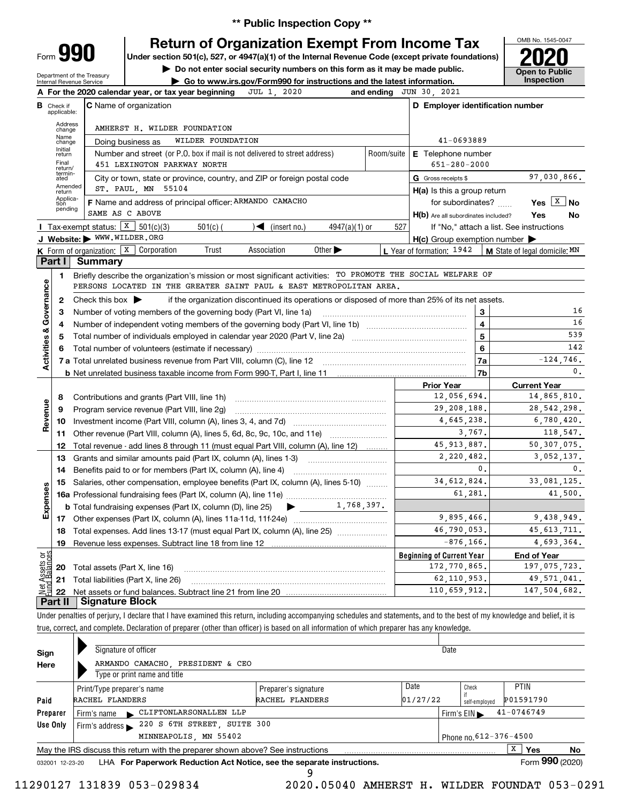**\*\* Public Inspection Copy \*\***

# **Return of Organization Exempt From Income Tax**

**Under section 501(c), 527, or 4947(a)(1) of the Internal Revenue Code (except private foundations) 2020**

**| Do not enter social security numbers on this form as it may be made public.**

Department of the Treasury Internal Revenue Service

C Name of organization

Form **990**

Check if applicable:

**B**

**| Go to www.irs.gov/Form990 for instructions and the latest information. Inspection A For the 2020 calendar year, or tax year beginning JUL 1, 2020 and ending<br>B.a.a.。 O Name of examination** JUL 1, 2020 and ending JUN 30, 2021



|                         | Address<br>change | AMHERST H. WILDER FOUNDATION                                                                                                                             |                           |                                                     |                                          |  |  |  |
|-------------------------|-------------------|----------------------------------------------------------------------------------------------------------------------------------------------------------|---------------------------|-----------------------------------------------------|------------------------------------------|--|--|--|
|                         | Name<br>change    | WILDER FOUNDATION<br>Doing business as                                                                                                                   |                           | 41-0693889                                          |                                          |  |  |  |
|                         | Initial<br>return | Number and street (or P.O. box if mail is not delivered to street address)<br>Room/suite                                                                 | <b>E</b> Telephone number |                                                     |                                          |  |  |  |
|                         | Final<br>return/  | 451 LEXINGTON PARKWAY NORTH                                                                                                                              |                           | $651 - 280 - 2000$                                  |                                          |  |  |  |
|                         | termin-<br>ated   | City or town, state or province, country, and ZIP or foreign postal code                                                                                 |                           | G Gross receipts \$                                 | 97,030,866.                              |  |  |  |
|                         | Amended<br>return | ST. PAUL, MN 55104                                                                                                                                       |                           | $H(a)$ is this a group return                       |                                          |  |  |  |
|                         | Applica-<br>tion  | F Name and address of principal officer: ARMANDO CAMACHO                                                                                                 |                           | for subordinates?                                   | Yes $X \mid N$                           |  |  |  |
|                         | pending           | SAME AS C ABOVE                                                                                                                                          |                           | H(b) Are all subordinates included?                 | Yes<br>No                                |  |  |  |
|                         |                   | <b>I</b> Tax-exempt status: $X \overline{3}$ 501(c)(3)<br>$\blacktriangleleft$ (insert no.)<br>$501(c)$ (<br>$4947(a)(1)$ or                             | 527                       |                                                     | If "No," attach a list. See instructions |  |  |  |
|                         |                   | J Website: WWW.WILDER.ORG                                                                                                                                |                           | $H(c)$ Group exemption number $\blacktriangleright$ |                                          |  |  |  |
|                         |                   | Association<br>Other $\blacktriangleright$<br><b>K</b> Form of organization: $\boxed{\textbf{X}}$ Corporation<br>Trust                                   |                           | L Year of formation: 1942                           | <b>M</b> State of legal domicile: MN     |  |  |  |
|                         | <b>Part I</b>     | <b>Summary</b>                                                                                                                                           |                           |                                                     |                                          |  |  |  |
|                         | 1.                | Briefly describe the organization's mission or most significant activities: TO PROMOTE THE SOCIAL WELFARE OF                                             |                           |                                                     |                                          |  |  |  |
|                         |                   | PERSONS LOCATED IN THE GREATER SAINT PAUL & EAST METROPOLITAN AREA.                                                                                      |                           |                                                     |                                          |  |  |  |
| Activities & Governance | $\mathbf{2}$      | Check this box $\blacktriangleright$<br>if the organization discontinued its operations or disposed of more than 25% of its net assets.                  |                           |                                                     |                                          |  |  |  |
|                         | 3                 | Number of voting members of the governing body (Part VI, line 1a) manufactured in the control of voting members of the governing body (Part VI, line 1a) |                           | 3                                                   | 16                                       |  |  |  |
|                         | 4                 | Number of independent voting members of the governing body (Part VI, line 1b)                                                                            |                           | $\overline{\mathbf{4}}$                             | 16                                       |  |  |  |
|                         | 5                 |                                                                                                                                                          |                           | $\overline{5}$                                      | 539                                      |  |  |  |
|                         | 6                 |                                                                                                                                                          |                           | $6\phantom{a}$                                      | 142                                      |  |  |  |
|                         |                   |                                                                                                                                                          |                           | 7a                                                  | $-124.746.$                              |  |  |  |
|                         |                   |                                                                                                                                                          | 7b                        | $\mathbf{0}$ .                                      |                                          |  |  |  |
|                         |                   |                                                                                                                                                          |                           | <b>Prior Year</b>                                   | <b>Current Year</b>                      |  |  |  |
|                         | 8                 | Contributions and grants (Part VIII, line 1h)                                                                                                            |                           | 12,056,694.                                         | 14,865,810.                              |  |  |  |
|                         | 9                 | Program service revenue (Part VIII, line 2g)                                                                                                             | 29, 208, 188.             | 28, 542, 298.                                       |                                          |  |  |  |
| Revenue                 | 10                | Investment income (Part VIII, column (A), lines 3, 4, and 7d)                                                                                            | 4,645,238.                | 6,780,420.                                          |                                          |  |  |  |
|                         | 11                | Other revenue (Part VIII, column (A), lines 5, 6d, 8c, 9c, 10c, and 11e)                                                                                 | 3,767.                    | 118,547.                                            |                                          |  |  |  |
|                         | 12                | Total revenue - add lines 8 through 11 (must equal Part VIII, column (A), line 12)                                                                       |                           | 45, 913, 887.                                       | 50, 307, 075.                            |  |  |  |
|                         | 13                | Grants and similar amounts paid (Part IX, column (A), lines 1-3)                                                                                         |                           | 2,220,482.                                          | 3,052,137.                               |  |  |  |
|                         | 14                | Benefits paid to or for members (Part IX, column (A), line 4)                                                                                            | 0.                        | 0.                                                  |                                          |  |  |  |
|                         | 15                | Salaries, other compensation, employee benefits (Part IX, column (A), lines 5-10)                                                                        | 34, 612, 824.             | 33,081,125.                                         |                                          |  |  |  |
|                         |                   |                                                                                                                                                          | 61,281.                   | 41,500.                                             |                                          |  |  |  |
| Expenses                |                   | 1,768,397.<br><b>b</b> Total fundraising expenses (Part IX, column (D), line 25)                                                                         |                           |                                                     |                                          |  |  |  |
|                         |                   |                                                                                                                                                          | 9,895,466.                | 9,438,949.                                          |                                          |  |  |  |
|                         | 18                | Total expenses. Add lines 13-17 (must equal Part IX, column (A), line 25)                                                                                | 46,790,053.               | 45, 613, 711.                                       |                                          |  |  |  |
|                         | 19                |                                                                                                                                                          | $-876, 166.$              | 4,693,364.                                          |                                          |  |  |  |
| <u>ិដូ</u>              |                   |                                                                                                                                                          |                           | <b>Beginning of Current Year</b>                    | <b>End of Year</b>                       |  |  |  |
| Assets<br>d'Balanc      | 20                | Total assets (Part X, line 16)                                                                                                                           | 172,770,865.              | 197,075,723.                                        |                                          |  |  |  |
|                         | 21                | Total liabilities (Part X, line 26)                                                                                                                      |                           | 62, 110, 953.                                       | 49,571,041.                              |  |  |  |
|                         | 22                |                                                                                                                                                          |                           | 110,659,912.                                        | 147,504,682.                             |  |  |  |
|                         | Part II           | <b>Signature Block</b>                                                                                                                                   |                           |                                                     |                                          |  |  |  |

Under penalties of perjury, I declare that I have examined this return, including accompanying schedules and statements, and to the best of my knowledge and belief, it is true, correct, and complete. Declaration of preparer (other than officer) is based on all information of which preparer has any knowledge.

| Signature of officer                                                                                         |                        |                                                                                | Date |               |             |           |  |  |  |  |
|--------------------------------------------------------------------------------------------------------------|------------------------|--------------------------------------------------------------------------------|------|---------------|-------------|-----------|--|--|--|--|
| Type or print name and title                                                                                 |                        |                                                                                |      |               |             |           |  |  |  |  |
| Print/Type preparer's name                                                                                   | Preparer's signature   | Date                                                                           |      | Check         | <b>PTIN</b> |           |  |  |  |  |
| RACHEL FLANDERS                                                                                              | RACHEL FLANDERS        |                                                                                |      | self-emploved |             |           |  |  |  |  |
| Firm's name CLIFTONLARSONALLEN LLP                                                                           |                        | $41 - 0746749$<br>Firm's $EIN \blacktriangleright$                             |      |               |             |           |  |  |  |  |
|                                                                                                              |                        |                                                                                |      |               |             |           |  |  |  |  |
| MINNEAPOLIS, MN 55402                                                                                        | Phone no. 612-376-4500 |                                                                                |      |               |             |           |  |  |  |  |
| X  <br>No<br>Yes<br>May the IRS discuss this return with the preparer shown above? See instructions          |                        |                                                                                |      |               |             |           |  |  |  |  |
| Form 990 (2020)<br>LHA For Paperwork Reduction Act Notice, see the separate instructions.<br>032001 12-23-20 |                        |                                                                                |      |               |             |           |  |  |  |  |
|                                                                                                              |                        | ARMANDO CAMACHO, PRESIDENT & CEO<br>Firm's address 220 S 6TH STREET, SUITE 300 | q    | 01/27/22      |             | P01591790 |  |  |  |  |

9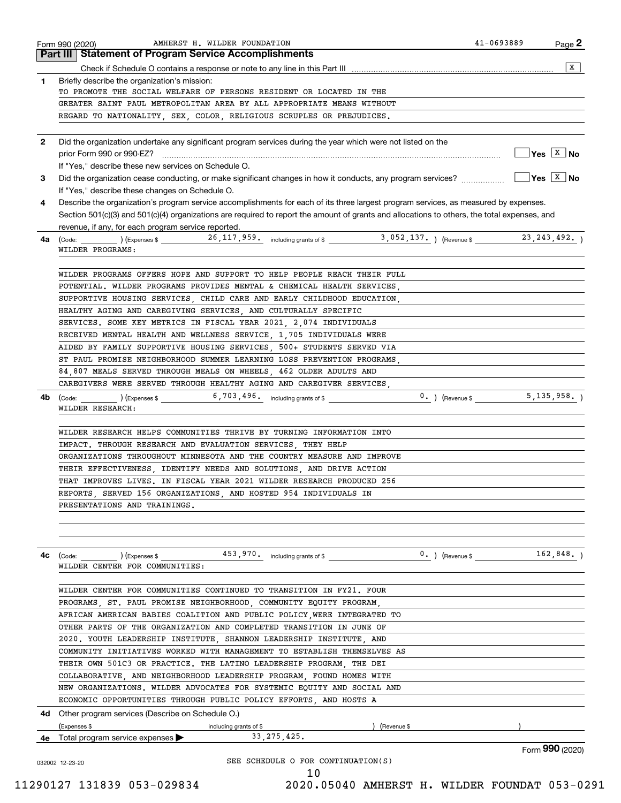|              | AMHERST H. WILDER FOUNDATION<br>Form 990 (2020)                                                                                              | 41-0693889                     | Page 2          |
|--------------|----------------------------------------------------------------------------------------------------------------------------------------------|--------------------------------|-----------------|
|              | <b>Part III Statement of Program Service Accomplishments</b>                                                                                 |                                |                 |
|              |                                                                                                                                              |                                | $\overline{X}$  |
| $\mathbf{1}$ | Briefly describe the organization's mission:                                                                                                 |                                |                 |
|              | TO PROMOTE THE SOCIAL WELFARE OF PERSONS RESIDENT OR LOCATED IN THE<br>GREATER SAINT PAUL METROPOLITAN AREA BY ALL APPROPRIATE MEANS WITHOUT |                                |                 |
|              | REGARD TO NATIONALITY, SEX, COLOR, RELIGIOUS SCRUPLES OR PREJUDICES.                                                                         |                                |                 |
|              |                                                                                                                                              |                                |                 |
| $\mathbf{2}$ | Did the organization undertake any significant program services during the year which were not listed on the                                 |                                |                 |
|              |                                                                                                                                              | $\sqrt{}$ Yes $\sqrt{X}$ No    |                 |
|              | If "Yes," describe these new services on Schedule O.                                                                                         |                                |                 |
| 3            |                                                                                                                                              |                                |                 |
|              | If "Yes," describe these changes on Schedule O.                                                                                              |                                |                 |
| 4            | Describe the organization's program service accomplishments for each of its three largest program services, as measured by expenses.         |                                |                 |
|              | Section 501(c)(3) and 501(c)(4) organizations are required to report the amount of grants and allocations to others, the total expenses, and |                                |                 |
|              | revenue, if any, for each program service reported.                                                                                          |                                |                 |
| 4a           | (Code: 13, 052, 137. ) (Expenses \$1, 243, 492. ) (Expenses \$23, 243, 492. ) (Revenue \$23, 243, 492. )                                     |                                |                 |
|              | WILDER PROGRAMS:                                                                                                                             |                                |                 |
|              |                                                                                                                                              |                                |                 |
|              | WILDER PROGRAMS OFFERS HOPE AND SUPPORT TO HELP PEOPLE REACH THEIR FULL                                                                      |                                |                 |
|              | POTENTIAL. WILDER PROGRAMS PROVIDES MENTAL & CHEMICAL HEALTH SERVICES,                                                                       |                                |                 |
|              | SUPPORTIVE HOUSING SERVICES, CHILD CARE AND EARLY CHILDHOOD EDUCATION,                                                                       |                                |                 |
|              | HEALTHY AGING AND CAREGIVING SERVICES, AND CULTURALLY SPECIFIC                                                                               |                                |                 |
|              | SERVICES. SOME KEY METRICS IN FISCAL YEAR 2021, 2,074 INDIVIDUALS                                                                            |                                |                 |
|              | RECEIVED MENTAL HEALTH AND WELLNESS SERVICE, 1,705 INDIVIDUALS WERE                                                                          |                                |                 |
|              | AIDED BY FAMILY SUPPORTIVE HOUSING SERVICES, 500+ STUDENTS SERVED VIA                                                                        |                                |                 |
|              | ST PAUL PROMISE NEIGHBORHOOD SUMMER LEARNING LOSS PREVENTION PROGRAMS,                                                                       |                                |                 |
|              | 84,807 MEALS SERVED THROUGH MEALS ON WHEELS, 462 OLDER ADULTS AND                                                                            |                                |                 |
|              | CAREGIVERS WERE SERVED THROUGH HEALTHY AGING AND CAREGIVER SERVICES,                                                                         |                                |                 |
| 4b           | $\left(\text{Code:}\right)$ $\left(\text{Expenses $}\right)$ $\left(5,703,496\right)$ including grants of \$                                 | $0.$ ) (Revenue \$ 5,135,958.) |                 |
|              | WILDER RESEARCH:                                                                                                                             |                                |                 |
|              |                                                                                                                                              |                                |                 |
|              | WILDER RESEARCH HELPS COMMUNITIES THRIVE BY TURNING INFORMATION INTO                                                                         |                                |                 |
|              | IMPACT. THROUGH RESEARCH AND EVALUATION SERVICES, THEY HELP                                                                                  |                                |                 |
|              | ORGANIZATIONS THROUGHOUT MINNESOTA AND THE COUNTRY MEASURE AND IMPROVE                                                                       |                                |                 |
|              | THEIR EFFECTIVENESS, IDENTIFY NEEDS AND SOLUTIONS, AND DRIVE ACTION                                                                          |                                |                 |
|              | THAT IMPROVES LIVES. IN FISCAL YEAR 2021 WILDER RESEARCH PRODUCED 256                                                                        |                                |                 |
|              | REPORTS, SERVED 156 ORGANIZATIONS, AND HOSTED 954 INDIVIDUALS IN                                                                             |                                |                 |
|              | PRESENTATIONS AND TRAININGS.                                                                                                                 |                                |                 |
|              |                                                                                                                                              |                                |                 |
|              |                                                                                                                                              |                                |                 |
| 4c           |                                                                                                                                              | $0.$ ) (Revenue \$             | 162,848.        |
|              | WILDER CENTER FOR COMMUNITIES:                                                                                                               |                                |                 |
|              |                                                                                                                                              |                                |                 |
|              | WILDER CENTER FOR COMMUNITIES CONTINUED TO TRANSITION IN FY21. FOUR                                                                          |                                |                 |
|              | PROGRAMS, ST. PAUL PROMISE NEIGHBORHOOD, COMMUNITY EQUITY PROGRAM,                                                                           |                                |                 |
|              | AFRICAN AMERICAN BABIES COALITION AND PUBLIC POLICY WERE INTEGRATED TO                                                                       |                                |                 |
|              | OTHER PARTS OF THE ORGANIZATION AND COMPLETED TRANSITION IN JUNE OF                                                                          |                                |                 |
|              | 2020. YOUTH LEADERSHIP INSTITUTE, SHANNON LEADERSHIP INSTITUTE, AND                                                                          |                                |                 |
|              | COMMUNITY INITIATIVES WORKED WITH MANAGEMENT TO ESTABLISH THEMSELVES AS                                                                      |                                |                 |
|              | THEIR OWN 501C3 OR PRACTICE. THE LATINO LEADERSHIP PROGRAM, THE DEI                                                                          |                                |                 |
|              | COLLABORATIVE, AND NEIGHBORHOOD LEADERSHIP PROGRAM, FOUND HOMES WITH                                                                         |                                |                 |
|              | NEW ORGANIZATIONS. WILDER ADVOCATES FOR SYSTEMIC EQUITY AND SOCIAL AND                                                                       |                                |                 |
|              | ECONOMIC OPPORTUNITIES THROUGH PUBLIC POLICY EFFORTS, AND HOSTS A                                                                            |                                |                 |
|              | 4d Other program services (Describe on Schedule O.)                                                                                          |                                |                 |
|              | (Expenses \$<br>(Revenue \$<br>including grants of \$                                                                                        |                                |                 |
|              | 33, 275, 425.<br>4e Total program service expenses $\blacktriangleright$                                                                     |                                |                 |
|              |                                                                                                                                              |                                | Form 990 (2020) |
|              | SEE SCHEDULE O FOR CONTINUATION(S)<br>032002 12-23-20                                                                                        |                                |                 |
|              | 10                                                                                                                                           |                                |                 |

 <sup>11290127 131839 053-029834 2020.05040</sup> AMHERST H. WILDER FOUNDAT 053-0291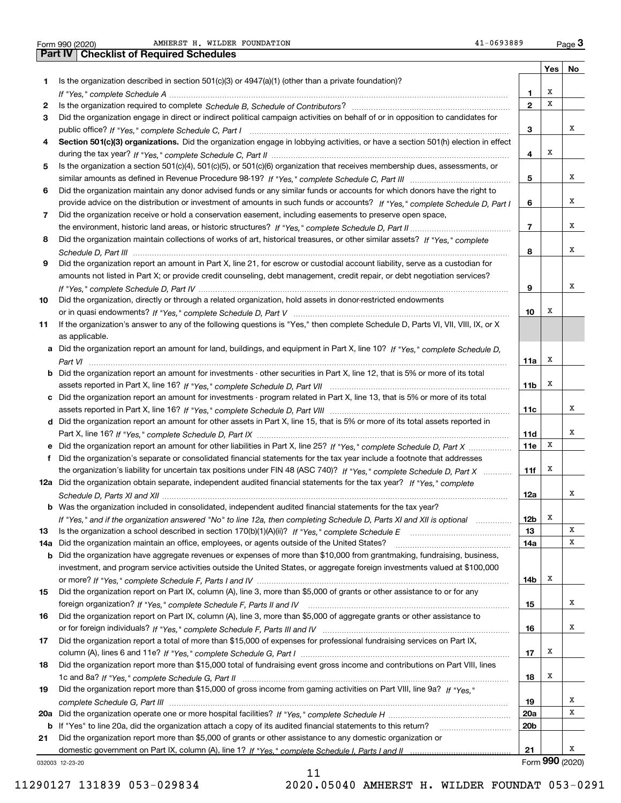Form 990 (2020) Page **3Part IV Checklist of Required Schedules** AMHERST H. WILDER FOUNDATION  $41-0693889$ 

|     |                                                                                                                                  |                 | Yes             | No |  |  |  |
|-----|----------------------------------------------------------------------------------------------------------------------------------|-----------------|-----------------|----|--|--|--|
| 1   | Is the organization described in section $501(c)(3)$ or $4947(a)(1)$ (other than a private foundation)?                          |                 |                 |    |  |  |  |
|     |                                                                                                                                  | 1.              | х               |    |  |  |  |
| 2   |                                                                                                                                  | $\overline{2}$  | х               |    |  |  |  |
| 3   | Did the organization engage in direct or indirect political campaign activities on behalf of or in opposition to candidates for  |                 |                 |    |  |  |  |
|     |                                                                                                                                  |                 |                 |    |  |  |  |
|     | Section 501(c)(3) organizations. Did the organization engage in lobbying activities, or have a section 501(h) election in effect |                 |                 |    |  |  |  |
|     |                                                                                                                                  |                 |                 |    |  |  |  |
| 5   | Is the organization a section 501(c)(4), 501(c)(5), or 501(c)(6) organization that receives membership dues, assessments, or     |                 |                 |    |  |  |  |
|     |                                                                                                                                  | 5               |                 | x  |  |  |  |
| 6   | Did the organization maintain any donor advised funds or any similar funds or accounts for which donors have the right to        |                 |                 |    |  |  |  |
|     | provide advice on the distribution or investment of amounts in such funds or accounts? If "Yes," complete Schedule D, Part I     | 6               |                 | х  |  |  |  |
| 7   | Did the organization receive or hold a conservation easement, including easements to preserve open space,                        |                 |                 |    |  |  |  |
|     |                                                                                                                                  | $\overline{7}$  |                 | х  |  |  |  |
| 8   | Did the organization maintain collections of works of art, historical treasures, or other similar assets? If "Yes," complete     |                 |                 |    |  |  |  |
|     |                                                                                                                                  | 8               |                 | х  |  |  |  |
| 9   | Did the organization report an amount in Part X, line 21, for escrow or custodial account liability, serve as a custodian for    |                 |                 |    |  |  |  |
|     | amounts not listed in Part X; or provide credit counseling, debt management, credit repair, or debt negotiation services?        |                 |                 |    |  |  |  |
|     |                                                                                                                                  | 9               |                 | х  |  |  |  |
| 10  | Did the organization, directly or through a related organization, hold assets in donor-restricted endowments                     |                 |                 |    |  |  |  |
|     |                                                                                                                                  | 10              | х               |    |  |  |  |
| 11  | If the organization's answer to any of the following questions is "Yes," then complete Schedule D, Parts VI, VII, VIII, IX, or X |                 |                 |    |  |  |  |
|     | as applicable.                                                                                                                   |                 |                 |    |  |  |  |
|     | a Did the organization report an amount for land, buildings, and equipment in Part X, line 10? If "Yes," complete Schedule D,    |                 |                 |    |  |  |  |
|     |                                                                                                                                  | 11a             | х               |    |  |  |  |
|     | b Did the organization report an amount for investments - other securities in Part X, line 12, that is 5% or more of its total   |                 |                 |    |  |  |  |
|     |                                                                                                                                  | 11 <sub>b</sub> | х               |    |  |  |  |
| c   | Did the organization report an amount for investments - program related in Part X, line 13, that is 5% or more of its total      |                 |                 |    |  |  |  |
|     |                                                                                                                                  | 11c             |                 | x  |  |  |  |
|     | d Did the organization report an amount for other assets in Part X, line 15, that is 5% or more of its total assets reported in  |                 |                 |    |  |  |  |
|     |                                                                                                                                  | 11d             |                 | х  |  |  |  |
|     | e Did the organization report an amount for other liabilities in Part X, line 25? If "Yes," complete Schedule D, Part X          | <b>11e</b>      | х               |    |  |  |  |
| f   | Did the organization's separate or consolidated financial statements for the tax year include a footnote that addresses          |                 |                 |    |  |  |  |
|     | the organization's liability for uncertain tax positions under FIN 48 (ASC 740)? If "Yes," complete Schedule D, Part X           | 11f             | х               |    |  |  |  |
|     | 12a Did the organization obtain separate, independent audited financial statements for the tax year? If "Yes," complete          |                 |                 |    |  |  |  |
|     |                                                                                                                                  | 12a             |                 | x  |  |  |  |
|     | <b>b</b> Was the organization included in consolidated, independent audited financial statements for the tax year?               |                 |                 |    |  |  |  |
|     | If "Yes," and if the organization answered "No" to line 12a, then completing Schedule D, Parts XI and XII is optional manum      | 12b             | x               |    |  |  |  |
| 13  |                                                                                                                                  | 13              |                 | х  |  |  |  |
| 14a | Did the organization maintain an office, employees, or agents outside of the United States?                                      | 14a             |                 | х  |  |  |  |
| b   | Did the organization have aggregate revenues or expenses of more than \$10,000 from grantmaking, fundraising, business,          |                 |                 |    |  |  |  |
|     | investment, and program service activities outside the United States, or aggregate foreign investments valued at \$100,000       |                 |                 |    |  |  |  |
|     |                                                                                                                                  | 14b             | х               |    |  |  |  |
| 15  | Did the organization report on Part IX, column (A), line 3, more than \$5,000 of grants or other assistance to or for any        |                 |                 |    |  |  |  |
|     |                                                                                                                                  | 15              |                 | х  |  |  |  |
| 16  | Did the organization report on Part IX, column (A), line 3, more than \$5,000 of aggregate grants or other assistance to         |                 |                 |    |  |  |  |
|     |                                                                                                                                  | 16              |                 | x  |  |  |  |
| 17  | Did the organization report a total of more than \$15,000 of expenses for professional fundraising services on Part IX,          |                 |                 |    |  |  |  |
|     |                                                                                                                                  | 17              | х               |    |  |  |  |
| 18  | Did the organization report more than \$15,000 total of fundraising event gross income and contributions on Part VIII, lines     |                 |                 |    |  |  |  |
|     |                                                                                                                                  | 18              | х               |    |  |  |  |
| 19  | Did the organization report more than \$15,000 of gross income from gaming activities on Part VIII, line 9a? If "Yes."           |                 |                 |    |  |  |  |
|     |                                                                                                                                  | 19              |                 | х  |  |  |  |
| 20a |                                                                                                                                  | <b>20a</b>      |                 | х  |  |  |  |
| b   | If "Yes" to line 20a, did the organization attach a copy of its audited financial statements to this return?                     | 20 <sub>b</sub> |                 |    |  |  |  |
| 21  | Did the organization report more than \$5,000 of grants or other assistance to any domestic organization or                      |                 |                 |    |  |  |  |
|     |                                                                                                                                  | 21              |                 | x  |  |  |  |
|     | 032003 12-23-20                                                                                                                  |                 | Form 990 (2020) |    |  |  |  |

11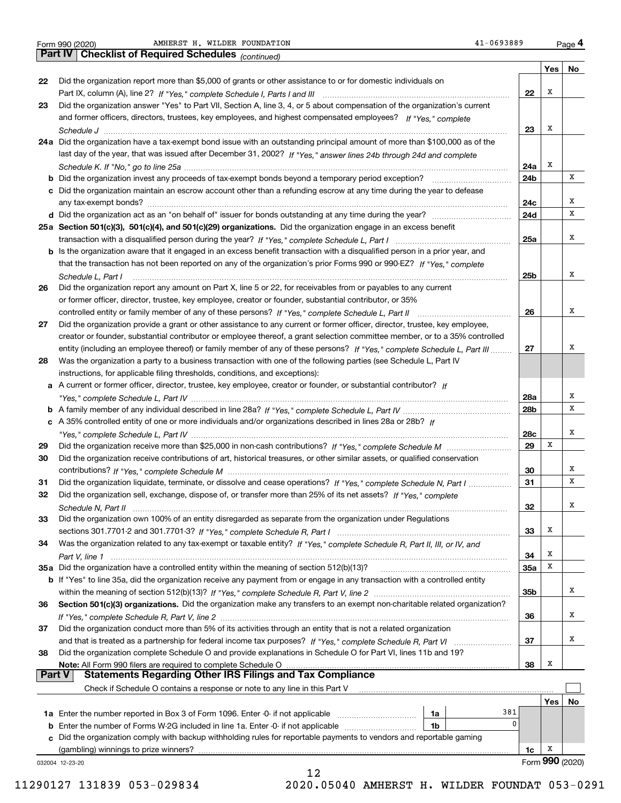*(continued)* **4Part IV Checklist of Required Schedules** Form 990 (2020) AMHERST H.WILDER FOUNDATION 41-0693889 Page

|               |                                                                                                                              |            | Yes             | No |
|---------------|------------------------------------------------------------------------------------------------------------------------------|------------|-----------------|----|
| 22            | Did the organization report more than \$5,000 of grants or other assistance to or for domestic individuals on                |            |                 |    |
|               |                                                                                                                              | 22         | х               |    |
| 23            | Did the organization answer "Yes" to Part VII, Section A, line 3, 4, or 5 about compensation of the organization's current   |            |                 |    |
|               | and former officers, directors, trustees, key employees, and highest compensated employees? If "Yes," complete               |            |                 |    |
|               |                                                                                                                              | 23         | х               |    |
| 24 a          | Did the organization have a tax-exempt bond issue with an outstanding principal amount of more than \$100,000 as of the      |            |                 |    |
|               | last day of the year, that was issued after December 31, 2002? If "Yes," answer lines 24b through 24d and complete           |            | х               |    |
|               |                                                                                                                              | 24a        |                 | х  |
| b             | Did the organization invest any proceeds of tax-exempt bonds beyond a temporary period exception?                            | 24b        |                 |    |
|               | c Did the organization maintain an escrow account other than a refunding escrow at any time during the year to defease       | 24c        |                 | х  |
|               |                                                                                                                              | 24d        |                 | x  |
|               | 25a Section 501(c)(3), 501(c)(4), and 501(c)(29) organizations. Did the organization engage in an excess benefit             |            |                 |    |
|               |                                                                                                                              | 25a        |                 | x  |
|               | b Is the organization aware that it engaged in an excess benefit transaction with a disqualified person in a prior year, and |            |                 |    |
|               | that the transaction has not been reported on any of the organization's prior Forms 990 or 990-EZ? If "Yes," complete        |            |                 |    |
|               | Schedule L, Part I                                                                                                           | 25b        |                 | x  |
| 26            | Did the organization report any amount on Part X, line 5 or 22, for receivables from or payables to any current              |            |                 |    |
|               | or former officer, director, trustee, key employee, creator or founder, substantial contributor, or 35%                      |            |                 |    |
|               |                                                                                                                              | 26         |                 | x  |
| 27            | Did the organization provide a grant or other assistance to any current or former officer, director, trustee, key employee,  |            |                 |    |
|               | creator or founder, substantial contributor or employee thereof, a grant selection committee member, or to a 35% controlled  |            |                 |    |
|               | entity (including an employee thereof) or family member of any of these persons? If "Yes," complete Schedule L, Part III     | 27         |                 | x  |
| 28            | Was the organization a party to a business transaction with one of the following parties (see Schedule L, Part IV            |            |                 |    |
|               | instructions, for applicable filing thresholds, conditions, and exceptions):                                                 |            |                 |    |
|               | a A current or former officer, director, trustee, key employee, creator or founder, or substantial contributor? If           |            |                 | х  |
|               |                                                                                                                              | 28a<br>28b |                 | X  |
|               | c A 35% controlled entity of one or more individuals and/or organizations described in lines 28a or 28b? If                  |            |                 |    |
|               |                                                                                                                              | 28c        |                 | X  |
| 29            |                                                                                                                              | 29         | х               |    |
| 30            | Did the organization receive contributions of art, historical treasures, or other similar assets, or qualified conservation  |            |                 |    |
|               |                                                                                                                              | 30         |                 | х  |
| 31            | Did the organization liquidate, terminate, or dissolve and cease operations? If "Yes," complete Schedule N, Part I           | 31         |                 | x  |
| 32            | Did the organization sell, exchange, dispose of, or transfer more than 25% of its net assets? If "Yes," complete             |            |                 |    |
|               |                                                                                                                              | 32         |                 | х  |
| 33            | Did the organization own 100% of an entity disregarded as separate from the organization under Regulations                   |            |                 |    |
|               |                                                                                                                              | 33         | х               |    |
| 34            | Was the organization related to any tax-exempt or taxable entity? If "Yes," complete Schedule R, Part II, III, or IV, and    |            |                 |    |
|               |                                                                                                                              | 34         | х               |    |
|               | 35a Did the organization have a controlled entity within the meaning of section 512(b)(13)?                                  | 35a        | х               |    |
|               | b If "Yes" to line 35a, did the organization receive any payment from or engage in any transaction with a controlled entity  |            |                 |    |
|               |                                                                                                                              | 35b        |                 | x  |
| 36            | Section 501(c)(3) organizations. Did the organization make any transfers to an exempt non-charitable related organization?   |            |                 | x  |
| 37            | Did the organization conduct more than 5% of its activities through an entity that is not a related organization             | 36         |                 |    |
|               |                                                                                                                              | 37         |                 | x  |
| 38            | Did the organization complete Schedule O and provide explanations in Schedule O for Part VI, lines 11b and 19?               |            |                 |    |
|               | Note: All Form 990 filers are required to complete Schedule O                                                                | 38         | x               |    |
| <b>Part V</b> | <b>Statements Regarding Other IRS Filings and Tax Compliance</b>                                                             |            |                 |    |
|               | Check if Schedule O contains a response or note to any line in this Part V                                                   |            |                 |    |
|               |                                                                                                                              |            | Yes             | No |
|               | 381<br>1a                                                                                                                    |            |                 |    |
| b             | 0<br>Enter the number of Forms W-2G included in line 1a. Enter -0- if not applicable<br>1b                                   |            |                 |    |
| c             | Did the organization comply with backup withholding rules for reportable payments to vendors and reportable gaming           |            |                 |    |
|               | (gambling) winnings to prize winners?                                                                                        | 1c         | х               |    |
|               | 032004 12-23-20                                                                                                              |            | Form 990 (2020) |    |
|               | 12                                                                                                                           |            |                 |    |

 <sup>11290127 131839 053-029834 2020.05040</sup> AMHERST H. WILDER FOUNDAT 053-0291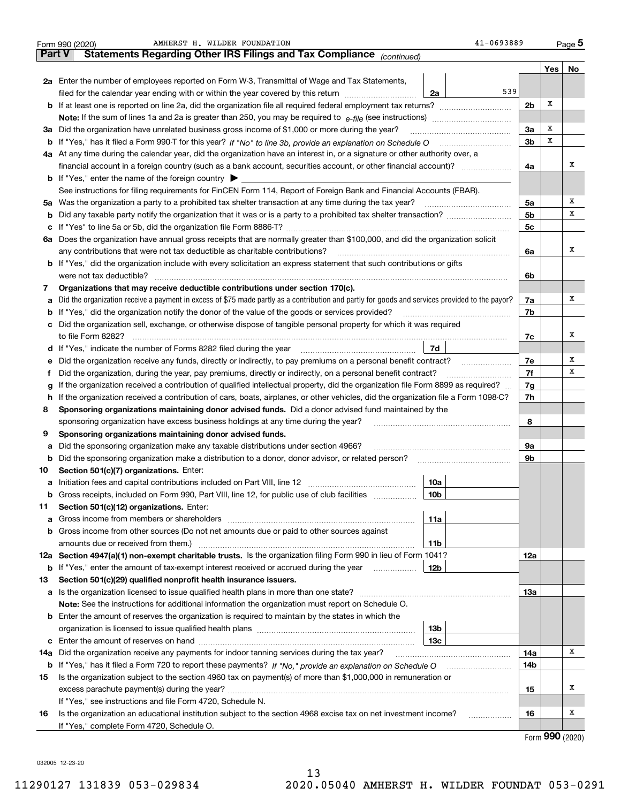|     | AMHERST H. WILDER FOUNDATION<br>Form 990 (2020)                                                                                                 | 41-0693889     |                             | Page 5 |  |  |  |  |  |  |
|-----|-------------------------------------------------------------------------------------------------------------------------------------------------|----------------|-----------------------------|--------|--|--|--|--|--|--|
|     | Part V<br>Statements Regarding Other IRS Filings and Tax Compliance (continued)                                                                 |                |                             |        |  |  |  |  |  |  |
|     |                                                                                                                                                 |                | Yes                         | No     |  |  |  |  |  |  |
|     | 2a Enter the number of employees reported on Form W-3, Transmittal of Wage and Tax Statements,                                                  |                |                             |        |  |  |  |  |  |  |
|     | 539<br>filed for the calendar year ending with or within the year covered by this return<br>2a                                                  |                |                             |        |  |  |  |  |  |  |
|     |                                                                                                                                                 | 2 <sub>b</sub> | х                           |        |  |  |  |  |  |  |
|     |                                                                                                                                                 |                |                             |        |  |  |  |  |  |  |
|     | 3a Did the organization have unrelated business gross income of \$1,000 or more during the year?                                                | 3a             | х                           |        |  |  |  |  |  |  |
|     |                                                                                                                                                 | 3b             | х                           |        |  |  |  |  |  |  |
|     | 4a At any time during the calendar year, did the organization have an interest in, or a signature or other authority over, a                    |                |                             |        |  |  |  |  |  |  |
|     | financial account in a foreign country (such as a bank account, securities account, or other financial account)?                                | 4a             |                             | х      |  |  |  |  |  |  |
|     | <b>b</b> If "Yes," enter the name of the foreign country $\blacktriangleright$                                                                  |                |                             |        |  |  |  |  |  |  |
|     | See instructions for filing requirements for FinCEN Form 114, Report of Foreign Bank and Financial Accounts (FBAR).                             |                |                             |        |  |  |  |  |  |  |
| 5a  | Was the organization a party to a prohibited tax shelter transaction at any time during the tax year?                                           | 5а             |                             | х      |  |  |  |  |  |  |
| b   |                                                                                                                                                 | 5b             |                             | х      |  |  |  |  |  |  |
| с   |                                                                                                                                                 | 5c             |                             |        |  |  |  |  |  |  |
|     | 6a Does the organization have annual gross receipts that are normally greater than \$100,000, and did the organization solicit                  |                |                             |        |  |  |  |  |  |  |
|     | any contributions that were not tax deductible as charitable contributions?                                                                     | 6a             |                             | х      |  |  |  |  |  |  |
|     | <b>b</b> If "Yes," did the organization include with every solicitation an express statement that such contributions or gifts                   |                |                             |        |  |  |  |  |  |  |
|     | were not tax deductible?                                                                                                                        | 6b             |                             |        |  |  |  |  |  |  |
| 7   | Organizations that may receive deductible contributions under section 170(c).                                                                   |                |                             |        |  |  |  |  |  |  |
| a   | Did the organization receive a payment in excess of \$75 made partly as a contribution and partly for goods and services provided to the payor? | 7a             |                             | х      |  |  |  |  |  |  |
| b   | If "Yes," did the organization notify the donor of the value of the goods or services provided?                                                 | 7b             |                             |        |  |  |  |  |  |  |
| c   | Did the organization sell, exchange, or otherwise dispose of tangible personal property for which it was required                               |                |                             |        |  |  |  |  |  |  |
|     |                                                                                                                                                 | 7c             |                             | Х      |  |  |  |  |  |  |
|     | 7d                                                                                                                                              |                |                             |        |  |  |  |  |  |  |
| е   | Did the organization receive any funds, directly or indirectly, to pay premiums on a personal benefit contract?                                 | 7e             |                             | х      |  |  |  |  |  |  |
| f   | Did the organization, during the year, pay premiums, directly or indirectly, on a personal benefit contract?                                    | 7f             |                             | х      |  |  |  |  |  |  |
| g   | If the organization received a contribution of qualified intellectual property, did the organization file Form 8899 as required?                | 7g             |                             |        |  |  |  |  |  |  |
| h.  | If the organization received a contribution of cars, boats, airplanes, or other vehicles, did the organization file a Form 1098-C?              | 7h             |                             |        |  |  |  |  |  |  |
| 8   | Sponsoring organizations maintaining donor advised funds. Did a donor advised fund maintained by the                                            |                |                             |        |  |  |  |  |  |  |
|     | sponsoring organization have excess business holdings at any time during the year?                                                              | 8              |                             |        |  |  |  |  |  |  |
| 9   | Sponsoring organizations maintaining donor advised funds.                                                                                       |                |                             |        |  |  |  |  |  |  |
| а   | Did the sponsoring organization make any taxable distributions under section 4966?                                                              | 9а             |                             |        |  |  |  |  |  |  |
| b   | Did the sponsoring organization make a distribution to a donor, donor advisor, or related person?                                               | 9b             |                             |        |  |  |  |  |  |  |
| 10  | Section 501(c)(7) organizations. Enter:                                                                                                         |                |                             |        |  |  |  |  |  |  |
|     | 10a                                                                                                                                             |                |                             |        |  |  |  |  |  |  |
|     | 10 <sub>b</sub><br>Gross receipts, included on Form 990, Part VIII, line 12, for public use of club facilities                                  |                |                             |        |  |  |  |  |  |  |
| 11  | Section 501(c)(12) organizations. Enter:                                                                                                        |                |                             |        |  |  |  |  |  |  |
| a   | Gross income from members or shareholders<br>11a                                                                                                |                |                             |        |  |  |  |  |  |  |
| b   | Gross income from other sources (Do not net amounts due or paid to other sources against                                                        |                |                             |        |  |  |  |  |  |  |
|     | 11b                                                                                                                                             |                |                             |        |  |  |  |  |  |  |
|     | 12a Section 4947(a)(1) non-exempt charitable trusts. Is the organization filing Form 990 in lieu of Form 1041?                                  | 12a            |                             |        |  |  |  |  |  |  |
|     | 12b<br><b>b</b> If "Yes," enter the amount of tax-exempt interest received or accrued during the year                                           |                |                             |        |  |  |  |  |  |  |
| 13  | Section 501(c)(29) qualified nonprofit health insurance issuers.                                                                                |                |                             |        |  |  |  |  |  |  |
|     | a Is the organization licensed to issue qualified health plans in more than one state?                                                          | 13а            |                             |        |  |  |  |  |  |  |
|     | Note: See the instructions for additional information the organization must report on Schedule O.                                               |                |                             |        |  |  |  |  |  |  |
| b   | Enter the amount of reserves the organization is required to maintain by the states in which the                                                |                |                             |        |  |  |  |  |  |  |
|     | 13 <sub>b</sub>                                                                                                                                 |                |                             |        |  |  |  |  |  |  |
| c   | 13c                                                                                                                                             |                |                             |        |  |  |  |  |  |  |
| 14a | Did the organization receive any payments for indoor tanning services during the tax year?                                                      | 14a            |                             | x      |  |  |  |  |  |  |
|     | <b>b</b> If "Yes," has it filed a Form 720 to report these payments? If "No," provide an explanation on Schedule O                              | 14b            |                             |        |  |  |  |  |  |  |
| 15  | Is the organization subject to the section 4960 tax on payment(s) of more than \$1,000,000 in remuneration or                                   |                |                             |        |  |  |  |  |  |  |
|     |                                                                                                                                                 | 15             |                             | х      |  |  |  |  |  |  |
|     | If "Yes," see instructions and file Form 4720, Schedule N.                                                                                      |                |                             |        |  |  |  |  |  |  |
| 16  | Is the organization an educational institution subject to the section 4968 excise tax on net investment income?                                 | 16             |                             | Х      |  |  |  |  |  |  |
|     | If "Yes," complete Form 4720, Schedule O.                                                                                                       |                | $F_{\text{arm}}$ 990 (2020) |        |  |  |  |  |  |  |
|     |                                                                                                                                                 |                |                             |        |  |  |  |  |  |  |

Form (2020) **990**

032005 12-23-20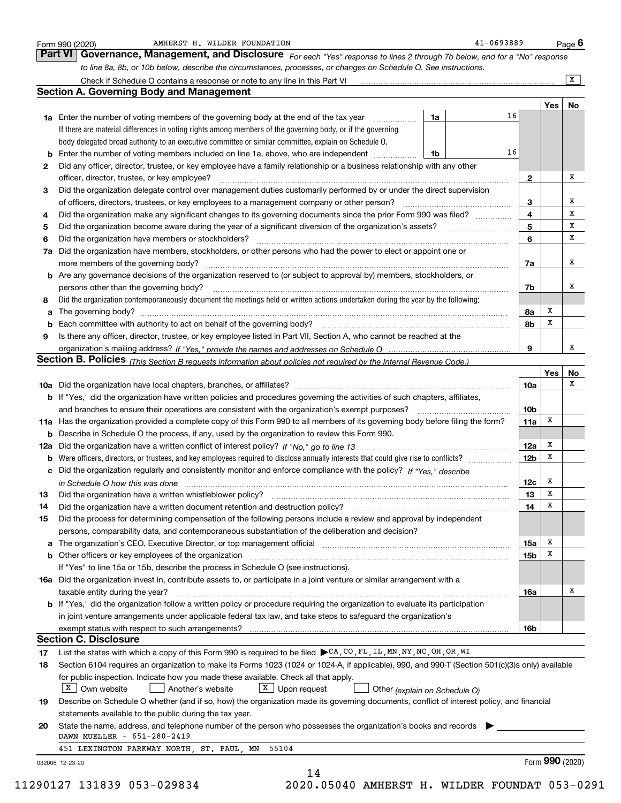|    | to line 8a, 8b, or 10b below, describe the circumstances, processes, or changes on Schedule O. See instructions.                                                           |    |    |                 |             | $\overline{X}$ |
|----|----------------------------------------------------------------------------------------------------------------------------------------------------------------------------|----|----|-----------------|-------------|----------------|
|    | <b>Section A. Governing Body and Management</b>                                                                                                                            |    |    |                 |             |                |
|    |                                                                                                                                                                            |    |    |                 | Yes         | No             |
|    | <b>1a</b> Enter the number of voting members of the governing body at the end of the tax year                                                                              | 1a | 16 |                 |             |                |
|    | If there are material differences in voting rights among members of the governing body, or if the governing                                                                |    |    |                 |             |                |
|    | body delegated broad authority to an executive committee or similar committee, explain on Schedule O.                                                                      |    |    |                 |             |                |
| b  | Enter the number of voting members included on line 1a, above, who are independent                                                                                         | 1b | 16 |                 |             |                |
| 2  | Did any officer, director, trustee, or key employee have a family relationship or a business relationship with any other                                                   |    |    |                 |             |                |
|    | officer, director, trustee, or key employee?                                                                                                                               |    |    | $\mathbf{2}$    |             | x              |
| 3  | Did the organization delegate control over management duties customarily performed by or under the direct supervision                                                      |    |    |                 |             |                |
|    | of officers, directors, trustees, or key employees to a management company or other person?                                                                                |    |    | 3               |             | x              |
| 4  | Did the organization make any significant changes to its governing documents since the prior Form 990 was filed?                                                           |    |    | 4               |             | х              |
| 5  |                                                                                                                                                                            |    |    | 5               |             | х              |
| 6  | Did the organization have members or stockholders?                                                                                                                         |    |    | 6               |             | х              |
| 7a | Did the organization have members, stockholders, or other persons who had the power to elect or appoint one or                                                             |    |    |                 |             |                |
|    |                                                                                                                                                                            |    |    | 7a              |             | x              |
|    | b Are any governance decisions of the organization reserved to (or subject to approval by) members, stockholders, or                                                       |    |    |                 |             |                |
|    | persons other than the governing body?                                                                                                                                     |    |    | 7b              |             | х              |
| 8  | Did the organization contemporaneously document the meetings held or written actions undertaken during the year by the following:                                          |    |    |                 |             |                |
| a  |                                                                                                                                                                            |    |    | 8а              | x           |                |
| b  |                                                                                                                                                                            |    |    | 8b              | x           |                |
| 9  | Is there any officer, director, trustee, or key employee listed in Part VII, Section A, who cannot be reached at the                                                       |    |    |                 |             |                |
|    |                                                                                                                                                                            |    |    | 9               |             | x              |
|    | Section B. Policies (This Section B requests information about policies not required by the Internal Revenue Code.)                                                        |    |    |                 |             |                |
|    |                                                                                                                                                                            |    |    |                 | <b>Yes</b>  | No             |
|    |                                                                                                                                                                            |    |    | 10a             |             | х              |
|    | <b>b</b> If "Yes," did the organization have written policies and procedures governing the activities of such chapters, affiliates,                                        |    |    |                 |             |                |
|    |                                                                                                                                                                            |    |    | 10b             |             |                |
|    | 11a Has the organization provided a complete copy of this Form 990 to all members of its governing body before filing the form?                                            |    |    | 11a             | х           |                |
|    | <b>b</b> Describe in Schedule O the process, if any, used by the organization to review this Form 990.                                                                     |    |    |                 |             |                |
|    |                                                                                                                                                                            |    |    | 12a             | x           |                |
|    |                                                                                                                                                                            |    |    | 12 <sub>b</sub> | x           |                |
|    | c Did the organization regularly and consistently monitor and enforce compliance with the policy? If "Yes," describe                                                       |    |    |                 |             |                |
|    | in Schedule O how this was done manufactured and continuum control of the state of the state of the state of t                                                             |    |    | 12c             | X           |                |
| 13 |                                                                                                                                                                            |    |    | 13              | $\mathbf X$ |                |
| 14 | Did the organization have a written document retention and destruction policy? manufactured and the organization have a written document retention and destruction policy? |    |    | 14              | x           |                |
| 15 | Did the process for determining compensation of the following persons include a review and approval by independent                                                         |    |    |                 |             |                |
|    | persons, comparability data, and contemporaneous substantiation of the deliberation and decision?                                                                          |    |    |                 |             |                |
|    |                                                                                                                                                                            |    |    | 15a             | x           |                |
|    | <b>b</b> Other officers or key employees of the organization                                                                                                               |    |    | 15 <sub>b</sub> | х           |                |
|    | If "Yes" to line 15a or 15b, describe the process in Schedule O (see instructions).                                                                                        |    |    |                 |             |                |
|    | 16a Did the organization invest in, contribute assets to, or participate in a joint venture or similar arrangement with a                                                  |    |    |                 |             |                |
|    | taxable entity during the year?                                                                                                                                            |    |    | 16a             |             | х              |
|    | b If "Yes," did the organization follow a written policy or procedure requiring the organization to evaluate its participation                                             |    |    |                 |             |                |
|    | in joint venture arrangements under applicable federal tax law, and take steps to safeguard the organization's                                                             |    |    |                 |             |                |
|    | exempt status with respect to such arrangements?                                                                                                                           |    |    | 16b             |             |                |
|    | <b>Section C. Disclosure</b>                                                                                                                                               |    |    |                 |             |                |
| 17 | List the states with which a copy of this Form 990 is required to be filed ▶ CA, CO, FL, IL, MN, NY, NC, OH, OR, WI                                                        |    |    |                 |             |                |
| 18 | Section 6104 requires an organization to make its Forms 1023 (1024 or 1024-A, if applicable), 990, and 990-T (Section 501(c)(3)s only) available                           |    |    |                 |             |                |
|    | for public inspection. Indicate how you made these available. Check all that apply.                                                                                        |    |    |                 |             |                |
|    | $X$ Own website<br>$X$ Upon request<br>Another's website<br>Other (explain on Schedule O)                                                                                  |    |    |                 |             |                |
|    | Describe on Schedule O whether (and if so, how) the organization made its governing documents, conflict of interest policy, and financial                                  |    |    |                 |             |                |
| 19 | statements available to the public during the tax year.                                                                                                                    |    |    |                 |             |                |
|    |                                                                                                                                                                            |    |    |                 |             |                |
| 20 | State the name, address, and telephone number of the person who possesses the organization's books and records                                                             |    |    |                 |             |                |
|    | DAWN MUELLER - 651-280-2419                                                                                                                                                |    |    |                 |             |                |
|    | 451 LEXINGTON PARKWAY NORTH, ST. PAUL, MN 55104                                                                                                                            |    |    |                 |             |                |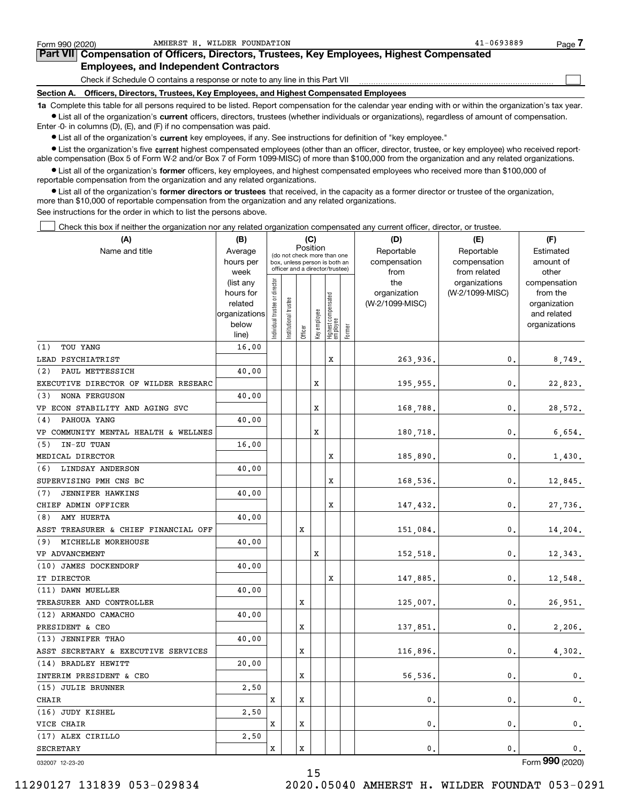| Form 990 (2020)                                                                                                                                            | AMHERST H. WILDER FOUNDATION                                                               | $41 - 0693889$<br>Page. |  |  |  |  |  |  |  |  |
|------------------------------------------------------------------------------------------------------------------------------------------------------------|--------------------------------------------------------------------------------------------|-------------------------|--|--|--|--|--|--|--|--|
|                                                                                                                                                            | Part VII Compensation of Officers, Directors, Trustees, Key Employees, Highest Compensated |                         |  |  |  |  |  |  |  |  |
| <b>Employees, and Independent Contractors</b>                                                                                                              |                                                                                            |                         |  |  |  |  |  |  |  |  |
| Check if Schedule O contains a response or note to any line in this Part VII                                                                               |                                                                                            |                         |  |  |  |  |  |  |  |  |
| Section A.                                                                                                                                                 | Officers, Directors, Trustees, Key Employees, and Highest Compensated Employees            |                         |  |  |  |  |  |  |  |  |
| 1a Complete this table for all persons required to be listed. Report compensation for the calendar year ending with or within the organization's tax year. |                                                                                            |                         |  |  |  |  |  |  |  |  |

AMHERST H. WILDER FOUNDATION 41-0693889

**•** List all of the organization's current officers, directors, trustees (whether individuals or organizations), regardless of amount of compensation. Enter -0- in columns (D), (E), and (F) if no compensation was paid.

 $\bullet$  List all of the organization's  $\,$ current key employees, if any. See instructions for definition of "key employee."

**•** List the organization's five current highest compensated employees (other than an officer, director, trustee, or key employee) who received reportable compensation (Box 5 of Form W-2 and/or Box 7 of Form 1099-MISC) of more than \$100,000 from the organization and any related organizations.

**•** List all of the organization's former officers, key employees, and highest compensated employees who received more than \$100,000 of reportable compensation from the organization and any related organizations.

**former directors or trustees**  ¥ List all of the organization's that received, in the capacity as a former director or trustee of the organization, more than \$10,000 of reportable compensation from the organization and any related organizations.

See instructions for the order in which to list the persons above.

Check this box if neither the organization nor any related organization compensated any current officer, director, or trustee.  $\mathcal{L}^{\text{max}}$ 

| (A)                                  | (B)               |                                |                       | (C)      |                                                                  |                                 |        | (D)             | (E)                           | (F)                   |
|--------------------------------------|-------------------|--------------------------------|-----------------------|----------|------------------------------------------------------------------|---------------------------------|--------|-----------------|-------------------------------|-----------------------|
| Name and title                       | Average           |                                |                       | Position |                                                                  | (do not check more than one     |        | Reportable      | Reportable                    | Estimated             |
|                                      | hours per         |                                |                       |          | box, unless person is both an<br>officer and a director/trustee) |                                 |        | compensation    | compensation                  | amount of             |
|                                      | week<br>(list any |                                |                       |          |                                                                  |                                 |        | from<br>the     | from related<br>organizations | other<br>compensation |
|                                      | hours for         |                                |                       |          |                                                                  |                                 |        | organization    | (W-2/1099-MISC)               | from the              |
|                                      | related           |                                |                       |          |                                                                  | Highest compensated<br>employee |        | (W-2/1099-MISC) |                               | organization          |
|                                      | organizations     |                                |                       |          |                                                                  |                                 |        |                 |                               | and related           |
|                                      | below             | Individual trustee or director | Institutional trustee |          | Key employee                                                     |                                 | Former |                 |                               | organizations         |
|                                      | line)             |                                |                       | Officer  |                                                                  |                                 |        |                 |                               |                       |
| (1)<br>TOU YANG                      | 16.00             |                                |                       |          |                                                                  |                                 |        |                 |                               |                       |
| LEAD PSYCHIATRIST                    |                   |                                |                       |          |                                                                  | x                               |        | 263,936.        | 0.                            | 8,749.                |
| PAUL METTESSICH<br>(2)               | 40.00             |                                |                       |          |                                                                  |                                 |        |                 |                               |                       |
| EXECUTIVE DIRECTOR OF WILDER RESEARC |                   |                                |                       |          | х                                                                |                                 |        | 195,955.        | 0.                            | 22,823.               |
| <b>NONA FERGUSON</b><br>(3)          | 40.00             |                                |                       |          |                                                                  |                                 |        |                 |                               |                       |
| VP ECON STABILITY AND AGING SVC      |                   |                                |                       |          | x                                                                |                                 |        | 168,788.        | 0.                            | 28,572.               |
| PAHOUA YANG<br>(4)                   | 40.00             |                                |                       |          |                                                                  |                                 |        |                 |                               |                       |
| VP COMMUNITY MENTAL HEALTH & WELLNES |                   |                                |                       |          | x                                                                |                                 |        | 180,718.        | 0.                            | 6,654.                |
| IN-ZU TUAN<br>(5)                    | 16.00             |                                |                       |          |                                                                  |                                 |        |                 |                               |                       |
| MEDICAL DIRECTOR                     |                   |                                |                       |          |                                                                  | x                               |        | 185,890.        | 0.                            | 1,430.                |
| (6)<br>LINDSAY ANDERSON              | 40.00             |                                |                       |          |                                                                  |                                 |        |                 |                               |                       |
| SUPERVISING PMH CNS BC               |                   |                                |                       |          |                                                                  | X                               |        | 168,536.        | 0.                            | 12,845.               |
| (7)<br><b>JENNIFER HAWKINS</b>       | 40.00             |                                |                       |          |                                                                  |                                 |        |                 |                               |                       |
| CHIEF ADMIN OFFICER                  |                   |                                |                       |          |                                                                  | X                               |        | 147,432.        | 0.                            | 27,736.               |
| AMY HUERTA<br>(8)                    | 40.00             |                                |                       |          |                                                                  |                                 |        |                 |                               |                       |
| ASST TREASURER & CHIEF FINANCIAL OFF |                   |                                |                       | X        |                                                                  |                                 |        | 151,084.        | $\mathbf{0}$ .                | 14,204.               |
| MICHELLE MOREHOUSE<br>(9)            | 40.00             |                                |                       |          |                                                                  |                                 |        |                 |                               |                       |
| VP ADVANCEMENT                       |                   |                                |                       |          | X                                                                |                                 |        | 152,518.        | 0.                            | 12,343.               |
| (10) JAMES DOCKENDORF                | 40.00             |                                |                       |          |                                                                  |                                 |        |                 |                               |                       |
| IT DIRECTOR                          |                   |                                |                       |          |                                                                  | X                               |        | 147,885.        | $\mathbf{0}$ .                | 12,548.               |
| (11) DAWN MUELLER                    | 40.00             |                                |                       |          |                                                                  |                                 |        |                 |                               |                       |
| TREASURER AND CONTROLLER             |                   |                                |                       | х        |                                                                  |                                 |        | 125,007.        | 0.                            | 26,951.               |
| (12) ARMANDO CAMACHO                 | 40.00             |                                |                       |          |                                                                  |                                 |        |                 |                               |                       |
| PRESIDENT & CEO                      |                   |                                |                       | х        |                                                                  |                                 |        | 137,851.        | 0.                            | 2,206.                |
| (13) JENNIFER THAO                   | 40.00             |                                |                       |          |                                                                  |                                 |        |                 |                               |                       |
| ASST SECRETARY & EXECUTIVE SERVICES  |                   |                                |                       | х        |                                                                  |                                 |        | 116,896.        | 0.                            | 4,302.                |
| (14) BRADLEY HEWITT                  | 20,00             |                                |                       |          |                                                                  |                                 |        |                 |                               |                       |
| INTERIM PRESIDENT & CEO              |                   |                                |                       | x        |                                                                  |                                 |        | 56,536          | $\mathbf 0$ .                 | $\mathbf 0$ .         |
| (15) JULIE BRUNNER                   | 2,50              |                                |                       |          |                                                                  |                                 |        |                 |                               |                       |
| <b>CHAIR</b>                         |                   | x                              |                       | x        |                                                                  |                                 |        | $\mathbf{0}$ .  | 0.                            | 0.                    |
| (16) JUDY KISHEL                     | 2,50              |                                |                       |          |                                                                  |                                 |        |                 |                               |                       |
| VICE CHAIR                           |                   | х                              |                       | x        |                                                                  |                                 |        | $\mathbf{0}$ .  | $\mathbf 0$ .                 | $\mathbf{0}$ .        |
| (17) ALEX CIRILLO                    | 2.50              |                                |                       |          |                                                                  |                                 |        |                 |                               |                       |
| <b>SECRETARY</b>                     |                   | x                              |                       | X        |                                                                  |                                 |        | 0.              | 0.                            | 0.                    |
|                                      |                   |                                |                       |          |                                                                  |                                 |        |                 |                               |                       |

15

032007 12-23-20

Form (2020) **990**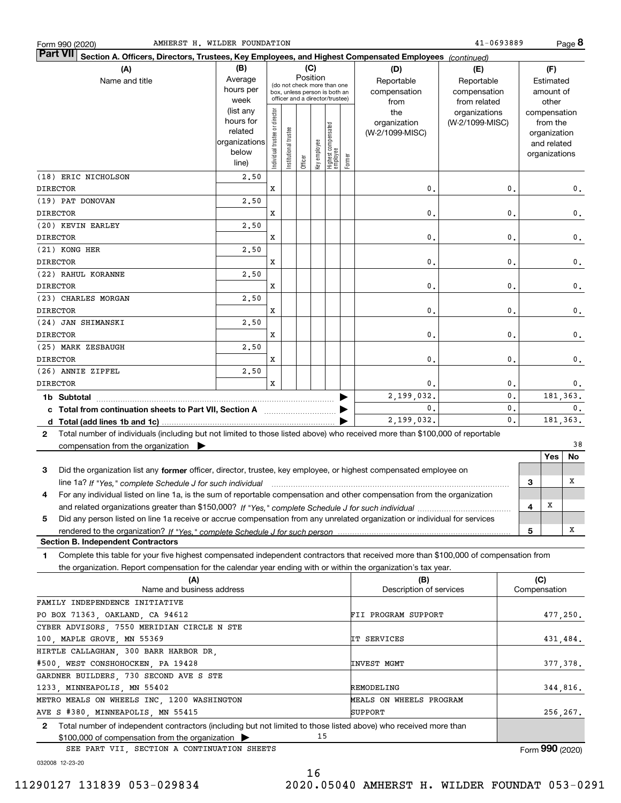| Form 990 (2020 |
|----------------|
|----------------|

**8**

| <b>Part VII</b><br>Section A. Officers, Directors, Trustees, Key Employees, and Highest Compensated Employees (continued)                 |                                                                              |                                |                       |          |              |                                                                    |        |                                                |                                                  |                |     |                                                                                   |                 |
|-------------------------------------------------------------------------------------------------------------------------------------------|------------------------------------------------------------------------------|--------------------------------|-----------------------|----------|--------------|--------------------------------------------------------------------|--------|------------------------------------------------|--------------------------------------------------|----------------|-----|-----------------------------------------------------------------------------------|-----------------|
| (A)<br>Name and title                                                                                                                     | (B)<br>Average<br>hours per                                                  |                                |                       | Position | (C)          | (do not check more than one<br>box, unless person is both an       |        | (D)<br>Reportable<br>compensation              | (E)<br>Reportable<br>compensation                |                |     | (F)<br>Estimated<br>amount of                                                     |                 |
|                                                                                                                                           | week<br>(list any<br>hours for<br>related<br>organizations<br>below<br>line) | Individual trustee or director | Institutional trustee | Officer  | Key employee | officer and a director/trustee)<br>Highest compensated<br>employee | Former | from<br>the<br>organization<br>(W-2/1099-MISC) | from related<br>organizations<br>(W-2/1099-MISC) |                |     | other<br>compensation<br>from the<br>organization<br>and related<br>organizations |                 |
| (18) ERIC NICHOLSON                                                                                                                       | 2,50                                                                         |                                |                       |          |              |                                                                    |        |                                                |                                                  |                |     |                                                                                   |                 |
| <b>DIRECTOR</b>                                                                                                                           |                                                                              | x                              |                       |          |              |                                                                    |        | 0.                                             |                                                  | 0.             |     |                                                                                   | $\mathsf{0}\,.$ |
| (19) PAT DONOVAN                                                                                                                          | 2,50                                                                         |                                |                       |          |              |                                                                    |        |                                                |                                                  |                |     |                                                                                   |                 |
| <b>DIRECTOR</b>                                                                                                                           |                                                                              | x                              |                       |          |              |                                                                    |        | 0.                                             |                                                  | 0.             |     |                                                                                   | $\mathbf 0$ .   |
| (20) KEVIN EARLEY                                                                                                                         | 2,50                                                                         |                                |                       |          |              |                                                                    |        |                                                |                                                  |                |     |                                                                                   |                 |
| <b>DIRECTOR</b>                                                                                                                           |                                                                              | x                              |                       |          |              |                                                                    |        | 0.                                             |                                                  | 0.             |     |                                                                                   | $\mathbf 0$ .   |
| (21) KONG HER                                                                                                                             | 2,50                                                                         |                                |                       |          |              |                                                                    |        |                                                |                                                  |                |     |                                                                                   |                 |
| <b>DIRECTOR</b>                                                                                                                           |                                                                              | x                              |                       |          |              |                                                                    |        | 0.                                             |                                                  | 0.             |     |                                                                                   | $\mathbf 0$ .   |
| (22) RAHUL KORANNE                                                                                                                        | 2,50                                                                         |                                |                       |          |              |                                                                    |        |                                                |                                                  |                |     |                                                                                   |                 |
| <b>DIRECTOR</b>                                                                                                                           |                                                                              | x                              |                       |          |              |                                                                    |        | 0.                                             |                                                  | 0.             |     |                                                                                   | 0.              |
| (23) CHARLES MORGAN                                                                                                                       | 2,50                                                                         |                                |                       |          |              |                                                                    |        |                                                |                                                  |                |     |                                                                                   |                 |
| <b>DIRECTOR</b>                                                                                                                           |                                                                              | x                              |                       |          |              |                                                                    |        | 0.                                             |                                                  | 0.             |     |                                                                                   | 0.              |
| (24) JAN SHIMANSKI                                                                                                                        | 2,50                                                                         |                                |                       |          |              |                                                                    |        |                                                |                                                  |                |     |                                                                                   |                 |
| <b>DIRECTOR</b>                                                                                                                           |                                                                              | х                              |                       |          |              |                                                                    |        | 0.                                             |                                                  | 0.             |     |                                                                                   | 0.              |
| (25) MARK ZESBAUGH                                                                                                                        | 2.50                                                                         |                                |                       |          |              |                                                                    |        |                                                |                                                  |                |     |                                                                                   |                 |
| <b>DIRECTOR</b>                                                                                                                           |                                                                              | x                              |                       |          |              |                                                                    |        | 0.                                             |                                                  | 0.             |     |                                                                                   | 0.              |
| (26) ANNIE ZIPFEL                                                                                                                         | 2,50                                                                         |                                |                       |          |              |                                                                    |        |                                                |                                                  |                |     |                                                                                   |                 |
| <b>DIRECTOR</b>                                                                                                                           |                                                                              | X                              |                       |          |              |                                                                    |        | 0.                                             |                                                  | 0.             |     |                                                                                   | 0.              |
|                                                                                                                                           |                                                                              |                                |                       |          |              |                                                                    |        | 2,199,032.                                     |                                                  | $\mathbf{0}$ . |     | 181, 363.                                                                         |                 |
|                                                                                                                                           |                                                                              |                                |                       |          |              |                                                                    |        | $\mathbf{0}$ .                                 |                                                  | 0.             |     |                                                                                   | $\mathbf{0}$ .  |
|                                                                                                                                           |                                                                              |                                |                       |          |              |                                                                    |        | 2,199,032.                                     |                                                  | $\mathbf{0}$ . |     | 181, 363.                                                                         |                 |
| Total number of individuals (including but not limited to those listed above) who received more than \$100,000 of reportable<br>2         |                                                                              |                                |                       |          |              |                                                                    |        |                                                |                                                  |                |     |                                                                                   |                 |
| compensation from the organization $\blacktriangleright$                                                                                  |                                                                              |                                |                       |          |              |                                                                    |        |                                                |                                                  |                |     |                                                                                   | 38              |
|                                                                                                                                           |                                                                              |                                |                       |          |              |                                                                    |        |                                                |                                                  |                |     | Yes                                                                               | No              |
| Did the organization list any former officer, director, trustee, key employee, or highest compensated employee on<br>3                    |                                                                              |                                |                       |          |              |                                                                    |        |                                                |                                                  |                |     |                                                                                   |                 |
| line 1a? If "Yes," complete Schedule J for such individual manumental content content and the succession of th                            |                                                                              |                                |                       |          |              |                                                                    |        |                                                |                                                  |                | 3   |                                                                                   | х               |
| For any individual listed on line 1a, is the sum of reportable compensation and other compensation from the organization<br>4             |                                                                              |                                |                       |          |              |                                                                    |        |                                                |                                                  |                |     |                                                                                   |                 |
|                                                                                                                                           |                                                                              |                                |                       |          |              |                                                                    |        |                                                |                                                  |                | 4   | X                                                                                 |                 |
| Did any person listed on line 1a receive or accrue compensation from any unrelated organization or individual for services<br>5           |                                                                              |                                |                       |          |              |                                                                    |        |                                                |                                                  |                |     |                                                                                   |                 |
|                                                                                                                                           |                                                                              |                                |                       |          |              |                                                                    |        |                                                |                                                  |                | 5   |                                                                                   | х               |
| <b>Section B. Independent Contractors</b>                                                                                                 |                                                                              |                                |                       |          |              |                                                                    |        |                                                |                                                  |                |     |                                                                                   |                 |
| Complete this table for your five highest compensated independent contractors that received more than \$100,000 of compensation from<br>1 |                                                                              |                                |                       |          |              |                                                                    |        |                                                |                                                  |                |     |                                                                                   |                 |
| the organization. Report compensation for the calendar year ending with or within the organization's tax year.                            |                                                                              |                                |                       |          |              |                                                                    |        |                                                |                                                  |                |     |                                                                                   |                 |
| (A)                                                                                                                                       |                                                                              |                                |                       |          |              |                                                                    |        | (B)                                            |                                                  |                | (C) |                                                                                   |                 |
| Description of services<br>Name and business address<br>Compensation                                                                      |                                                                              |                                |                       |          |              |                                                                    |        |                                                |                                                  |                |     |                                                                                   |                 |

| Name and business address                                                                                             | Description of services | Compensation    |
|-----------------------------------------------------------------------------------------------------------------------|-------------------------|-----------------|
| FAMILY INDEPENDENCE INITIATIVE                                                                                        |                         |                 |
| PO BOX 71363, OAKLAND, CA 94612                                                                                       | FII PROGRAM SUPPORT     | 477,250.        |
| CYBER ADVISORS, 7550 MERIDIAN CIRCLE N STE                                                                            |                         |                 |
| 100, MAPLE GROVE, MN 55369                                                                                            | IT SERVICES             | 431.484.        |
| HIRTLE CALLAGHAN, 300 BARR HARBOR DR,                                                                                 |                         |                 |
| #500, WEST CONSHOHOCKEN, PA 19428                                                                                     | INVEST MGMT             | 377,378.        |
| GARDNER BUILDERS, 730 SECOND AVE S STE                                                                                |                         |                 |
| 1233, MINNEAPOLIS, MN 55402                                                                                           | REMODELING              | 344.816.        |
| METRO MEALS ON WHEELS INC. 1200 WASHINGTON                                                                            | MEALS ON WHEELS PROGRAM |                 |
| AVE S #380, MINNEAPOLIS, MN 55415                                                                                     | SUPPORT                 | 256,267.        |
| Total number of independent contractors (including but not limited to those listed above) who received more than<br>2 |                         |                 |
| 15<br>$$100,000$ of compensation from the organization $\triangleright$                                               |                         |                 |
| SEE PART VII, SECTION A CONTINUATION SHEETS                                                                           |                         | Form 990 (2020) |

032008 12-23-20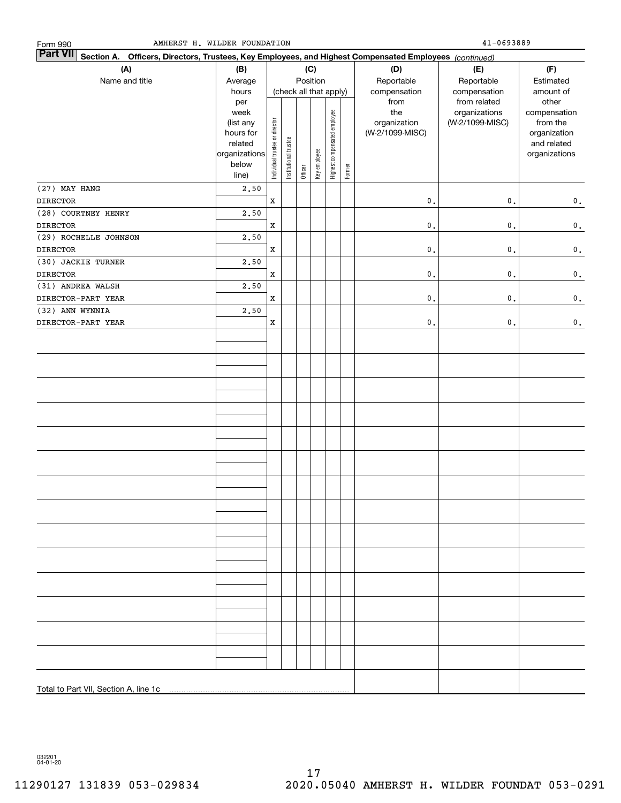| AMHERST H. WILDER FOUNDATION<br>Form 990                                                                                  |                                                                            |                                |                       |         |              |                              |        |                                                | 41-0693889                                       |                                                                                   |
|---------------------------------------------------------------------------------------------------------------------------|----------------------------------------------------------------------------|--------------------------------|-----------------------|---------|--------------|------------------------------|--------|------------------------------------------------|--------------------------------------------------|-----------------------------------------------------------------------------------|
| <b>Part VII</b><br>Section A. Officers, Directors, Trustees, Key Employees, and Highest Compensated Employees (continued) |                                                                            |                                |                       |         |              |                              |        |                                                |                                                  |                                                                                   |
| (A)                                                                                                                       | (C)<br>(B)                                                                 |                                |                       |         |              |                              |        | (D)                                            | (E)                                              | (F)                                                                               |
| Name and title                                                                                                            | Average                                                                    |                                |                       |         | Position     |                              |        | Reportable                                     | Reportable                                       | Estimated                                                                         |
|                                                                                                                           | hours                                                                      |                                |                       |         |              | (check all that apply)       |        | compensation                                   | compensation                                     | amount of                                                                         |
|                                                                                                                           | per<br>week<br>(list any<br>hours for<br>related<br>organizations<br>below | Individual trustee or director | Institutional trustee | Officer | Key employee | Highest compensated employee | Former | from<br>the<br>organization<br>(W-2/1099-MISC) | from related<br>organizations<br>(W-2/1099-MISC) | other<br>compensation<br>from the<br>organization<br>and related<br>organizations |
|                                                                                                                           | line)                                                                      |                                |                       |         |              |                              |        |                                                |                                                  |                                                                                   |
| (27) MAY HANG                                                                                                             | 2,50                                                                       |                                |                       |         |              |                              |        |                                                |                                                  |                                                                                   |
| <b>DIRECTOR</b>                                                                                                           |                                                                            | $\mathbf X$                    |                       |         |              |                              |        | $\mathbf{0}$ .                                 | $\mathbf 0$ .                                    | $\mathbf 0$ .                                                                     |
| (28) COURTNEY HENRY                                                                                                       | 2,50                                                                       |                                |                       |         |              |                              |        |                                                |                                                  |                                                                                   |
| <b>DIRECTOR</b>                                                                                                           |                                                                            | $\mathbf x$                    |                       |         |              |                              |        | $\mathfrak o$ .                                | $\mathbf 0$ .                                    | $\mathbf 0$ .                                                                     |
| (29) ROCHELLE JOHNSON                                                                                                     | 2,50                                                                       |                                |                       |         |              |                              |        |                                                |                                                  |                                                                                   |
| <b>DIRECTOR</b>                                                                                                           |                                                                            | $\mathbf x$                    |                       |         |              |                              |        | $\mathfrak o$ .                                | $\mathbf 0$ .                                    | $\mathbf 0$ .                                                                     |
| (30) JACKIE TURNER                                                                                                        | 2,50                                                                       |                                |                       |         |              |                              |        |                                                |                                                  |                                                                                   |
| <b>DIRECTOR</b>                                                                                                           |                                                                            | $\mathbf x$                    |                       |         |              |                              |        | $\mathfrak o$ .                                | $\mathbf 0$ .                                    | $\mathbf 0$ .                                                                     |
| (31) ANDREA WALSH                                                                                                         | 2,50                                                                       |                                |                       |         |              |                              |        |                                                |                                                  |                                                                                   |
| DIRECTOR-PART YEAR                                                                                                        |                                                                            | $\mathbf x$                    |                       |         |              |                              |        | $\mathfrak o$ .                                | $\mathbf 0$ .                                    | $\mathbf 0$ .                                                                     |
| (32) ANN WYNNIA<br>DIRECTOR-PART YEAR                                                                                     | 2,50                                                                       | $\mathbf x$                    |                       |         |              |                              |        | $\mathfrak o$ .                                | $\mathbf 0$ .                                    | $\mathbf 0$ .                                                                     |
|                                                                                                                           |                                                                            |                                |                       |         |              |                              |        |                                                |                                                  |                                                                                   |
|                                                                                                                           |                                                                            |                                |                       |         |              |                              |        |                                                |                                                  |                                                                                   |
| Total to Part VII, Section A, line 1c                                                                                     |                                                                            |                                |                       |         |              |                              |        |                                                |                                                  |                                                                                   |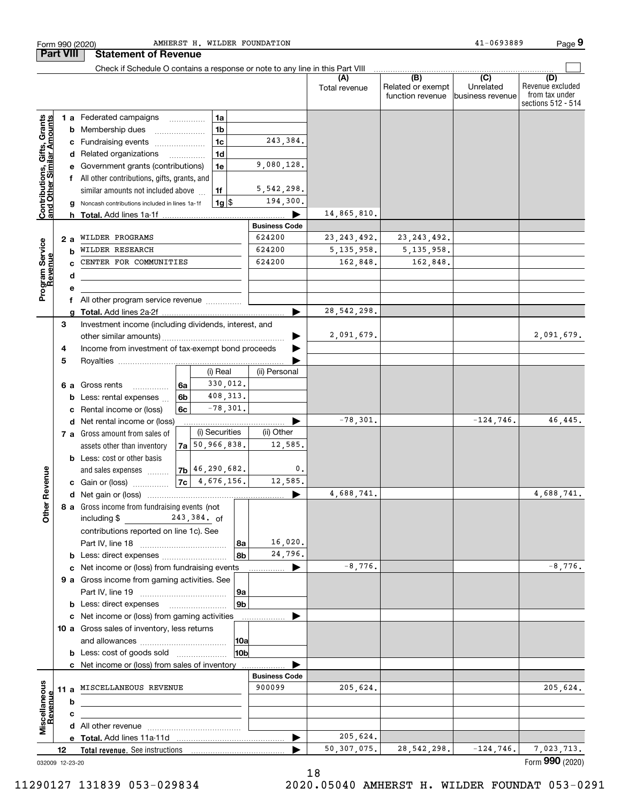|                                                           |     |   | Check if Schedule O contains a response or note to any line in this Part VIII |    |                      |                 |                      |                      |                                              |                                                 |                                                                 |
|-----------------------------------------------------------|-----|---|-------------------------------------------------------------------------------|----|----------------------|-----------------|----------------------|----------------------|----------------------------------------------|-------------------------------------------------|-----------------------------------------------------------------|
|                                                           |     |   |                                                                               |    |                      |                 |                      | (A)<br>Total revenue | (B)<br>Related or exempt<br>function revenue | $\overline{C}$<br>Unrelated<br>business revenue | (D)<br>Revenue excluded<br>from tax under<br>sections 512 - 514 |
|                                                           |     |   | <b>1 a</b> Federated campaigns                                                |    | 1a                   |                 |                      |                      |                                              |                                                 |                                                                 |
|                                                           |     |   | <b>b</b> Membership dues                                                      |    | 1 <sub>b</sub>       |                 |                      |                      |                                              |                                                 |                                                                 |
|                                                           |     |   | c Fundraising events                                                          |    | 1c                   |                 | 243,384.             |                      |                                              |                                                 |                                                                 |
| Contributions, Gifts, Grants<br>and Other Similar Amounts |     |   | d Related organizations                                                       |    | 1 <sub>d</sub>       |                 |                      |                      |                                              |                                                 |                                                                 |
|                                                           |     |   | e Government grants (contributions)                                           |    | 1e                   |                 | 9,080,128.           |                      |                                              |                                                 |                                                                 |
|                                                           |     |   | f All other contributions, gifts, grants, and                                 |    |                      |                 |                      |                      |                                              |                                                 |                                                                 |
|                                                           |     |   | similar amounts not included above                                            |    | 1f                   |                 | 5, 542, 298.         |                      |                                              |                                                 |                                                                 |
|                                                           |     |   | g Noncash contributions included in lines 1a-1f                               |    | $1g$ \$              |                 | 194,300.             |                      |                                              |                                                 |                                                                 |
|                                                           |     |   |                                                                               |    |                      |                 |                      | 14,865,810.          |                                              |                                                 |                                                                 |
|                                                           |     |   |                                                                               |    |                      |                 | <b>Business Code</b> |                      |                                              |                                                 |                                                                 |
|                                                           | 2 a |   | WILDER PROGRAMS                                                               |    |                      |                 | 624200               | 23, 243, 492.        | 23, 243, 492.                                |                                                 |                                                                 |
| Program Service                                           |     | b | WILDER RESEARCH                                                               |    |                      |                 | 624200               | 5, 135, 958.         | 5, 135, 958.                                 |                                                 |                                                                 |
|                                                           |     |   | CENTER FOR COMMUNITIES                                                        |    |                      |                 | 624200               | 162,848.             | 162,848.                                     |                                                 |                                                                 |
|                                                           |     | d |                                                                               |    |                      |                 |                      |                      |                                              |                                                 |                                                                 |
|                                                           |     | е |                                                                               |    |                      |                 |                      |                      |                                              |                                                 |                                                                 |
|                                                           |     |   | f All other program service revenue                                           |    |                      |                 |                      |                      |                                              |                                                 |                                                                 |
|                                                           |     |   |                                                                               |    |                      |                 | ►                    | 28, 542, 298.        |                                              |                                                 |                                                                 |
|                                                           | 3   |   | Investment income (including dividends, interest, and                         |    |                      |                 |                      |                      |                                              |                                                 |                                                                 |
|                                                           |     |   |                                                                               |    |                      |                 |                      | 2,091,679.           |                                              |                                                 | 2,091,679.                                                      |
|                                                           | 4   |   | Income from investment of tax-exempt bond proceeds                            |    |                      |                 |                      |                      |                                              |                                                 |                                                                 |
|                                                           | 5   |   |                                                                               |    |                      |                 |                      |                      |                                              |                                                 |                                                                 |
|                                                           |     |   |                                                                               |    | (i) Real             |                 | (ii) Personal        |                      |                                              |                                                 |                                                                 |
|                                                           |     |   | 6 a Gross rents                                                               | 6a | 330,012.             |                 |                      |                      |                                              |                                                 |                                                                 |
|                                                           |     |   | .<br><b>b</b> Less: rental expenses                                           | 6b | 408,313.             |                 |                      |                      |                                              |                                                 |                                                                 |
|                                                           |     |   | c Rental income or (loss)                                                     | 6с | $-78,301.$           |                 |                      |                      |                                              |                                                 |                                                                 |
|                                                           |     |   |                                                                               |    |                      |                 |                      | $-78,301.$           |                                              | $-124,746.$                                     | 46,445.                                                         |
|                                                           |     |   | d Net rental income or (loss)<br>7 a Gross amount from sales of               |    | (i) Securities       |                 | (ii) Other           |                      |                                              |                                                 |                                                                 |
|                                                           |     |   |                                                                               |    | $7a$ 50, 966, 838.   |                 | 12,585.              |                      |                                              |                                                 |                                                                 |
|                                                           |     |   | assets other than inventory                                                   |    |                      |                 |                      |                      |                                              |                                                 |                                                                 |
|                                                           |     |   | <b>b</b> Less: cost or other basis                                            |    |                      |                 |                      |                      |                                              |                                                 |                                                                 |
| Revenue                                                   |     |   | and sales expenses                                                            |    | $ 7b $ 46, 290, 682. |                 | $\mathsf{0}$ .       |                      |                                              |                                                 |                                                                 |
|                                                           |     |   | c Gain or (loss)                                                              |    | $ 7c $ 4, 676, 156.  |                 | 12,585.              |                      |                                              |                                                 |                                                                 |
|                                                           |     |   |                                                                               |    |                      |                 |                      | 4,688,741.           |                                              |                                                 | 4,688,741.                                                      |
| Other                                                     |     |   | 8 a Gross income from fundraising events (not                                 |    |                      |                 |                      |                      |                                              |                                                 |                                                                 |
|                                                           |     |   | $243,384.$ of<br>including $$$                                                |    |                      |                 |                      |                      |                                              |                                                 |                                                                 |
|                                                           |     |   | contributions reported on line 1c). See                                       |    |                      |                 |                      |                      |                                              |                                                 |                                                                 |
|                                                           |     |   |                                                                               |    |                      | 8a              | 16,020.              |                      |                                              |                                                 |                                                                 |
|                                                           |     |   | <b>b</b> Less: direct expenses <i>manually contained</i>                      |    |                      | 8b              | 24,796.              |                      |                                              |                                                 |                                                                 |
|                                                           |     |   | c Net income or (loss) from fundraising events                                |    |                      |                 | ▶<br>.               | $-8,776.$            |                                              |                                                 | $-8,776.$                                                       |
|                                                           |     |   | 9 a Gross income from gaming activities. See                                  |    |                      |                 |                      |                      |                                              |                                                 |                                                                 |
|                                                           |     |   |                                                                               |    |                      | 9а              |                      |                      |                                              |                                                 |                                                                 |
|                                                           |     |   | <b>b</b> Less: direct expenses                                                |    |                      | 9 <sub>b</sub>  |                      |                      |                                              |                                                 |                                                                 |
|                                                           |     |   | c Net income or (loss) from gaming activities                                 |    |                      |                 | .                    |                      |                                              |                                                 |                                                                 |
|                                                           |     |   | 10 a Gross sales of inventory, less returns                                   |    |                      |                 |                      |                      |                                              |                                                 |                                                                 |
|                                                           |     |   |                                                                               |    |                      | 10a             |                      |                      |                                              |                                                 |                                                                 |
|                                                           |     |   | <b>b</b> Less: cost of goods sold                                             |    |                      | 10 <sub>b</sub> |                      |                      |                                              |                                                 |                                                                 |
|                                                           |     |   | c Net income or (loss) from sales of inventory                                |    |                      |                 |                      |                      |                                              |                                                 |                                                                 |
|                                                           |     |   |                                                                               |    |                      |                 | <b>Business Code</b> |                      |                                              |                                                 |                                                                 |
|                                                           |     |   | 11 a MISCELLANEOUS REVENUE                                                    |    |                      |                 | 900099               | 205,624.             |                                              |                                                 | 205,624.                                                        |
|                                                           |     | b | the control of the control of the control of the control of the control of    |    |                      |                 |                      |                      |                                              |                                                 |                                                                 |
| Revenue                                                   |     | c |                                                                               |    |                      |                 |                      |                      |                                              |                                                 |                                                                 |
|                                                           |     |   |                                                                               |    |                      |                 |                      |                      |                                              |                                                 |                                                                 |
| Miscellaneous                                             |     |   |                                                                               |    |                      |                 | ▶                    | 205,624.             |                                              |                                                 |                                                                 |
|                                                           | 12  |   |                                                                               |    |                      |                 |                      | 50, 307, 075.        | 28, 542, 298.                                | $-124,746.$                                     | 7,023,713.                                                      |
|                                                           |     |   |                                                                               |    |                      |                 |                      |                      |                                              |                                                 | Form 990 (2020)                                                 |

**9**

Form 990 (2020) AMHERST H.WILDER FOUNDATION 41-0693889 Page AMHERST H. WILDER FOUNDATION  $41-0693889$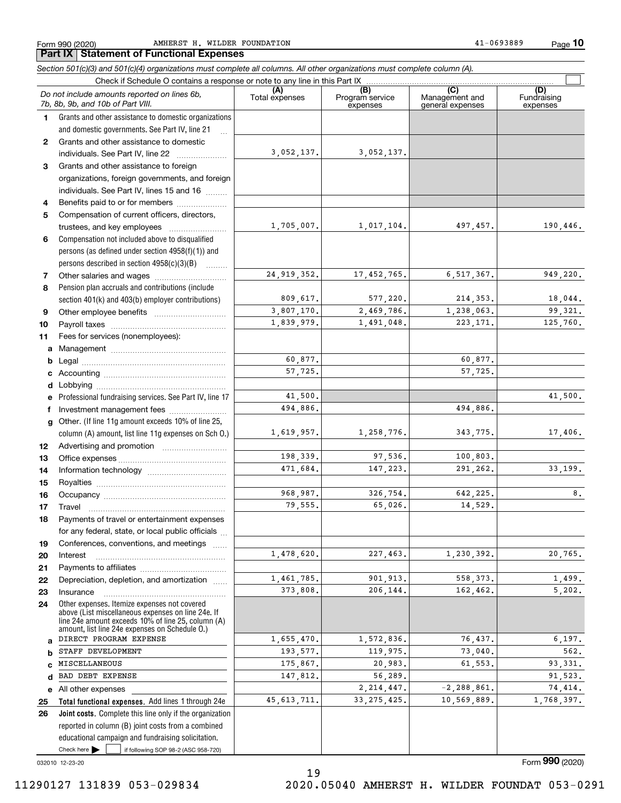Form 990 (2020) AMHERST H.WILDER FOUNDATION 41-0693889 Page

*Section 501(c)(3) and 501(c)(4) organizations must complete all columns. All other organizations must complete column (A).*

**10**

#### Check here  $\bullet$  if following SOP 98-2 (ASC 958-720) **Total functional expenses.**  Add lines 1 through 24e **Joint costs.** Complete this line only if the organization **(A)**<br>Total expenses **(B) (C) (D) 1234567891011abcdefg12131415161718192021222324abcde2526**Grants and other assistance to domestic organizations and domestic governments. See Part IV, line 21 Compensation not included above to disqualified persons (as defined under section 4958(f)(1)) and persons described in section 4958(c)(3)(B)  $\quad \ldots \ldots \ldots$ Pension plan accruals and contributions (include section 401(k) and 403(b) employer contributions) Professional fundraising services. See Part IV, line 17 Other. (If line 11g amount exceeds 10% of line 25, column (A) amount, list line 11g expenses on Sch O.) Other expenses. Itemize expenses not covered above (List miscellaneous expenses on line 24e. If line 24e amount exceeds 10% of line 25, column (A) amount, list line 24e expenses on Schedule O.) reported in column (B) joint costs from a combined educational campaign and fundraising solicitation. Check if Schedule O contains a response or note to any line in this Part IX (C) (C) (C) (C) (C) Program service expensesManagement and general expenses Fundraising expensesGrants and other assistance to domestic individuals. See Part IV, line 22 ..................... Grants and other assistance to foreign organizations, foreign governments, and foreign individuals. See Part IV, lines 15 and 16  $\ldots$ Benefits paid to or for members .................... Compensation of current officers, directors, trustees, and key employees ........................ Other salaries and wages ............................ Other employee benefits ~~~~~~~~~~ Payroll taxes ~~~~~~~~~~~~~~~~ Fees for services (nonemployees): Management ~~~~~~~~~~~~~~~~ Legal ~~~~~~~~~~~~~~~~~~~~ Accounting ~~~~~~~~~~~~~~~~~ Lobbying ~~~~~~~~~~~~~~~~~~ lnvestment management fees ....................... Advertising and promotion www.communication Office expenses ~~~~~~~~~~~~~~~ Information technology ~~~~~~~~~~~ Royalties ~~~~~~~~~~~~~~~~~~ Occupancy ~~~~~~~~~~~~~~~~~ Travel ……………………………………………… Payments of travel or entertainment expenses for any federal, state, or local public officials ... Conferences, conventions, and meetings InterestPayments to affiliates ~~~~~~~~~~~~ ~~~~~~~~~~~~~~~~~~Depreciation, depletion, and amortization  $\,\,\ldots\,\,$ Insurance~~~~~~~~~~~~~~~~~All other expenses Check here  $\blacktriangleright$ *Do not include amounts reported on lines 6b, 7b, 8b, 9b, and 10b of Part VIII.*  $\mathcal{L}^{\text{max}}$ 3,052,137. 1,705,007. 24,919,352. 809,617. 3,807,170. 1,839,979. 60,877. 57,725. 41,500. 1,619,957. 198,339. 471,684. 968,987. 79,555. 1,478,620. 1,461,785. 373,808. 1,655,470. 193,577. 175,867. 147,812. 45,613,711. 494,886. 3,052,137. 1,017,104. 497,457. 190,446. 17,452,765. 6,517,367. 949,220. 577,220. 214,353. 18,044. 2,469,786. 1,238,063. 99,321. 1,491,048. 223,171. 125,760. 60,877. 57,725. 41,500. 494,886. 1,258,776. 343,775. 17,406. 97,536. 100,803. 147,223. 291,262. 33,199.  $326,754.$  642,225. 8. 65,026. 14,529. 227,463. 1,230,392. 20,765. 901,913. 558,373. 1,499. 206,144. 162,462. 5,202. 1,572,836. 76,437. 6,197. 119,975. 73,040. 562. 20,983. 61,553. 93,331. 56,289.  $2,214,447.$   $-2,288,861.$  74,414.  $33,275,425.$  10,569,889. 1,768,397. DIRECT PROGRAM EXPENSE STAFF DEVELOPMENT MISCELLANEOUSBAD DEBT EXPENSE

19

032010 12-23-20

11290127 131839 053-029834 2020.05040 AMHERST H. WILDER FOUNDAT 053-0291

Form (2020) **990**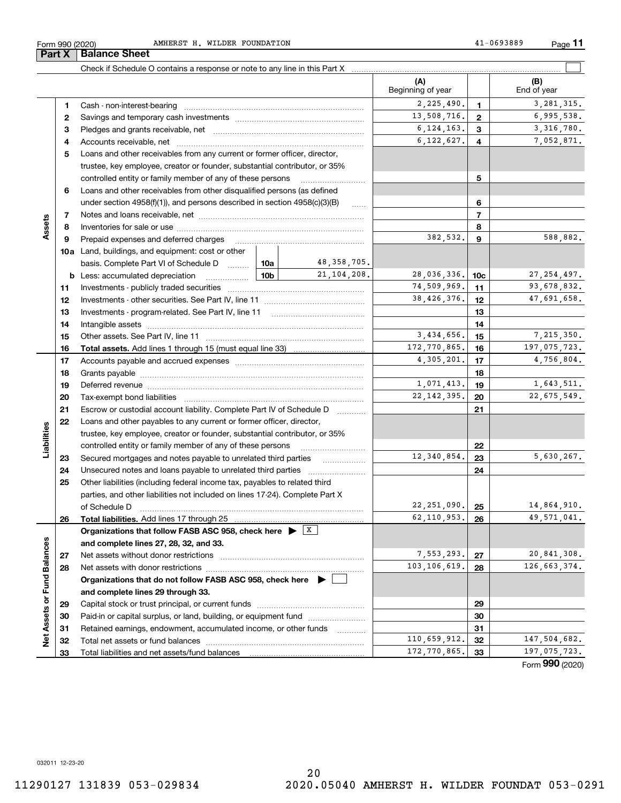Form 990 (2020) AMHERST H.WILDER FOUNDATION 41-0693889 Page

|                             |    |                                                                                                                                                                                                                                |                 |                   | (A)<br>Beginning of year |                | (B)<br>End of year |
|-----------------------------|----|--------------------------------------------------------------------------------------------------------------------------------------------------------------------------------------------------------------------------------|-----------------|-------------------|--------------------------|----------------|--------------------|
|                             | 1. | Cash - non-interest-bearing                                                                                                                                                                                                    |                 |                   | 2,225,490.               | $\mathbf 1$    | 3, 281, 315.       |
|                             | 2  |                                                                                                                                                                                                                                |                 |                   | 13,508,716.              | $\mathbf{2}$   | 6,995,538.         |
|                             | з  |                                                                                                                                                                                                                                |                 | 6, 124, 163.      | 3                        | 3, 316, 780.   |                    |
|                             | 4  |                                                                                                                                                                                                                                |                 |                   | 6, 122, 627.             | 4              | 7,052,871.         |
|                             | 5  | Loans and other receivables from any current or former officer, director,                                                                                                                                                      |                 |                   |                          |                |                    |
|                             |    | trustee, key employee, creator or founder, substantial contributor, or 35%                                                                                                                                                     |                 |                   |                          |                |                    |
|                             |    | controlled entity or family member of any of these persons                                                                                                                                                                     |                 |                   |                          | 5              |                    |
|                             | 6  | Loans and other receivables from other disqualified persons (as defined                                                                                                                                                        |                 |                   |                          |                |                    |
|                             |    | under section $4958(f)(1)$ , and persons described in section $4958(c)(3)(B)$                                                                                                                                                  |                 | 1.1.1.1.1         |                          | 6              |                    |
|                             | 7  |                                                                                                                                                                                                                                |                 |                   |                          | $\overline{7}$ |                    |
| Assets                      | 8  |                                                                                                                                                                                                                                |                 |                   |                          | 8              |                    |
|                             | 9  | Prepaid expenses and deferred charges                                                                                                                                                                                          |                 |                   | 382,532.                 | 9              | 588,882.           |
|                             |    | <b>10a</b> Land, buildings, and equipment: cost or other                                                                                                                                                                       |                 |                   |                          |                |                    |
|                             |    | basis. Complete Part VI of Schedule D                                                                                                                                                                                          | 10a             | 48, 358, 705.     |                          |                |                    |
|                             |    | <b>b</b> Less: accumulated depreciation                                                                                                                                                                                        | 10 <sub>b</sub> | 21, 104, 208.     | 28,036,336.              | 10c            | 27, 254, 497.      |
|                             | 11 |                                                                                                                                                                                                                                |                 | 74,509,969.       | 11                       | 93,678,832.    |                    |
|                             | 12 |                                                                                                                                                                                                                                |                 | 38,426,376.       | 12                       | 47,691,658.    |                    |
|                             | 13 | Investments - program-related. See Part IV, line 11                                                                                                                                                                            |                 |                   | 13                       |                |                    |
|                             | 14 |                                                                                                                                                                                                                                |                 | 14                |                          |                |                    |
|                             | 15 |                                                                                                                                                                                                                                | 3,434,656.      | 15                | 7,215,350.               |                |                    |
|                             | 16 |                                                                                                                                                                                                                                |                 |                   | 172,770,865.             | 16             | 197,075,723.       |
|                             | 17 |                                                                                                                                                                                                                                |                 | 4,305,201.        | 17                       | 4,756,804.     |                    |
|                             | 18 |                                                                                                                                                                                                                                |                 |                   |                          | 18             |                    |
|                             | 19 | Deferred revenue manual contracts and contracts are contracted and contract and contract are contracted and contract are contracted and contract are contracted and contract are contracted and contract are contracted and co |                 |                   | 1,071,413.               | 19             | 1,643,511.         |
|                             | 20 |                                                                                                                                                                                                                                |                 |                   | 22, 142, 395.            | 20             | 22,675,549.        |
|                             | 21 | Escrow or custodial account liability. Complete Part IV of Schedule D                                                                                                                                                          |                 | 1.1.1.1.1.1.1.1.1 |                          | 21             |                    |
|                             | 22 | Loans and other payables to any current or former officer, director,                                                                                                                                                           |                 |                   |                          |                |                    |
| Liabilities                 |    | trustee, key employee, creator or founder, substantial contributor, or 35%                                                                                                                                                     |                 |                   |                          |                |                    |
|                             |    | controlled entity or family member of any of these persons                                                                                                                                                                     |                 |                   |                          | 22             |                    |
|                             | 23 | Secured mortgages and notes payable to unrelated third parties                                                                                                                                                                 |                 | .                 | 12,340,854.              | 23             | 5,630,267.         |
|                             | 24 |                                                                                                                                                                                                                                |                 |                   |                          | 24             |                    |
|                             | 25 | Other liabilities (including federal income tax, payables to related third                                                                                                                                                     |                 |                   |                          |                |                    |
|                             |    | parties, and other liabilities not included on lines 17-24). Complete Part X                                                                                                                                                   |                 |                   |                          |                |                    |
|                             |    | of Schedule D                                                                                                                                                                                                                  |                 |                   | 22, 251, 090.            | 25             | 14,864,910.        |
|                             | 26 | Total liabilities. Add lines 17 through 25                                                                                                                                                                                     |                 |                   | 62, 110, 953.            | 26             | 49,571,041.        |
|                             |    | Organizations that follow FASB ASC 958, check here $\triangleright \lfloor x \rfloor$                                                                                                                                          |                 |                   |                          |                |                    |
|                             |    | and complete lines 27, 28, 32, and 33.                                                                                                                                                                                         |                 |                   |                          |                |                    |
|                             | 27 | Net assets without donor restrictions                                                                                                                                                                                          | 7,553,293.      | 27                | 20,841,308.              |                |                    |
|                             | 28 |                                                                                                                                                                                                                                |                 | 103,106,619.      | 28                       | 126,663,374.   |                    |
|                             |    | Organizations that do not follow FASB ASC 958, check here $\blacktriangleright$                                                                                                                                                |                 |                   |                          |                |                    |
| Net Assets or Fund Balances |    | and complete lines 29 through 33.                                                                                                                                                                                              |                 |                   |                          |                |                    |
|                             | 29 |                                                                                                                                                                                                                                |                 |                   |                          | 29             |                    |
|                             | 30 | Paid-in or capital surplus, or land, building, or equipment fund                                                                                                                                                               |                 |                   |                          | 30             |                    |
|                             | 31 | Retained earnings, endowment, accumulated income, or other funds                                                                                                                                                               |                 | .                 |                          | 31             |                    |
|                             | 32 |                                                                                                                                                                                                                                |                 |                   | 110,659,912.             | 32             | 147,504,682.       |
|                             | 33 |                                                                                                                                                                                                                                | 172,770,865.    | 33                | 197,075,723.             |                |                    |

Form (2020) **990**

032011 12-23-20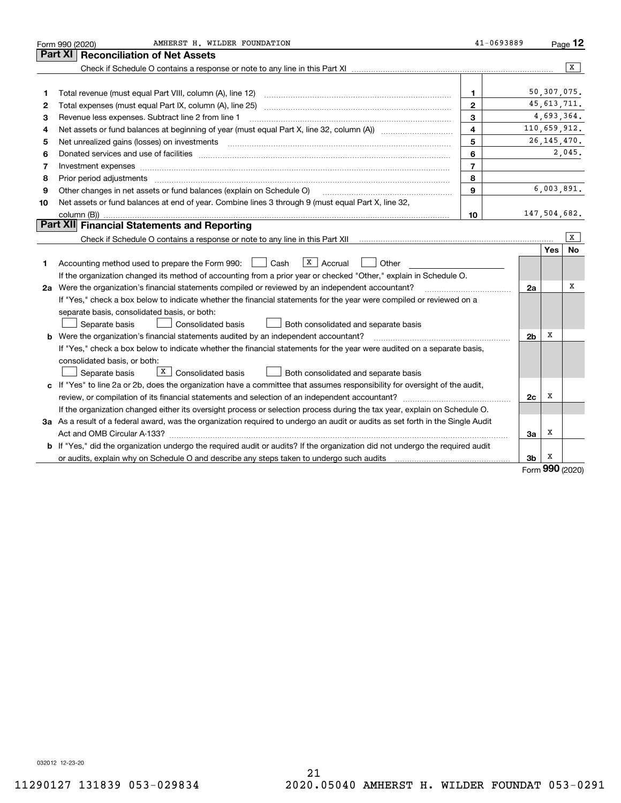|    | AMHERST H. WILDER FOUNDATION<br>Form 990 (2020)                                                                                                                                                                                                                                                                                                                                                                                                        | 41-0693889     |                |               | Page $12$ |
|----|--------------------------------------------------------------------------------------------------------------------------------------------------------------------------------------------------------------------------------------------------------------------------------------------------------------------------------------------------------------------------------------------------------------------------------------------------------|----------------|----------------|---------------|-----------|
|    | Part XI   Reconciliation of Net Assets                                                                                                                                                                                                                                                                                                                                                                                                                 |                |                |               |           |
|    |                                                                                                                                                                                                                                                                                                                                                                                                                                                        |                |                |               | X         |
|    |                                                                                                                                                                                                                                                                                                                                                                                                                                                        |                |                |               |           |
| 1  | Total revenue (must equal Part VIII, column (A), line 12)                                                                                                                                                                                                                                                                                                                                                                                              | 1              |                | 50, 307, 075. |           |
| 2  |                                                                                                                                                                                                                                                                                                                                                                                                                                                        | $\mathbf{2}$   |                | 45, 613, 711. |           |
| з  | Revenue less expenses. Subtract line 2 from line 1                                                                                                                                                                                                                                                                                                                                                                                                     | 3              |                | 4,693,364.    |           |
| 4  |                                                                                                                                                                                                                                                                                                                                                                                                                                                        | 4              |                | 110,659,912.  |           |
| 5  | Net unrealized gains (losses) on investments                                                                                                                                                                                                                                                                                                                                                                                                           | 5              |                | 26, 145, 470. |           |
| 6  | Donated services and use of facilities [111] matter contracts and the service of facilities [11] matter contracts and use of facilities [11] matter contracts and the service of facilities [11] matter contracts and the serv                                                                                                                                                                                                                         | 6              |                |               | 2,045.    |
| 7  | Investment expenses www.communication.com/multiple/expenses www.communications.com/multiple/expenses                                                                                                                                                                                                                                                                                                                                                   | $\overline{7}$ |                |               |           |
| 8  | Prior period adjustments<br>$\overline{a_1, \ldots, a_n, \ldots, a_n, \ldots, a_n, \ldots, a_n, \ldots, a_n, \ldots, a_n, \ldots, a_n, \ldots, a_n, \ldots, a_n, \ldots, a_n, \ldots, a_n, \ldots, a_n, \ldots, a_n, \ldots, a_n, \ldots, a_n, \ldots, a_n, \ldots, a_n, \ldots, a_n, \ldots, a_n, \ldots, a_n, \ldots, a_n, \ldots, a_n, \ldots, a_n, \ldots, a_n, \ldots, a_n, \ldots, a_n, \ldots, a_n, \ldots, a_n, \ldots, a_n, \ldots, a_n, \ld$ | 8              |                |               |           |
| 9  | Other changes in net assets or fund balances (explain on Schedule O)                                                                                                                                                                                                                                                                                                                                                                                   | 9              |                | 6,003,891.    |           |
| 10 | Net assets or fund balances at end of year. Combine lines 3 through 9 (must equal Part X, line 32,                                                                                                                                                                                                                                                                                                                                                     |                |                |               |           |
|    |                                                                                                                                                                                                                                                                                                                                                                                                                                                        | 10             |                | 147,504,682.  |           |
|    | Part XII Financial Statements and Reporting                                                                                                                                                                                                                                                                                                                                                                                                            |                |                |               |           |
|    |                                                                                                                                                                                                                                                                                                                                                                                                                                                        |                |                |               | X         |
|    |                                                                                                                                                                                                                                                                                                                                                                                                                                                        |                |                | Yes           | <b>No</b> |
| 1  | $\vert X \vert$ Accrual<br>Accounting method used to prepare the Form 990: <u>I</u> Cash<br>Other                                                                                                                                                                                                                                                                                                                                                      |                |                |               |           |
|    | If the organization changed its method of accounting from a prior year or checked "Other," explain in Schedule O.                                                                                                                                                                                                                                                                                                                                      |                |                |               |           |
|    | 2a Were the organization's financial statements compiled or reviewed by an independent accountant?                                                                                                                                                                                                                                                                                                                                                     |                | 2a             |               | x         |
|    | If "Yes," check a box below to indicate whether the financial statements for the year were compiled or reviewed on a                                                                                                                                                                                                                                                                                                                                   |                |                |               |           |
|    | separate basis, consolidated basis, or both:                                                                                                                                                                                                                                                                                                                                                                                                           |                |                |               |           |
|    | Separate basis<br><b>Consolidated basis</b><br>Both consolidated and separate basis                                                                                                                                                                                                                                                                                                                                                                    |                |                |               |           |
|    | <b>b</b> Were the organization's financial statements audited by an independent accountant?                                                                                                                                                                                                                                                                                                                                                            |                | 2 <sub>b</sub> | х             |           |
|    | If "Yes," check a box below to indicate whether the financial statements for the year were audited on a separate basis,                                                                                                                                                                                                                                                                                                                                |                |                |               |           |
|    | consolidated basis, or both:                                                                                                                                                                                                                                                                                                                                                                                                                           |                |                |               |           |
|    | X  <br>Consolidated basis<br>Separate basis<br>Both consolidated and separate basis                                                                                                                                                                                                                                                                                                                                                                    |                |                |               |           |
| c  | If "Yes" to line 2a or 2b, does the organization have a committee that assumes responsibility for oversight of the audit,                                                                                                                                                                                                                                                                                                                              |                |                |               |           |
|    |                                                                                                                                                                                                                                                                                                                                                                                                                                                        |                | 2c             | х             |           |
|    | If the organization changed either its oversight process or selection process during the tax year, explain on Schedule O.                                                                                                                                                                                                                                                                                                                              |                |                |               |           |
|    | 3a As a result of a federal award, was the organization required to undergo an audit or audits as set forth in the Single Audit                                                                                                                                                                                                                                                                                                                        |                |                |               |           |
|    |                                                                                                                                                                                                                                                                                                                                                                                                                                                        |                | Зa             | x             |           |
|    | b If "Yes," did the organization undergo the required audit or audits? If the organization did not undergo the required audit                                                                                                                                                                                                                                                                                                                          |                |                |               |           |
|    | or audits, explain why on Schedule O and describe any steps taken to undergo such audits [11] contains the school of audits [11] or audits [11] or audits [11] or audits [11] or audits [11] or audits [11] or audits [11] or                                                                                                                                                                                                                          |                | 3b             | х<br>ההי      |           |

Form (2020) **990**

032012 12-23-20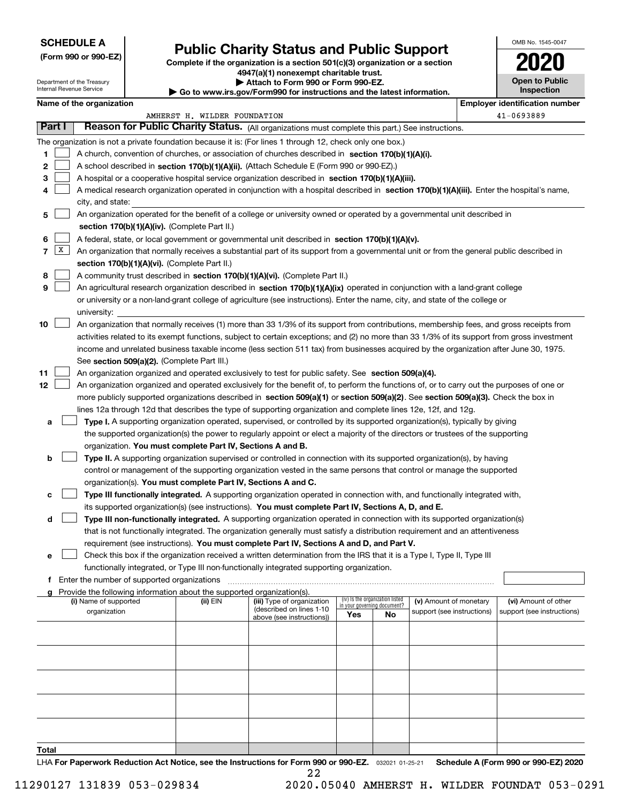Department of the Treasury

**(Form 990 or 990-EZ)**

# **Public Charity Status and Public Support**

**Complete if the organization is a section 501(c)(3) organization or a section 4947(a)(1) nonexempt charitable trust. | Attach to Form 990 or Form 990-EZ.** 

| OMB No. 1545-0047                   |
|-------------------------------------|
|                                     |
| <b>Open to Public</b><br>Inspection |

|  | Name of the organization |
|--|--------------------------|
|--|--------------------------|

| Internal Revenue Service |        |                          |                                               | Go to www.irs.gov/Form990 for instructions and the latest information.                           |                                                                                                                                              | Inspection                         |                                 |                            |  |                            |
|--------------------------|--------|--------------------------|-----------------------------------------------|--------------------------------------------------------------------------------------------------|----------------------------------------------------------------------------------------------------------------------------------------------|------------------------------------|---------------------------------|----------------------------|--|----------------------------|
|                          |        | Name of the organization |                                               |                                                                                                  | <b>Employer identification number</b>                                                                                                        |                                    |                                 |                            |  |                            |
|                          |        |                          |                                               | AMHERST H. WILDER FOUNDATION                                                                     |                                                                                                                                              |                                    |                                 |                            |  | 41-0693889                 |
|                          | Part I |                          |                                               | Reason for Public Charity Status. (All organizations must complete this part.) See instructions. |                                                                                                                                              |                                    |                                 |                            |  |                            |
|                          |        |                          |                                               |                                                                                                  | The organization is not a private foundation because it is: (For lines 1 through 12, check only one box.)                                    |                                    |                                 |                            |  |                            |
| 1                        |        |                          |                                               |                                                                                                  | A church, convention of churches, or association of churches described in section 170(b)(1)(A)(i).                                           |                                    |                                 |                            |  |                            |
| 2                        |        |                          |                                               |                                                                                                  | A school described in section 170(b)(1)(A)(ii). (Attach Schedule E (Form 990 or 990-EZ).)                                                    |                                    |                                 |                            |  |                            |
| 3                        |        |                          |                                               |                                                                                                  | A hospital or a cooperative hospital service organization described in section 170(b)(1)(A)(iii).                                            |                                    |                                 |                            |  |                            |
| 4                        |        |                          |                                               |                                                                                                  | A medical research organization operated in conjunction with a hospital described in section 170(b)(1)(A)(iii). Enter the hospital's name,   |                                    |                                 |                            |  |                            |
|                          |        | city, and state:         |                                               |                                                                                                  |                                                                                                                                              |                                    |                                 |                            |  |                            |
| 5                        |        |                          |                                               | section 170(b)(1)(A)(iv). (Complete Part II.)                                                    | An organization operated for the benefit of a college or university owned or operated by a governmental unit described in                    |                                    |                                 |                            |  |                            |
| 6                        |        |                          |                                               |                                                                                                  | A federal, state, or local government or governmental unit described in section 170(b)(1)(A)(v).                                             |                                    |                                 |                            |  |                            |
| 7                        | X      |                          |                                               |                                                                                                  | An organization that normally receives a substantial part of its support from a governmental unit or from the general public described in    |                                    |                                 |                            |  |                            |
|                          |        |                          |                                               | section 170(b)(1)(A)(vi). (Complete Part II.)                                                    |                                                                                                                                              |                                    |                                 |                            |  |                            |
| 8                        |        |                          |                                               |                                                                                                  | A community trust described in section 170(b)(1)(A)(vi). (Complete Part II.)                                                                 |                                    |                                 |                            |  |                            |
| 9                        |        |                          |                                               |                                                                                                  | An agricultural research organization described in section 170(b)(1)(A)(ix) operated in conjunction with a land-grant college                |                                    |                                 |                            |  |                            |
|                          |        |                          |                                               |                                                                                                  | or university or a non-land-grant college of agriculture (see instructions). Enter the name, city, and state of the college or               |                                    |                                 |                            |  |                            |
|                          |        | university:              |                                               |                                                                                                  |                                                                                                                                              |                                    |                                 |                            |  |                            |
| 10                       |        |                          |                                               |                                                                                                  | An organization that normally receives (1) more than 33 1/3% of its support from contributions, membership fees, and gross receipts from     |                                    |                                 |                            |  |                            |
|                          |        |                          |                                               |                                                                                                  | activities related to its exempt functions, subject to certain exceptions; and (2) no more than 33 1/3% of its support from gross investment |                                    |                                 |                            |  |                            |
|                          |        |                          |                                               |                                                                                                  | income and unrelated business taxable income (less section 511 tax) from businesses acquired by the organization after June 30, 1975.        |                                    |                                 |                            |  |                            |
|                          |        |                          |                                               | See section 509(a)(2). (Complete Part III.)                                                      |                                                                                                                                              |                                    |                                 |                            |  |                            |
| 11                       |        |                          |                                               |                                                                                                  | An organization organized and operated exclusively to test for public safety. See section 509(a)(4).                                         |                                    |                                 |                            |  |                            |
| 12                       |        |                          |                                               |                                                                                                  | An organization organized and operated exclusively for the benefit of, to perform the functions of, or to carry out the purposes of one or   |                                    |                                 |                            |  |                            |
|                          |        |                          |                                               |                                                                                                  | more publicly supported organizations described in section 509(a)(1) or section 509(a)(2). See section 509(a)(3). Check the box in           |                                    |                                 |                            |  |                            |
|                          |        |                          |                                               |                                                                                                  | lines 12a through 12d that describes the type of supporting organization and complete lines 12e, 12f, and 12g.                               |                                    |                                 |                            |  |                            |
| а                        |        |                          |                                               |                                                                                                  | Type I. A supporting organization operated, supervised, or controlled by its supported organization(s), typically by giving                  |                                    |                                 |                            |  |                            |
|                          |        |                          |                                               |                                                                                                  | the supported organization(s) the power to regularly appoint or elect a majority of the directors or trustees of the supporting              |                                    |                                 |                            |  |                            |
|                          |        |                          |                                               | organization. You must complete Part IV, Sections A and B.                                       |                                                                                                                                              |                                    |                                 |                            |  |                            |
| b                        |        |                          |                                               |                                                                                                  | Type II. A supporting organization supervised or controlled in connection with its supported organization(s), by having                      |                                    |                                 |                            |  |                            |
|                          |        |                          |                                               |                                                                                                  | control or management of the supporting organization vested in the same persons that control or manage the supported                         |                                    |                                 |                            |  |                            |
|                          |        |                          |                                               | organization(s). You must complete Part IV, Sections A and C.                                    |                                                                                                                                              |                                    |                                 |                            |  |                            |
| с                        |        |                          |                                               |                                                                                                  | Type III functionally integrated. A supporting organization operated in connection with, and functionally integrated with,                   |                                    |                                 |                            |  |                            |
|                          |        |                          |                                               |                                                                                                  | its supported organization(s) (see instructions). You must complete Part IV, Sections A, D, and E.                                           |                                    |                                 |                            |  |                            |
| d                        |        |                          |                                               |                                                                                                  | Type III non-functionally integrated. A supporting organization operated in connection with its supported organization(s)                    |                                    |                                 |                            |  |                            |
|                          |        |                          |                                               |                                                                                                  | that is not functionally integrated. The organization generally must satisfy a distribution requirement and an attentiveness                 |                                    |                                 |                            |  |                            |
|                          |        |                          |                                               |                                                                                                  | requirement (see instructions). You must complete Part IV, Sections A and D, and Part V.                                                     |                                    |                                 |                            |  |                            |
| е                        |        |                          |                                               |                                                                                                  | Check this box if the organization received a written determination from the IRS that it is a Type I, Type II, Type III                      |                                    |                                 |                            |  |                            |
|                          |        |                          |                                               |                                                                                                  | functionally integrated, or Type III non-functionally integrated supporting organization.                                                    |                                    |                                 |                            |  |                            |
|                          |        |                          | f Enter the number of supported organizations |                                                                                                  |                                                                                                                                              |                                    |                                 |                            |  |                            |
| g                        |        | (i) Name of supported    |                                               | Provide the following information about the supported organization(s).<br>(ii) EIN               | (iii) Type of organization                                                                                                                   |                                    | (iv) Is the organization listed | (v) Amount of monetary     |  | (vi) Amount of other       |
|                          |        | organization             |                                               |                                                                                                  | (described on lines 1-10                                                                                                                     | in your governing document?<br>Yes | No                              | support (see instructions) |  | support (see instructions) |
|                          |        |                          |                                               |                                                                                                  | above (see instructions))                                                                                                                    |                                    |                                 |                            |  |                            |
|                          |        |                          |                                               |                                                                                                  |                                                                                                                                              |                                    |                                 |                            |  |                            |
|                          |        |                          |                                               |                                                                                                  |                                                                                                                                              |                                    |                                 |                            |  |                            |
|                          |        |                          |                                               |                                                                                                  |                                                                                                                                              |                                    |                                 |                            |  |                            |
|                          |        |                          |                                               |                                                                                                  |                                                                                                                                              |                                    |                                 |                            |  |                            |
|                          |        |                          |                                               |                                                                                                  |                                                                                                                                              |                                    |                                 |                            |  |                            |
|                          |        |                          |                                               |                                                                                                  |                                                                                                                                              |                                    |                                 |                            |  |                            |
|                          |        |                          |                                               |                                                                                                  |                                                                                                                                              |                                    |                                 |                            |  |                            |
| Total                    |        |                          |                                               |                                                                                                  |                                                                                                                                              |                                    |                                 |                            |  |                            |

LHA For Paperwork Reduction Act Notice, see the Instructions for Form 990 or 990-EZ. <sub>032021</sub> o1-25-21 Schedule A (Form 990 or 990-EZ) 2020 22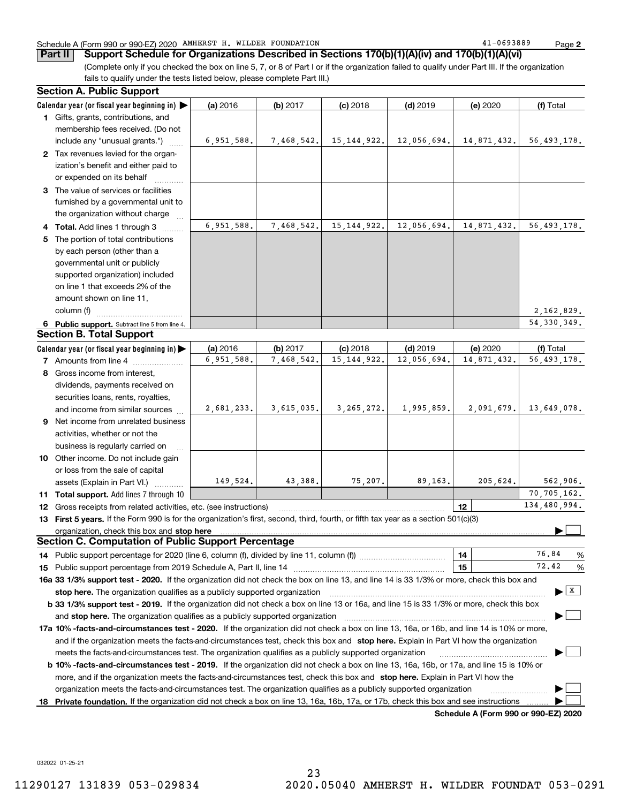#### Schedule A (Form 990 or 990-EZ) 2020 AMHERST H. WILDER FOUNDATION Page

**Part II** Support Schedule for Organizations Described in Sections 170(b)(1)(A)(iv) and 170(b)(1)(A)(vi)

(Complete only if you checked the box on line 5, 7, or 8 of Part I or if the organization failed to qualify under Part III. If the organization fails to qualify under the tests listed below, please complete Part III.)

| <b>Section A. Public Support</b>                                                                                                               |            |            |               |             |                                      |                                      |
|------------------------------------------------------------------------------------------------------------------------------------------------|------------|------------|---------------|-------------|--------------------------------------|--------------------------------------|
| Calendar year (or fiscal year beginning in)                                                                                                    | (a) 2016   | (b) 2017   | $(c)$ 2018    | $(d)$ 2019  | (e) 2020                             | (f) Total                            |
| 1 Gifts, grants, contributions, and                                                                                                            |            |            |               |             |                                      |                                      |
| membership fees received. (Do not                                                                                                              |            |            |               |             |                                      |                                      |
| include any "unusual grants.")                                                                                                                 | 6,951,588. | 7,468,542. | 15, 144, 922. | 12,056,694. | 14,871,432.                          | 56, 493, 178.                        |
| 2 Tax revenues levied for the organ-                                                                                                           |            |            |               |             |                                      |                                      |
| ization's benefit and either paid to                                                                                                           |            |            |               |             |                                      |                                      |
| or expended on its behalf                                                                                                                      |            |            |               |             |                                      |                                      |
| 3 The value of services or facilities                                                                                                          |            |            |               |             |                                      |                                      |
| furnished by a governmental unit to                                                                                                            |            |            |               |             |                                      |                                      |
| the organization without charge                                                                                                                |            |            |               |             |                                      |                                      |
| 4 Total. Add lines 1 through 3                                                                                                                 | 6,951,588. | 7,468,542. | 15, 144, 922. | 12,056,694. | 14,871,432.                          | 56, 493, 178.                        |
| 5 The portion of total contributions                                                                                                           |            |            |               |             |                                      |                                      |
| by each person (other than a                                                                                                                   |            |            |               |             |                                      |                                      |
| governmental unit or publicly                                                                                                                  |            |            |               |             |                                      |                                      |
| supported organization) included                                                                                                               |            |            |               |             |                                      |                                      |
| on line 1 that exceeds 2% of the                                                                                                               |            |            |               |             |                                      |                                      |
| amount shown on line 11,                                                                                                                       |            |            |               |             |                                      |                                      |
| column (f)                                                                                                                                     |            |            |               |             |                                      | 2,162,829.                           |
| 6 Public support. Subtract line 5 from line 4.                                                                                                 |            |            |               |             |                                      | 54, 330, 349.                        |
| <b>Section B. Total Support</b>                                                                                                                |            |            |               |             |                                      |                                      |
| Calendar year (or fiscal year beginning in)                                                                                                    | (a) 2016   | (b) 2017   | $(c)$ 2018    | $(d)$ 2019  | (e) 2020                             | (f) Total                            |
| <b>7</b> Amounts from line 4                                                                                                                   | 6,951,588. | 7,468,542. | 15, 144, 922. | 12,056,694. | 14,871,432.                          | 56, 493, 178.                        |
| 8 Gross income from interest,                                                                                                                  |            |            |               |             |                                      |                                      |
| dividends, payments received on                                                                                                                |            |            |               |             |                                      |                                      |
| securities loans, rents, royalties,                                                                                                            |            |            |               |             |                                      |                                      |
| and income from similar sources                                                                                                                | 2,681,233. | 3,615,035. | 3, 265, 272.  | 1,995,859.  | 2,091,679.                           | 13,649,078.                          |
| 9 Net income from unrelated business                                                                                                           |            |            |               |             |                                      |                                      |
| activities, whether or not the                                                                                                                 |            |            |               |             |                                      |                                      |
| business is regularly carried on                                                                                                               |            |            |               |             |                                      |                                      |
| 10 Other income. Do not include gain                                                                                                           |            |            |               |             |                                      |                                      |
| or loss from the sale of capital                                                                                                               |            |            |               |             |                                      |                                      |
| assets (Explain in Part VI.)                                                                                                                   | 149,524.   | 43,388.    | 75,207.       | 89,163.     | 205,624.                             | 562,906.                             |
| 11 Total support. Add lines 7 through 10                                                                                                       |            |            |               |             |                                      | 70, 705, 162.                        |
| <b>12</b> Gross receipts from related activities, etc. (see instructions)                                                                      |            |            |               |             | 12                                   | 134,480,994.                         |
| 13 First 5 years. If the Form 990 is for the organization's first, second, third, fourth, or fifth tax year as a section 501(c)(3)             |            |            |               |             |                                      |                                      |
| organization, check this box and stop here                                                                                                     |            |            |               |             |                                      |                                      |
| <b>Section C. Computation of Public Support Percentage</b>                                                                                     |            |            |               |             |                                      |                                      |
|                                                                                                                                                |            |            |               |             | 14                                   | 76.84<br>%                           |
|                                                                                                                                                |            |            |               |             | 15                                   | 72.42<br>%                           |
| 16a 33 1/3% support test - 2020. If the organization did not check the box on line 13, and line 14 is 33 1/3% or more, check this box and      |            |            |               |             |                                      |                                      |
| stop here. The organization qualifies as a publicly supported organization                                                                     |            |            |               |             |                                      | $\blacktriangleright$ $\overline{X}$ |
| b 33 1/3% support test - 2019. If the organization did not check a box on line 13 or 16a, and line 15 is 33 1/3% or more, check this box       |            |            |               |             |                                      |                                      |
| and stop here. The organization qualifies as a publicly supported organization                                                                 |            |            |               |             |                                      |                                      |
| 17a 10% -facts-and-circumstances test - 2020. If the organization did not check a box on line 13, 16a, or 16b, and line 14 is 10% or more,     |            |            |               |             |                                      |                                      |
| and if the organization meets the facts and circumstances test, check this box and stop here. Explain in Part VI how the organization          |            |            |               |             |                                      |                                      |
| meets the facts-and-circumstances test. The organization qualifies as a publicly supported organization                                        |            |            |               |             |                                      |                                      |
| <b>b 10% -facts-and-circumstances test - 2019.</b> If the organization did not check a box on line 13, 16a, 16b, or 17a, and line 15 is 10% or |            |            |               |             |                                      |                                      |
| more, and if the organization meets the facts-and-circumstances test, check this box and stop here. Explain in Part VI how the                 |            |            |               |             |                                      |                                      |
| organization meets the facts-and-circumstances test. The organization qualifies as a publicly supported organization                           |            |            |               |             |                                      |                                      |
| 18 Private foundation. If the organization did not check a box on line 13, 16a, 16b, 17a, or 17b, check this box and see instructions          |            |            |               |             |                                      |                                      |
|                                                                                                                                                |            |            |               |             | Schodule A (Form 000 or 000 F7) 2020 |                                      |

**Schedule A (Form 990 or 990-EZ) 2020**

032022 01-25-21

23 11290127 131839 053-029834 2020.05040 AMHERST H. WILDER FOUNDAT 053-0291

**2**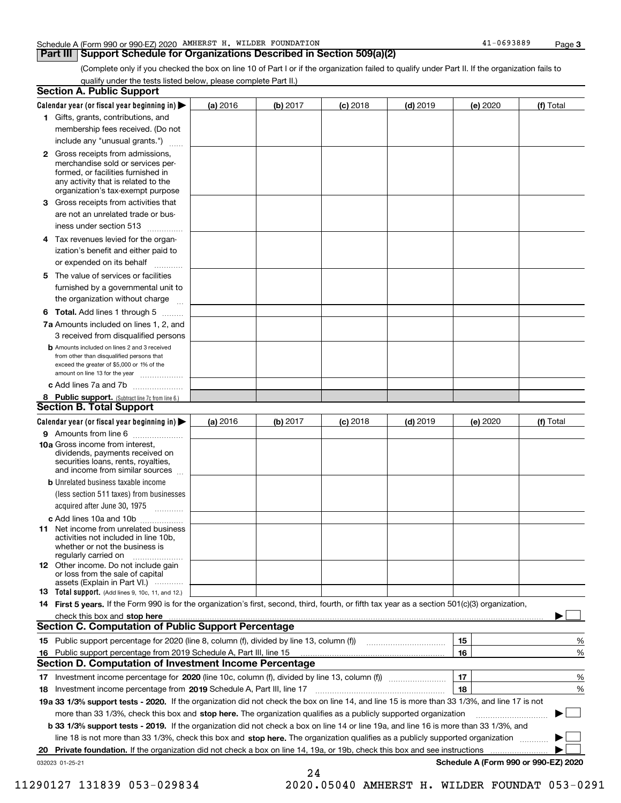#### Schedule A (Form 990 or 990-EZ) 2020 AMHERST H. WILDER FOUNDATION Page

#### **Part III Support Schedule for Organizations Described in Section 509(a)(2)**

(Complete only if you checked the box on line 10 of Part I or if the organization failed to qualify under Part II. If the organization fails to qualify under the tests listed below, please complete Part II.)

|    | <b>Section A. Public Support</b>                                                                                                                                                                |          |            |            |            |          |                                      |
|----|-------------------------------------------------------------------------------------------------------------------------------------------------------------------------------------------------|----------|------------|------------|------------|----------|--------------------------------------|
|    | Calendar year (or fiscal year beginning in) $\blacktriangleright$                                                                                                                               | (a) 2016 | (b) 2017   | $(c)$ 2018 | $(d)$ 2019 | (e) 2020 | (f) Total                            |
|    | 1 Gifts, grants, contributions, and                                                                                                                                                             |          |            |            |            |          |                                      |
|    | membership fees received. (Do not                                                                                                                                                               |          |            |            |            |          |                                      |
|    | include any "unusual grants.")                                                                                                                                                                  |          |            |            |            |          |                                      |
|    | <b>2</b> Gross receipts from admissions,<br>merchandise sold or services per-<br>formed, or facilities furnished in<br>any activity that is related to the<br>organization's tax-exempt purpose |          |            |            |            |          |                                      |
|    | 3 Gross receipts from activities that                                                                                                                                                           |          |            |            |            |          |                                      |
|    | are not an unrelated trade or bus-                                                                                                                                                              |          |            |            |            |          |                                      |
|    | iness under section 513                                                                                                                                                                         |          |            |            |            |          |                                      |
|    | 4 Tax revenues levied for the organ-                                                                                                                                                            |          |            |            |            |          |                                      |
|    | ization's benefit and either paid to                                                                                                                                                            |          |            |            |            |          |                                      |
|    | or expended on its behalf<br>.                                                                                                                                                                  |          |            |            |            |          |                                      |
|    | 5 The value of services or facilities                                                                                                                                                           |          |            |            |            |          |                                      |
|    | furnished by a governmental unit to                                                                                                                                                             |          |            |            |            |          |                                      |
|    | the organization without charge                                                                                                                                                                 |          |            |            |            |          |                                      |
|    | <b>6 Total.</b> Add lines 1 through 5                                                                                                                                                           |          |            |            |            |          |                                      |
|    | 7a Amounts included on lines 1, 2, and                                                                                                                                                          |          |            |            |            |          |                                      |
|    | 3 received from disqualified persons                                                                                                                                                            |          |            |            |            |          |                                      |
|    | <b>b</b> Amounts included on lines 2 and 3 received<br>from other than disqualified persons that<br>exceed the greater of \$5,000 or 1% of the<br>amount on line 13 for the year                |          |            |            |            |          |                                      |
|    | c Add lines 7a and 7b                                                                                                                                                                           |          |            |            |            |          |                                      |
|    | 8 Public support. (Subtract line 7c from line 6.)                                                                                                                                               |          |            |            |            |          |                                      |
|    | <b>Section B. Total Support</b>                                                                                                                                                                 |          |            |            |            |          |                                      |
|    | Calendar year (or fiscal year beginning in) $\blacktriangleright$                                                                                                                               | (a) 2016 | (b) $2017$ | $(c)$ 2018 | $(d)$ 2019 | (e) 2020 | (f) Total                            |
|    | 9 Amounts from line 6                                                                                                                                                                           |          |            |            |            |          |                                      |
|    | 10a Gross income from interest,<br>dividends, payments received on<br>securities loans, rents, royalties,<br>and income from similar sources                                                    |          |            |            |            |          |                                      |
|    | <b>b</b> Unrelated business taxable income                                                                                                                                                      |          |            |            |            |          |                                      |
|    | (less section 511 taxes) from businesses                                                                                                                                                        |          |            |            |            |          |                                      |
|    | acquired after June 30, 1975                                                                                                                                                                    |          |            |            |            |          |                                      |
|    | c Add lines 10a and 10b                                                                                                                                                                         |          |            |            |            |          |                                      |
|    | 11 Net income from unrelated business<br>activities not included in line 10b,<br>whether or not the business is<br>regularly carried on                                                         |          |            |            |            |          |                                      |
|    | 12 Other income. Do not include gain<br>or loss from the sale of capital<br>assets (Explain in Part VI.)                                                                                        |          |            |            |            |          |                                      |
|    | <b>13</b> Total support. (Add lines 9, 10c, 11, and 12.)                                                                                                                                        |          |            |            |            |          |                                      |
|    | 14 First 5 years. If the Form 990 is for the organization's first, second, third, fourth, or fifth tax year as a section 501(c)(3) organization,                                                |          |            |            |            |          |                                      |
|    | check this box and stop here <i>machine and content and stop</i> here are the change of the change of the change of the                                                                         |          |            |            |            |          |                                      |
|    | <b>Section C. Computation of Public Support Percentage</b>                                                                                                                                      |          |            |            |            |          |                                      |
|    | 15 Public support percentage for 2020 (line 8, column (f), divided by line 13, column (f))                                                                                                      |          |            |            |            | 15       | %                                    |
|    | 16 Public support percentage from 2019 Schedule A, Part III, line 15                                                                                                                            |          |            |            |            | 16       | %                                    |
|    | <b>Section D. Computation of Investment Income Percentage</b>                                                                                                                                   |          |            |            |            |          |                                      |
| 17 | Investment income percentage for 2020 (line 10c, column (f), divided by line 13, column (f) <i></i>                                                                                             |          |            |            |            | 17       | %                                    |
|    | <b>18</b> Investment income percentage from <b>2019</b> Schedule A, Part III, line 17                                                                                                           |          |            |            |            | 18       | %                                    |
|    | 19a 33 1/3% support tests - 2020. If the organization did not check the box on line 14, and line 15 is more than 33 1/3%, and line 17 is not                                                    |          |            |            |            |          |                                      |
|    | more than 33 1/3%, check this box and stop here. The organization qualifies as a publicly supported organization                                                                                |          |            |            |            |          | ▶                                    |
|    | b 33 1/3% support tests - 2019. If the organization did not check a box on line 14 or line 19a, and line 16 is more than 33 1/3%, and                                                           |          |            |            |            |          |                                      |
|    | line 18 is not more than 33 1/3%, check this box and stop here. The organization qualifies as a publicly supported organization                                                                 |          |            |            |            |          |                                      |
| 20 | <b>Private foundation.</b> If the organization did not check a box on line 14, 19a, or 19b, check this box and see instructions                                                                 |          |            |            |            |          |                                      |
|    | 032023 01-25-21                                                                                                                                                                                 |          | 24         |            |            |          | Schedule A (Form 990 or 990-EZ) 2020 |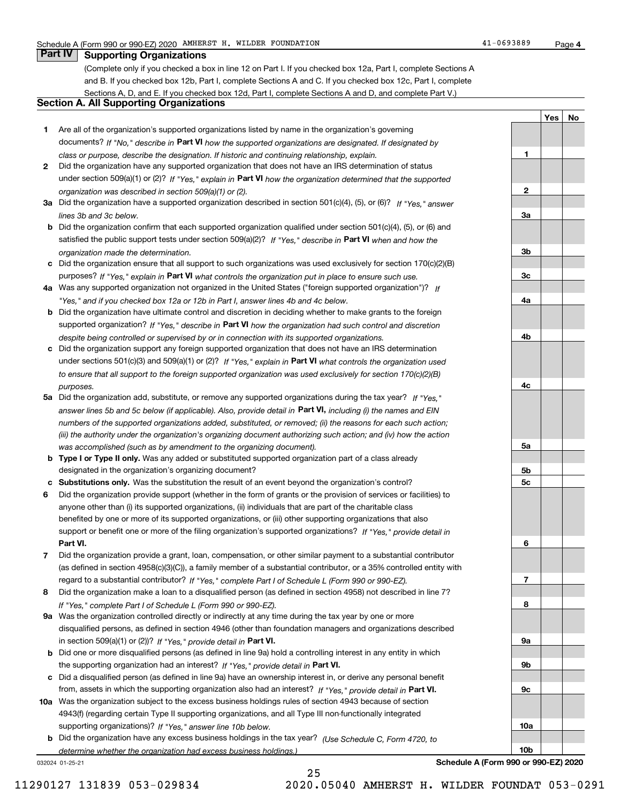**1**

**2**

**3a**

**3b**

**3c**

**4a**

**4b**

**4c**

**5a**

**5b5c**

**6**

**7**

**8**

**9a**

**9b**

**9c**

**10a**

**10b**

**YesNo**

### **Part IV Supporting Organizations**

(Complete only if you checked a box in line 12 on Part I. If you checked box 12a, Part I, complete Sections A and B. If you checked box 12b, Part I, complete Sections A and C. If you checked box 12c, Part I, complete Sections A, D, and E. If you checked box 12d, Part I, complete Sections A and D, and complete Part V.)

#### **Section A. All Supporting Organizations**

- **1** Are all of the organization's supported organizations listed by name in the organization's governing documents? If "No," describe in **Part VI** how the supported organizations are designated. If designated by *class or purpose, describe the designation. If historic and continuing relationship, explain.*
- **2** Did the organization have any supported organization that does not have an IRS determination of status under section 509(a)(1) or (2)? If "Yes," explain in Part VI how the organization determined that the supported *organization was described in section 509(a)(1) or (2).*
- **3a** Did the organization have a supported organization described in section 501(c)(4), (5), or (6)? If "Yes," answer *lines 3b and 3c below.*
- **b** Did the organization confirm that each supported organization qualified under section 501(c)(4), (5), or (6) and satisfied the public support tests under section 509(a)(2)? If "Yes," describe in **Part VI** when and how the *organization made the determination.*
- **c**Did the organization ensure that all support to such organizations was used exclusively for section 170(c)(2)(B) purposes? If "Yes," explain in **Part VI** what controls the organization put in place to ensure such use.
- **4a***If* Was any supported organization not organized in the United States ("foreign supported organization")? *"Yes," and if you checked box 12a or 12b in Part I, answer lines 4b and 4c below.*
- **b** Did the organization have ultimate control and discretion in deciding whether to make grants to the foreign supported organization? If "Yes," describe in **Part VI** how the organization had such control and discretion *despite being controlled or supervised by or in connection with its supported organizations.*
- **c** Did the organization support any foreign supported organization that does not have an IRS determination under sections 501(c)(3) and 509(a)(1) or (2)? If "Yes," explain in **Part VI** what controls the organization used *to ensure that all support to the foreign supported organization was used exclusively for section 170(c)(2)(B) purposes.*
- **5a** Did the organization add, substitute, or remove any supported organizations during the tax year? If "Yes," answer lines 5b and 5c below (if applicable). Also, provide detail in **Part VI,** including (i) the names and EIN *numbers of the supported organizations added, substituted, or removed; (ii) the reasons for each such action; (iii) the authority under the organization's organizing document authorizing such action; and (iv) how the action was accomplished (such as by amendment to the organizing document).*
- **b** Type I or Type II only. Was any added or substituted supported organization part of a class already designated in the organization's organizing document?
- **cSubstitutions only.**  Was the substitution the result of an event beyond the organization's control?
- **6** Did the organization provide support (whether in the form of grants or the provision of services or facilities) to **Part VI.** *If "Yes," provide detail in* support or benefit one or more of the filing organization's supported organizations? anyone other than (i) its supported organizations, (ii) individuals that are part of the charitable class benefited by one or more of its supported organizations, or (iii) other supporting organizations that also
- **7**Did the organization provide a grant, loan, compensation, or other similar payment to a substantial contributor *If "Yes," complete Part I of Schedule L (Form 990 or 990-EZ).* regard to a substantial contributor? (as defined in section 4958(c)(3)(C)), a family member of a substantial contributor, or a 35% controlled entity with
- **8** Did the organization make a loan to a disqualified person (as defined in section 4958) not described in line 7? *If "Yes," complete Part I of Schedule L (Form 990 or 990-EZ).*
- **9a** Was the organization controlled directly or indirectly at any time during the tax year by one or more in section 509(a)(1) or (2))? If "Yes," *provide detail in* <code>Part VI.</code> disqualified persons, as defined in section 4946 (other than foundation managers and organizations described
- **b** Did one or more disqualified persons (as defined in line 9a) hold a controlling interest in any entity in which the supporting organization had an interest? If "Yes," provide detail in P**art VI**.
- **c**Did a disqualified person (as defined in line 9a) have an ownership interest in, or derive any personal benefit from, assets in which the supporting organization also had an interest? If "Yes," provide detail in P**art VI.**
- **10a** Was the organization subject to the excess business holdings rules of section 4943 because of section supporting organizations)? If "Yes," answer line 10b below. 4943(f) (regarding certain Type II supporting organizations, and all Type III non-functionally integrated
- **b** Did the organization have any excess business holdings in the tax year? (Use Schedule C, Form 4720, to *determine whether the organization had excess business holdings.)*

25

032024 01-25-21

**Schedule A (Form 990 or 990-EZ) 2020**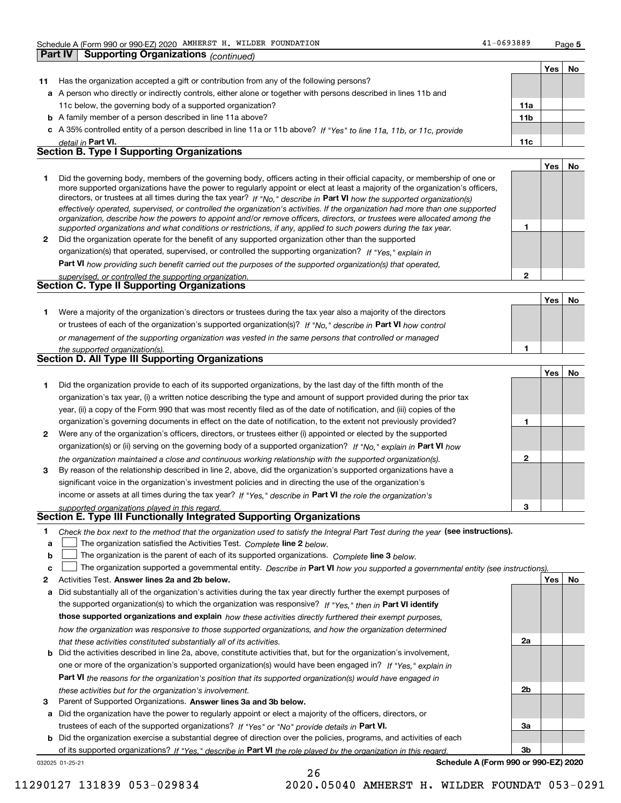**Part IV Supporting Organizations** *(continued)*

**2**

**No**

|    |                                                                                                                      |                 | Yes | No |
|----|----------------------------------------------------------------------------------------------------------------------|-----------------|-----|----|
| 11 | Has the organization accepted a gift or contribution from any of the following persons?                              |                 |     |    |
|    | a A person who directly or indirectly controls, either alone or together with persons described in lines 11b and     |                 |     |    |
|    | 11c below, the governing body of a supported organization?                                                           | 11a             |     |    |
|    | <b>b</b> A family member of a person described in line 11a above?                                                    | 11 <sub>b</sub> |     |    |
|    | c A 35% controlled entity of a person described in line 11a or 11b above? If "Yes" to line 11a, 11b, or 11c, provide |                 |     |    |
|    | detail in Part VI.                                                                                                   | 11c             |     |    |
|    | <b>Section B. Type I Supporting Organizations</b>                                                                    |                 |     |    |
|    |                                                                                                                      |                 | Yes |    |
|    |                                                                                                                      |                 |     |    |

|   | Did the governing body, members of the governing body, officers acting in their official capacity, or membership of one or<br>more supported organizations have the power to regularly appoint or elect at least a majority of the organization's officers,<br>directors, or trustees at all times during the tax year? If "No," describe in Part VI how the supported organization(s) |  |
|---|----------------------------------------------------------------------------------------------------------------------------------------------------------------------------------------------------------------------------------------------------------------------------------------------------------------------------------------------------------------------------------------|--|
|   | effectively operated, supervised, or controlled the organization's activities. If the organization had more than one supported<br>organization, describe how the powers to appoint and/or remove officers, directors, or trustees were allocated among the                                                                                                                             |  |
|   | supported organizations and what conditions or restrictions, if any, applied to such powers during the tax year.                                                                                                                                                                                                                                                                       |  |
| 2 | Did the organization operate for the benefit of any supported organization other than the supported                                                                                                                                                                                                                                                                                    |  |
|   | organization(s) that operated, supervised, or controlled the supporting organization? If "Yes," explain in                                                                                                                                                                                                                                                                             |  |

**Part VI**  *how providing such benefit carried out the purposes of the supported organization(s) that operated,*

*supervised, or controlled the supporting organization.*

|                                                    | <u>supervised, or controlled the supporting organization.</u> |  |  |
|----------------------------------------------------|---------------------------------------------------------------|--|--|
| <b>Section C. Type II Supporting Organizations</b> |                                                               |  |  |

**Yes1**or trustees of each of the organization's supported organization(s)? If "No," describe in **Part VI** how control **1***or management of the supporting organization was vested in the same persons that controlled or managed the supported organization(s).* Were a majority of the organization's directors or trustees during the tax year also a majority of the directors

|  |  |  | <b>Section D. All Type III Supporting Organizations</b> |  |
|--|--|--|---------------------------------------------------------|--|

|              |                                                                                                                        |   | Yes | No |
|--------------|------------------------------------------------------------------------------------------------------------------------|---|-----|----|
|              | Did the organization provide to each of its supported organizations, by the last day of the fifth month of the         |   |     |    |
|              | organization's tax year, (i) a written notice describing the type and amount of support provided during the prior tax  |   |     |    |
|              | year, (ii) a copy of the Form 990 that was most recently filed as of the date of notification, and (iii) copies of the |   |     |    |
|              | organization's governing documents in effect on the date of notification, to the extent not previously provided?       |   |     |    |
| $\mathbf{2}$ | Were any of the organization's officers, directors, or trustees either (i) appointed or elected by the supported       |   |     |    |
|              | organization(s) or (ii) serving on the governing body of a supported organization? If "No," explain in Part VI how     |   |     |    |
|              | the organization maintained a close and continuous working relationship with the supported organization(s).            |   |     |    |
| 3            | By reason of the relationship described in line 2, above, did the organization's supported organizations have a        |   |     |    |
|              | significant voice in the organization's investment policies and in directing the use of the organization's             |   |     |    |
|              | income or assets at all times during the tax year? If "Yes," describe in Part VI the role the organization's           |   |     |    |
|              | supported organizations played in this regard                                                                          | з |     |    |

### *supported organizations played in this regard.* **Section E. Type III Functionally Integrated Supporting Organizations**

- **1**Check the box next to the method that the organization used to satisfy the Integral Part Test during the year (see instructions).
- **alinupy** The organization satisfied the Activities Test. Complete line 2 below.
- **b**The organization is the parent of each of its supported organizations. *Complete* line 3 *below.*  $\mathcal{L}^{\text{max}}$

|  |  | <b>c</b> $\Box$ The organization supported a governmental entity. Describe in Part VI how you supported a governmental entity (see instructions). |  |  |
|--|--|---------------------------------------------------------------------------------------------------------------------------------------------------|--|--|
|--|--|---------------------------------------------------------------------------------------------------------------------------------------------------|--|--|

26

- **2Answer lines 2a and 2b below. Yes No** Activities Test.
- **a** Did substantially all of the organization's activities during the tax year directly further the exempt purposes of the supported organization(s) to which the organization was responsive? If "Yes," then in **Part VI identify those supported organizations and explain**  *how these activities directly furthered their exempt purposes, how the organization was responsive to those supported organizations, and how the organization determined that these activities constituted substantially all of its activities.*
- **b** Did the activities described in line 2a, above, constitute activities that, but for the organization's involvement, **Part VI**  *the reasons for the organization's position that its supported organization(s) would have engaged in* one or more of the organization's supported organization(s) would have been engaged in? If "Yes," e*xplain in these activities but for the organization's involvement.*
- **3** Parent of Supported Organizations. Answer lines 3a and 3b below.

**a** Did the organization have the power to regularly appoint or elect a majority of the officers, directors, or trustees of each of the supported organizations? If "Yes" or "No" provide details in **Part VI.** 

**b** Did the organization exercise a substantial degree of direction over the policies, programs, and activities of each of its supported organizations? If "Yes," describe in Part VI the role played by the organization in this regard.

**Schedule A (Form 990 or 990-EZ) 2020**

**2a**

**2b**

**3a**

**3b**

032025 01-25-21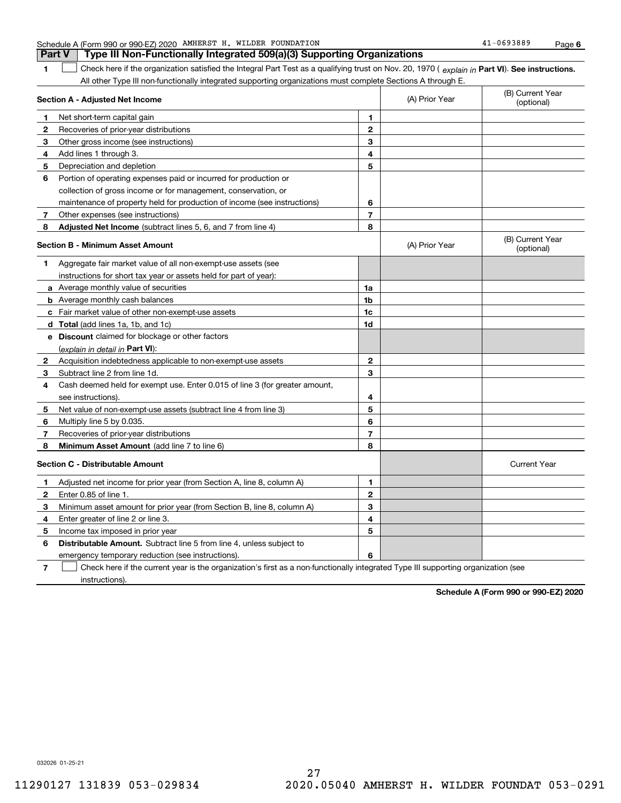**1**

#### Schedule A (Form 990 or 990-EZ) 2020 AMHERST H. WILDER FOUNDATION Page **Part V Type III Non-Functionally Integrated 509(a)(3) Supporting Organizations**

1 Check here if the organization satisfied the Integral Part Test as a qualifying trust on Nov. 20, 1970 (explain in Part VI). See instructions. All other Type III non-functionally integrated supporting organizations must complete Sections A through E.

|                | Section A - Adjusted Net Income                                             | (A) Prior Year | (B) Current Year<br>(optional) |                                |
|----------------|-----------------------------------------------------------------------------|----------------|--------------------------------|--------------------------------|
| 1              | Net short-term capital gain                                                 | 1              |                                |                                |
| $\overline{2}$ | Recoveries of prior-year distributions                                      | $\mathbf{2}$   |                                |                                |
| 3              | Other gross income (see instructions)                                       | 3              |                                |                                |
| 4              | Add lines 1 through 3.                                                      | 4              |                                |                                |
| 5              | Depreciation and depletion                                                  | 5              |                                |                                |
| 6              | Portion of operating expenses paid or incurred for production or            |                |                                |                                |
|                | collection of gross income or for management, conservation, or              |                |                                |                                |
|                | maintenance of property held for production of income (see instructions)    | 6              |                                |                                |
| 7              | Other expenses (see instructions)                                           | $\overline{7}$ |                                |                                |
| 8              | Adjusted Net Income (subtract lines 5, 6, and 7 from line 4)                | 8              |                                |                                |
|                | Section B - Minimum Asset Amount                                            |                | (A) Prior Year                 | (B) Current Year<br>(optional) |
| 1              | Aggregate fair market value of all non-exempt-use assets (see               |                |                                |                                |
|                | instructions for short tax year or assets held for part of year):           |                |                                |                                |
|                | a Average monthly value of securities                                       | 1a             |                                |                                |
|                | <b>b</b> Average monthly cash balances                                      | 1b             |                                |                                |
|                | c Fair market value of other non-exempt-use assets                          | 1c             |                                |                                |
|                | d Total (add lines 1a, 1b, and 1c)                                          | 1d             |                                |                                |
|                | <b>e</b> Discount claimed for blockage or other factors                     |                |                                |                                |
|                | (explain in detail in Part VI):                                             |                |                                |                                |
| 2              | Acquisition indebtedness applicable to non-exempt-use assets                | $\mathbf{2}$   |                                |                                |
| з              | Subtract line 2 from line 1d.                                               | 3              |                                |                                |
| 4              | Cash deemed held for exempt use. Enter 0.015 of line 3 (for greater amount, |                |                                |                                |
|                | see instructions).                                                          | 4              |                                |                                |
| 5              | Net value of non-exempt-use assets (subtract line 4 from line 3)            | 5              |                                |                                |
| 6              | Multiply line 5 by 0.035.                                                   | 6              |                                |                                |
| 7              | Recoveries of prior-year distributions                                      | 7              |                                |                                |
| 8              | Minimum Asset Amount (add line 7 to line 6)                                 | 8              |                                |                                |
|                | <b>Section C - Distributable Amount</b>                                     |                |                                | <b>Current Year</b>            |
| 1              | Adjusted net income for prior year (from Section A, line 8, column A)       | 1              |                                |                                |
| $\overline{2}$ | Enter 0.85 of line 1.                                                       | $\overline{2}$ |                                |                                |
| 3              | Minimum asset amount for prior year (from Section B, line 8, column A)      | 3              |                                |                                |
| 4              | Enter greater of line 2 or line 3.                                          | 4              |                                |                                |
| 5              | Income tax imposed in prior year                                            | 5              |                                |                                |
| 6              | <b>Distributable Amount.</b> Subtract line 5 from line 4, unless subject to |                |                                |                                |
|                | emergency temporary reduction (see instructions).                           | 6              |                                |                                |
|                |                                                                             |                |                                |                                |

**7**Check here if the current year is the organization's first as a non-functionally integrated Type III supporting organization (see instructions).

**Schedule A (Form 990 or 990-EZ) 2020**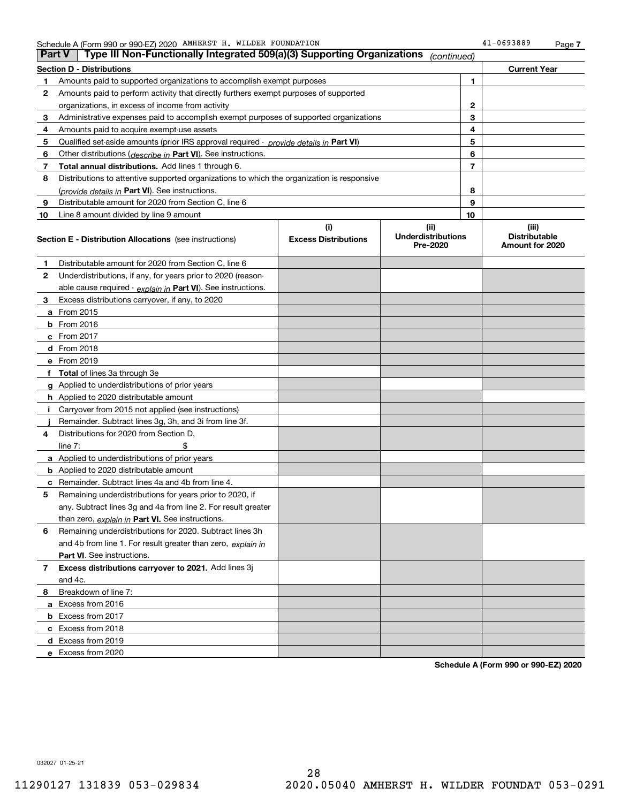|    | Type III Non-Functionally Integrated 509(a)(3) Supporting Organizations<br><b>Part V</b>   |                             | (continued)                           |    |                                         |
|----|--------------------------------------------------------------------------------------------|-----------------------------|---------------------------------------|----|-----------------------------------------|
|    | <b>Section D - Distributions</b>                                                           |                             |                                       |    | <b>Current Year</b>                     |
| 1  | Amounts paid to supported organizations to accomplish exempt purposes                      |                             | 1                                     |    |                                         |
| 2  | Amounts paid to perform activity that directly furthers exempt purposes of supported       |                             |                                       |    |                                         |
|    | organizations, in excess of income from activity                                           |                             |                                       | 2  |                                         |
| 3  | Administrative expenses paid to accomplish exempt purposes of supported organizations      |                             | 3                                     |    |                                         |
| 4  | Amounts paid to acquire exempt-use assets                                                  |                             | 4                                     |    |                                         |
| 5  | Qualified set-aside amounts (prior IRS approval required - provide details in Part VI)     |                             | 5                                     |    |                                         |
| 6  | Other distributions ( <i>describe in</i> Part VI). See instructions.                       |                             |                                       | 6  |                                         |
| 7  | Total annual distributions. Add lines 1 through 6.                                         |                             |                                       | 7  |                                         |
| 8  | Distributions to attentive supported organizations to which the organization is responsive |                             |                                       |    |                                         |
|    | (provide details in Part VI). See instructions.                                            |                             |                                       | 8  |                                         |
| 9  | Distributable amount for 2020 from Section C, line 6                                       |                             |                                       | 9  |                                         |
| 10 | Line 8 amount divided by line 9 amount                                                     |                             |                                       | 10 |                                         |
|    |                                                                                            | (i)                         | (ii)                                  |    | (iii)                                   |
|    | <b>Section E - Distribution Allocations</b> (see instructions)                             | <b>Excess Distributions</b> | <b>Underdistributions</b><br>Pre-2020 |    | <b>Distributable</b><br>Amount for 2020 |
| 1  | Distributable amount for 2020 from Section C, line 6                                       |                             |                                       |    |                                         |
| 2  | Underdistributions, if any, for years prior to 2020 (reason-                               |                             |                                       |    |                                         |
|    | able cause required $\cdot$ explain in Part VI). See instructions.                         |                             |                                       |    |                                         |
| 3  | Excess distributions carryover, if any, to 2020                                            |                             |                                       |    |                                         |
|    | a From 2015                                                                                |                             |                                       |    |                                         |
|    | <b>b</b> From 2016                                                                         |                             |                                       |    |                                         |
|    | $c$ From 2017                                                                              |                             |                                       |    |                                         |
|    | d From 2018                                                                                |                             |                                       |    |                                         |
|    | e From 2019                                                                                |                             |                                       |    |                                         |
|    | f Total of lines 3a through 3e                                                             |                             |                                       |    |                                         |
|    | g Applied to underdistributions of prior years                                             |                             |                                       |    |                                         |
|    | <b>h</b> Applied to 2020 distributable amount                                              |                             |                                       |    |                                         |
| Ť. | Carryover from 2015 not applied (see instructions)                                         |                             |                                       |    |                                         |
|    | Remainder. Subtract lines 3g, 3h, and 3i from line 3f.                                     |                             |                                       |    |                                         |
| 4  | Distributions for 2020 from Section D,                                                     |                             |                                       |    |                                         |
|    | line $7:$                                                                                  |                             |                                       |    |                                         |
|    | a Applied to underdistributions of prior years                                             |                             |                                       |    |                                         |
|    | <b>b</b> Applied to 2020 distributable amount                                              |                             |                                       |    |                                         |
|    | <b>c</b> Remainder. Subtract lines 4a and 4b from line 4.                                  |                             |                                       |    |                                         |
| 5. | Remaining underdistributions for years prior to 2020, if                                   |                             |                                       |    |                                         |
|    | any. Subtract lines 3g and 4a from line 2. For result greater                              |                             |                                       |    |                                         |
|    | than zero, explain in Part VI. See instructions.                                           |                             |                                       |    |                                         |
| 6  | Remaining underdistributions for 2020. Subtract lines 3h                                   |                             |                                       |    |                                         |
|    | and 4b from line 1. For result greater than zero, explain in                               |                             |                                       |    |                                         |
|    | Part VI. See instructions.                                                                 |                             |                                       |    |                                         |
| 7  | Excess distributions carryover to 2021. Add lines 3j                                       |                             |                                       |    |                                         |
|    | and 4c.                                                                                    |                             |                                       |    |                                         |
| 8  | Breakdown of line 7:                                                                       |                             |                                       |    |                                         |
|    | a Excess from 2016                                                                         |                             |                                       |    |                                         |
|    | <b>b</b> Excess from 2017                                                                  |                             |                                       |    |                                         |
|    | c Excess from 2018                                                                         |                             |                                       |    |                                         |
|    | d Excess from 2019                                                                         |                             |                                       |    |                                         |
|    | e Excess from 2020                                                                         |                             |                                       |    |                                         |

**Schedule A (Form 990 or 990-EZ) 2020**

032027 01-25-21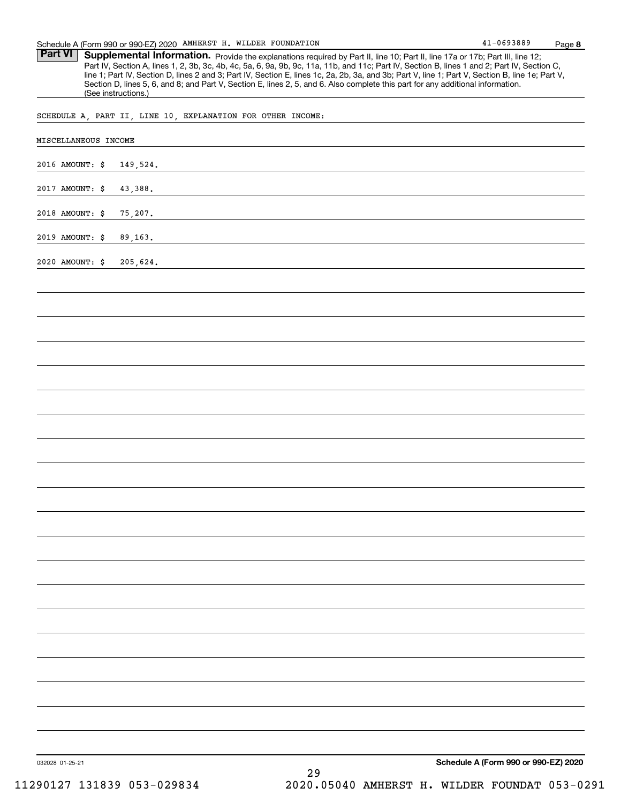Part VI | Supplemental Information. Provide the explanations required by Part II, line 10; Part II, line 17a or 17b; Part III, line 12; Part IV, Section A, lines 1, 2, 3b, 3c, 4b, 4c, 5a, 6, 9a, 9b, 9c, 11a, 11b, and 11c; Part IV, Section B, lines 1 and 2; Part IV, Section C, line 1; Part IV, Section D, lines 2 and 3; Part IV, Section E, lines 1c, 2a, 2b, 3a, and 3b; Part V, line 1; Part V, Section B, line 1e; Part V, Section D, lines 5, 6, and 8; and Part V, Section E, lines 2, 5, and 6. Also complete this part for any additional information. (See instructions.)

SCHEDULE A, PART II, LINE 10, EXPLANATION FOR OTHER INCOME:

| 2016 AMOUNT: \$ | 149,524. |    |                                      |  |
|-----------------|----------|----|--------------------------------------|--|
| 2017 AMOUNT: \$ | 43,388.  |    |                                      |  |
| 2018 AMOUNT: \$ | 75,207.  |    |                                      |  |
| 2019 AMOUNT: \$ | 89,163.  |    |                                      |  |
| 2020 AMOUNT: \$ | 205,624. |    |                                      |  |
|                 |          |    |                                      |  |
|                 |          |    |                                      |  |
|                 |          |    |                                      |  |
|                 |          |    |                                      |  |
|                 |          |    |                                      |  |
|                 |          |    |                                      |  |
|                 |          |    |                                      |  |
|                 |          |    |                                      |  |
|                 |          |    |                                      |  |
|                 |          |    |                                      |  |
|                 |          |    |                                      |  |
|                 |          |    |                                      |  |
|                 |          |    |                                      |  |
|                 |          |    |                                      |  |
|                 |          |    |                                      |  |
|                 |          |    |                                      |  |
|                 |          |    |                                      |  |
|                 |          |    |                                      |  |
|                 |          |    |                                      |  |
|                 |          |    |                                      |  |
|                 |          |    |                                      |  |
|                 |          |    |                                      |  |
|                 |          |    |                                      |  |
| 032028 01-25-21 |          | 29 | Schedule A (Form 990 or 990-EZ) 2020 |  |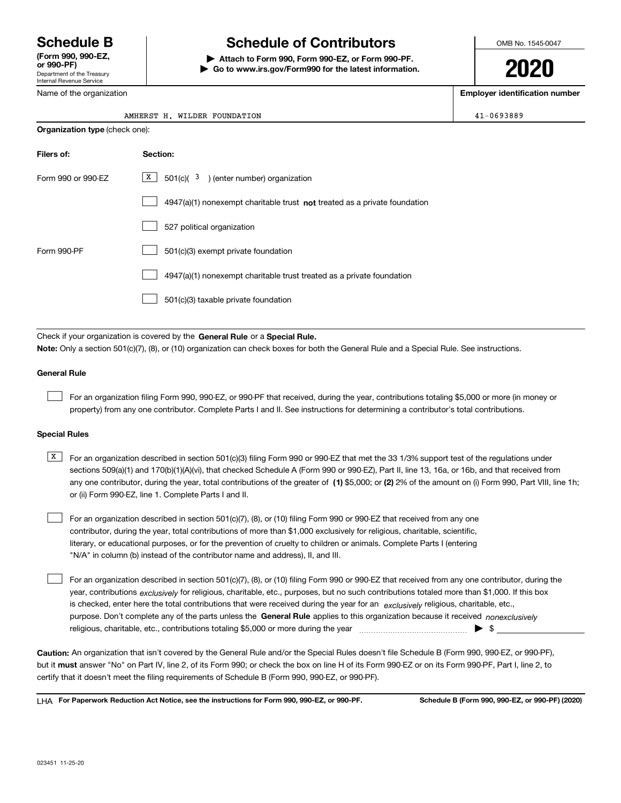Department of the Treasury Internal Revenue Service **(Form 990, 990-EZ, or 990-PF)**

Name of the organization

### **Schedule B Schedule of Contributors**

**| Attach to Form 990, Form 990-EZ, or Form 990-PF. | Go to www.irs.gov/Form990 for the latest information.** OMB No. 1545-0047

**2020**

**Employer identification number**

 $41 - 0693889$ 

| <b>Organization type (check one):</b> |                                                                                    |  |  |  |  |
|---------------------------------------|------------------------------------------------------------------------------------|--|--|--|--|
| Filers of:                            | Section:                                                                           |  |  |  |  |
| Form 990 or 990-EZ                    | X  <br>$501(c)$ ( $3$ ) (enter number) organization                                |  |  |  |  |
|                                       | $4947(a)(1)$ nonexempt charitable trust <b>not</b> treated as a private foundation |  |  |  |  |
|                                       | 527 political organization                                                         |  |  |  |  |
| Form 990-PF                           | 501(c)(3) exempt private foundation                                                |  |  |  |  |
|                                       | 4947(a)(1) nonexempt charitable trust treated as a private foundation              |  |  |  |  |
|                                       | 501(c)(3) taxable private foundation                                               |  |  |  |  |
|                                       |                                                                                    |  |  |  |  |

Check if your organization is covered by the **General Rule** or a **Special Rule. Note:**  Only a section 501(c)(7), (8), or (10) organization can check boxes for both the General Rule and a Special Rule. See instructions.

#### **General Rule**

 $\mathcal{L}^{\text{max}}$ 

For an organization filing Form 990, 990-EZ, or 990-PF that received, during the year, contributions totaling \$5,000 or more (in money or property) from any one contributor. Complete Parts I and II. See instructions for determining a contributor's total contributions.

#### **Special Rules**

any one contributor, during the year, total contributions of the greater of  $\,$  (1) \$5,000; or **(2)** 2% of the amount on (i) Form 990, Part VIII, line 1h;  $\overline{X}$  For an organization described in section 501(c)(3) filing Form 990 or 990-EZ that met the 33 1/3% support test of the regulations under sections 509(a)(1) and 170(b)(1)(A)(vi), that checked Schedule A (Form 990 or 990-EZ), Part II, line 13, 16a, or 16b, and that received from or (ii) Form 990-EZ, line 1. Complete Parts I and II.

For an organization described in section 501(c)(7), (8), or (10) filing Form 990 or 990-EZ that received from any one contributor, during the year, total contributions of more than \$1,000 exclusively for religious, charitable, scientific, literary, or educational purposes, or for the prevention of cruelty to children or animals. Complete Parts I (entering "N/A" in column (b) instead of the contributor name and address), II, and III.  $\mathcal{L}^{\text{max}}$ 

purpose. Don't complete any of the parts unless the **General Rule** applies to this organization because it received *nonexclusively* year, contributions <sub>exclusively</sub> for religious, charitable, etc., purposes, but no such contributions totaled more than \$1,000. If this box is checked, enter here the total contributions that were received during the year for an  $\;$ exclusively religious, charitable, etc., For an organization described in section 501(c)(7), (8), or (10) filing Form 990 or 990-EZ that received from any one contributor, during the religious, charitable, etc., contributions totaling \$5,000 or more during the year  $\Box$ — $\Box$ — $\Box$  $\mathcal{L}^{\text{max}}$ 

**Caution:**  An organization that isn't covered by the General Rule and/or the Special Rules doesn't file Schedule B (Form 990, 990-EZ, or 990-PF),  **must** but it answer "No" on Part IV, line 2, of its Form 990; or check the box on line H of its Form 990-EZ or on its Form 990-PF, Part I, line 2, to certify that it doesn't meet the filing requirements of Schedule B (Form 990, 990-EZ, or 990-PF).

**For Paperwork Reduction Act Notice, see the instructions for Form 990, 990-EZ, or 990-PF. Schedule B (Form 990, 990-EZ, or 990-PF) (2020)** LHA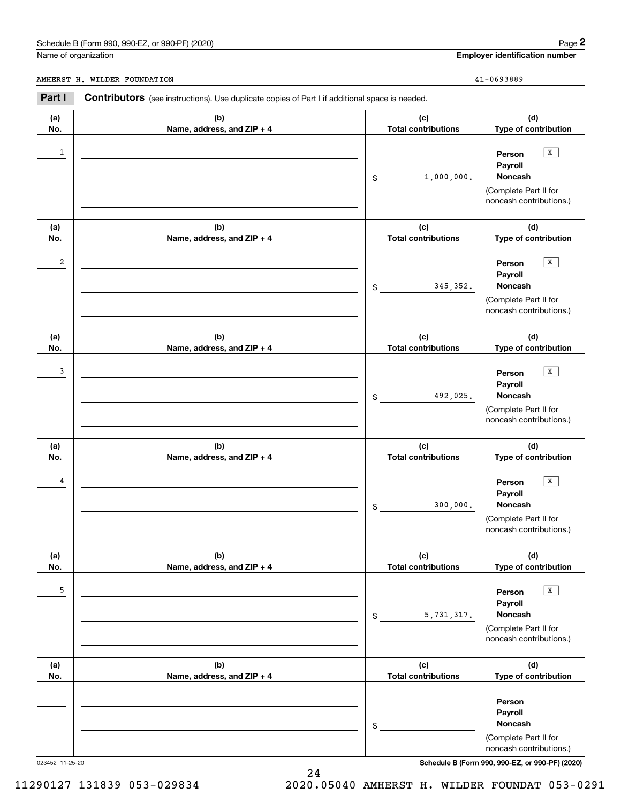### Schedule B (Form 990, 990-EZ, or 990-PF) (2020) Page 2

|                         | Schedule B (Form 990, 990-EZ, or 990-PF) (2020)                                                       |                                   |            | Page 2                                                                                                      |
|-------------------------|-------------------------------------------------------------------------------------------------------|-----------------------------------|------------|-------------------------------------------------------------------------------------------------------------|
|                         | Name of organization                                                                                  |                                   |            | <b>Employer identification number</b>                                                                       |
|                         | AMHERST H. WILDER FOUNDATION                                                                          |                                   |            | 41-0693889                                                                                                  |
| Part I                  | <b>Contributors</b> (see instructions). Use duplicate copies of Part I if additional space is needed. |                                   |            |                                                                                                             |
| (a)<br>No.              | (b)<br>Name, address, and ZIP + 4                                                                     | (c)<br><b>Total contributions</b> |            | (d)<br>Type of contribution                                                                                 |
| 1                       |                                                                                                       | \$                                | 1,000,000. | $\mathbf x$<br>Person<br>Payroll<br>Noncash<br>(Complete Part II for<br>noncash contributions.)             |
| (a)<br>No.              | (b)<br>Name, address, and ZIP + 4                                                                     | (c)<br><b>Total contributions</b> |            | (d)<br>Type of contribution                                                                                 |
| $\overline{\mathbf{c}}$ |                                                                                                       | \$                                | 345, 352.  | X<br>Person<br>Payroll<br>Noncash<br>(Complete Part II for<br>noncash contributions.)                       |
| (a)<br>No.              | (b)<br>Name, address, and ZIP + 4                                                                     | (c)<br><b>Total contributions</b> |            | (d)<br>Type of contribution                                                                                 |
| 3                       |                                                                                                       | \$                                | 492,025.   | $\mathbf x$<br>Person<br>Payroll<br>Noncash<br>(Complete Part II for<br>noncash contributions.)             |
| (a)<br>No.              | (b)<br>Name, address, and ZIP + 4                                                                     | (c)<br><b>Total contributions</b> |            | (d)<br>Type of contribution                                                                                 |
| 4                       |                                                                                                       | \$                                | 300,000.   | X<br>Person<br>Payroll<br>Noncash<br>(Complete Part II for<br>noncash contributions.)                       |
| (a)<br>No.              | (b)<br>Name, address, and ZIP + 4                                                                     | (c)<br><b>Total contributions</b> |            | (d)<br>Type of contribution                                                                                 |
| 5                       |                                                                                                       | \$                                | 5,731,317. | $\overline{\mathbf{x}}$<br>Person<br>Payroll<br>Noncash<br>(Complete Part II for<br>noncash contributions.) |
| (a)<br>No.              | (b)<br>Name, address, and ZIP + 4                                                                     | (c)<br><b>Total contributions</b> |            | (d)<br>Type of contribution                                                                                 |
|                         |                                                                                                       | \$                                |            | Person<br>Payroll<br>Noncash<br>(Complete Part II for<br>noncash contributions.)                            |

023452 11-25-20 **Schedule B (Form 990, 990-EZ, or 990-PF) (2020)**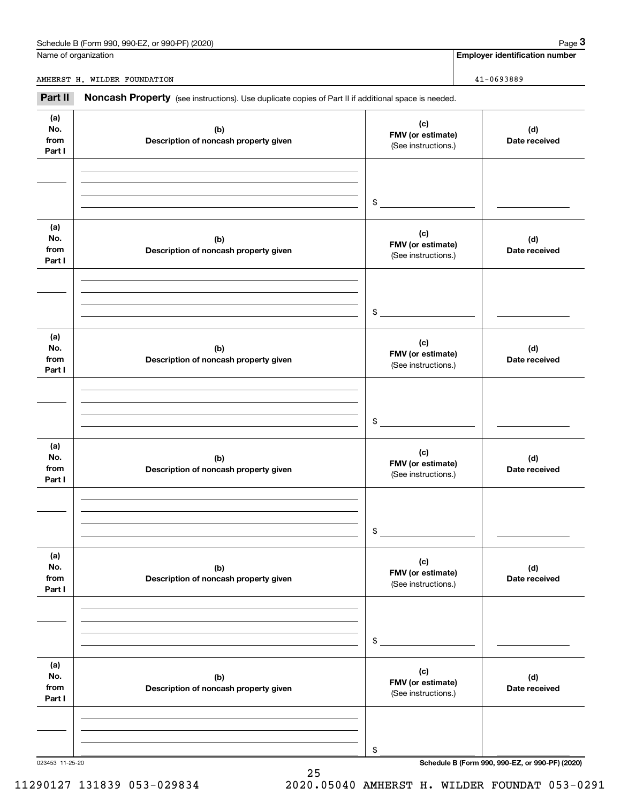| Schedule B (Form 990.<br>or 990-PF)<br>(2020)<br>990-EZ | Page |
|---------------------------------------------------------|------|
|                                                         |      |

Name of organization

AMHERST H. WILDER FOUNDATION 41-0693889

**Employer identification number**

**(a)No.fromPart I (c) FMV (or estimate) (b) Description of noncash property given (d) Date received (a)No.fromPart I (c) FMV (or estimate) (b) Description of noncash property given (d) Date received (a)No.fromPart I (c) FMV (or estimate) (b) Description of noncash property given (d) Date received (a) No.fromPart I (c) FMV (or estimate) (b) Description of noncash property given (d)Date received (a) No.fromPart I (c) FMV (or estimate) (b) Description of noncash property given (d) Date received (a) No.fromPart I (c)FMV (or estimate) (b)Description of noncash property given (d)Date received** Noncash Property (see instructions). Use duplicate copies of Part II if additional space is needed. (See instructions.) \$(See instructions.) \$(See instructions.) \$(See instructions.) \$(See instructions.) \$(See instructions.) \$Chedule B (Form 990, 990-EZ, or 990-PF) (2020)<br> **3Page 3**<br>
MIERST H. WILDER FOUNDATION 41-0693889<br> **Part II** Noncash Property (see instructions). Use duplicate copies of Part II if additional space is needed.

25

023453 11-25-20 **Schedule B (Form 990, 990-EZ, or 990-PF) (2020)**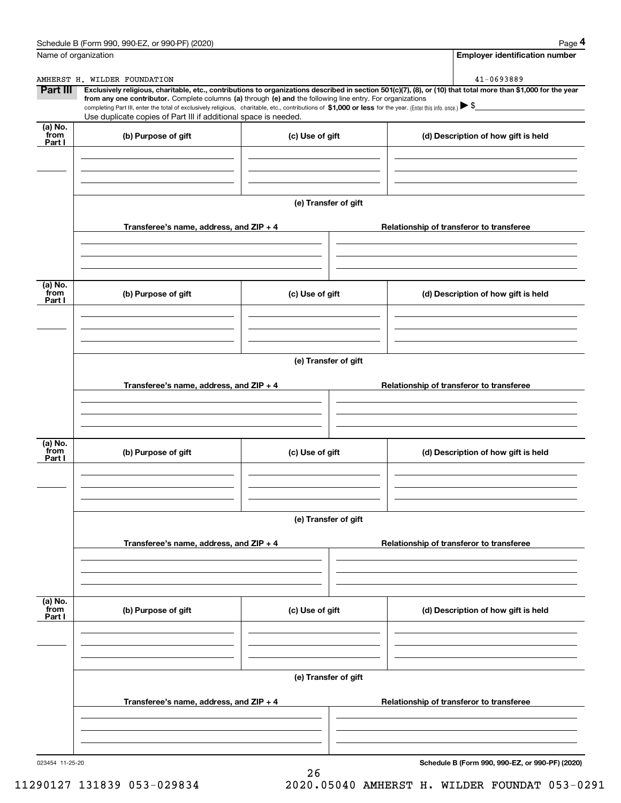|                             | Schedule B (Form 990, 990-EZ, or 990-PF) (2020)                                                                                                                                                                                                                                                 |                      | Page 4                                                                                                                                                         |  |  |  |  |
|-----------------------------|-------------------------------------------------------------------------------------------------------------------------------------------------------------------------------------------------------------------------------------------------------------------------------------------------|----------------------|----------------------------------------------------------------------------------------------------------------------------------------------------------------|--|--|--|--|
| Name of organization        |                                                                                                                                                                                                                                                                                                 |                      | <b>Employer identification number</b>                                                                                                                          |  |  |  |  |
|                             | AMHERST H. WILDER FOUNDATION                                                                                                                                                                                                                                                                    |                      | 41-0693889                                                                                                                                                     |  |  |  |  |
| Part III                    | from any one contributor. Complete columns (a) through (e) and the following line entry. For organizations<br>completing Part III, enter the total of exclusively religious, charitable, etc., contributions of \$1,000 or less for the year. (Enter this info. once.) $\blacktriangleright$ \$ |                      | Exclusively religious, charitable, etc., contributions to organizations described in section 501(c)(7), (8), or (10) that total more than \$1,000 for the year |  |  |  |  |
|                             | Use duplicate copies of Part III if additional space is needed.                                                                                                                                                                                                                                 |                      |                                                                                                                                                                |  |  |  |  |
| $(a)$ No.                   |                                                                                                                                                                                                                                                                                                 |                      |                                                                                                                                                                |  |  |  |  |
| from<br>Part I              | (b) Purpose of gift                                                                                                                                                                                                                                                                             | (c) Use of gift      | (d) Description of how gift is held                                                                                                                            |  |  |  |  |
|                             |                                                                                                                                                                                                                                                                                                 |                      |                                                                                                                                                                |  |  |  |  |
|                             |                                                                                                                                                                                                                                                                                                 | (e) Transfer of gift |                                                                                                                                                                |  |  |  |  |
|                             | Transferee's name, address, and ZIP + 4                                                                                                                                                                                                                                                         |                      | Relationship of transferor to transferee                                                                                                                       |  |  |  |  |
| $(a)$ No.                   |                                                                                                                                                                                                                                                                                                 |                      |                                                                                                                                                                |  |  |  |  |
| from<br>Part I              | (b) Purpose of gift                                                                                                                                                                                                                                                                             | (c) Use of gift      | (d) Description of how gift is held                                                                                                                            |  |  |  |  |
|                             |                                                                                                                                                                                                                                                                                                 |                      |                                                                                                                                                                |  |  |  |  |
|                             | (e) Transfer of gift                                                                                                                                                                                                                                                                            |                      |                                                                                                                                                                |  |  |  |  |
|                             | Transferee's name, address, and ZIP + 4                                                                                                                                                                                                                                                         |                      | Relationship of transferor to transferee                                                                                                                       |  |  |  |  |
|                             |                                                                                                                                                                                                                                                                                                 |                      |                                                                                                                                                                |  |  |  |  |
| $(a)$ No.<br>from<br>Part I | (b) Purpose of gift                                                                                                                                                                                                                                                                             | (c) Use of gift      | (d) Description of how gift is held                                                                                                                            |  |  |  |  |
|                             |                                                                                                                                                                                                                                                                                                 |                      |                                                                                                                                                                |  |  |  |  |
|                             | (e) Transfer of gift                                                                                                                                                                                                                                                                            |                      |                                                                                                                                                                |  |  |  |  |
|                             | Transferee's name, address, and ZIP + 4                                                                                                                                                                                                                                                         |                      | Relationship of transferor to transferee                                                                                                                       |  |  |  |  |
|                             |                                                                                                                                                                                                                                                                                                 |                      |                                                                                                                                                                |  |  |  |  |
| (a) No.<br>from<br>Part I   | (b) Purpose of gift                                                                                                                                                                                                                                                                             | (c) Use of gift      | (d) Description of how gift is held                                                                                                                            |  |  |  |  |
|                             |                                                                                                                                                                                                                                                                                                 |                      |                                                                                                                                                                |  |  |  |  |
|                             |                                                                                                                                                                                                                                                                                                 | (e) Transfer of gift |                                                                                                                                                                |  |  |  |  |
|                             | Transferee's name, address, and ZIP + 4                                                                                                                                                                                                                                                         |                      | Relationship of transferor to transferee                                                                                                                       |  |  |  |  |
|                             |                                                                                                                                                                                                                                                                                                 |                      |                                                                                                                                                                |  |  |  |  |
|                             |                                                                                                                                                                                                                                                                                                 |                      |                                                                                                                                                                |  |  |  |  |

26

023454 11-25-20

**Schedule B (Form 990, 990-EZ, or 990-PF) (2020)**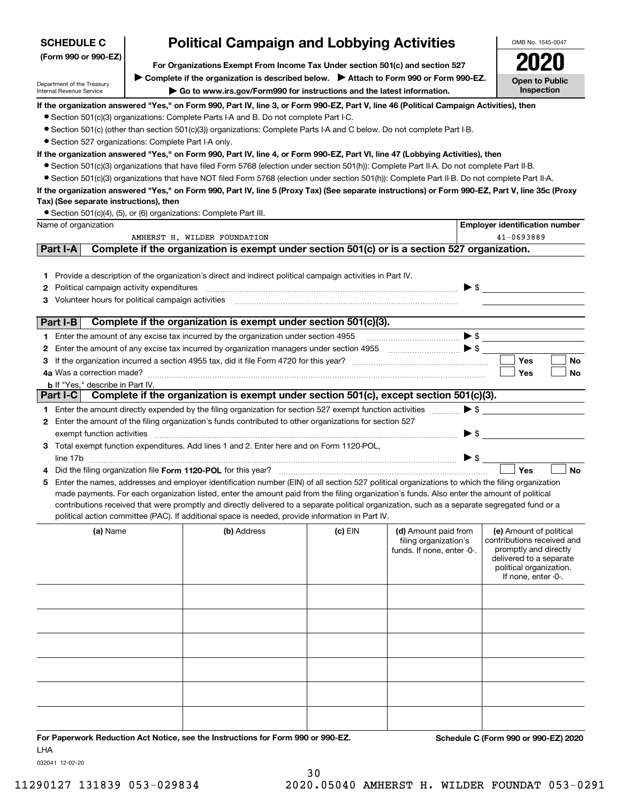| <b>SCHEDULE C</b>                                                                                        | <b>Political Campaign and Lobbying Activities</b>                                                                                                                                                                                                                                                                                                                                                                                                                                                                                                      |         |                                                                             |                          |                                                                                                                                                             |
|----------------------------------------------------------------------------------------------------------|--------------------------------------------------------------------------------------------------------------------------------------------------------------------------------------------------------------------------------------------------------------------------------------------------------------------------------------------------------------------------------------------------------------------------------------------------------------------------------------------------------------------------------------------------------|---------|-----------------------------------------------------------------------------|--------------------------|-------------------------------------------------------------------------------------------------------------------------------------------------------------|
| (Form 990 or 990-EZ)                                                                                     | For Organizations Exempt From Income Tax Under section 501(c) and section 527                                                                                                                                                                                                                                                                                                                                                                                                                                                                          |         |                                                                             |                          |                                                                                                                                                             |
| Department of the Treasury                                                                               | ▶ Complete if the organization is described below. ▶ Attach to Form 990 or Form 990-EZ.                                                                                                                                                                                                                                                                                                                                                                                                                                                                |         |                                                                             |                          | <b>Open to Public</b>                                                                                                                                       |
| Internal Revenue Service                                                                                 | Go to www.irs.gov/Form990 for instructions and the latest information.                                                                                                                                                                                                                                                                                                                                                                                                                                                                                 |         |                                                                             |                          | Inspection                                                                                                                                                  |
|                                                                                                          | If the organization answered "Yes," on Form 990, Part IV, line 3, or Form 990-EZ, Part V, line 46 (Political Campaign Activities), then<br>• Section 501(c)(3) organizations: Complete Parts I-A and B. Do not complete Part I-C.<br>● Section 501(c) (other than section 501(c)(3)) organizations: Complete Parts I-A and C below. Do not complete Part I-B.                                                                                                                                                                                          |         |                                                                             |                          |                                                                                                                                                             |
| • Section 527 organizations: Complete Part I-A only.                                                     |                                                                                                                                                                                                                                                                                                                                                                                                                                                                                                                                                        |         |                                                                             |                          |                                                                                                                                                             |
|                                                                                                          | If the organization answered "Yes," on Form 990, Part IV, line 4, or Form 990-EZ, Part VI, line 47 (Lobbying Activities), then                                                                                                                                                                                                                                                                                                                                                                                                                         |         |                                                                             |                          |                                                                                                                                                             |
|                                                                                                          | • Section 501(c)(3) organizations that have filed Form 5768 (election under section 501(h)): Complete Part II-A. Do not complete Part II-B.                                                                                                                                                                                                                                                                                                                                                                                                            |         |                                                                             |                          |                                                                                                                                                             |
|                                                                                                          | • Section 501(c)(3) organizations that have NOT filed Form 5768 (election under section 501(h)): Complete Part II-B. Do not complete Part II-A.                                                                                                                                                                                                                                                                                                                                                                                                        |         |                                                                             |                          |                                                                                                                                                             |
|                                                                                                          | If the organization answered "Yes," on Form 990, Part IV, line 5 (Proxy Tax) (See separate instructions) or Form 990-EZ, Part V, line 35c (Proxy                                                                                                                                                                                                                                                                                                                                                                                                       |         |                                                                             |                          |                                                                                                                                                             |
| Tax) (See separate instructions), then                                                                   |                                                                                                                                                                                                                                                                                                                                                                                                                                                                                                                                                        |         |                                                                             |                          |                                                                                                                                                             |
|                                                                                                          | • Section 501(c)(4), (5), or (6) organizations: Complete Part III.                                                                                                                                                                                                                                                                                                                                                                                                                                                                                     |         |                                                                             |                          |                                                                                                                                                             |
| Name of organization                                                                                     |                                                                                                                                                                                                                                                                                                                                                                                                                                                                                                                                                        |         |                                                                             |                          | <b>Employer identification number</b>                                                                                                                       |
| Part I-A                                                                                                 | AMHERST H. WILDER FOUNDATION<br>Complete if the organization is exempt under section 501(c) or is a section 527 organization.                                                                                                                                                                                                                                                                                                                                                                                                                          |         |                                                                             |                          | 41-0693889                                                                                                                                                  |
|                                                                                                          |                                                                                                                                                                                                                                                                                                                                                                                                                                                                                                                                                        |         |                                                                             |                          |                                                                                                                                                             |
|                                                                                                          |                                                                                                                                                                                                                                                                                                                                                                                                                                                                                                                                                        |         |                                                                             |                          |                                                                                                                                                             |
|                                                                                                          | 1 Provide a description of the organization's direct and indirect political campaign activities in Part IV.                                                                                                                                                                                                                                                                                                                                                                                                                                            |         |                                                                             | $\blacktriangleright$ \$ |                                                                                                                                                             |
| <b>2</b> Political campaign activity expenditures<br>3 Volunteer hours for political campaign activities |                                                                                                                                                                                                                                                                                                                                                                                                                                                                                                                                                        |         |                                                                             |                          |                                                                                                                                                             |
|                                                                                                          |                                                                                                                                                                                                                                                                                                                                                                                                                                                                                                                                                        |         |                                                                             |                          |                                                                                                                                                             |
| Part I-B                                                                                                 | Complete if the organization is exempt under section 501(c)(3).                                                                                                                                                                                                                                                                                                                                                                                                                                                                                        |         |                                                                             |                          |                                                                                                                                                             |
|                                                                                                          | 1 Enter the amount of any excise tax incurred by the organization under section 4955                                                                                                                                                                                                                                                                                                                                                                                                                                                                   |         |                                                                             |                          |                                                                                                                                                             |
|                                                                                                          |                                                                                                                                                                                                                                                                                                                                                                                                                                                                                                                                                        |         |                                                                             |                          |                                                                                                                                                             |
|                                                                                                          |                                                                                                                                                                                                                                                                                                                                                                                                                                                                                                                                                        |         |                                                                             |                          | Yes<br>No                                                                                                                                                   |
|                                                                                                          |                                                                                                                                                                                                                                                                                                                                                                                                                                                                                                                                                        |         |                                                                             |                          | Yes<br>No                                                                                                                                                   |
| <b>b</b> If "Yes," describe in Part IV.                                                                  |                                                                                                                                                                                                                                                                                                                                                                                                                                                                                                                                                        |         |                                                                             |                          |                                                                                                                                                             |
|                                                                                                          | Part I-C Complete if the organization is exempt under section 501(c), except section 501(c)(3).                                                                                                                                                                                                                                                                                                                                                                                                                                                        |         |                                                                             |                          |                                                                                                                                                             |
|                                                                                                          | 1 Enter the amount directly expended by the filing organization for section 527 exempt function activities                                                                                                                                                                                                                                                                                                                                                                                                                                             |         |                                                                             | $\blacktriangleright$ \$ |                                                                                                                                                             |
|                                                                                                          | 2 Enter the amount of the filing organization's funds contributed to other organizations for section 527                                                                                                                                                                                                                                                                                                                                                                                                                                               |         |                                                                             |                          |                                                                                                                                                             |
| exempt function activities                                                                               |                                                                                                                                                                                                                                                                                                                                                                                                                                                                                                                                                        |         |                                                                             | $\blacktriangleright$ \$ |                                                                                                                                                             |
|                                                                                                          | 3 Total exempt function expenditures. Add lines 1 and 2. Enter here and on Form 1120-POL,                                                                                                                                                                                                                                                                                                                                                                                                                                                              |         |                                                                             |                          |                                                                                                                                                             |
|                                                                                                          |                                                                                                                                                                                                                                                                                                                                                                                                                                                                                                                                                        |         |                                                                             | $\blacktriangleright$ \$ |                                                                                                                                                             |
|                                                                                                          | Did the filing organization file Form 1120-POL for this year?                                                                                                                                                                                                                                                                                                                                                                                                                                                                                          |         |                                                                             |                          | Yes<br><b>No</b>                                                                                                                                            |
|                                                                                                          | 5 Enter the names, addresses and employer identification number (EIN) of all section 527 political organizations to which the filing organization<br>made payments. For each organization listed, enter the amount paid from the filing organization's funds. Also enter the amount of political<br>contributions received that were promptly and directly delivered to a separate political organization, such as a separate segregated fund or a<br>political action committee (PAC). If additional space is needed, provide information in Part IV. |         |                                                                             |                          |                                                                                                                                                             |
|                                                                                                          |                                                                                                                                                                                                                                                                                                                                                                                                                                                                                                                                                        |         |                                                                             |                          |                                                                                                                                                             |
| (a) Name                                                                                                 | (b) Address                                                                                                                                                                                                                                                                                                                                                                                                                                                                                                                                            | (c) EIN | (d) Amount paid from<br>filing organization's<br>funds. If none, enter -0-. |                          | (e) Amount of political<br>contributions received and<br>promptly and directly<br>delivered to a separate<br>political organization.<br>If none, enter -0-. |
|                                                                                                          |                                                                                                                                                                                                                                                                                                                                                                                                                                                                                                                                                        |         |                                                                             |                          |                                                                                                                                                             |
|                                                                                                          |                                                                                                                                                                                                                                                                                                                                                                                                                                                                                                                                                        |         |                                                                             |                          |                                                                                                                                                             |
|                                                                                                          |                                                                                                                                                                                                                                                                                                                                                                                                                                                                                                                                                        |         |                                                                             |                          |                                                                                                                                                             |
|                                                                                                          |                                                                                                                                                                                                                                                                                                                                                                                                                                                                                                                                                        |         |                                                                             |                          |                                                                                                                                                             |
|                                                                                                          |                                                                                                                                                                                                                                                                                                                                                                                                                                                                                                                                                        |         |                                                                             |                          |                                                                                                                                                             |
|                                                                                                          |                                                                                                                                                                                                                                                                                                                                                                                                                                                                                                                                                        |         |                                                                             |                          |                                                                                                                                                             |
|                                                                                                          |                                                                                                                                                                                                                                                                                                                                                                                                                                                                                                                                                        |         |                                                                             |                          |                                                                                                                                                             |
|                                                                                                          |                                                                                                                                                                                                                                                                                                                                                                                                                                                                                                                                                        |         |                                                                             |                          |                                                                                                                                                             |
|                                                                                                          |                                                                                                                                                                                                                                                                                                                                                                                                                                                                                                                                                        |         |                                                                             |                          |                                                                                                                                                             |
|                                                                                                          |                                                                                                                                                                                                                                                                                                                                                                                                                                                                                                                                                        |         |                                                                             |                          |                                                                                                                                                             |
|                                                                                                          |                                                                                                                                                                                                                                                                                                                                                                                                                                                                                                                                                        |         |                                                                             |                          |                                                                                                                                                             |

30

**For Paperwork Reduction Act Notice, see the Instructions for Form 990 or 990-EZ. Schedule C (Form 990 or 990-EZ) 2020** LHA

032041 12-02-20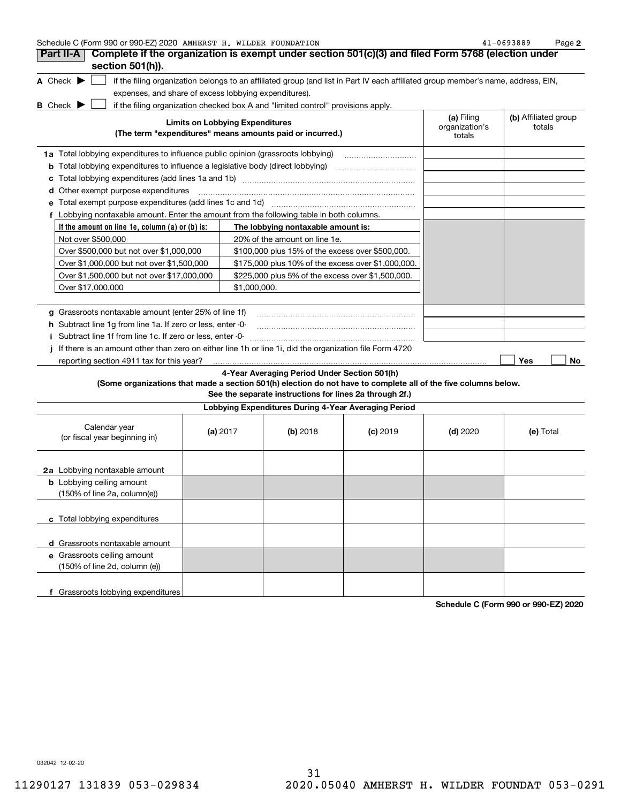|   | Schedule C (Form 990 or 990-EZ) 2020 AMHERST H. WILDER FOUNDATION                                       |                                                       |                                        |              |                                                                                  |                                                                                                                                   |                                        | 41-0693889                     | Page 2    |
|---|---------------------------------------------------------------------------------------------------------|-------------------------------------------------------|----------------------------------------|--------------|----------------------------------------------------------------------------------|-----------------------------------------------------------------------------------------------------------------------------------|----------------------------------------|--------------------------------|-----------|
|   | Part II-A<br>section 501(h)).                                                                           |                                                       |                                        |              |                                                                                  | Complete if the organization is exempt under section 501(c)(3) and filed Form 5768 (election under                                |                                        |                                |           |
|   | A Check $\blacktriangleright$                                                                           |                                                       |                                        |              |                                                                                  | if the filing organization belongs to an affiliated group (and list in Part IV each affiliated group member's name, address, EIN, |                                        |                                |           |
|   |                                                                                                         | expenses, and share of excess lobbying expenditures). |                                        |              |                                                                                  |                                                                                                                                   |                                        |                                |           |
|   | <b>B</b> Check $\blacktriangleright$                                                                    |                                                       |                                        |              | if the filing organization checked box A and "limited control" provisions apply. |                                                                                                                                   |                                        |                                |           |
|   |                                                                                                         |                                                       | <b>Limits on Lobbying Expenditures</b> |              | (The term "expenditures" means amounts paid or incurred.)                        |                                                                                                                                   | (a) Filing<br>organization's<br>totals | (b) Affiliated group<br>totals |           |
|   | 1a Total lobbying expenditures to influence public opinion (grassroots lobbying)                        |                                                       |                                        |              |                                                                                  |                                                                                                                                   |                                        |                                |           |
| b | Total lobbying expenditures to influence a legislative body (direct lobbying)                           |                                                       |                                        |              |                                                                                  |                                                                                                                                   |                                        |                                |           |
|   |                                                                                                         |                                                       |                                        |              |                                                                                  |                                                                                                                                   |                                        |                                |           |
|   | d Other exempt purpose expenditures                                                                     |                                                       |                                        |              |                                                                                  |                                                                                                                                   |                                        |                                |           |
|   |                                                                                                         |                                                       |                                        |              |                                                                                  |                                                                                                                                   |                                        |                                |           |
|   | f Lobbying nontaxable amount. Enter the amount from the following table in both columns.                |                                                       |                                        |              |                                                                                  |                                                                                                                                   |                                        |                                |           |
|   | If the amount on line 1e, column (a) or (b) is:                                                         |                                                       |                                        |              | The lobbying nontaxable amount is:                                               |                                                                                                                                   |                                        |                                |           |
|   | Not over \$500,000                                                                                      |                                                       |                                        |              | 20% of the amount on line 1e.                                                    |                                                                                                                                   |                                        |                                |           |
|   | Over \$500,000 but not over \$1,000,000                                                                 |                                                       |                                        |              | \$100,000 plus 15% of the excess over \$500,000.                                 |                                                                                                                                   |                                        |                                |           |
|   | Over \$1,000,000 but not over \$1,500,000                                                               |                                                       |                                        |              |                                                                                  | \$175,000 plus 10% of the excess over \$1,000,000.                                                                                |                                        |                                |           |
|   | Over \$1,500,000 but not over \$17,000,000                                                              |                                                       |                                        |              | \$225,000 plus 5% of the excess over \$1,500,000.                                |                                                                                                                                   |                                        |                                |           |
|   | Over \$17,000,000                                                                                       |                                                       |                                        | \$1,000,000. |                                                                                  |                                                                                                                                   |                                        |                                |           |
|   |                                                                                                         |                                                       |                                        |              |                                                                                  |                                                                                                                                   |                                        |                                |           |
|   | g Grassroots nontaxable amount (enter 25% of line 1f)                                                   |                                                       |                                        |              |                                                                                  |                                                                                                                                   |                                        |                                |           |
|   | h Subtract line 1g from line 1a. If zero or less, enter -0-                                             |                                                       |                                        |              |                                                                                  |                                                                                                                                   |                                        |                                |           |
|   | Subtract line 1f from line 1c. If zero or less, enter -0-                                               |                                                       |                                        |              |                                                                                  |                                                                                                                                   |                                        |                                |           |
|   | If there is an amount other than zero on either line 1h or line 1i, did the organization file Form 4720 |                                                       |                                        |              |                                                                                  |                                                                                                                                   |                                        |                                |           |
|   | reporting section 4911 tax for this year?                                                               |                                                       |                                        |              |                                                                                  |                                                                                                                                   |                                        | Yes                            | <b>No</b> |
|   |                                                                                                         |                                                       |                                        |              | 4-Year Averaging Period Under Section 501(h)                                     |                                                                                                                                   |                                        |                                |           |
|   |                                                                                                         |                                                       |                                        |              | See the separate instructions for lines 2a through 2f.)                          | (Some organizations that made a section 501(h) election do not have to complete all of the five columns below.                    |                                        |                                |           |
|   |                                                                                                         |                                                       |                                        |              | Lobbying Expenditures During 4-Year Averaging Period                             |                                                                                                                                   |                                        |                                |           |
|   | Calendar year<br>(or fiscal vear beginning in)                                                          |                                                       | (a) $2017$                             |              | (b) 2018                                                                         | $(c)$ 2019                                                                                                                        | $(d)$ 2020                             | (e) Total                      |           |

| Calendar year<br>(or fiscal year beginning in)                                       | (a) $2017$ | $(b)$ 2018 | $(c)$ 2019 | $(d)$ 2020 | (e) Total |
|--------------------------------------------------------------------------------------|------------|------------|------------|------------|-----------|
| 2a Lobbying nontaxable amount                                                        |            |            |            |            |           |
| <b>b</b> Lobbying ceiling amount<br>$(150\% \text{ of line } 2a, \text{ column}(e))$ |            |            |            |            |           |
| c Total lobbying expenditures                                                        |            |            |            |            |           |
| d Grassroots nontaxable amount                                                       |            |            |            |            |           |
| e Grassroots ceiling amount<br>$(150\% \text{ of line } 2d, \text{ column } (e))$    |            |            |            |            |           |
| Grassroots lobbying expenditures                                                     |            |            |            |            |           |

**Schedule C (Form 990 or 990-EZ) 2020**

032042 12-02-20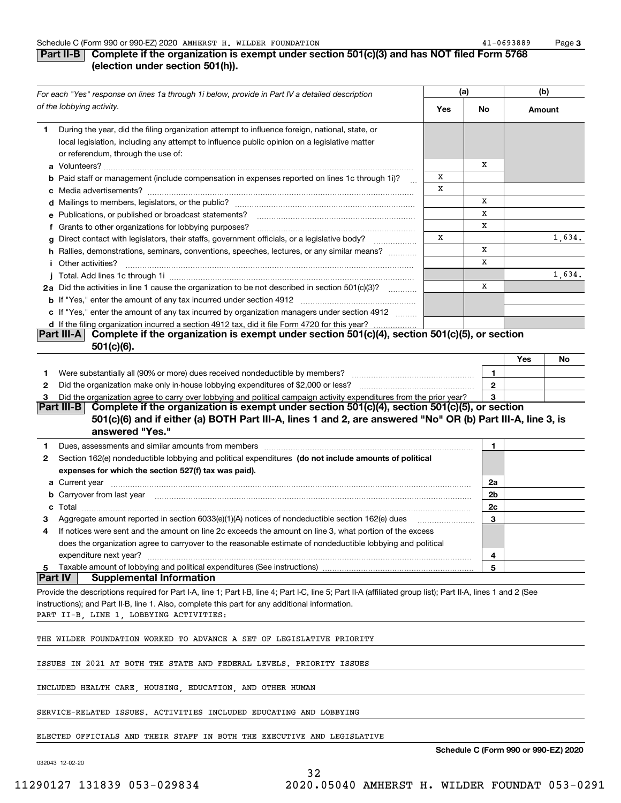#### **Part II-B** Complete if the organization is exempt under section 501(c)(3) and has NOT filed Form 5768 **(election under section 501(h)).**

|    | For each "Yes" response on lines 1a through 1i below, provide in Part IV a detailed description                                                                                                                                      |     | (a)          | (b)    |        |
|----|--------------------------------------------------------------------------------------------------------------------------------------------------------------------------------------------------------------------------------------|-----|--------------|--------|--------|
|    | of the lobbying activity.                                                                                                                                                                                                            | Yes | No           | Amount |        |
| 1. | During the year, did the filing organization attempt to influence foreign, national, state, or<br>local legislation, including any attempt to influence public opinion on a legislative matter<br>or referendum, through the use of: |     | х            |        |        |
|    | <b>b</b> Paid staff or management (include compensation in expenses reported on lines 1c through 1i)?                                                                                                                                | х   |              |        |        |
|    |                                                                                                                                                                                                                                      | х   |              |        |        |
|    |                                                                                                                                                                                                                                      |     | х            |        |        |
|    | <b>e</b> Publications, or published or broadcast statements?                                                                                                                                                                         |     | х            |        |        |
|    | f Grants to other organizations for lobbying purposes?                                                                                                                                                                               |     | х            |        |        |
|    | Direct contact with legislators, their staffs, government officials, or a legislative body?                                                                                                                                          | х   |              |        | 1,634. |
|    | h Rallies, demonstrations, seminars, conventions, speeches, lectures, or any similar means?                                                                                                                                          |     | х<br>X       |        |        |
|    | <i>i</i> Other activities?                                                                                                                                                                                                           |     |              |        | 1,634. |
|    | 2a Did the activities in line 1 cause the organization to be not described in section 501(c)(3)?                                                                                                                                     |     | х            |        |        |
|    |                                                                                                                                                                                                                                      |     |              |        |        |
|    | c If "Yes," enter the amount of any tax incurred by organization managers under section 4912                                                                                                                                         |     |              |        |        |
|    | d If the filing organization incurred a section 4912 tax, did it file Form 4720 for this year?                                                                                                                                       |     |              |        |        |
|    | Complete if the organization is exempt under section 501(c)(4), section 501(c)(5), or section<br><b>Part III-A</b>                                                                                                                   |     |              |        |        |
|    | $501(c)(6)$ .                                                                                                                                                                                                                        |     |              |        |        |
|    |                                                                                                                                                                                                                                      |     |              | Yes    | No     |
| 1  |                                                                                                                                                                                                                                      |     | 1            |        |        |
| 2  |                                                                                                                                                                                                                                      |     | $\mathbf{2}$ |        |        |
| з  | Did the organization agree to carry over lobbying and political campaign activity expenditures from the prior year?<br>Complete if the organization is exempt under section 501(c)(4), section 501(c)(5), or section<br>Part III-B   |     | 3            |        |        |
|    | 501(c)(6) and if either (a) BOTH Part III-A, lines 1 and 2, are answered "No" OR (b) Part III-A, line 3, is<br>answered "Yes."                                                                                                       |     |              |        |        |
|    |                                                                                                                                                                                                                                      |     |              |        |        |
| 1. |                                                                                                                                                                                                                                      |     | 1            |        |        |
| 2  | Section 162(e) nondeductible lobbying and political expenditures (do not include amounts of political<br>expenses for which the section 527(f) tax was paid).                                                                        |     |              |        |        |
|    |                                                                                                                                                                                                                                      |     | 2a           |        |        |
|    |                                                                                                                                                                                                                                      |     | 2b           |        |        |
| c  |                                                                                                                                                                                                                                      |     | 2c           |        |        |
| з  | Aggregate amount reported in section 6033(e)(1)(A) notices of nondeductible section 162(e) dues                                                                                                                                      |     | 3            |        |        |
| 4  | If notices were sent and the amount on line 2c exceeds the amount on line 3, what portion of the excess                                                                                                                              |     |              |        |        |
|    | does the organization agree to carryover to the reasonable estimate of nondeductible lobbying and political                                                                                                                          |     |              |        |        |
|    | expenditure next year?                                                                                                                                                                                                               |     | 4            |        |        |
| 5  | Taxable amount of lobbying and political expenditures (See instructions)<br> Part IV <br><b>Supplemental Information</b>                                                                                                             |     | 5            |        |        |
|    | Provide the descriptions required for Part I-A, line 1; Part I-B, line 4; Part I-C, line 5; Part II-A (affiliated group list); Part II-A, lines 1 and 2 (See                                                                         |     |              |        |        |
|    | instructions); and Part II-B, line 1. Also, complete this part for any additional information.                                                                                                                                       |     |              |        |        |
|    | PART II-B, LINE 1, LOBBYING ACTIVITIES:                                                                                                                                                                                              |     |              |        |        |
|    | THE WILDER FOUNDATION WORKED TO ADVANCE A SET OF LEGISLATIVE PRIORITY                                                                                                                                                                |     |              |        |        |
|    |                                                                                                                                                                                                                                      |     |              |        |        |
|    | ISSUES IN 2021 AT BOTH THE STATE AND FEDERAL LEVELS. PRIORITY ISSUES                                                                                                                                                                 |     |              |        |        |
|    | INCLUDED HEALTH CARE, HOUSING, EDUCATION, AND OTHER HUMAN                                                                                                                                                                            |     |              |        |        |
|    | SERVICE-RELATED ISSUES. ACTIVITIES INCLUDED EDUCATING AND LOBBYING                                                                                                                                                                   |     |              |        |        |
|    | ELECTED OFFICIALS AND THEIR STAFF IN BOTH THE EXECUTIVE AND LEGISLATIVE                                                                                                                                                              |     |              |        |        |

032043 12-02-20

**Schedule C (Form 990 or 990-EZ) 2020**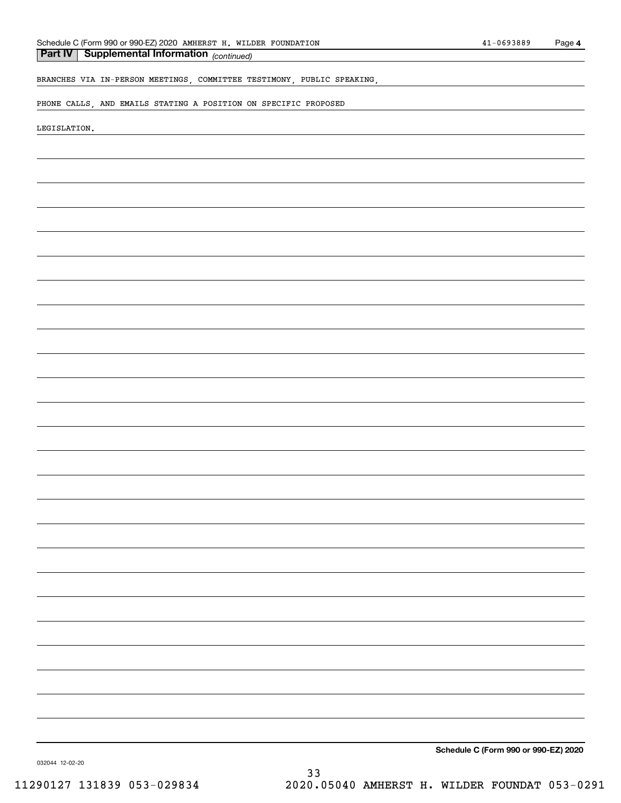*(continued)* **Part IV Supplemental Information** 

# BRANCHES VIA IN-PERSON MEETINGS, COMMITTEE TESTIMONY, PUBLIC SPEAKING,

PHONE CALLS, AND EMAILS STATING A POSITION ON SPECIFIC PROPOSED

LEGISLATION.

**Schedule C (Form 990 or 990-EZ) 2020**

032044 12-02-20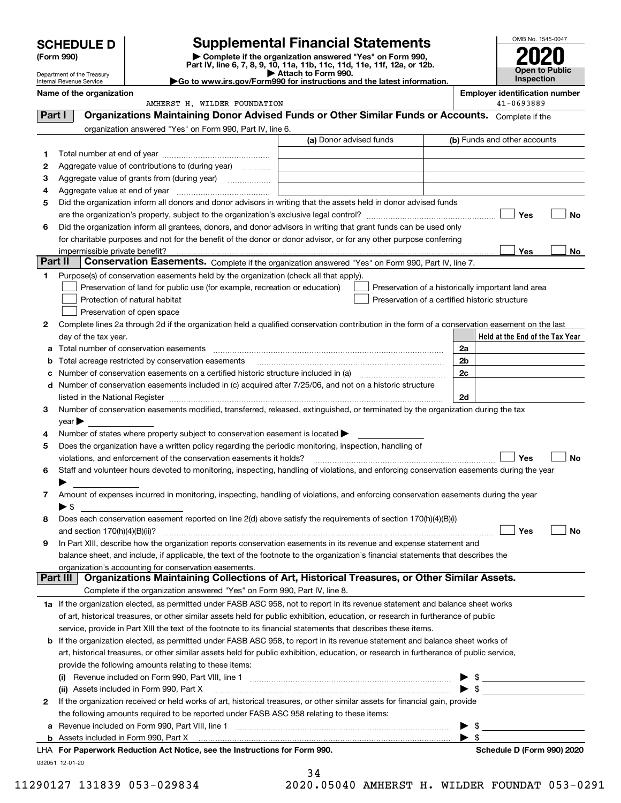| (Form 990) | <b>SCHEDULE D</b><br>Department of the Treasury      |                                                                                                                                                       | <b>Supplemental Financial Statements</b><br>Complete if the organization answered "Yes" on Form 990,<br>Part IV, line 6, 7, 8, 9, 10, 11a, 11b, 11c, 11d, 11e, 11f, 12a, or 12b.<br>Attach to Form 990.<br>► Go to www.irs.gov/Form990 for instructions and the latest information. |                                                    |                          | OMB No. 1545-0047<br><b>Open to Public</b><br><b>Inspection</b> |    |
|------------|------------------------------------------------------|-------------------------------------------------------------------------------------------------------------------------------------------------------|-------------------------------------------------------------------------------------------------------------------------------------------------------------------------------------------------------------------------------------------------------------------------------------|----------------------------------------------------|--------------------------|-----------------------------------------------------------------|----|
|            | Internal Revenue Service<br>Name of the organization |                                                                                                                                                       |                                                                                                                                                                                                                                                                                     |                                                    |                          | <b>Employer identification number</b>                           |    |
|            |                                                      | AMHERST H. WILDER FOUNDATION                                                                                                                          |                                                                                                                                                                                                                                                                                     |                                                    |                          | 41-0693889                                                      |    |
| Part I     |                                                      | Organizations Maintaining Donor Advised Funds or Other Similar Funds or Accounts. Complete if the                                                     |                                                                                                                                                                                                                                                                                     |                                                    |                          |                                                                 |    |
|            |                                                      | organization answered "Yes" on Form 990, Part IV, line 6.                                                                                             |                                                                                                                                                                                                                                                                                     |                                                    |                          |                                                                 |    |
|            |                                                      |                                                                                                                                                       | (a) Donor advised funds                                                                                                                                                                                                                                                             |                                                    |                          | (b) Funds and other accounts                                    |    |
| 1          |                                                      |                                                                                                                                                       |                                                                                                                                                                                                                                                                                     |                                                    |                          |                                                                 |    |
| 2          |                                                      | Aggregate value of contributions to (during year)                                                                                                     |                                                                                                                                                                                                                                                                                     |                                                    |                          |                                                                 |    |
| З          |                                                      |                                                                                                                                                       |                                                                                                                                                                                                                                                                                     |                                                    |                          |                                                                 |    |
| 4          | Aggregate value at end of year                       |                                                                                                                                                       |                                                                                                                                                                                                                                                                                     |                                                    |                          |                                                                 |    |
| 5          |                                                      | Did the organization inform all donors and donor advisors in writing that the assets held in donor advised funds                                      |                                                                                                                                                                                                                                                                                     |                                                    |                          |                                                                 |    |
|            |                                                      |                                                                                                                                                       |                                                                                                                                                                                                                                                                                     |                                                    |                          | Yes                                                             | No |
| 6          |                                                      | Did the organization inform all grantees, donors, and donor advisors in writing that grant funds can be used only                                     |                                                                                                                                                                                                                                                                                     |                                                    |                          |                                                                 |    |
|            |                                                      | for charitable purposes and not for the benefit of the donor or donor advisor, or for any other purpose conferring                                    |                                                                                                                                                                                                                                                                                     |                                                    |                          |                                                                 |    |
|            | impermissible private benefit?                       |                                                                                                                                                       |                                                                                                                                                                                                                                                                                     |                                                    |                          | Yes                                                             | No |
| Part II    |                                                      | Conservation Easements. Complete if the organization answered "Yes" on Form 990, Part IV, line 7.                                                     |                                                                                                                                                                                                                                                                                     |                                                    |                          |                                                                 |    |
| 1          |                                                      | Purpose(s) of conservation easements held by the organization (check all that apply).                                                                 |                                                                                                                                                                                                                                                                                     |                                                    |                          |                                                                 |    |
|            |                                                      | Preservation of land for public use (for example, recreation or education)                                                                            |                                                                                                                                                                                                                                                                                     | Preservation of a historically important land area |                          |                                                                 |    |
|            |                                                      | Protection of natural habitat                                                                                                                         |                                                                                                                                                                                                                                                                                     | Preservation of a certified historic structure     |                          |                                                                 |    |
|            |                                                      | Preservation of open space                                                                                                                            |                                                                                                                                                                                                                                                                                     |                                                    |                          |                                                                 |    |
| 2          |                                                      | Complete lines 2a through 2d if the organization held a qualified conservation contribution in the form of a conservation easement on the last        |                                                                                                                                                                                                                                                                                     |                                                    |                          |                                                                 |    |
|            | day of the tax year.                                 |                                                                                                                                                       |                                                                                                                                                                                                                                                                                     |                                                    |                          | Held at the End of the Tax Year                                 |    |
| а          |                                                      |                                                                                                                                                       |                                                                                                                                                                                                                                                                                     |                                                    | 2a                       |                                                                 |    |
|            |                                                      | Total acreage restricted by conservation easements                                                                                                    |                                                                                                                                                                                                                                                                                     |                                                    | 2 <sub>b</sub>           |                                                                 |    |
|            |                                                      |                                                                                                                                                       |                                                                                                                                                                                                                                                                                     |                                                    | 2c                       |                                                                 |    |
| d          |                                                      | Number of conservation easements included in (c) acquired after 7/25/06, and not on a historic structure                                              |                                                                                                                                                                                                                                                                                     |                                                    |                          |                                                                 |    |
|            |                                                      |                                                                                                                                                       |                                                                                                                                                                                                                                                                                     |                                                    | 2d                       |                                                                 |    |
| З.         |                                                      | Number of conservation easements modified, transferred, released, extinguished, or terminated by the organization during the tax                      |                                                                                                                                                                                                                                                                                     |                                                    |                          |                                                                 |    |
|            | $\vee$ ear $\blacktriangleright$                     |                                                                                                                                                       |                                                                                                                                                                                                                                                                                     |                                                    |                          |                                                                 |    |
| 4          |                                                      | Number of states where property subject to conservation easement is located >                                                                         |                                                                                                                                                                                                                                                                                     |                                                    |                          |                                                                 |    |
| 5          |                                                      | Does the organization have a written policy regarding the periodic monitoring, inspection, handling of                                                |                                                                                                                                                                                                                                                                                     |                                                    |                          |                                                                 |    |
|            |                                                      | violations, and enforcement of the conservation easements it holds?                                                                                   |                                                                                                                                                                                                                                                                                     |                                                    |                          | Yes                                                             | No |
| 6          |                                                      | Staff and volunteer hours devoted to monitoring, inspecting, handling of violations, and enforcing conservation easements during the year             |                                                                                                                                                                                                                                                                                     |                                                    |                          |                                                                 |    |
|            |                                                      |                                                                                                                                                       |                                                                                                                                                                                                                                                                                     |                                                    |                          |                                                                 |    |
| 7          |                                                      | Amount of expenses incurred in monitoring, inspecting, handling of violations, and enforcing conservation easements during the year                   |                                                                                                                                                                                                                                                                                     |                                                    |                          |                                                                 |    |
|            | $\blacktriangleright$ \$                             |                                                                                                                                                       |                                                                                                                                                                                                                                                                                     |                                                    |                          |                                                                 |    |
| 8          |                                                      | Does each conservation easement reported on line 2(d) above satisfy the requirements of section 170(h)(4)(B)(i)                                       |                                                                                                                                                                                                                                                                                     |                                                    |                          |                                                                 |    |
|            |                                                      |                                                                                                                                                       |                                                                                                                                                                                                                                                                                     |                                                    |                          | Yes                                                             | No |
| 9          |                                                      | In Part XIII, describe how the organization reports conservation easements in its revenue and expense statement and                                   |                                                                                                                                                                                                                                                                                     |                                                    |                          |                                                                 |    |
|            |                                                      | balance sheet, and include, if applicable, the text of the footnote to the organization's financial statements that describes the                     |                                                                                                                                                                                                                                                                                     |                                                    |                          |                                                                 |    |
| Part III   |                                                      | organization's accounting for conservation easements.<br>Organizations Maintaining Collections of Art, Historical Treasures, or Other Similar Assets. |                                                                                                                                                                                                                                                                                     |                                                    |                          |                                                                 |    |
|            |                                                      |                                                                                                                                                       |                                                                                                                                                                                                                                                                                     |                                                    |                          |                                                                 |    |
|            |                                                      | Complete if the organization answered "Yes" on Form 990, Part IV, line 8.                                                                             |                                                                                                                                                                                                                                                                                     |                                                    |                          |                                                                 |    |
|            |                                                      | 1a If the organization elected, as permitted under FASB ASC 958, not to report in its revenue statement and balance sheet works                       |                                                                                                                                                                                                                                                                                     |                                                    |                          |                                                                 |    |
|            |                                                      | of art, historical treasures, or other similar assets held for public exhibition, education, or research in furtherance of public                     |                                                                                                                                                                                                                                                                                     |                                                    |                          |                                                                 |    |
|            |                                                      | service, provide in Part XIII the text of the footnote to its financial statements that describes these items.                                        |                                                                                                                                                                                                                                                                                     |                                                    |                          |                                                                 |    |
| b          |                                                      | If the organization elected, as permitted under FASB ASC 958, to report in its revenue statement and balance sheet works of                           |                                                                                                                                                                                                                                                                                     |                                                    |                          |                                                                 |    |
|            |                                                      | art, historical treasures, or other similar assets held for public exhibition, education, or research in furtherance of public service,               |                                                                                                                                                                                                                                                                                     |                                                    |                          |                                                                 |    |
|            |                                                      | provide the following amounts relating to these items:                                                                                                |                                                                                                                                                                                                                                                                                     |                                                    |                          |                                                                 |    |
|            | (i)                                                  | Revenue included on Form 990, Part VIII, line 1 [2000] [2000] [2000] [2000] [3000] [3000] [3000] [3000] [3000                                         |                                                                                                                                                                                                                                                                                     |                                                    | $\blacktriangleright$ \$ |                                                                 |    |
|            |                                                      | (ii) Assets included in Form 990, Part X                                                                                                              |                                                                                                                                                                                                                                                                                     |                                                    |                          |                                                                 |    |
| 2          |                                                      | If the organization received or held works of art, historical treasures, or other similar assets for financial gain, provide                          |                                                                                                                                                                                                                                                                                     |                                                    |                          |                                                                 |    |
|            |                                                      | the following amounts required to be reported under FASB ASC 958 relating to these items:                                                             |                                                                                                                                                                                                                                                                                     |                                                    |                          |                                                                 |    |
| а          |                                                      |                                                                                                                                                       |                                                                                                                                                                                                                                                                                     |                                                    | - \$<br>▶ \$             |                                                                 |    |
|            |                                                      |                                                                                                                                                       |                                                                                                                                                                                                                                                                                     |                                                    |                          |                                                                 |    |

|  | <b>b</b> Assets included in Form 990, Part X                            |
|--|-------------------------------------------------------------------------|
|  | LHA For Paperwork Reduction Act Notice, see the Instructions for Form 9 |
|  | 032051 12-01-20                                                         |

34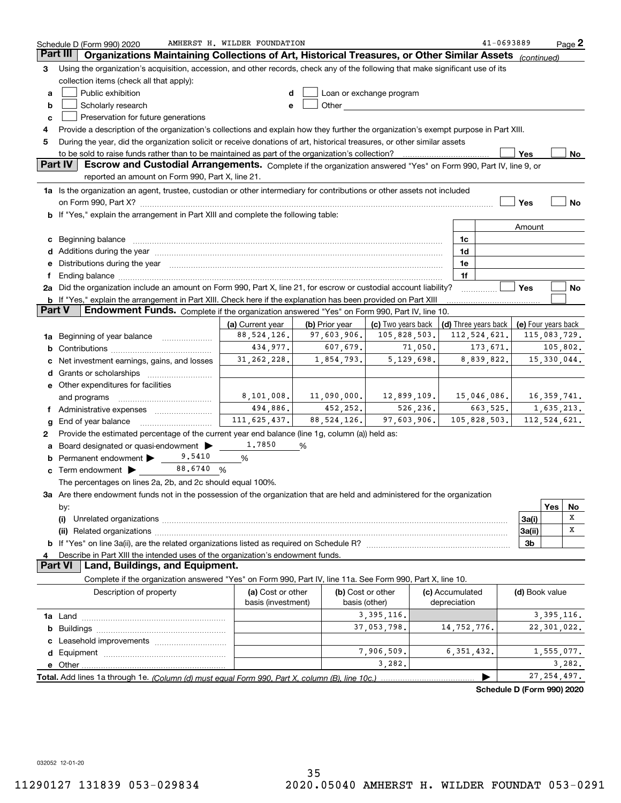|               | Schedule D (Form 990) 2020                                                                                                                                                                                                     | AMHERST H. WILDER FOUNDATION |                |                          |                                                                     | 41-0693889                 |               | Page 2 |
|---------------|--------------------------------------------------------------------------------------------------------------------------------------------------------------------------------------------------------------------------------|------------------------------|----------------|--------------------------|---------------------------------------------------------------------|----------------------------|---------------|--------|
|               | Part III<br>Organizations Maintaining Collections of Art, Historical Treasures, or Other Similar Assets (continued)                                                                                                            |                              |                |                          |                                                                     |                            |               |        |
| 3             | Using the organization's acquisition, accession, and other records, check any of the following that make significant use of its                                                                                                |                              |                |                          |                                                                     |                            |               |        |
|               | collection items (check all that apply):                                                                                                                                                                                       |                              |                |                          |                                                                     |                            |               |        |
| a             | Public exhibition                                                                                                                                                                                                              | d                            |                | Loan or exchange program |                                                                     |                            |               |        |
| b             | Scholarly research                                                                                                                                                                                                             | e                            | Other          |                          |                                                                     |                            |               |        |
| с             | Preservation for future generations                                                                                                                                                                                            |                              |                |                          |                                                                     |                            |               |        |
| 4             | Provide a description of the organization's collections and explain how they further the organization's exempt purpose in Part XIII.                                                                                           |                              |                |                          |                                                                     |                            |               |        |
| 5             | During the year, did the organization solicit or receive donations of art, historical treasures, or other similar assets                                                                                                       |                              |                |                          |                                                                     |                            |               |        |
|               |                                                                                                                                                                                                                                |                              |                |                          |                                                                     | Yes                        |               | No     |
|               | Part IV<br>Escrow and Custodial Arrangements. Complete if the organization answered "Yes" on Form 990, Part IV, line 9, or                                                                                                     |                              |                |                          |                                                                     |                            |               |        |
|               | reported an amount on Form 990, Part X, line 21.                                                                                                                                                                               |                              |                |                          |                                                                     |                            |               |        |
|               | 1a Is the organization an agent, trustee, custodian or other intermediary for contributions or other assets not included                                                                                                       |                              |                |                          |                                                                     |                            |               |        |
|               | on Form 990, Part X? [11] matter and the contract of the contract of the contract of the contract of the contract of the contract of the contract of the contract of the contract of the contract of the contract of the contr |                              |                |                          |                                                                     | Yes                        |               | No     |
|               | b If "Yes," explain the arrangement in Part XIII and complete the following table:                                                                                                                                             |                              |                |                          |                                                                     |                            |               |        |
|               |                                                                                                                                                                                                                                |                              |                |                          |                                                                     |                            |               |        |
|               |                                                                                                                                                                                                                                |                              |                |                          |                                                                     | Amount                     |               |        |
|               | c Beginning balance measurements and the contract of the contract of the contract of the contract of the contract of the contract of the contract of the contract of the contract of the contract of the contract of the contr |                              |                |                          | 1c                                                                  |                            |               |        |
|               | d Additions during the year measurements are all an according to the year measurement of the year measurement                                                                                                                  |                              |                |                          | 1d                                                                  |                            |               |        |
|               | e Distributions during the year manufactured and continuum and contained and the year manufactured and contained and the year manufactured and contained and contained and contained and contained and contained and contained |                              |                |                          | 1e                                                                  |                            |               |        |
|               |                                                                                                                                                                                                                                |                              |                |                          | 1f                                                                  |                            |               |        |
|               | 2a Did the organization include an amount on Form 990, Part X, line 21, for escrow or custodial account liability?                                                                                                             |                              |                |                          |                                                                     | Yes                        |               | No     |
| <b>Part V</b> | b If "Yes," explain the arrangement in Part XIII. Check here if the explanation has been provided on Part XIII<br>Endowment Funds. Complete if the organization answered "Yes" on Form 990, Part IV, line 10.                  |                              |                |                          |                                                                     |                            |               |        |
|               |                                                                                                                                                                                                                                |                              |                |                          |                                                                     |                            |               |        |
|               |                                                                                                                                                                                                                                | (a) Current year             | (b) Prior year |                          | (c) Two years back $ $ (d) Three years back $ $ (e) Four years back |                            |               |        |
|               | <b>1a</b> Beginning of year balance <i>manumumum</i>                                                                                                                                                                           | 88, 524, 126.                | 97,603,906.    | 105,828,503.             | 112, 524, 621.                                                      |                            | 115,083,729.  |        |
| b             |                                                                                                                                                                                                                                | 434,977.                     | 607,679.       | 71,050.                  | 173,671.                                                            |                            | 105,802.      |        |
| c             | Net investment earnings, gains, and losses                                                                                                                                                                                     | 31, 262, 228.                | 1,854,793.     | 5,129,698.               | 8,839,822.                                                          |                            | 15,330,044.   |        |
|               | d Grants or scholarships                                                                                                                                                                                                       |                              |                |                          |                                                                     |                            |               |        |
|               | e Other expenditures for facilities                                                                                                                                                                                            |                              |                |                          |                                                                     |                            |               |        |
|               | and programs                                                                                                                                                                                                                   | 8,101,008.                   | 11,090,000.    | 12,899,109.              | 15,046,086.                                                         |                            | 16, 359, 741. |        |
|               |                                                                                                                                                                                                                                | 494,886.                     | 452,252.       | 526, 236.                | 663,525.                                                            |                            | 1,635,213.    |        |
| g             | End of year balance                                                                                                                                                                                                            | 111, 625, 437.               | 88, 524, 126.  | 97,603,906.              | 105,828,503.                                                        |                            | 112,524,621.  |        |
| 2             | Provide the estimated percentage of the current year end balance (line 1g, column (a)) held as:                                                                                                                                |                              |                |                          |                                                                     |                            |               |        |
| a             | Board designated or quasi-endowment                                                                                                                                                                                            | 1,7850                       | %              |                          |                                                                     |                            |               |        |
|               | 9.5410<br><b>b</b> Permanent endowment $\blacktriangleright$                                                                                                                                                                   | %                            |                |                          |                                                                     |                            |               |        |
|               | 88,6740 %<br>$\mathbf c$ Term endowment $\blacktriangleright$                                                                                                                                                                  |                              |                |                          |                                                                     |                            |               |        |
|               | The percentages on lines 2a, 2b, and 2c should equal 100%.                                                                                                                                                                     |                              |                |                          |                                                                     |                            |               |        |
|               | 3a Are there endowment funds not in the possession of the organization that are held and administered for the organization                                                                                                     |                              |                |                          |                                                                     |                            |               |        |
|               | by:                                                                                                                                                                                                                            |                              |                |                          |                                                                     |                            | Yes           | No     |
|               | (i)                                                                                                                                                                                                                            |                              |                |                          |                                                                     | 3a(i)                      |               | х      |
|               |                                                                                                                                                                                                                                |                              |                |                          |                                                                     | 3a(ii)                     |               | x      |
|               |                                                                                                                                                                                                                                |                              |                |                          |                                                                     | 3b                         |               |        |
| 4             | Describe in Part XIII the intended uses of the organization's endowment funds.                                                                                                                                                 |                              |                |                          |                                                                     |                            |               |        |
|               | <b>Part VI</b><br>Land, Buildings, and Equipment.                                                                                                                                                                              |                              |                |                          |                                                                     |                            |               |        |
|               | Complete if the organization answered "Yes" on Form 990, Part IV, line 11a. See Form 990, Part X, line 10.                                                                                                                     |                              |                |                          |                                                                     |                            |               |        |
|               | Description of property                                                                                                                                                                                                        | (a) Cost or other            |                | (b) Cost or other        | (c) Accumulated                                                     | (d) Book value             |               |        |
|               |                                                                                                                                                                                                                                | basis (investment)           |                | basis (other)            | depreciation                                                        |                            |               |        |
|               |                                                                                                                                                                                                                                |                              |                | 3, 395, 116.             |                                                                     |                            | 3, 395, 116.  |        |
|               |                                                                                                                                                                                                                                |                              |                | 37,053,798.              | 14,752,776.                                                         |                            | 22,301,022.   |        |
|               |                                                                                                                                                                                                                                |                              |                |                          |                                                                     |                            |               |        |
|               |                                                                                                                                                                                                                                |                              |                | 7,906,509.               | 6, 351, 432.                                                        |                            | 1,555,077.    |        |
|               |                                                                                                                                                                                                                                |                              |                | 3,282.                   |                                                                     |                            |               | 3,282. |
|               |                                                                                                                                                                                                                                |                              |                |                          |                                                                     |                            |               |        |
|               |                                                                                                                                                                                                                                |                              |                |                          |                                                                     |                            | 27, 254, 497. |        |
|               |                                                                                                                                                                                                                                |                              |                |                          |                                                                     | Schedule D (Form 990) 2020 |               |        |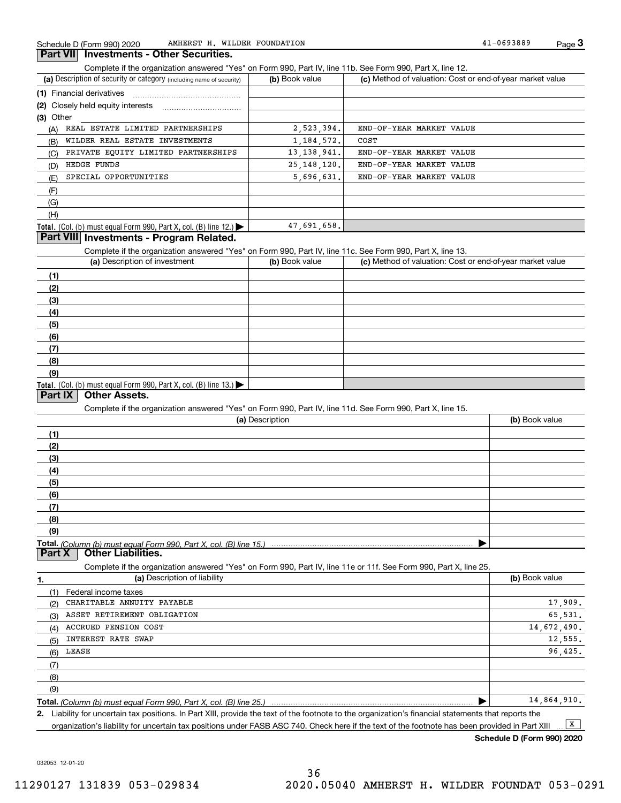#### **3Part VII Investments - Other Securities.**

Complete if the organization answered "Yes" on Form 990, Part IV, line 11b. See Form 990, Part X, line 12.

| (a) Description of security or category (including name of security)       | (b) Book value | (c) Method of valuation: Cost or end-of-year market value |
|----------------------------------------------------------------------------|----------------|-----------------------------------------------------------|
| (1) Financial derivatives                                                  |                |                                                           |
| (2) Closely held equity interests                                          |                |                                                           |
| $(3)$ Other                                                                |                |                                                           |
| REAL ESTATE LIMITED PARTNERSHIPS<br>(A)                                    | 2,523,394.     | END-OF-YEAR MARKET VALUE                                  |
| WILDER REAL ESTATE INVESTMENTS<br>(B)                                      | 1, 184, 572.   | COST                                                      |
| PRIVATE EQUITY LIMITED PARTNERSHIPS<br>(C)                                 | 13, 138, 941.  | END-OF-YEAR MARKET VALUE                                  |
| HEDGE FUNDS<br>(D)                                                         | 25, 148, 120.  | END-OF-YEAR MARKET VALUE                                  |
| SPECIAL OPPORTUNITIES<br>(E)                                               | 5,696,631.     | END-OF-YEAR MARKET VALUE                                  |
| (F)                                                                        |                |                                                           |
| (G)                                                                        |                |                                                           |
| (H)                                                                        |                |                                                           |
| <b>Total.</b> (Col. (b) must equal Form 990, Part X, col. (B) line $12$ .) | 47,691,658.    |                                                           |

#### **Part VIII Investments - Program Related.**

Complete if the organization answered "Yes" on Form 990, Part IV, line 11c. See Form 990, Part X, line 13.

| (a) Description of investment                                                          | (b) Book value | (c) Method of valuation: Cost or end-of-year market value |
|----------------------------------------------------------------------------------------|----------------|-----------------------------------------------------------|
| (1)                                                                                    |                |                                                           |
| (2)                                                                                    |                |                                                           |
| (3)                                                                                    |                |                                                           |
| (4)                                                                                    |                |                                                           |
| (5)                                                                                    |                |                                                           |
| (6)                                                                                    |                |                                                           |
| (7)                                                                                    |                |                                                           |
| (8)                                                                                    |                |                                                           |
| (9)                                                                                    |                |                                                           |
| Total. (Col. (b) must equal Form 990, Part X, col. (B) line 13.) $\blacktriangleright$ |                |                                                           |

#### **Part IX Other Assets.**

Complete if the organization answered "Yes" on Form 990, Part IV, line 11d. See Form 990, Part X, line 15.

| (a) Description | (b) Book value |
|-----------------|----------------|
| (1)             |                |
| (2)             |                |
| (3)             |                |
| (4)             |                |
| (5)             |                |
| (6)             |                |
|                 |                |
| (8)             |                |
| (9)             |                |
|                 |                |

**Part X Other Liabilities.**

Complete if the organization answered "Yes" on Form 990, Part IV, line 11e or 11f. See Form 990, Part X, line 25.

| 1.  | (a) Description of liability | (b) Book value |
|-----|------------------------------|----------------|
| (1) | Federal income taxes         |                |
| (2) | CHARITABLE ANNUITY PAYABLE   | 17,909.        |
| (3) | ASSET RETIREMENT OBLIGATION  | 65,531.        |
| (4) | ACCRUED PENSION COST         | 14,672,490.    |
| (5) | INTEREST RATE SWAP           | 12,555.        |
| (6) | LEASE                        | 96,425.        |
| (7) |                              |                |
| (8) |                              |                |
| (9) |                              |                |
|     |                              | 14,864,910.    |

*(Column (b) must equal Form 990, Part X, col. (B) line 25.)* 

**2.**Liability for uncertain tax positions. In Part XIII, provide the text of the footnote to the organization's financial statements that reports the organization's liability for uncertain tax positions under FASB ASC 740. Check here if the text of the footnote has been provided in Part XIII  $\boxed{\mathbf{X}}$ 

**Schedule D (Form 990) 2020**

032053 12-01-20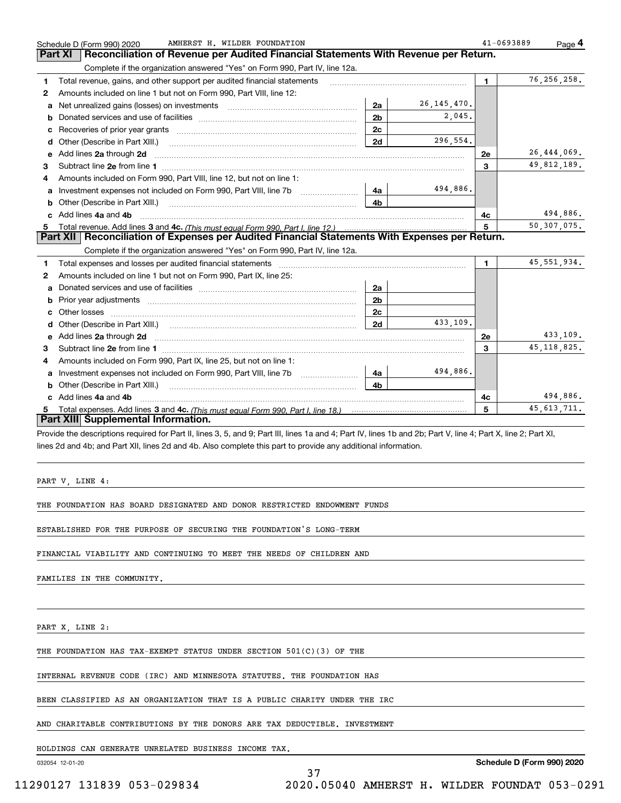|    | AMHERST H. WILDER FOUNDATION<br>Schedule D (Form 990) 2020                                                                                                                                                                          |                |               | 41-0693889  | Page 4        |
|----|-------------------------------------------------------------------------------------------------------------------------------------------------------------------------------------------------------------------------------------|----------------|---------------|-------------|---------------|
|    | Reconciliation of Revenue per Audited Financial Statements With Revenue per Return.<br><b>Part XI</b>                                                                                                                               |                |               |             |               |
|    | Complete if the organization answered "Yes" on Form 990, Part IV, line 12a.                                                                                                                                                         |                |               |             |               |
| 1  | Total revenue, gains, and other support per audited financial statements                                                                                                                                                            |                |               | $\mathbf 1$ | 76, 256, 258. |
| 2  | Amounts included on line 1 but not on Form 990, Part VIII, line 12:                                                                                                                                                                 |                |               |             |               |
| a  | Net unrealized gains (losses) on investments [11] matter contracts and the unrealized gains (losses) on investments                                                                                                                 | 2a             | 26, 145, 470. |             |               |
| b  |                                                                                                                                                                                                                                     | 2 <sub>b</sub> | 2,045.        |             |               |
| c  |                                                                                                                                                                                                                                     | 2c             |               |             |               |
| d  | Other (Describe in Part XIII.) <b>Construction Contract Construction</b> Chern Construction Chern Chern Chern Chern Chern Chern Chern Chern Chern Chern Chern Chern Chern Chern Chern Chern Chern Chern Chern Chern Chern Chern Che | 2d             | 296,554.      |             |               |
| е  | Add lines 2a through 2d                                                                                                                                                                                                             |                |               | 2е          | 26,444,069.   |
| 3  |                                                                                                                                                                                                                                     |                |               | 3           | 49,812,189.   |
| 4  | Amounts included on Form 990, Part VIII, line 12, but not on line 1:                                                                                                                                                                |                |               |             |               |
| a  |                                                                                                                                                                                                                                     | 4a             | 494,886.      |             |               |
| b  | Other (Describe in Part XIII.) <b>Construction Contract Construction</b> Chern Construction Chern Chern Chern Chern Chern Chern Chern Chern Chern Chern Chern Chern Chern Chern Chern Chern Chern Chern Chern Chern Chern Chern Che | 4b             |               |             |               |
| C. | Add lines 4a and 4b                                                                                                                                                                                                                 |                |               | 4с          | 494,886.      |
| 5. |                                                                                                                                                                                                                                     |                |               | 5           | 50,307,075.   |
|    | Part XII Reconciliation of Expenses per Audited Financial Statements With Expenses per Return.                                                                                                                                      |                |               |             |               |
|    | Complete if the organization answered "Yes" on Form 990, Part IV, line 12a.                                                                                                                                                         |                |               |             |               |
| 1  |                                                                                                                                                                                                                                     |                |               | 1.          | 45, 551, 934. |
| 2  | Amounts included on line 1 but not on Form 990, Part IX, line 25:                                                                                                                                                                   |                |               |             |               |
| a  |                                                                                                                                                                                                                                     | 2a             |               |             |               |
| b  |                                                                                                                                                                                                                                     | 2 <sub>b</sub> |               |             |               |
|    | Other losses                                                                                                                                                                                                                        | 2c             |               |             |               |
| d  |                                                                                                                                                                                                                                     | 2d             | 433,109.      |             |               |
| e  |                                                                                                                                                                                                                                     |                |               | 2e          | 433,109.      |
| 3  |                                                                                                                                                                                                                                     |                |               | 3           | 45, 118, 825. |
| 4  | Amounts included on Form 990, Part IX, line 25, but not on line 1:                                                                                                                                                                  |                |               |             |               |
| a  | Investment expenses not included on Form 990, Part VIII, line 7b [11, 111, 111, 111]                                                                                                                                                | 4a             | 494,886.      |             |               |
| b  |                                                                                                                                                                                                                                     | 4 <sub>b</sub> |               |             |               |
|    | Add lines 4a and 4b                                                                                                                                                                                                                 |                |               | 4c          | 494,886.      |
| 5. |                                                                                                                                                                                                                                     |                |               | 5           | 45, 613, 711. |
|    | <b>Part XIII Supplemental Information.</b>                                                                                                                                                                                          |                |               |             |               |
|    | Provide the descriptions required for Part II, lines 3, 5, and 9; Part III, lines 1a and 4; Part IV, lines 1b and 2b; Part V, line 4; Part X, line 2; Part XI,                                                                      |                |               |             |               |

lines 2d and 4b; and Part XII, lines 2d and 4b. Also complete this part to provide any additional information.

PART V, LINE 4:

THE FOUNDATION HAS BOARD DESIGNATED AND DONOR RESTRICTED ENDOWMENT FUNDS

ESTABLISHED FOR THE PURPOSE OF SECURING THE FOUNDATION'S LONG-TERM

FINANCIAL VIABILITY AND CONTINUING TO MEET THE NEEDS OF CHILDREN AND

FAMILIES IN THE COMMUNITY.

PART X, LINE 2:

THE FOUNDATION HAS TAX-EXEMPT STATUS UNDER SECTION 501(C)(3) OF THE

INTERNAL REVENUE CODE (IRC) AND MINNESOTA STATUTES. THE FOUNDATION HAS

BEEN CLASSIFIED AS AN ORGANIZATION THAT IS A PUBLIC CHARITY UNDER THE IRC

AND CHARITABLE CONTRIBUTIONS BY THE DONORS ARE TAX DEDUCTIBLE. INVESTMENT

37

HOLDINGS CAN GENERATE UNRELATED BUSINESS INCOME TAX.

032054 12-01-20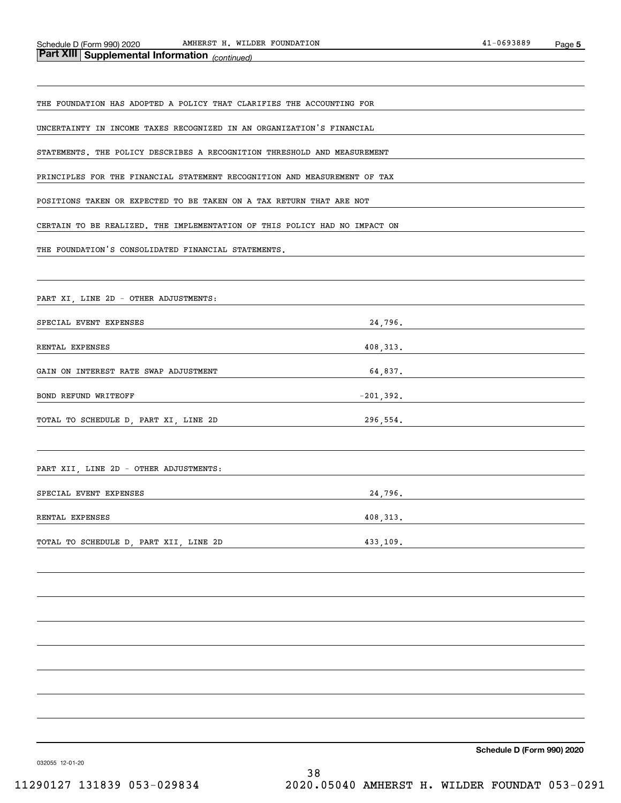| <b>Part XIII Supplemental Information</b> <sub>(continued)</sub>           |              |
|----------------------------------------------------------------------------|--------------|
|                                                                            |              |
| THE FOUNDATION HAS ADOPTED A POLICY THAT CLARIFIES THE ACCOUNTING FOR      |              |
| UNCERTAINTY IN INCOME TAXES RECOGNIZED IN AN ORGANIZATION'S FINANCIAL      |              |
| STATEMENTS. THE POLICY DESCRIBES A RECOGNITION THRESHOLD AND MEASUREMENT   |              |
| PRINCIPLES FOR THE FINANCIAL STATEMENT RECOGNITION AND MEASUREMENT OF TAX  |              |
| POSITIONS TAKEN OR EXPECTED TO BE TAKEN ON A TAX RETURN THAT ARE NOT       |              |
| CERTAIN TO BE REALIZED. THE IMPLEMENTATION OF THIS POLICY HAD NO IMPACT ON |              |
| THE FOUNDATION'S CONSOLIDATED FINANCIAL STATEMENTS.                        |              |
|                                                                            |              |
| PART XI, LINE 2D - OTHER ADJUSTMENTS:                                      |              |
| SPECIAL EVENT EXPENSES                                                     | 24,796.      |
| RENTAL EXPENSES                                                            | 408, 313.    |
| GAIN ON INTEREST RATE SWAP ADJUSTMENT                                      | 64,837.      |
| BOND REFUND WRITEOFF                                                       | $-201, 392.$ |
| TOTAL TO SCHEDULE D, PART XI, LINE 2D                                      | 296,554.     |
|                                                                            |              |
| PART XII, LINE 2D - OTHER ADJUSTMENTS:                                     |              |
| SPECIAL EVENT EXPENSES                                                     | 24,796.      |
| RENTAL EXPENSES                                                            | 408, 313.    |
| TOTAL TO SCHEDULE D, PART XII, LINE 2D                                     | 433,109.     |
|                                                                            |              |
|                                                                            |              |
|                                                                            |              |
|                                                                            |              |
|                                                                            |              |
|                                                                            |              |
|                                                                            |              |
|                                                                            |              |

**Schedule D (Form 990) 2020**

032055 12-01-20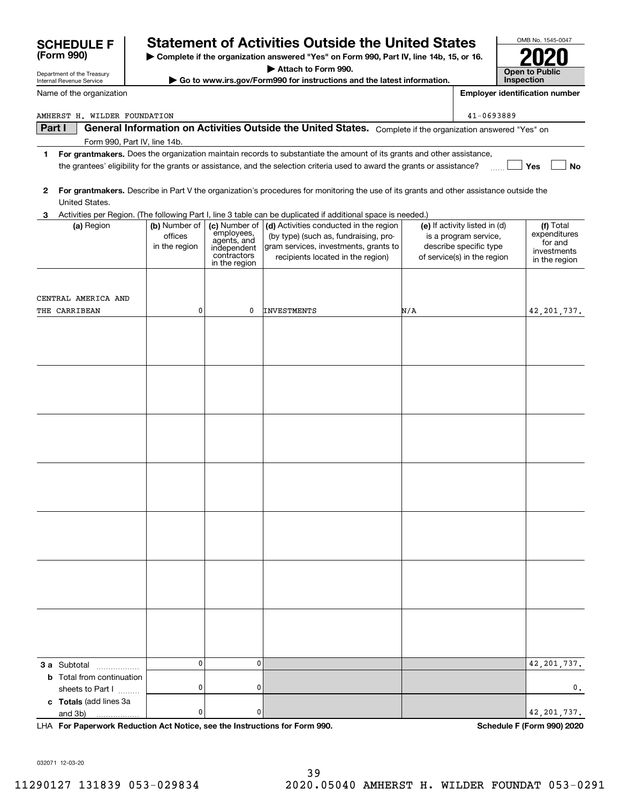|        | Department or the ricasury<br>Internal Revenue Service |                                           |                                                                                           | Go to www.irs.gov/Form990 for instructions and the latest information.                                                                                        |     | Inspection                                                                                                      |                                                                      |
|--------|--------------------------------------------------------|-------------------------------------------|-------------------------------------------------------------------------------------------|---------------------------------------------------------------------------------------------------------------------------------------------------------------|-----|-----------------------------------------------------------------------------------------------------------------|----------------------------------------------------------------------|
|        | Name of the organization                               |                                           |                                                                                           |                                                                                                                                                               |     | <b>Employer identification number</b>                                                                           |                                                                      |
|        | AMHERST H. WILDER FOUNDATION                           |                                           |                                                                                           |                                                                                                                                                               |     | 41-0693889                                                                                                      |                                                                      |
| Part I |                                                        |                                           |                                                                                           | General Information on Activities Outside the United States. Complete if the organization answered "Yes" on                                                   |     |                                                                                                                 |                                                                      |
|        |                                                        | Form 990, Part IV, line 14b.              |                                                                                           |                                                                                                                                                               |     |                                                                                                                 |                                                                      |
| 1.     |                                                        |                                           |                                                                                           | For grantmakers. Does the organization maintain records to substantiate the amount of its grants and other assistance,                                        |     |                                                                                                                 |                                                                      |
|        |                                                        |                                           |                                                                                           | the grantees' eligibility for the grants or assistance, and the selection criteria used to award the grants or assistance?                                    |     |                                                                                                                 | Yes<br>No                                                            |
| 2      | United States.                                         |                                           |                                                                                           | For grantmakers. Describe in Part V the organization's procedures for monitoring the use of its grants and other assistance outside the                       |     |                                                                                                                 |                                                                      |
| З.     |                                                        |                                           |                                                                                           | Activities per Region. (The following Part I, line 3 table can be duplicated if additional space is needed.)                                                  |     |                                                                                                                 |                                                                      |
|        | (a) Region                                             | (b) Number of<br>offices<br>in the region | (c) Number of<br>employees,<br>agents, and<br>independent<br>contractors<br>in the region | (d) Activities conducted in the region<br>(by type) (such as, fundraising, pro-<br>gram services, investments, grants to<br>recipients located in the region) |     | (e) If activity listed in (d)<br>is a program service,<br>describe specific type<br>of service(s) in the region | (f) Total<br>expenditures<br>for and<br>investments<br>in the region |
|        |                                                        |                                           |                                                                                           |                                                                                                                                                               |     |                                                                                                                 |                                                                      |
|        | CENTRAL AMERICA AND                                    |                                           |                                                                                           |                                                                                                                                                               |     |                                                                                                                 |                                                                      |
|        | THE CARRIBEAN                                          | 0                                         | 0                                                                                         | <b>INVESTMENTS</b>                                                                                                                                            | N/A |                                                                                                                 | 42, 201, 737.                                                        |
|        |                                                        |                                           |                                                                                           |                                                                                                                                                               |     |                                                                                                                 |                                                                      |
|        |                                                        |                                           |                                                                                           |                                                                                                                                                               |     |                                                                                                                 |                                                                      |
|        |                                                        |                                           |                                                                                           |                                                                                                                                                               |     |                                                                                                                 |                                                                      |
|        |                                                        |                                           |                                                                                           |                                                                                                                                                               |     |                                                                                                                 |                                                                      |
|        |                                                        |                                           |                                                                                           |                                                                                                                                                               |     |                                                                                                                 |                                                                      |
|        |                                                        |                                           |                                                                                           |                                                                                                                                                               |     |                                                                                                                 |                                                                      |
|        |                                                        |                                           |                                                                                           |                                                                                                                                                               |     |                                                                                                                 |                                                                      |
|        |                                                        |                                           |                                                                                           |                                                                                                                                                               |     |                                                                                                                 |                                                                      |
|        |                                                        |                                           |                                                                                           |                                                                                                                                                               |     |                                                                                                                 |                                                                      |
|        |                                                        |                                           |                                                                                           |                                                                                                                                                               |     |                                                                                                                 |                                                                      |
|        | 3 a Subtotal                                           | $\mathbf 0$                               | $\mathbf 0$                                                                               |                                                                                                                                                               |     |                                                                                                                 | 42, 201, 737.                                                        |
|        | <b>b</b> Total from continuation<br>sheets to Part I   | 0                                         | 0                                                                                         |                                                                                                                                                               |     |                                                                                                                 | 0.                                                                   |
|        | c Totals (add lines 3a<br>and 3b)                      | 0                                         | 0                                                                                         |                                                                                                                                                               |     |                                                                                                                 | 42, 201, 737.                                                        |

**| Complete if the organization answered "Yes" on Form 990, Part IV, line 14b, 15, or 16. | Attach to Form 990.**

**SCHEDULE F Statement of Activities Outside the United States**

**For Paperwork Reduction Act Notice, see the Instructions for Form 990. Schedule F (Form 990) 2020** LHA

032071 12-03-20

Department of the Treasury

**(Form 990)**

OMB No. 1545-0047

**2020**

**Open to Public**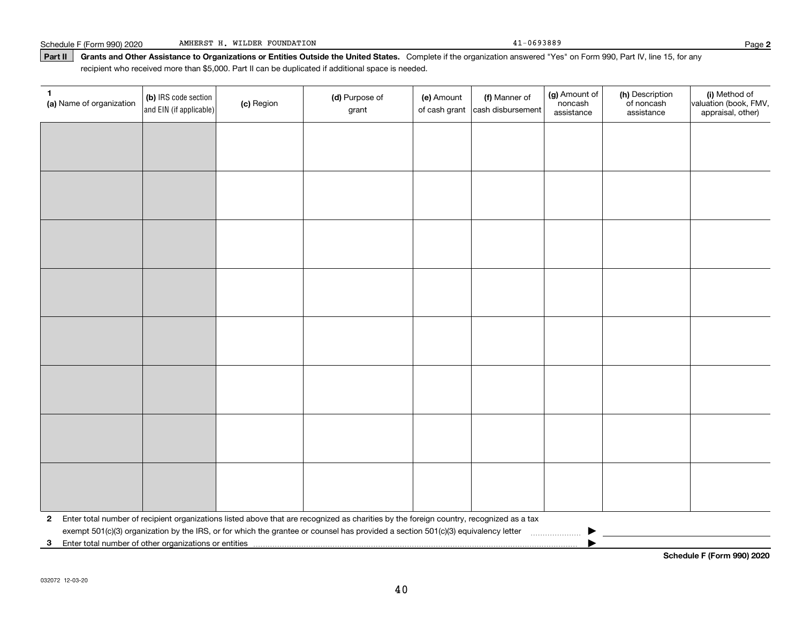#### Part II | Grants and Other Assistance to Organizations or Entities Outside the United States. Complete if the organization answered "Yes" on Form 990, Part IV, line 15, for any recipient who received more than \$5,000. Part II can be duplicated if additional space is needed.

| 1<br>(a) Name of organization                           | (b) IRS code section<br>and EIN (if applicable) | (c) Region | (d) Purpose of<br>grant                                                                                                                   | (e) Amount<br>of cash grant | (f) Manner of<br>cash disbursement | (g) Amount of<br>noncash<br>assistance | (h) Description<br>of noncash<br>assistance | (i) Method of<br>valuation (book, FMV,<br>appraisal, other) |
|---------------------------------------------------------|-------------------------------------------------|------------|-------------------------------------------------------------------------------------------------------------------------------------------|-----------------------------|------------------------------------|----------------------------------------|---------------------------------------------|-------------------------------------------------------------|
|                                                         |                                                 |            |                                                                                                                                           |                             |                                    |                                        |                                             |                                                             |
|                                                         |                                                 |            |                                                                                                                                           |                             |                                    |                                        |                                             |                                                             |
|                                                         |                                                 |            |                                                                                                                                           |                             |                                    |                                        |                                             |                                                             |
|                                                         |                                                 |            |                                                                                                                                           |                             |                                    |                                        |                                             |                                                             |
|                                                         |                                                 |            |                                                                                                                                           |                             |                                    |                                        |                                             |                                                             |
|                                                         |                                                 |            |                                                                                                                                           |                             |                                    |                                        |                                             |                                                             |
|                                                         |                                                 |            |                                                                                                                                           |                             |                                    |                                        |                                             |                                                             |
|                                                         |                                                 |            |                                                                                                                                           |                             |                                    |                                        |                                             |                                                             |
|                                                         |                                                 |            |                                                                                                                                           |                             |                                    |                                        |                                             |                                                             |
|                                                         |                                                 |            |                                                                                                                                           |                             |                                    |                                        |                                             |                                                             |
|                                                         |                                                 |            |                                                                                                                                           |                             |                                    |                                        |                                             |                                                             |
|                                                         |                                                 |            |                                                                                                                                           |                             |                                    |                                        |                                             |                                                             |
|                                                         |                                                 |            |                                                                                                                                           |                             |                                    |                                        |                                             |                                                             |
|                                                         |                                                 |            |                                                                                                                                           |                             |                                    |                                        |                                             |                                                             |
|                                                         |                                                 |            |                                                                                                                                           |                             |                                    |                                        |                                             |                                                             |
|                                                         |                                                 |            |                                                                                                                                           |                             |                                    |                                        |                                             |                                                             |
|                                                         |                                                 |            | 2 Enter total number of recipient organizations listed above that are recognized as charities by the foreign country, recognized as a tax |                             |                                    |                                        |                                             |                                                             |
| 3 Enter total number of other organizations or entities |                                                 |            | exempt 501(c)(3) organization by the IRS, or for which the grantee or counsel has provided a section 501(c)(3) equivalency letter         |                             |                                    |                                        |                                             |                                                             |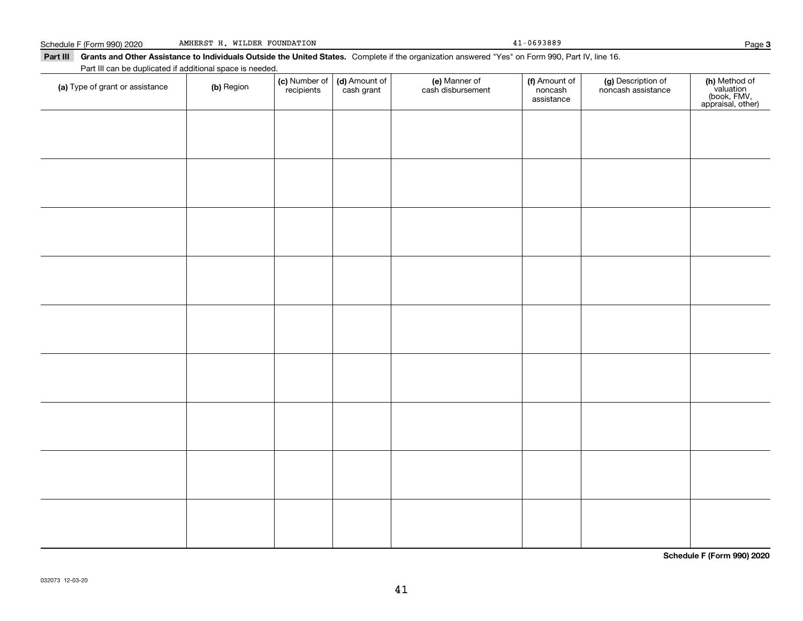**3**

Part III Grants and Other Assistance to Individuals Outside the United States. Complete if the organization answered "Yes" on Form 990, Part IV, line 16. Part III can be duplicated if additional space is needed.

| (a) Type of grant or assistance | (b) Region | (c) Number of<br>recipients | (d) Amount of<br>cash grant | (e) Manner of<br>cash disbursement | (f) Amount of<br>noncash<br>assistance | (g) Description of<br>noncash assistance | (h) Method of<br>valuation<br>(book, FMV,<br>appraisal, other) |
|---------------------------------|------------|-----------------------------|-----------------------------|------------------------------------|----------------------------------------|------------------------------------------|----------------------------------------------------------------|
|                                 |            |                             |                             |                                    |                                        |                                          |                                                                |
|                                 |            |                             |                             |                                    |                                        |                                          |                                                                |
|                                 |            |                             |                             |                                    |                                        |                                          |                                                                |
|                                 |            |                             |                             |                                    |                                        |                                          |                                                                |
|                                 |            |                             |                             |                                    |                                        |                                          |                                                                |
|                                 |            |                             |                             |                                    |                                        |                                          |                                                                |
|                                 |            |                             |                             |                                    |                                        |                                          |                                                                |
|                                 |            |                             |                             |                                    |                                        |                                          |                                                                |
|                                 |            |                             |                             |                                    |                                        |                                          |                                                                |
|                                 |            |                             |                             |                                    |                                        |                                          |                                                                |
|                                 |            |                             |                             |                                    |                                        |                                          |                                                                |

**Schedule F (Form 990) 2020**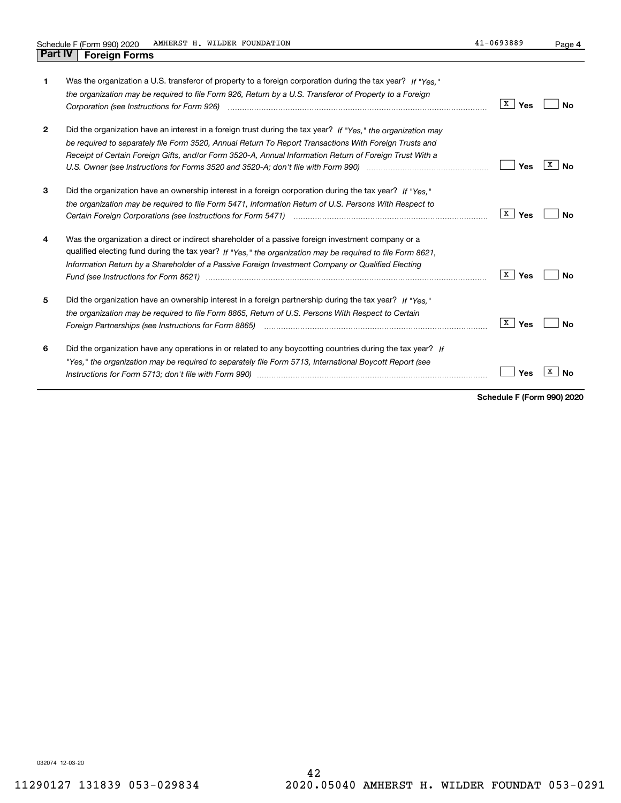| 1.           | Was the organization a U.S. transferor of property to a foreign corporation during the tax year? If "Yes."     |                       |         |
|--------------|----------------------------------------------------------------------------------------------------------------|-----------------------|---------|
|              | the organization may be required to file Form 926, Return by a U.S. Transferor of Property to a Foreign        |                       |         |
|              |                                                                                                                | $\lceil x \rceil$ Yes | Nο      |
| $\mathbf{2}$ | Did the organization have an interest in a foreign trust during the tax year? If "Yes." the organization may   |                       |         |
|              | be required to separately file Form 3520, Annual Return To Report Transactions With Foreign Trusts and         |                       |         |
|              | Receipt of Certain Foreign Gifts, and/or Form 3520-A, Annual Information Return of Foreign Trust With a        |                       |         |
|              |                                                                                                                | Yes                   | x<br>Nο |
|              |                                                                                                                |                       |         |
| 3            | Did the organization have an ownership interest in a foreign corporation during the tax year? If "Yes."        |                       |         |
|              | the organization may be required to file Form 5471, Information Return of U.S. Persons With Respect to         |                       |         |
|              |                                                                                                                | x  <br>Yes            | Nο      |
|              |                                                                                                                |                       |         |
| 4            | Was the organization a direct or indirect shareholder of a passive foreign investment company or a             |                       |         |
|              | qualified electing fund during the tax year? If "Yes," the organization may be required to file Form 8621.     |                       |         |
|              | Information Return by a Shareholder of a Passive Foreign Investment Company or Qualified Electing              |                       |         |
|              | Fund (see Instructions for Form 8621) manufactured control to the control of the control of the control of the | x  <br>Yes            | N٥      |
|              |                                                                                                                |                       |         |
| 5            | Did the organization have an ownership interest in a foreign partnership during the tax year? If "Yes."        |                       |         |
|              | the organization may be required to file Form 8865, Return of U.S. Persons With Respect to Certain             |                       |         |
|              |                                                                                                                | <b>X</b> Yes          | No      |
|              |                                                                                                                |                       |         |
| 6            | Did the organization have any operations in or related to any boycotting countries during the tax year? If     |                       |         |
|              | "Yes," the organization may be required to separately file Form 5713, International Boycott Report (see        |                       |         |
|              |                                                                                                                | Yes                   |         |
|              |                                                                                                                |                       |         |

**Schedule F (Form 990) 2020**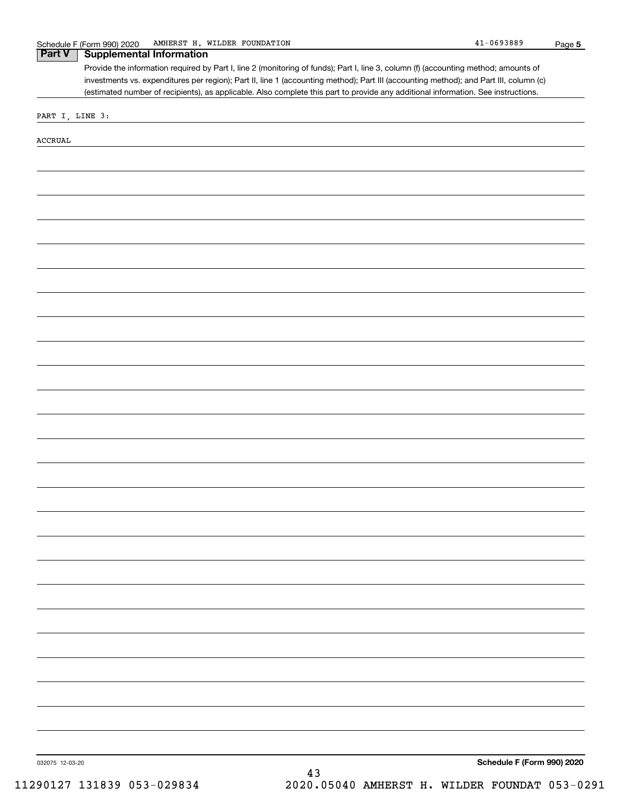032075 12-03-20 **5 Schedule F (Form 990) 2020** Provide the information required by Part I, line 2 (monitoring of funds); Part I, line 3, column (f) (accounting method; amounts of investments vs. expenditures per region); Part II, line 1 (accounting method); Part III (accounting method); and Part III, column (c) (estimated number of recipients), as applicable. Also complete this part to provide any additional information. See instructions. **Part V Supplemental Information** PART I, LINE 3: ACCRUAL 43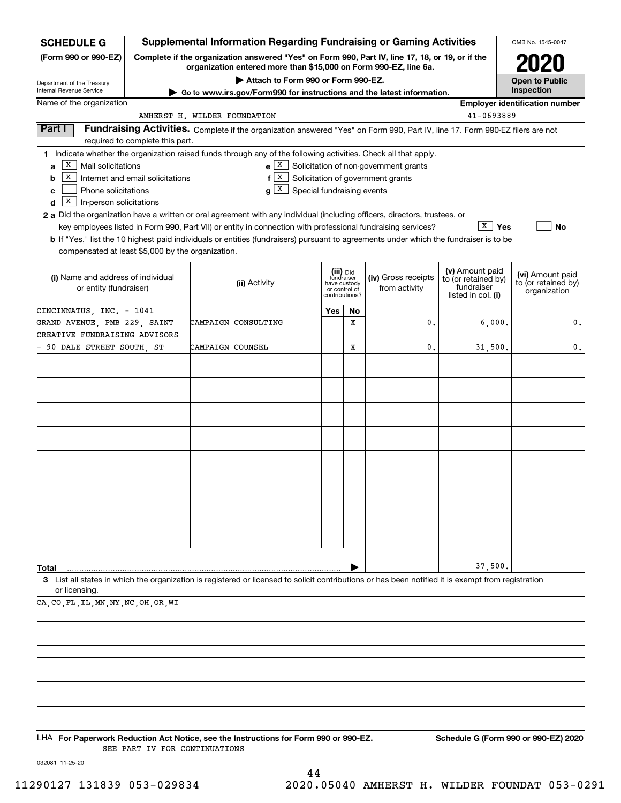| <b>SCHEDULE G</b>                                                                                         |                                  | <b>Supplemental Information Regarding Fundraising or Gaming Activities</b>                                                                                                                                                                                                                                                                                                                                                                                                                                                                |     |                                                                            |                                                                                         |                                                                            | OMB No. 1545-0047                                       |
|-----------------------------------------------------------------------------------------------------------|----------------------------------|-------------------------------------------------------------------------------------------------------------------------------------------------------------------------------------------------------------------------------------------------------------------------------------------------------------------------------------------------------------------------------------------------------------------------------------------------------------------------------------------------------------------------------------------|-----|----------------------------------------------------------------------------|-----------------------------------------------------------------------------------------|----------------------------------------------------------------------------|---------------------------------------------------------|
| (Form 990 or 990-EZ)                                                                                      |                                  | Complete if the organization answered "Yes" on Form 990, Part IV, line 17, 18, or 19, or if the                                                                                                                                                                                                                                                                                                                                                                                                                                           |     |                                                                            |                                                                                         |                                                                            |                                                         |
|                                                                                                           |                                  | organization entered more than \$15,000 on Form 990-EZ, line 6a.<br>Attach to Form 990 or Form 990-EZ.                                                                                                                                                                                                                                                                                                                                                                                                                                    |     |                                                                            |                                                                                         |                                                                            | <b>Open to Public</b>                                   |
| Department of the Treasury<br>Internal Revenue Service                                                    |                                  | Go to www.irs.gov/Form990 for instructions and the latest information.                                                                                                                                                                                                                                                                                                                                                                                                                                                                    |     |                                                                            |                                                                                         |                                                                            | Inspection                                              |
| Name of the organization                                                                                  |                                  |                                                                                                                                                                                                                                                                                                                                                                                                                                                                                                                                           |     |                                                                            |                                                                                         |                                                                            | <b>Employer identification number</b>                   |
|                                                                                                           |                                  | AMHERST H. WILDER FOUNDATION                                                                                                                                                                                                                                                                                                                                                                                                                                                                                                              |     |                                                                            |                                                                                         | 41-0693889                                                                 |                                                         |
| Part I                                                                                                    | required to complete this part.  | Fundraising Activities. Complete if the organization answered "Yes" on Form 990, Part IV, line 17. Form 990-EZ filers are not                                                                                                                                                                                                                                                                                                                                                                                                             |     |                                                                            |                                                                                         |                                                                            |                                                         |
| X<br>Mail solicitations<br>a<br>x<br>b<br>Phone solicitations<br>c<br>X  <br>In-person solicitations<br>d | Internet and email solicitations | 1 Indicate whether the organization raised funds through any of the following activities. Check all that apply.<br>$g X$ Special fundraising events<br>2 a Did the organization have a written or oral agreement with any individual (including officers, directors, trustees, or<br>key employees listed in Form 990, Part VII) or entity in connection with professional fundraising services?<br>b If "Yes," list the 10 highest paid individuals or entities (fundraisers) pursuant to agreements under which the fundraiser is to be |     |                                                                            | $e X$ Solicitation of non-government grants<br>$f[X]$ Solicitation of government grants | $X \mid Y$ es                                                              | <b>No</b>                                               |
| compensated at least \$5,000 by the organization.                                                         |                                  |                                                                                                                                                                                                                                                                                                                                                                                                                                                                                                                                           |     |                                                                            |                                                                                         |                                                                            |                                                         |
| (i) Name and address of individual<br>or entity (fundraiser)                                              |                                  | (ii) Activity                                                                                                                                                                                                                                                                                                                                                                                                                                                                                                                             |     | (iii) Did<br>fundraiser<br>have custody<br>or control of<br>contributions? | (iv) Gross receipts<br>from activity                                                    | (v) Amount paid<br>to (or retained by)<br>fundraiser<br>listed in col. (i) | (vi) Amount paid<br>to (or retained by)<br>organization |
| CINCINNATUS, INC. - 1041                                                                                  |                                  |                                                                                                                                                                                                                                                                                                                                                                                                                                                                                                                                           | Yes | No                                                                         |                                                                                         |                                                                            |                                                         |
| GRAND AVENUE, PMB 229, SAINT                                                                              |                                  | CAMPAIGN CONSULTING                                                                                                                                                                                                                                                                                                                                                                                                                                                                                                                       |     | X                                                                          | 0.                                                                                      | 6,000.                                                                     | 0.                                                      |
| CREATIVE FUNDRAISING ADVISORS                                                                             |                                  |                                                                                                                                                                                                                                                                                                                                                                                                                                                                                                                                           |     |                                                                            |                                                                                         |                                                                            |                                                         |
| - 90 DALE STREET SOUTH, ST                                                                                |                                  | CAMPAIGN COUNSEL                                                                                                                                                                                                                                                                                                                                                                                                                                                                                                                          |     | х                                                                          | 0.                                                                                      | 31,500.                                                                    | 0.                                                      |
|                                                                                                           |                                  |                                                                                                                                                                                                                                                                                                                                                                                                                                                                                                                                           |     |                                                                            |                                                                                         |                                                                            |                                                         |
|                                                                                                           |                                  |                                                                                                                                                                                                                                                                                                                                                                                                                                                                                                                                           |     |                                                                            |                                                                                         |                                                                            |                                                         |
|                                                                                                           |                                  |                                                                                                                                                                                                                                                                                                                                                                                                                                                                                                                                           |     |                                                                            |                                                                                         |                                                                            |                                                         |
| Total                                                                                                     |                                  |                                                                                                                                                                                                                                                                                                                                                                                                                                                                                                                                           |     |                                                                            |                                                                                         | 37,500.                                                                    |                                                         |
| or licensing.                                                                                             |                                  | 3 List all states in which the organization is registered or licensed to solicit contributions or has been notified it is exempt from registration                                                                                                                                                                                                                                                                                                                                                                                        |     |                                                                            |                                                                                         |                                                                            |                                                         |
| CA, CO, FL, IL, MN, NY, NC, OH, OR, WI                                                                    |                                  |                                                                                                                                                                                                                                                                                                                                                                                                                                                                                                                                           |     |                                                                            |                                                                                         |                                                                            |                                                         |
|                                                                                                           |                                  |                                                                                                                                                                                                                                                                                                                                                                                                                                                                                                                                           |     |                                                                            |                                                                                         |                                                                            |                                                         |
|                                                                                                           |                                  |                                                                                                                                                                                                                                                                                                                                                                                                                                                                                                                                           |     |                                                                            |                                                                                         |                                                                            |                                                         |
|                                                                                                           |                                  |                                                                                                                                                                                                                                                                                                                                                                                                                                                                                                                                           |     |                                                                            |                                                                                         |                                                                            |                                                         |
|                                                                                                           |                                  |                                                                                                                                                                                                                                                                                                                                                                                                                                                                                                                                           |     |                                                                            |                                                                                         |                                                                            |                                                         |
|                                                                                                           |                                  |                                                                                                                                                                                                                                                                                                                                                                                                                                                                                                                                           |     |                                                                            |                                                                                         |                                                                            |                                                         |
|                                                                                                           |                                  |                                                                                                                                                                                                                                                                                                                                                                                                                                                                                                                                           |     |                                                                            |                                                                                         |                                                                            |                                                         |
|                                                                                                           |                                  |                                                                                                                                                                                                                                                                                                                                                                                                                                                                                                                                           |     |                                                                            |                                                                                         |                                                                            |                                                         |
|                                                                                                           |                                  |                                                                                                                                                                                                                                                                                                                                                                                                                                                                                                                                           |     |                                                                            |                                                                                         |                                                                            |                                                         |
|                                                                                                           |                                  | LHA For Paperwork Reduction Act Notice, see the Instructions for Form 990 or 990-EZ.                                                                                                                                                                                                                                                                                                                                                                                                                                                      |     |                                                                            |                                                                                         |                                                                            | Schedule G (Form 990 or 990-EZ) 2020                    |

SEE PART IV FOR CONTINUATIONS

032081 11-25-20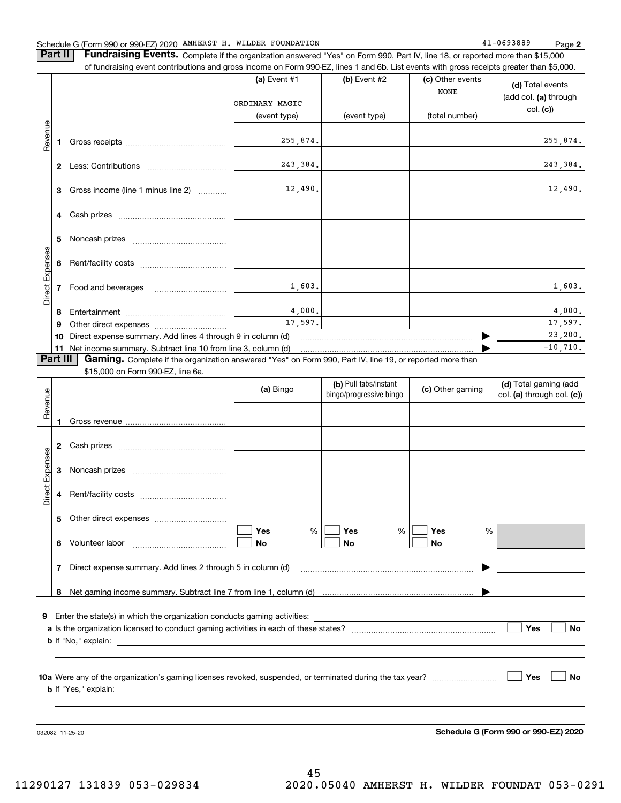#### Schedule G (Form 990 or 990-EZ) 2020 AMHERST H. WILDER FOUNDATION Page

**Part II** | Fundraising Events. Complete if the organization answered "Yes" on Form 990, Part IV, line 18, or reported more than \$15,000 of fundraising event contributions and gross income on Form 990-EZ, lines 1 and 6b. List events with gross receipts greater than \$5,000.

|                 |                  | IT REPORT OF THE CONTRIBUTION OF ALCOHOLOGY IN COLLEGE THAT ON HIGH AND THE COLLEGE OF THE COLLEGE OF COLLEGE THAN A WOOD. |                |                                                  |                                 |                                                     |
|-----------------|------------------|----------------------------------------------------------------------------------------------------------------------------|----------------|--------------------------------------------------|---------------------------------|-----------------------------------------------------|
|                 |                  |                                                                                                                            | (a) Event $#1$ | $(b)$ Event #2                                   | (c) Other events<br><b>NONE</b> | (d) Total events<br>(add col. (a) through           |
|                 |                  |                                                                                                                            | ORDINARY MAGIC |                                                  |                                 | col. (c)                                            |
|                 |                  |                                                                                                                            | (event type)   | (event type)                                     | (total number)                  |                                                     |
|                 |                  |                                                                                                                            |                |                                                  |                                 |                                                     |
| Revenue         | 1.               |                                                                                                                            | 255,874.       |                                                  |                                 | 255,874.                                            |
|                 |                  |                                                                                                                            |                |                                                  |                                 |                                                     |
|                 |                  |                                                                                                                            | 243,384.       |                                                  |                                 | 243,384.                                            |
|                 |                  |                                                                                                                            |                |                                                  |                                 |                                                     |
|                 | 3                | Gross income (line 1 minus line 2)                                                                                         | 12,490.        |                                                  |                                 | 12,490.                                             |
|                 |                  |                                                                                                                            |                |                                                  |                                 |                                                     |
|                 |                  |                                                                                                                            |                |                                                  |                                 |                                                     |
|                 |                  |                                                                                                                            |                |                                                  |                                 |                                                     |
|                 |                  |                                                                                                                            |                |                                                  |                                 |                                                     |
|                 | 5.               |                                                                                                                            |                |                                                  |                                 |                                                     |
|                 |                  |                                                                                                                            |                |                                                  |                                 |                                                     |
|                 | 6                |                                                                                                                            |                |                                                  |                                 |                                                     |
| Direct Expenses |                  |                                                                                                                            |                |                                                  |                                 |                                                     |
|                 | $\overline{7}$   | Food and beverages                                                                                                         | 1,603.         |                                                  |                                 | 1,603.                                              |
|                 |                  |                                                                                                                            |                |                                                  |                                 |                                                     |
|                 | 8                |                                                                                                                            | 4,000.         |                                                  |                                 | 4,000.                                              |
|                 | 9                |                                                                                                                            | 17,597.        |                                                  |                                 | 17,597.                                             |
|                 | 10 <sup>10</sup> | Direct expense summary. Add lines 4 through 9 in column (d)                                                                |                |                                                  |                                 | 23, 200.                                            |
|                 | 11               |                                                                                                                            |                |                                                  |                                 | $-10,710.$                                          |
| Part III        |                  | Gaming. Complete if the organization answered "Yes" on Form 990, Part IV, line 19, or reported more than                   |                |                                                  |                                 |                                                     |
|                 |                  | \$15,000 on Form 990-EZ, line 6a.                                                                                          |                |                                                  |                                 |                                                     |
| Revenue         |                  |                                                                                                                            | (a) Bingo      | (b) Pull tabs/instant<br>bingo/progressive bingo | (c) Other gaming                | (d) Total gaming (add<br>col. (a) through col. (c)) |
|                 |                  |                                                                                                                            |                |                                                  |                                 |                                                     |
|                 | 1.               |                                                                                                                            |                |                                                  |                                 |                                                     |
|                 |                  |                                                                                                                            |                |                                                  |                                 |                                                     |
|                 | $\mathbf{2}$     |                                                                                                                            |                |                                                  |                                 |                                                     |
|                 |                  |                                                                                                                            |                |                                                  |                                 |                                                     |
| Direct Expenses | 3                |                                                                                                                            |                |                                                  |                                 |                                                     |
|                 |                  |                                                                                                                            |                |                                                  |                                 |                                                     |
|                 |                  |                                                                                                                            |                |                                                  |                                 |                                                     |
|                 |                  |                                                                                                                            |                |                                                  |                                 |                                                     |

**9**Enter the state(s) in which the organization conducts gaming activities:

**8**Net gaming income summary. Subtract line 7 from line 1, column (d)

**7**Direct expense summary. Add lines 2 through 5 in column (d)

**6** Volunteer labor  $\ldots$   $\ldots$   $\ldots$   $\ldots$   $\ldots$   $\ldots$   $\ldots$   $\ldots$ 

**a**Is the organization licensed to conduct gaming activities in each of these states? ~~~~~~~~~~~~~~~~~~~~**b**If "No," explain: **Yes**  $\mathcal{L}^{\text{max}}$ 

%

 $\boxed{\blacksquare}$  Yes  $\begin{array}{|c|c|c|c|c|}\hline \textbf{Yes} & \textbf{0} & \textbf{0}\ \hline \end{array}$ 

 $\Box$  No  $\Box$  No  $\Box$ 

**Yes Yes**

~~~~~~~~~~~~~~~~~~~~~~~~

% %

**No No**

**10a** Were any of the organization's gaming licenses revoked, suspended, or terminated during the tax year? \_\_\_\_\_\_\_\_\_\_\_\_\_\_\_\_\_ **b** If "Yes," explain: **Yes**

**Yes**

 $\mathcal{L}^{\text{max}}$ 

 $\mathcal{L}^{\text{max}}$ 

**No**

032082 11-25-20

Other direct expenses

**5**

**Schedule G (Form 990 or 990-EZ) 2020**

 $\blacktriangleright$ 

…… ▶

**No**

**No**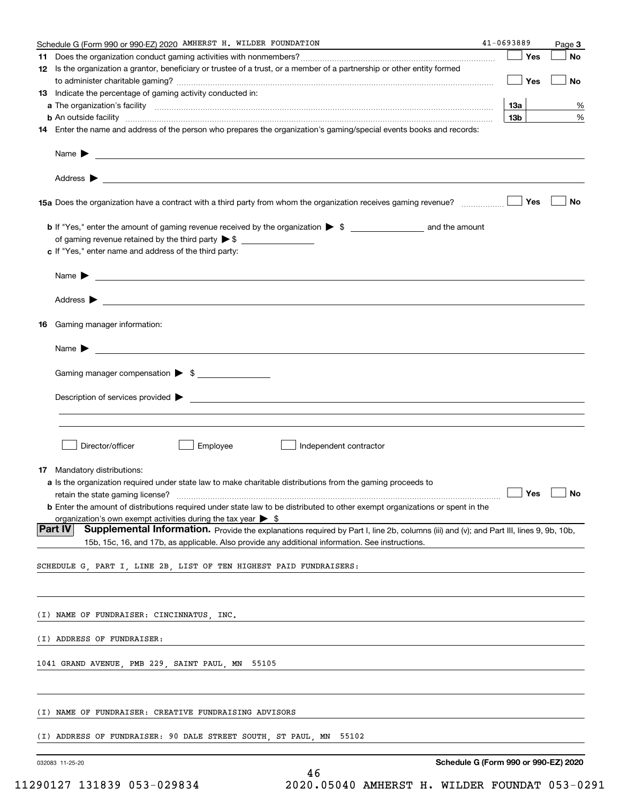| Schedule G (Form 990 or 990-EZ) 2020 AMHERST H. WILDER FOUNDATION                                                                                                                                                                          | 41-0693889                           | Page 3 |
|--------------------------------------------------------------------------------------------------------------------------------------------------------------------------------------------------------------------------------------------|--------------------------------------|--------|
|                                                                                                                                                                                                                                            | Yes                                  | No     |
| 12 Is the organization a grantor, beneficiary or trustee of a trust, or a member of a partnership or other entity formed                                                                                                                   | Yes                                  | No     |
| <b>13</b> Indicate the percentage of gaming activity conducted in:                                                                                                                                                                         |                                      |        |
|                                                                                                                                                                                                                                            | 13а                                  | %      |
| <b>b</b> An outside facility <b>contained a contract and a contract of the contract of the contract of the contract of the contract of the contract of the contract of the contract of the contract of the contract of the contract o</b>  | 13 <sub>b</sub>                      | %      |
| 14 Enter the name and address of the person who prepares the organization's gaming/special events books and records:                                                                                                                       |                                      |        |
|                                                                                                                                                                                                                                            |                                      |        |
|                                                                                                                                                                                                                                            |                                      |        |
| 15a Does the organization have a contract with a third party from whom the organization receives gaming revenue?                                                                                                                           | Yes                                  | No     |
|                                                                                                                                                                                                                                            |                                      |        |
|                                                                                                                                                                                                                                            |                                      |        |
| c If "Yes," enter name and address of the third party:                                                                                                                                                                                     |                                      |        |
| Name $\blacktriangleright$ $\lrcorner$                                                                                                                                                                                                     |                                      |        |
|                                                                                                                                                                                                                                            |                                      |        |
| 16 Gaming manager information:                                                                                                                                                                                                             |                                      |        |
| Name $\blacktriangleright$                                                                                                                                                                                                                 |                                      |        |
| Gaming manager compensation > \$                                                                                                                                                                                                           |                                      |        |
|                                                                                                                                                                                                                                            |                                      |        |
|                                                                                                                                                                                                                                            |                                      |        |
|                                                                                                                                                                                                                                            |                                      |        |
| Director/officer<br>Employee<br>Independent contractor                                                                                                                                                                                     |                                      |        |
| <b>17</b> Mandatory distributions:                                                                                                                                                                                                         |                                      |        |
| a Is the organization required under state law to make charitable distributions from the gaming proceeds to                                                                                                                                |                                      |        |
| retain the state gaming license? <b>Construction and the state of the State State State State Gaming license?</b> No                                                                                                                       |                                      |        |
| <b>b</b> Enter the amount of distributions required under state law to be distributed to other exempt organizations or spent in the                                                                                                        |                                      |        |
| organization's own exempt activities during the tax year $\triangleright$ \$<br>∣Part IV                                                                                                                                                   |                                      |        |
| Supplemental Information. Provide the explanations required by Part I, line 2b, columns (iii) and (v); and Part III, lines 9, 9b, 10b,<br>15b, 15c, 16, and 17b, as applicable. Also provide any additional information. See instructions. |                                      |        |
| SCHEDULE G, PART I, LINE 2B, LIST OF TEN HIGHEST PAID FUNDRAISERS:                                                                                                                                                                         |                                      |        |
|                                                                                                                                                                                                                                            |                                      |        |
| (I) NAME OF FUNDRAISER: CINCINNATUS, INC.                                                                                                                                                                                                  |                                      |        |
| (I) ADDRESS OF FUNDRAISER:                                                                                                                                                                                                                 |                                      |        |
| 1041 GRAND AVENUE, PMB 229, SAINT PAUL, MN 55105                                                                                                                                                                                           |                                      |        |
|                                                                                                                                                                                                                                            |                                      |        |
| (I) NAME OF FUNDRAISER: CREATIVE FUNDRAISING ADVISORS                                                                                                                                                                                      |                                      |        |
| (I) ADDRESS OF FUNDRAISER: 90 DALE STREET SOUTH, ST PAUL, MN<br>55102                                                                                                                                                                      |                                      |        |
|                                                                                                                                                                                                                                            |                                      |        |
| 032083 11-25-20<br>46                                                                                                                                                                                                                      | Schedule G (Form 990 or 990-EZ) 2020 |        |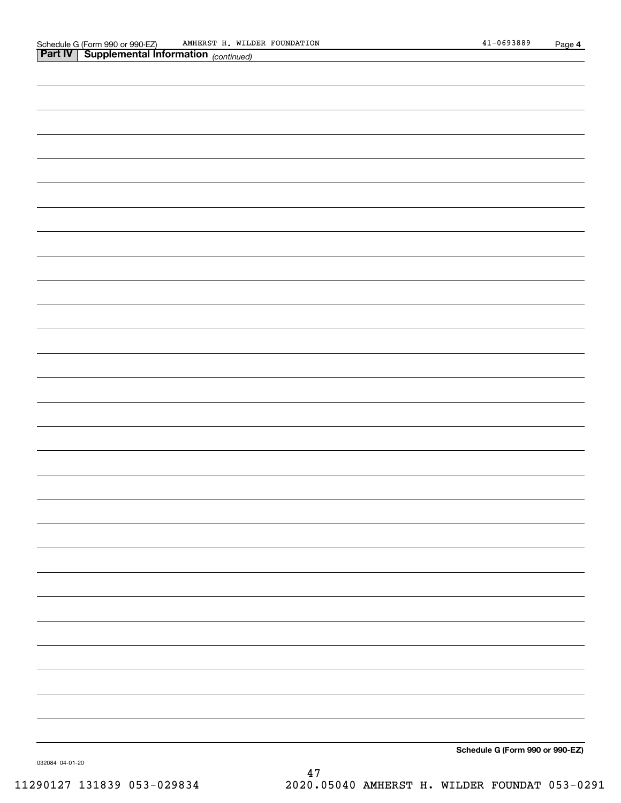| Part IV | <b>Supplemental Information</b> (continued) |  |
|---------|---------------------------------------------|--|
|         |                                             |  |
|         |                                             |  |
|         |                                             |  |
|         |                                             |  |
|         |                                             |  |
|         |                                             |  |
|         |                                             |  |
|         |                                             |  |
|         |                                             |  |
|         |                                             |  |
|         |                                             |  |
|         |                                             |  |
|         |                                             |  |
|         |                                             |  |
|         |                                             |  |
|         |                                             |  |
|         |                                             |  |
|         |                                             |  |
|         |                                             |  |
|         |                                             |  |
|         |                                             |  |
|         |                                             |  |
|         |                                             |  |
|         |                                             |  |
|         |                                             |  |
|         |                                             |  |
|         |                                             |  |
|         |                                             |  |
|         |                                             |  |
|         |                                             |  |
|         |                                             |  |
|         |                                             |  |
|         |                                             |  |
|         |                                             |  |
|         |                                             |  |
|         | Schedule G (Form 990 or 990-EZ)             |  |

032084 04-01-20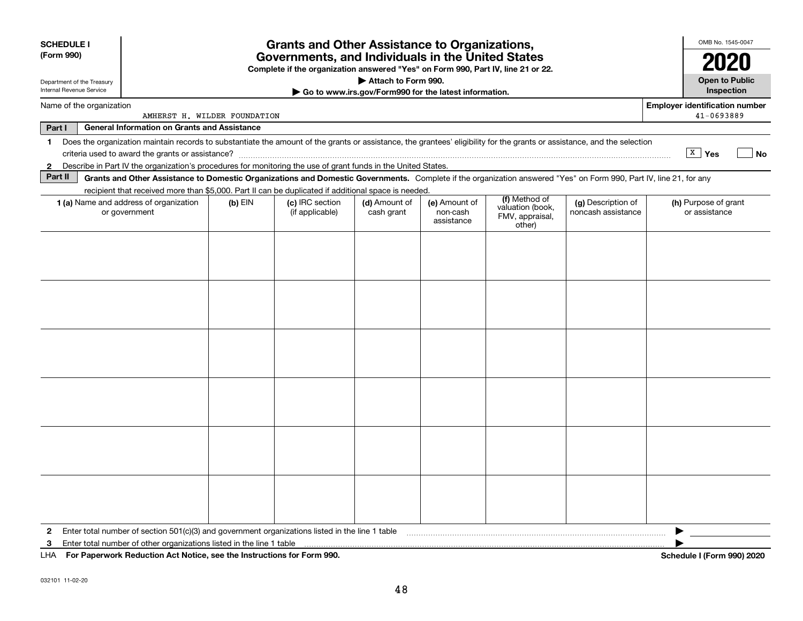| <b>SCHEDULE I</b><br>(Form 990)                        |                                                                                                                                                                          |           | <b>Grants and Other Assistance to Organizations,</b><br>Governments, and Individuals in the United States<br>Complete if the organization answered "Yes" on Form 990, Part IV, line 21 or 22. |                                                                              |                                         |                                               |                                          | OMB No. 1545-0047                                   |
|--------------------------------------------------------|--------------------------------------------------------------------------------------------------------------------------------------------------------------------------|-----------|-----------------------------------------------------------------------------------------------------------------------------------------------------------------------------------------------|------------------------------------------------------------------------------|-----------------------------------------|-----------------------------------------------|------------------------------------------|-----------------------------------------------------|
| Department of the Treasury<br>Internal Revenue Service |                                                                                                                                                                          |           |                                                                                                                                                                                               | Attach to Form 990.<br>Go to www.irs.gov/Form990 for the latest information. |                                         |                                               |                                          | <b>Open to Public</b><br>Inspection                 |
| Name of the organization                               | AMHERST H. WILDER FOUNDATION                                                                                                                                             |           |                                                                                                                                                                                               |                                                                              |                                         |                                               |                                          | <b>Employer identification number</b><br>41-0693889 |
| Part I                                                 | <b>General Information on Grants and Assistance</b>                                                                                                                      |           |                                                                                                                                                                                               |                                                                              |                                         |                                               |                                          |                                                     |
| 1.                                                     | Does the organization maintain records to substantiate the amount of the grants or assistance, the grantees' eligibility for the grants or assistance, and the selection |           |                                                                                                                                                                                               |                                                                              |                                         |                                               |                                          | $\boxed{\texttt{X}}$ Yes<br>No                      |
| $\mathbf{2}$                                           | Describe in Part IV the organization's procedures for monitoring the use of grant funds in the United States.                                                            |           |                                                                                                                                                                                               |                                                                              |                                         |                                               |                                          |                                                     |
| Part II                                                | Grants and Other Assistance to Domestic Organizations and Domestic Governments. Complete if the organization answered "Yes" on Form 990, Part IV, line 21, for any       |           |                                                                                                                                                                                               |                                                                              |                                         |                                               |                                          |                                                     |
|                                                        | recipient that received more than \$5,000. Part II can be duplicated if additional space is needed.                                                                      |           |                                                                                                                                                                                               |                                                                              |                                         | (f) Method of                                 |                                          |                                                     |
|                                                        | 1 (a) Name and address of organization<br>or government                                                                                                                  | $(b)$ EIN | (c) IRC section<br>(if applicable)                                                                                                                                                            | (d) Amount of<br>cash grant                                                  | (e) Amount of<br>non-cash<br>assistance | valuation (book,<br>FMV, appraisal,<br>other) | (g) Description of<br>noncash assistance | (h) Purpose of grant<br>or assistance               |
|                                                        |                                                                                                                                                                          |           |                                                                                                                                                                                               |                                                                              |                                         |                                               |                                          |                                                     |
|                                                        |                                                                                                                                                                          |           |                                                                                                                                                                                               |                                                                              |                                         |                                               |                                          |                                                     |
| 2                                                      | Enter total number of section 501(c)(3) and government organizations listed in the line 1 table                                                                          |           |                                                                                                                                                                                               |                                                                              |                                         |                                               |                                          |                                                     |
| 3<br>LHA.                                              | Enter total number of other organizations listed in the line 1 table<br>For Paperwork Reduction Act Notice, see the Instructions for Form 990.                           |           |                                                                                                                                                                                               |                                                                              |                                         |                                               |                                          | Schedule I (Form 990) 2020                          |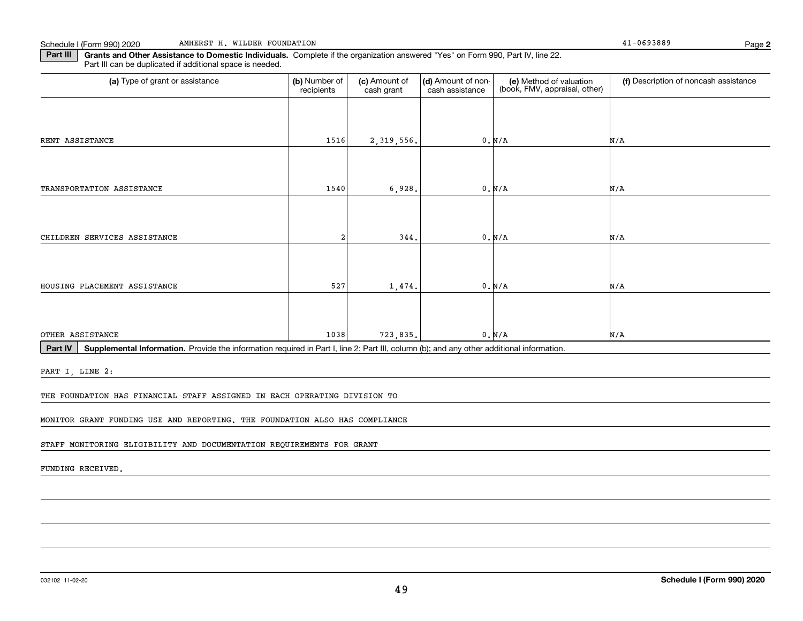**Part III** | Grants and Other Assistance to Domestic Individuals. Complete if the organization answered "Yes" on Form 990, Part IV, line 22. Part III can be duplicated if additional space is needed.

| (a) Type of grant or assistance | (b) Number of<br>recipients | (c) Amount of<br>cash grant | (d) Amount of non-<br>cash assistance | (e) Method of valuation<br>(book, FMV, appraisal, other) | (f) Description of noncash assistance |
|---------------------------------|-----------------------------|-----------------------------|---------------------------------------|----------------------------------------------------------|---------------------------------------|
|                                 |                             |                             |                                       |                                                          |                                       |
| RENT ASSISTANCE                 | 1516                        | 2, 319, 556.                |                                       | 0. N/A                                                   | N/A                                   |
|                                 |                             |                             |                                       |                                                          |                                       |
| TRANSPORTATION ASSISTANCE       | 1540                        | 6,928.                      |                                       | 0. N/A                                                   | N/A                                   |
|                                 |                             |                             |                                       |                                                          |                                       |
| CHILDREN SERVICES ASSISTANCE    | $\mathfrak{D}$              | 344.                        |                                       | 0. N/A                                                   | N/A                                   |
|                                 |                             |                             |                                       |                                                          |                                       |
| HOUSING PLACEMENT ASSISTANCE    | 527                         | 1,474.                      |                                       | 0. N/A                                                   | N/A                                   |
|                                 |                             |                             |                                       |                                                          |                                       |
| OTHER ASSISTANCE                | 1038                        | 723,835.                    |                                       | 0. N/A                                                   | N/A                                   |

Part IV | Supplemental Information. Provide the information required in Part I, line 2; Part III, column (b); and any other additional information.

PART I, LINE 2:

THE FOUNDATION HAS FINANCIAL STAFF ASSIGNED IN EACH OPERATING DIVISION TO

MONITOR GRANT FUNDING USE AND REPORTING. THE FOUNDATION ALSO HAS COMPLIANCE

STAFF MONITORING ELIGIBILITY AND DOCUMENTATION REQUIREMENTS FOR GRANT

FUNDING RECEIVED.

**2**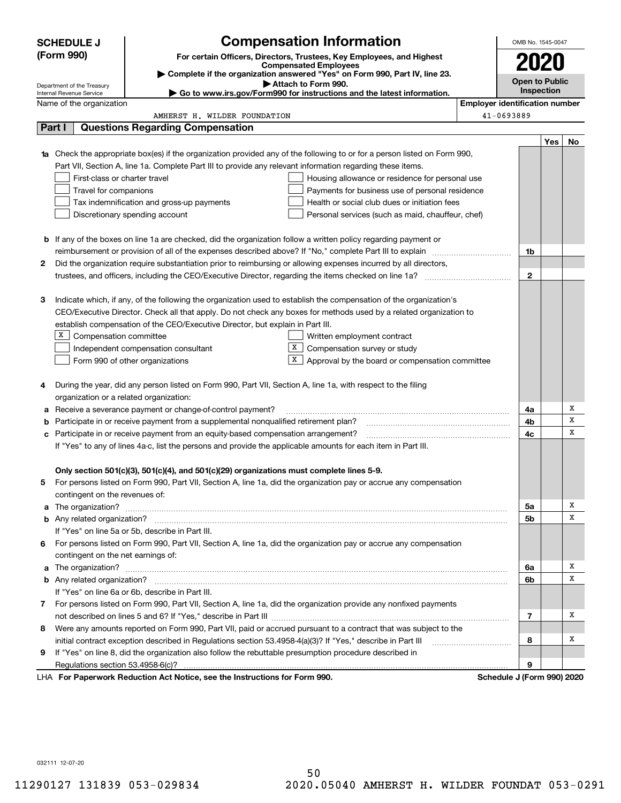| <b>SCHEDULE J</b>                  | <b>Compensation Information</b>                                                                                                                                                                                                          |                                       | OMB No. 1545-0047     |     |    |  |
|------------------------------------|------------------------------------------------------------------------------------------------------------------------------------------------------------------------------------------------------------------------------------------|---------------------------------------|-----------------------|-----|----|--|
| (Form 990)                         | For certain Officers, Directors, Trustees, Key Employees, and Highest                                                                                                                                                                    |                                       |                       |     |    |  |
|                                    | <b>Compensated Employees</b><br>Complete if the organization answered "Yes" on Form 990, Part IV, line 23.                                                                                                                               |                                       | 2020                  |     |    |  |
| Department of the Treasury         | Attach to Form 990.                                                                                                                                                                                                                      |                                       | <b>Open to Public</b> |     |    |  |
| Internal Revenue Service           | ► Go to www.irs.gov/Form990 for instructions and the latest information.                                                                                                                                                                 |                                       | Inspection            |     |    |  |
| Name of the organization           |                                                                                                                                                                                                                                          | <b>Employer identification number</b> |                       |     |    |  |
|                                    | AMHERST H. WILDER FOUNDATION                                                                                                                                                                                                             | 41-0693889                            |                       |     |    |  |
| Part I                             | <b>Questions Regarding Compensation</b>                                                                                                                                                                                                  |                                       |                       |     |    |  |
|                                    |                                                                                                                                                                                                                                          |                                       |                       | Yes | No |  |
|                                    | <b>1a</b> Check the appropriate box(es) if the organization provided any of the following to or for a person listed on Form 990,                                                                                                         |                                       |                       |     |    |  |
|                                    | Part VII, Section A, line 1a. Complete Part III to provide any relevant information regarding these items.                                                                                                                               |                                       |                       |     |    |  |
| First-class or charter travel      | Housing allowance or residence for personal use                                                                                                                                                                                          |                                       |                       |     |    |  |
| Travel for companions              | Payments for business use of personal residence                                                                                                                                                                                          |                                       |                       |     |    |  |
|                                    | Health or social club dues or initiation fees<br>Tax indemnification and gross-up payments                                                                                                                                               |                                       |                       |     |    |  |
|                                    | Discretionary spending account<br>Personal services (such as maid, chauffeur, chef)                                                                                                                                                      |                                       |                       |     |    |  |
|                                    |                                                                                                                                                                                                                                          |                                       |                       |     |    |  |
|                                    | <b>b</b> If any of the boxes on line 1a are checked, did the organization follow a written policy regarding payment or                                                                                                                   |                                       |                       |     |    |  |
|                                    | reimbursement or provision of all of the expenses described above? If "No," complete Part III to explain                                                                                                                                 |                                       | 1b                    |     |    |  |
| 2                                  | Did the organization require substantiation prior to reimbursing or allowing expenses incurred by all directors,                                                                                                                         |                                       |                       |     |    |  |
|                                    |                                                                                                                                                                                                                                          |                                       | $\mathbf{2}$          |     |    |  |
| з                                  |                                                                                                                                                                                                                                          |                                       |                       |     |    |  |
|                                    | Indicate which, if any, of the following the organization used to establish the compensation of the organization's<br>CEO/Executive Director. Check all that apply. Do not check any boxes for methods used by a related organization to |                                       |                       |     |    |  |
|                                    | establish compensation of the CEO/Executive Director, but explain in Part III.                                                                                                                                                           |                                       |                       |     |    |  |
| X  <br>Compensation committee      | Written employment contract                                                                                                                                                                                                              |                                       |                       |     |    |  |
|                                    | x<br>Compensation survey or study<br>Independent compensation consultant                                                                                                                                                                 |                                       |                       |     |    |  |
|                                    | X<br>Form 990 of other organizations<br>Approval by the board or compensation committee                                                                                                                                                  |                                       |                       |     |    |  |
|                                    |                                                                                                                                                                                                                                          |                                       |                       |     |    |  |
| 4                                  | During the year, did any person listed on Form 990, Part VII, Section A, line 1a, with respect to the filing                                                                                                                             |                                       |                       |     |    |  |
|                                    | organization or a related organization:                                                                                                                                                                                                  |                                       |                       |     |    |  |
| a                                  | Receive a severance payment or change-of-control payment?                                                                                                                                                                                |                                       | 4a                    |     | X  |  |
| b                                  | Participate in or receive payment from a supplemental nonqualified retirement plan?                                                                                                                                                      |                                       | 4b                    |     | х  |  |
| с                                  | Participate in or receive payment from an equity-based compensation arrangement?                                                                                                                                                         |                                       | 4c                    |     | х  |  |
|                                    | If "Yes" to any of lines 4a-c, list the persons and provide the applicable amounts for each item in Part III.                                                                                                                            |                                       |                       |     |    |  |
|                                    |                                                                                                                                                                                                                                          |                                       |                       |     |    |  |
|                                    | Only section 501(c)(3), 501(c)(4), and 501(c)(29) organizations must complete lines 5-9.                                                                                                                                                 |                                       |                       |     |    |  |
|                                    | For persons listed on Form 990, Part VII, Section A, line 1a, did the organization pay or accrue any compensation                                                                                                                        |                                       |                       |     |    |  |
| contingent on the revenues of:     |                                                                                                                                                                                                                                          |                                       |                       |     |    |  |
|                                    |                                                                                                                                                                                                                                          |                                       | 5a                    |     | x  |  |
|                                    |                                                                                                                                                                                                                                          |                                       | 5b                    |     | х  |  |
|                                    | If "Yes" on line 5a or 5b, describe in Part III.                                                                                                                                                                                         |                                       |                       |     |    |  |
| 6.                                 | For persons listed on Form 990, Part VII, Section A, line 1a, did the organization pay or accrue any compensation                                                                                                                        |                                       |                       |     |    |  |
| contingent on the net earnings of: |                                                                                                                                                                                                                                          |                                       |                       |     |    |  |
|                                    |                                                                                                                                                                                                                                          |                                       | 6a                    |     | x  |  |
|                                    |                                                                                                                                                                                                                                          |                                       | 6b                    |     | х  |  |
|                                    | If "Yes" on line 6a or 6b, describe in Part III.                                                                                                                                                                                         |                                       |                       |     |    |  |
|                                    | 7 For persons listed on Form 990, Part VII, Section A, line 1a, did the organization provide any nonfixed payments                                                                                                                       |                                       |                       |     |    |  |
|                                    |                                                                                                                                                                                                                                          |                                       | 7                     |     | х  |  |
| 8                                  | Were any amounts reported on Form 990, Part VII, paid or accrued pursuant to a contract that was subject to the                                                                                                                          |                                       |                       |     |    |  |
|                                    | initial contract exception described in Regulations section 53.4958-4(a)(3)? If "Yes," describe in Part III                                                                                                                              |                                       | 8                     |     | х  |  |
| 9                                  | If "Yes" on line 8, did the organization also follow the rebuttable presumption procedure described in                                                                                                                                   |                                       |                       |     |    |  |
|                                    |                                                                                                                                                                                                                                          |                                       | 9                     |     |    |  |
|                                    | LHA For Paperwork Reduction Act Notice, see the Instructions for Form 990.                                                                                                                                                               | Schedule J (Form 990) 2020            |                       |     |    |  |

032111 12-07-20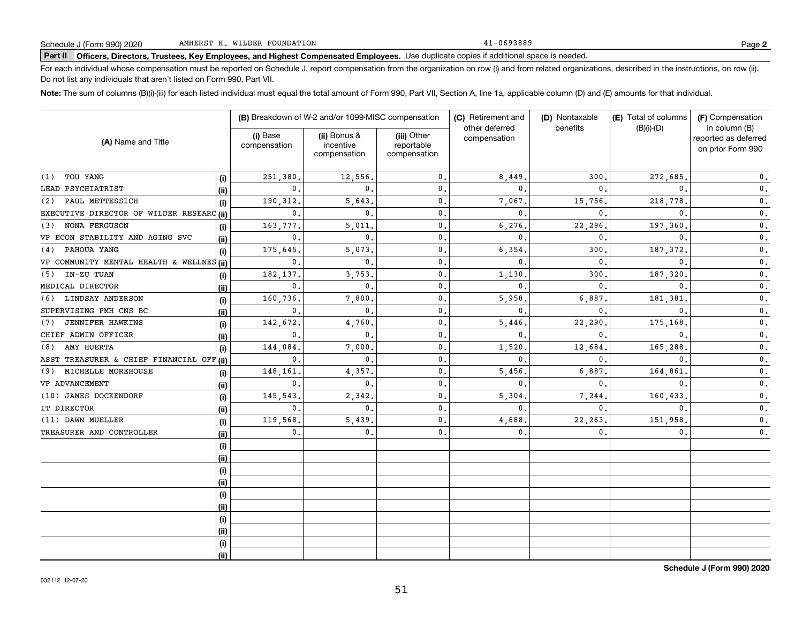41-0693889

# **Part II Officers, Directors, Trustees, Key Employees, and Highest Compensated Employees.**  Schedule J (Form 990) 2020 Page Use duplicate copies if additional space is needed.

For each individual whose compensation must be reported on Schedule J, report compensation from the organization on row (i) and from related organizations, described in the instructions, on row (ii). Do not list any individuals that aren't listed on Form 990, Part VII.

**Note:**  The sum of columns (B)(i)-(iii) for each listed individual must equal the total amount of Form 990, Part VII, Section A, line 1a, applicable column (D) and (E) amounts for that individual.

|                                           |      |                          | (B) Breakdown of W-2 and/or 1099-MISC compensation |                                           | (C) Retirement and             | (D) Nontaxable | (E) Total of columns | (F) Compensation                                           |  |
|-------------------------------------------|------|--------------------------|----------------------------------------------------|-------------------------------------------|--------------------------------|----------------|----------------------|------------------------------------------------------------|--|
| (A) Name and Title                        |      | (i) Base<br>compensation | (ii) Bonus &<br>incentive<br>compensation          | (iii) Other<br>reportable<br>compensation | other deferred<br>compensation | benefits       | $(B)(i)-(D)$         | in column (B)<br>reported as deferred<br>on prior Form 990 |  |
| TOU YANG<br>(1)                           | (i)  | 251,380                  | 12,556.                                            | $\mathbf{0}$ .                            | 8,449                          | 300,           | 272,685              | $0$ .                                                      |  |
| LEAD PSYCHIATRIST                         | (ii) | $\mathbf{0}$ .           | $\mathbf{0}$ .                                     | $\mathbf{0}$ .                            | $\mathbf{0}$ .                 | $\mathbf{0}$ . | $\Omega$             | $\mathbf 0$ .                                              |  |
| PAUL METTESSICH<br>(2)                    | (i)  | 190, 312.                | 5,643.                                             | $\mathbf{0}$ .                            | 7,067.                         | 15,756.        | 218,778              | $\mathbf 0$ .                                              |  |
| EXECUTIVE DIRECTOR OF WILDER RESEARC (ii) |      | 0.                       | $\mathbf{0}$ .                                     | $\mathbf{0}$ .                            | $\mathbf{0}$ .                 | $\mathbf{0}$ . | $\mathbf{0}$         | 0.                                                         |  |
| <b>NONA FERGUSON</b><br>(3)               | (i)  | 163,777.                 | 5,011.                                             | $\mathbf 0$ .                             | 6,276                          | 22,296.        | 197,360              | 0.                                                         |  |
| VP ECON STABILITY AND AGING SVC           | (ii) | 0.                       | $\mathbf{0}$ .                                     | $\mathbf 0$ .                             | 0.                             | 0.             | $\mathbf{0}$         | $\mathbf 0$ .                                              |  |
| PAHOUA YANG<br>(4)                        | (i)  | 175,645                  | 5,073.                                             | $\mathbf 0$ .                             | 6,354                          | 300,           | 187,372              | $\mathbf 0$ .                                              |  |
| VP COMMUNITY MENTAL HEALTH & WELLNES (ii) |      | 0.                       | $\mathbf{0}$ .                                     | $\mathbf 0$ .                             | $\mathbf{0}$ .                 | 0.             | $\mathbf{0}$ .       | $\mathbf 0$ .                                              |  |
| IN-ZU TUAN<br>(5)                         | (i)  | 182,137.                 | 3,753.                                             | $\mathbf 0$ .                             | 1,130                          | 300.           | 187,320              | 0.                                                         |  |
| MEDICAL DIRECTOR                          | (ii) | 0.                       | $\mathbf{0}$ .                                     | $\mathbf 0$ .                             | $\mathbf{0}$ .                 | $\mathbf{0}$ . | $\mathbf{0}$ .       | 0.                                                         |  |
| LINDSAY ANDERSON<br>(6)                   | (i)  | 160,736.                 | 7,800.                                             | $\mathbf 0$ .                             | 5,958                          | 6,887.         | 181,381              | 0.                                                         |  |
| SUPERVISING PMH CNS BC                    | (ii) | 0.                       | $\mathbf{0}$ .                                     | $\mathbf 0$ .                             | 0.                             | 0.             | 0                    | 0.                                                         |  |
| JENNIFER HAWKINS<br>(7)                   | (i)  | 142,672.                 | 4,760.                                             | $\mathbf{0}$ .                            | 5,446                          | 22,290         | 175,168              | 0.                                                         |  |
| CHIEF ADMIN OFFICER                       | (ii) | 0.                       | $\mathbf{0}$ .                                     | $\mathbf{0}$ .                            | $\mathbf 0$ .                  | 0.             | $\mathbf{0}$ .       | 0.                                                         |  |
| AMY HUERTA<br>(8)                         | (i)  | 144,084                  | 7,000.                                             | $\mathbf{0}$ .                            | 1,520                          | 12,684         | 165,288              | 0.                                                         |  |
| ASST TREASURER & CHIEF FINANCIAL OFF (ii) |      | 0.                       | 0.                                                 | $\mathbf{0}$ .                            | $\mathbf{0}$ .                 | $\mathbf{0}$   | $\mathbf{0}$         | 0.                                                         |  |
| MICHELLE MOREHOUSE<br>(9)                 | (i)  | 148,161.                 | 4,357.                                             | $\mathbf{0}$ .                            | 5,456                          | 6,887.         | 164,861              | 0.                                                         |  |
| VP ADVANCEMENT                            | (ii) | 0.                       | $\mathbf 0$ .                                      | $\mathbf{0}$ .                            | $\mathbf{0}$ .                 | 0.             | $\mathbf{0}$         | $\mathbf 0$ .                                              |  |
| (10) JAMES DOCKENDORF                     | (i)  | 145,543                  | 2,342                                              | $\mathbf{0}$ .                            | 5,304                          | 7,244.         | 160,433              | 0.                                                         |  |
| IT DIRECTOR                               | (ii) | 0.                       | $\mathbf{0}$ .                                     | $\mathbf{0}$ .                            | $\mathbf 0$ .                  | $\mathbf{0}$ . | $^{\circ}$           | $\mathbf{0}$ .                                             |  |
| (11) DAWN MUELLER                         | (i)  | 119,568.                 | 5,439.                                             | $\mathbf{0}$ .                            | 4,688                          | 22, 263.       | 151,958.             | 0.                                                         |  |
| TREASURER AND CONTROLLER                  | (ii) | 0.                       | $\mathbf{0}$ .                                     | $\mathbf{0}$ .                            | 0.                             | 0.             | 0.                   | 0.                                                         |  |
|                                           | (i)  |                          |                                                    |                                           |                                |                |                      |                                                            |  |
|                                           | (ii) |                          |                                                    |                                           |                                |                |                      |                                                            |  |
|                                           | (i)  |                          |                                                    |                                           |                                |                |                      |                                                            |  |
|                                           | (ii) |                          |                                                    |                                           |                                |                |                      |                                                            |  |
|                                           | (i)  |                          |                                                    |                                           |                                |                |                      |                                                            |  |
|                                           | (ii) |                          |                                                    |                                           |                                |                |                      |                                                            |  |
|                                           | (i)  |                          |                                                    |                                           |                                |                |                      |                                                            |  |
|                                           | (ii) |                          |                                                    |                                           |                                |                |                      |                                                            |  |
|                                           | (i)  |                          |                                                    |                                           |                                |                |                      |                                                            |  |
|                                           | (ii) |                          |                                                    |                                           |                                |                |                      |                                                            |  |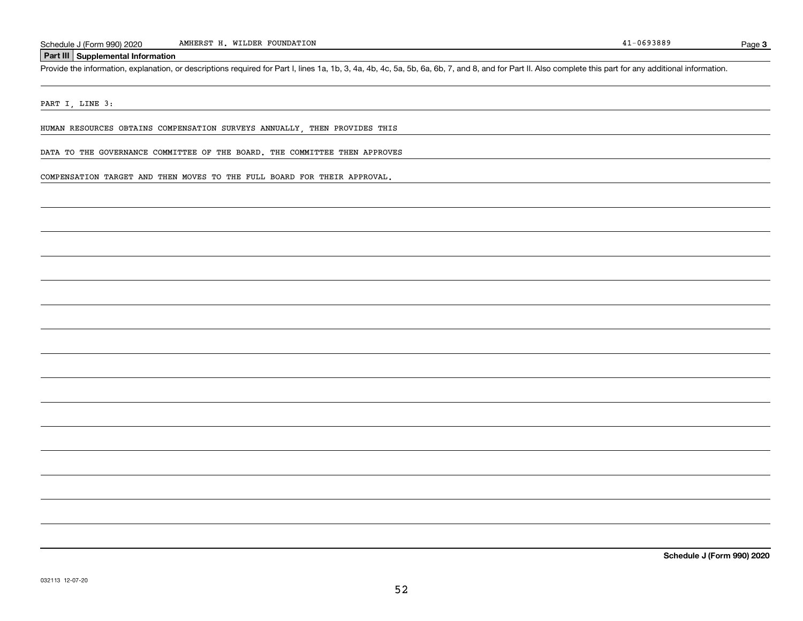Schedule J (Form 990) 2020 MMHERST H. WILDER FOUNDATION<br>
Part III Supplemental Information<br>
Provide the information, explanation, or descriptions required for Part I, lines 1a, 1b, 3, 4a, 4b, 4c, 5a, 5b, 6a, 6b, 7, and 8,

PART I, LINE 3:

HUMAN RESOURCES OBTAINS COMPENSATION SURVEYS ANNUALLY, THEN PROVIDES THIS

DATA TO THE GOVERNANCE COMMITTEE OF THE BOARD. THE COMMITTEE THEN APPROVES

COMPENSATION TARGET AND THEN MOVES TO THE FULL BOARD FOR THEIR APPROVAL.

**Schedule J (Form 990) 2020**

Page 3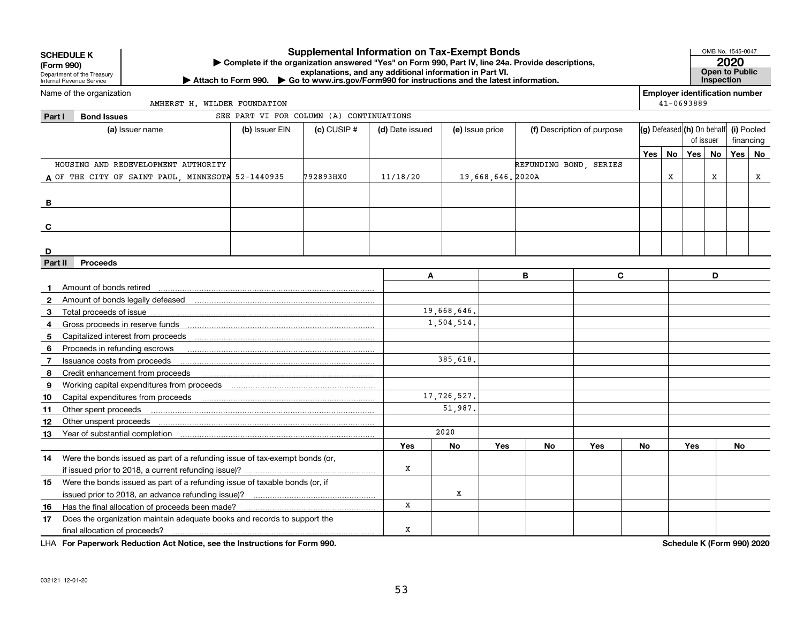| <b>Supplemental Information on Tax-Exempt Bonds</b><br><b>SCHEDULE K</b><br>Complete if the organization answered "Yes" on Form 990, Part IV, line 24a. Provide descriptions,<br>(Form 990)<br>explanations, and any additional information in Part VI.<br>Department of the Treasury<br>▶ Attach to Form 990. ▶ Go to www.irs.gov/Form990 for instructions and the latest information.<br>Internal Revenue Service |                                                                             |                |                                          |                 |                 |                  |                        |                            |     |           |                                       | OMB No. 1545-0047<br>2020<br>Open to Public<br>Inspection |            |    |
|---------------------------------------------------------------------------------------------------------------------------------------------------------------------------------------------------------------------------------------------------------------------------------------------------------------------------------------------------------------------------------------------------------------------|-----------------------------------------------------------------------------|----------------|------------------------------------------|-----------------|-----------------|------------------|------------------------|----------------------------|-----|-----------|---------------------------------------|-----------------------------------------------------------|------------|----|
|                                                                                                                                                                                                                                                                                                                                                                                                                     | Name of the organization                                                    |                |                                          |                 |                 |                  |                        |                            |     |           | <b>Employer identification number</b> |                                                           |            |    |
|                                                                                                                                                                                                                                                                                                                                                                                                                     | AMHERST H. WILDER FOUNDATION                                                |                |                                          |                 |                 |                  |                        |                            |     |           | 41-0693889                            |                                                           |            |    |
| Part I                                                                                                                                                                                                                                                                                                                                                                                                              | <b>Bond Issues</b>                                                          |                | SEE PART VI FOR COLUMN (A) CONTINUATIONS |                 |                 |                  |                        |                            |     |           |                                       |                                                           |            |    |
|                                                                                                                                                                                                                                                                                                                                                                                                                     | (a) Issuer name                                                             | (b) Issuer EIN | $(c)$ CUSIP #                            | (d) Date issued | (e) Issue price |                  |                        | (f) Description of purpose |     |           | (g) Defeased (h) On behalf            |                                                           | (i) Pooled |    |
|                                                                                                                                                                                                                                                                                                                                                                                                                     |                                                                             |                |                                          |                 |                 |                  |                        |                            |     |           | of issuer                             |                                                           | financing  |    |
|                                                                                                                                                                                                                                                                                                                                                                                                                     |                                                                             |                |                                          |                 |                 |                  |                        |                            | Yes | <b>No</b> | Yes                                   | No                                                        | Yes        | No |
|                                                                                                                                                                                                                                                                                                                                                                                                                     | HOUSING AND REDEVELOPMENT AUTHORITY                                         |                |                                          |                 |                 |                  | REFUNDING BOND, SERIES |                            |     |           |                                       |                                                           |            |    |
|                                                                                                                                                                                                                                                                                                                                                                                                                     | A OF THE CITY OF SAINT PAUL, MINNESOTA 52-1440935                           |                | 792893HX0                                | 11/18/20        |                 | 19,668,646.2020A |                        |                            |     | X         |                                       | X                                                         |            | x  |
|                                                                                                                                                                                                                                                                                                                                                                                                                     |                                                                             |                |                                          |                 |                 |                  |                        |                            |     |           |                                       |                                                           |            |    |
| В                                                                                                                                                                                                                                                                                                                                                                                                                   |                                                                             |                |                                          |                 |                 |                  |                        |                            |     |           |                                       |                                                           |            |    |
|                                                                                                                                                                                                                                                                                                                                                                                                                     |                                                                             |                |                                          |                 |                 |                  |                        |                            |     |           |                                       |                                                           |            |    |
| C                                                                                                                                                                                                                                                                                                                                                                                                                   |                                                                             |                |                                          |                 |                 |                  |                        |                            |     |           |                                       |                                                           |            |    |
|                                                                                                                                                                                                                                                                                                                                                                                                                     |                                                                             |                |                                          |                 |                 |                  |                        |                            |     |           |                                       |                                                           |            |    |
| D<br>Part II                                                                                                                                                                                                                                                                                                                                                                                                        | <b>Proceeds</b>                                                             |                |                                          |                 |                 |                  |                        |                            |     |           |                                       |                                                           |            |    |
|                                                                                                                                                                                                                                                                                                                                                                                                                     |                                                                             |                |                                          | A               |                 |                  | B                      | C                          |     |           |                                       | D                                                         |            |    |
|                                                                                                                                                                                                                                                                                                                                                                                                                     |                                                                             |                |                                          |                 |                 |                  |                        |                            |     |           |                                       |                                                           |            |    |
|                                                                                                                                                                                                                                                                                                                                                                                                                     | Amount of bonds retired                                                     |                |                                          |                 |                 |                  |                        |                            |     |           |                                       |                                                           |            |    |
| 3                                                                                                                                                                                                                                                                                                                                                                                                                   |                                                                             |                |                                          |                 | 19,668,646.     |                  |                        |                            |     |           |                                       |                                                           |            |    |
| 4                                                                                                                                                                                                                                                                                                                                                                                                                   |                                                                             |                |                                          |                 | 1,504,514.      |                  |                        |                            |     |           |                                       |                                                           |            |    |
| 5                                                                                                                                                                                                                                                                                                                                                                                                                   |                                                                             |                |                                          |                 |                 |                  |                        |                            |     |           |                                       |                                                           |            |    |
| 6                                                                                                                                                                                                                                                                                                                                                                                                                   | Proceeds in refunding escrows                                               |                |                                          |                 |                 |                  |                        |                            |     |           |                                       |                                                           |            |    |
| $\overline{7}$                                                                                                                                                                                                                                                                                                                                                                                                      | Issuance costs from proceeds                                                |                |                                          |                 | 385.618.        |                  |                        |                            |     |           |                                       |                                                           |            |    |
| 8                                                                                                                                                                                                                                                                                                                                                                                                                   | Credit enhancement from proceeds                                            |                |                                          |                 |                 |                  |                        |                            |     |           |                                       |                                                           |            |    |
| 9                                                                                                                                                                                                                                                                                                                                                                                                                   |                                                                             |                |                                          |                 |                 |                  |                        |                            |     |           |                                       |                                                           |            |    |
| 10                                                                                                                                                                                                                                                                                                                                                                                                                  |                                                                             |                |                                          |                 | 17,726,527.     |                  |                        |                            |     |           |                                       |                                                           |            |    |
| 11                                                                                                                                                                                                                                                                                                                                                                                                                  | Other spent proceeds                                                        |                |                                          |                 | 51,987.         |                  |                        |                            |     |           |                                       |                                                           |            |    |
| 12                                                                                                                                                                                                                                                                                                                                                                                                                  | Other unspent proceeds                                                      |                |                                          |                 |                 |                  |                        |                            |     |           |                                       |                                                           |            |    |
| 13                                                                                                                                                                                                                                                                                                                                                                                                                  |                                                                             |                |                                          |                 | 2020            |                  |                        |                            |     |           |                                       |                                                           |            |    |
|                                                                                                                                                                                                                                                                                                                                                                                                                     |                                                                             |                |                                          | Yes             | No              | <b>Yes</b>       | No                     | Yes                        | No  |           | Yes                                   |                                                           | No         |    |
| 14                                                                                                                                                                                                                                                                                                                                                                                                                  | Were the bonds issued as part of a refunding issue of tax-exempt bonds (or, |                |                                          |                 |                 |                  |                        |                            |     |           |                                       |                                                           |            |    |
|                                                                                                                                                                                                                                                                                                                                                                                                                     |                                                                             |                |                                          | X               |                 |                  |                        |                            |     |           |                                       |                                                           |            |    |
| 15                                                                                                                                                                                                                                                                                                                                                                                                                  | Were the bonds issued as part of a refunding issue of taxable bonds (or, if |                |                                          |                 |                 |                  |                        |                            |     |           |                                       |                                                           |            |    |
|                                                                                                                                                                                                                                                                                                                                                                                                                     |                                                                             |                |                                          |                 | $\mathbf{x}$    |                  |                        |                            |     |           |                                       |                                                           |            |    |
| 16                                                                                                                                                                                                                                                                                                                                                                                                                  |                                                                             |                |                                          | $\mathbf x$     |                 |                  |                        |                            |     |           |                                       |                                                           |            |    |
| 17                                                                                                                                                                                                                                                                                                                                                                                                                  | Does the organization maintain adequate books and records to support the    |                |                                          |                 |                 |                  |                        |                            |     |           |                                       |                                                           |            |    |
|                                                                                                                                                                                                                                                                                                                                                                                                                     | final allocation of proceeds?                                               | x              |                                          |                 |                 |                  |                        |                            |     |           |                                       |                                                           |            |    |

**For Paperwork Reduction Act Notice, see the Instructions for Form 990. Schedule K (Form 990) 2020** LHA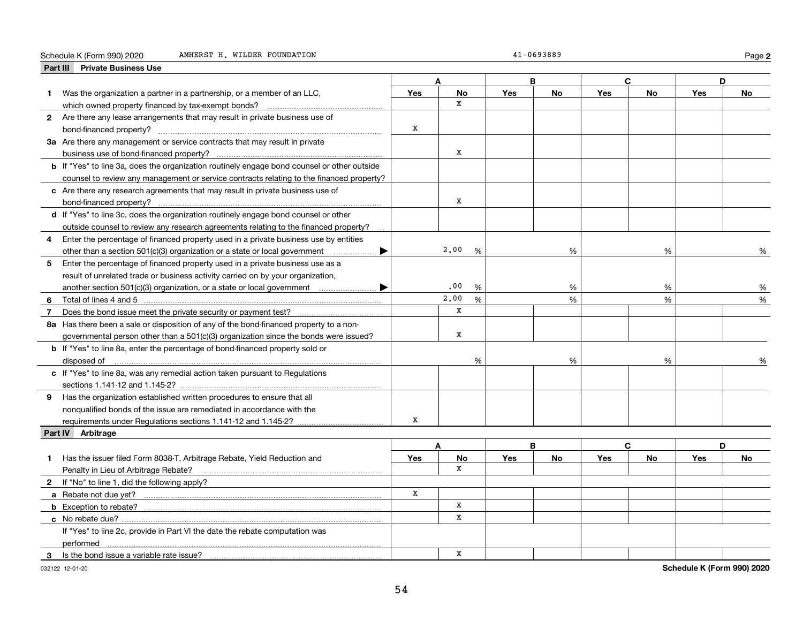#### Schedule K (Form 990) 2020 Page AMHERST H. WILDER FOUNDATION 41-0693889

|  | 41-0693889 |  |  |  |  |
|--|------------|--|--|--|--|
|  |            |  |  |  |  |

**2**

| <b>Private Business Use</b><br>Part III                                                            |            |                             |   |            |           |            |           |     |    |
|----------------------------------------------------------------------------------------------------|------------|-----------------------------|---|------------|-----------|------------|-----------|-----|----|
|                                                                                                    | A<br>в     |                             |   |            | C.        |            | D         |     |    |
| Was the organization a partner in a partnership, or a member of an LLC,<br>1                       | Yes        | <b>No</b>                   |   | <b>Yes</b> | No        | <b>Yes</b> | <b>No</b> | Yes | No |
|                                                                                                    |            | x                           |   |            |           |            |           |     |    |
| 2 Are there any lease arrangements that may result in private business use of                      |            |                             |   |            |           |            |           |     |    |
|                                                                                                    | X          |                             |   |            |           |            |           |     |    |
| 3a Are there any management or service contracts that may result in private                        |            |                             |   |            |           |            |           |     |    |
|                                                                                                    |            | x                           |   |            |           |            |           |     |    |
| <b>b</b> If "Yes" to line 3a, does the organization routinely engage bond counsel or other outside |            |                             |   |            |           |            |           |     |    |
| counsel to review any management or service contracts relating to the financed property?           |            |                             |   |            |           |            |           |     |    |
| c Are there any research agreements that may result in private business use of                     |            |                             |   |            |           |            |           |     |    |
|                                                                                                    |            | X                           |   |            |           |            |           |     |    |
| d If "Yes" to line 3c, does the organization routinely engage bond counsel or other                |            |                             |   |            |           |            |           |     |    |
| outside counsel to review any research agreements relating to the financed property?               |            |                             |   |            |           |            |           |     |    |
| Enter the percentage of financed property used in a private business use by entities<br>4          |            |                             |   |            |           |            |           |     |    |
| other than a section 501(c)(3) organization or a state or local government $\ldots$ $\ldots$       |            | 2,00                        | % |            | %         |            | %         |     | %  |
| 5<br>Enter the percentage of financed property used in a private business use as a                 |            |                             |   |            |           |            |           |     |    |
| result of unrelated trade or business activity carried on by your organization,                    |            |                             |   |            |           |            |           |     |    |
|                                                                                                    |            | .00                         | % |            | %         |            | %         |     | %  |
|                                                                                                    |            | 2,00<br>%<br>%              |   | %          | %         |            |           |     |    |
| $\overline{7}$                                                                                     |            | X                           |   |            |           |            |           |     |    |
| 8a Has there been a sale or disposition of any of the bond-financed property to a non-             |            |                             |   |            |           |            |           |     |    |
| governmental person other than a 501(c)(3) organization since the bonds were issued?               |            | $\mathbf X$                 |   |            |           |            |           |     |    |
| <b>b</b> If "Yes" to line 8a, enter the percentage of bond-financed property sold or               |            |                             |   |            |           |            |           |     |    |
|                                                                                                    |            |                             | % |            | %         |            | %         |     | %  |
| disposed of <u>www.communications.communications.communications.com</u>                            |            |                             |   |            |           |            |           |     |    |
| c If "Yes" to line 8a, was any remedial action taken pursuant to Regulations                       |            |                             |   |            |           |            |           |     |    |
|                                                                                                    |            |                             |   |            |           |            |           |     |    |
| 9 Has the organization established written procedures to ensure that all                           |            |                             |   |            |           |            |           |     |    |
| nonqualified bonds of the issue are remediated in accordance with the                              | X          |                             |   |            |           |            |           |     |    |
| requirements under Regulations sections 1.141-12 and 1.145-2?                                      |            |                             |   |            |           |            |           |     |    |
| Part IV Arbitrage                                                                                  |            |                             |   |            |           |            |           |     |    |
|                                                                                                    |            | A                           |   | B          |           |            | C         |     | D  |
| Has the issuer filed Form 8038-T, Arbitrage Rebate, Yield Reduction and<br>1                       | <b>Yes</b> | No<br>X                     |   | <b>Yes</b> | <b>No</b> | <b>Yes</b> | <b>No</b> | Yes | No |
| Penalty in Lieu of Arbitrage Rebate?                                                               |            |                             |   |            |           |            |           |     |    |
| 2 If "No" to line 1, did the following apply?                                                      | X          |                             |   |            |           |            |           |     |    |
|                                                                                                    |            |                             |   |            |           |            |           |     |    |
|                                                                                                    |            | $\mathbf X$<br>$\mathbf{x}$ |   |            |           |            |           |     |    |
|                                                                                                    |            |                             |   |            |           |            |           |     |    |
| If "Yes" to line 2c, provide in Part VI the date the rebate computation was                        |            |                             |   |            |           |            |           |     |    |
|                                                                                                    |            |                             |   |            |           |            |           |     |    |
| 3                                                                                                  |            | x                           |   |            |           |            |           |     |    |

032122 12-01-20

**Schedule K (Form 990) 2020**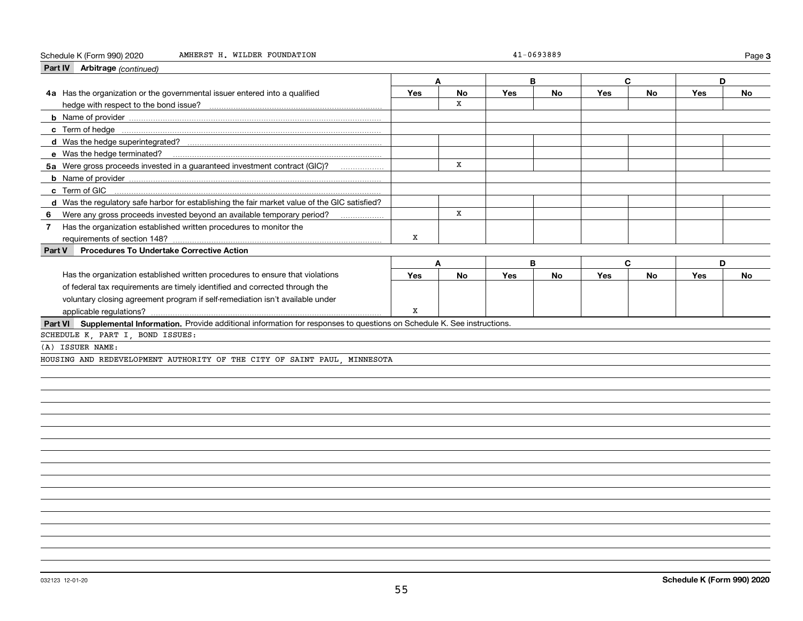#### Schedule K (Form 990) 2020 Page AMHERST H. WILDER FOUNDATION 41-0693889

|        | Part IV Arbitrage (continued)                                                                                                |     |           |     |           |     |           |     |           |
|--------|------------------------------------------------------------------------------------------------------------------------------|-----|-----------|-----|-----------|-----|-----------|-----|-----------|
|        |                                                                                                                              | А   |           |     | B         | C   |           | D   |           |
|        | 4a Has the organization or the governmental issuer entered into a qualified                                                  | Yes | <b>No</b> | Yes | <b>No</b> | Yes | <b>No</b> | Yes | <b>No</b> |
|        |                                                                                                                              |     | X         |     |           |     |           |     |           |
|        |                                                                                                                              |     |           |     |           |     |           |     |           |
|        |                                                                                                                              |     |           |     |           |     |           |     |           |
|        |                                                                                                                              |     |           |     |           |     |           |     |           |
|        |                                                                                                                              |     |           |     |           |     |           |     |           |
|        | 5a Were gross proceeds invested in a guaranteed investment contract (GIC)?                                                   |     | x         |     |           |     |           |     |           |
|        |                                                                                                                              |     |           |     |           |     |           |     |           |
|        |                                                                                                                              |     |           |     |           |     |           |     |           |
|        | d Was the regulatory safe harbor for establishing the fair market value of the GIC satisfied?                                |     |           |     |           |     |           |     |           |
| 6      |                                                                                                                              |     | x         |     |           |     |           |     |           |
| 7      | Has the organization established written procedures to monitor the                                                           |     |           |     |           |     |           |     |           |
|        | requirements of section 148?                                                                                                 | х   |           |     |           |     |           |     |           |
| Part V | <b>Procedures To Undertake Corrective Action</b>                                                                             |     |           |     |           |     |           |     |           |
|        |                                                                                                                              |     |           |     |           |     |           |     |           |
|        |                                                                                                                              | A   |           |     | B         | C   |           | D   |           |
|        | Has the organization established written procedures to ensure that violations                                                | Yes | <b>No</b> | Yes | <b>No</b> | Yes | <b>No</b> | Yes | <b>No</b> |
|        | of federal tax requirements are timely identified and corrected through the                                                  |     |           |     |           |     |           |     |           |
|        | voluntary closing agreement program if self-remediation isn't available under                                                |     |           |     |           |     |           |     |           |
|        | applicable regulations?                                                                                                      | X   |           |     |           |     |           |     |           |
|        | Part VI Supplemental Information. Provide additional information for responses to questions on Schedule K. See instructions. |     |           |     |           |     |           |     |           |
|        | SCHEDULE K, PART I, BOND ISSUES:                                                                                             |     |           |     |           |     |           |     |           |
|        | (A) ISSUER NAME:                                                                                                             |     |           |     |           |     |           |     |           |
|        | HOUSING AND REDEVELOPMENT AUTHORITY OF THE CITY OF SAINT PAUL, MINNESOTA                                                     |     |           |     |           |     |           |     |           |
|        |                                                                                                                              |     |           |     |           |     |           |     |           |
|        |                                                                                                                              |     |           |     |           |     |           |     |           |
|        |                                                                                                                              |     |           |     |           |     |           |     |           |
|        |                                                                                                                              |     |           |     |           |     |           |     |           |
|        |                                                                                                                              |     |           |     |           |     |           |     |           |
|        |                                                                                                                              |     |           |     |           |     |           |     |           |

**3**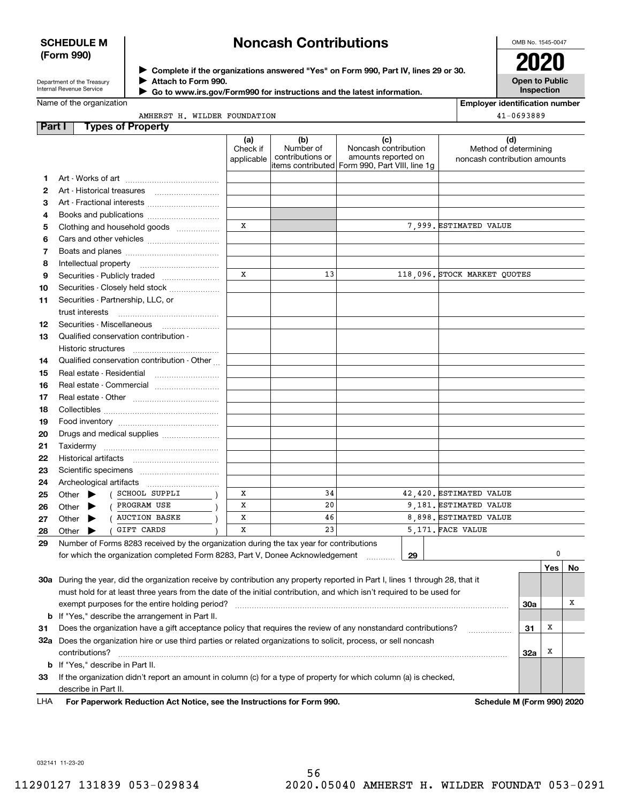#### **SCHEDULE M (Form 990)**

## **Noncash Contributions**

OMB No. 1545-0047

Department of the Treasury Internal Revenue Service

**Complete if the organizations answered "Yes" on Form 990, Part IV, lines 29 or 30.** <sup>J</sup>**2020 Attach to Form 990.** J

 **Go to www.irs.gov/Form990 for instructions and the latest information.** J

**Open to Public Inspection**

| Name of the organization |  |                              |
|--------------------------|--|------------------------------|
|                          |  | AMHERST H. WILDER FOUNDATION |

| <b>Employer identification number</b> |  |  |  |  |
|---------------------------------------|--|--|--|--|
|                                       |  |  |  |  |

| $41 - 0693889$ |  |
|----------------|--|
|----------------|--|

| Part I | <b>Types of Property</b>                                                                                                       |                               |                                      |                                                                                                      |                              |                              |     |            |    |
|--------|--------------------------------------------------------------------------------------------------------------------------------|-------------------------------|--------------------------------------|------------------------------------------------------------------------------------------------------|------------------------------|------------------------------|-----|------------|----|
|        |                                                                                                                                | (a)<br>Check if<br>applicable | (b)<br>Number of<br>contributions or | (c)<br>Noncash contribution<br>amounts reported on<br>items contributed Form 990, Part VIII, line 1g | noncash contribution amounts | (d)<br>Method of determining |     |            |    |
| 1.     |                                                                                                                                |                               |                                      |                                                                                                      |                              |                              |     |            |    |
| 2      | Art - Historical treasures                                                                                                     |                               |                                      |                                                                                                      |                              |                              |     |            |    |
| З      | Art - Fractional interests                                                                                                     |                               |                                      |                                                                                                      |                              |                              |     |            |    |
| 4      | Books and publications                                                                                                         |                               |                                      |                                                                                                      |                              |                              |     |            |    |
| 5      | Clothing and household goods                                                                                                   | X                             |                                      |                                                                                                      | 7.999. ESTIMATED VALUE       |                              |     |            |    |
| 6      |                                                                                                                                |                               |                                      |                                                                                                      |                              |                              |     |            |    |
| 7      |                                                                                                                                |                               |                                      |                                                                                                      |                              |                              |     |            |    |
| 8      | Intellectual property                                                                                                          |                               |                                      |                                                                                                      |                              |                              |     |            |    |
| 9      | Securities - Publicly traded                                                                                                   | X                             | 13                                   |                                                                                                      | 118,096. STOCK MARKET QUOTES |                              |     |            |    |
| 10     | Securities - Closely held stock                                                                                                |                               |                                      |                                                                                                      |                              |                              |     |            |    |
|        |                                                                                                                                |                               |                                      |                                                                                                      |                              |                              |     |            |    |
| 11     | Securities - Partnership, LLC, or<br>trust interests                                                                           |                               |                                      |                                                                                                      |                              |                              |     |            |    |
| 12     | Securities Miscellaneous                                                                                                       |                               |                                      |                                                                                                      |                              |                              |     |            |    |
| 13     | Qualified conservation contribution -                                                                                          |                               |                                      |                                                                                                      |                              |                              |     |            |    |
|        | Historic structures                                                                                                            |                               |                                      |                                                                                                      |                              |                              |     |            |    |
| 14     | Qualified conservation contribution - Other                                                                                    |                               |                                      |                                                                                                      |                              |                              |     |            |    |
| 15     | Real estate - Residential                                                                                                      |                               |                                      |                                                                                                      |                              |                              |     |            |    |
| 16     |                                                                                                                                |                               |                                      |                                                                                                      |                              |                              |     |            |    |
|        |                                                                                                                                |                               |                                      |                                                                                                      |                              |                              |     |            |    |
| 17     |                                                                                                                                |                               |                                      |                                                                                                      |                              |                              |     |            |    |
| 18     |                                                                                                                                |                               |                                      |                                                                                                      |                              |                              |     |            |    |
| 19     |                                                                                                                                |                               |                                      |                                                                                                      |                              |                              |     |            |    |
| 20     | Drugs and medical supplies                                                                                                     |                               |                                      |                                                                                                      |                              |                              |     |            |    |
| 21     |                                                                                                                                |                               |                                      |                                                                                                      |                              |                              |     |            |    |
| 22     | <b>Historical artifacts</b>                                                                                                    |                               |                                      |                                                                                                      |                              |                              |     |            |    |
| 23     |                                                                                                                                |                               |                                      |                                                                                                      |                              |                              |     |            |    |
| 24     | Archeological artifacts                                                                                                        |                               |                                      |                                                                                                      |                              |                              |     |            |    |
| 25     | SCHOOL SUPPLI<br>Other $\blacktriangleright$                                                                                   | Х                             | 34                                   |                                                                                                      | 42,420. ESTIMATED VALUE      |                              |     |            |    |
| 26     | PROGRAM USE<br>Other<br>▶                                                                                                      | Х                             | 20                                   |                                                                                                      | 9,181. ESTIMATED VALUE       |                              |     |            |    |
| 27     | <b>AUCTION BASKE</b><br>Other<br>▶                                                                                             | х                             | 46                                   |                                                                                                      | 8,898. ESTIMATED VALUE       |                              |     |            |    |
| 28     | GIFT CARDS<br>Other<br>▶                                                                                                       | x                             | 23                                   |                                                                                                      | 5,171. FACE VALUE            |                              |     |            |    |
| 29     | Number of Forms 8283 received by the organization during the tax year for contributions                                        |                               |                                      |                                                                                                      |                              |                              |     |            |    |
|        | for which the organization completed Form 8283, Part V, Donee Acknowledgement                                                  |                               |                                      | 29                                                                                                   |                              |                              |     | 0          |    |
|        |                                                                                                                                |                               |                                      |                                                                                                      |                              |                              |     | <b>Yes</b> | No |
|        | 30a During the year, did the organization receive by contribution any property reported in Part I, lines 1 through 28, that it |                               |                                      |                                                                                                      |                              |                              |     |            |    |
|        | must hold for at least three years from the date of the initial contribution, and which isn't required to be used for          |                               |                                      |                                                                                                      |                              |                              |     |            |    |
|        | exempt purposes for the entire holding period?                                                                                 |                               |                                      |                                                                                                      |                              |                              | 30a |            | х  |
|        | <b>b</b> If "Yes," describe the arrangement in Part II.                                                                        |                               |                                      |                                                                                                      |                              |                              |     |            |    |
| 31     | Does the organization have a gift acceptance policy that requires the review of any nonstandard contributions?                 |                               |                                      |                                                                                                      |                              |                              | 31  | x          |    |
|        | 32a Does the organization hire or use third parties or related organizations to solicit, process, or sell noncash              |                               |                                      |                                                                                                      |                              |                              |     |            |    |
|        | contributions?                                                                                                                 |                               |                                      |                                                                                                      |                              |                              | 32a | x          |    |
|        | <b>b</b> If "Yes," describe in Part II.                                                                                        |                               |                                      |                                                                                                      |                              |                              |     |            |    |
| 33     | If the organization didn't report an amount in column (c) for a type of property for which column (a) is checked,              |                               |                                      |                                                                                                      |                              |                              |     |            |    |
|        | describe in Part II.                                                                                                           |                               |                                      |                                                                                                      |                              |                              |     |            |    |
| LHA    | For Paperwork Reduction Act Notice, see the Instructions for Form 990.                                                         |                               |                                      |                                                                                                      |                              | Schedule M (Form 990) 2020   |     |            |    |

032141 11-23-20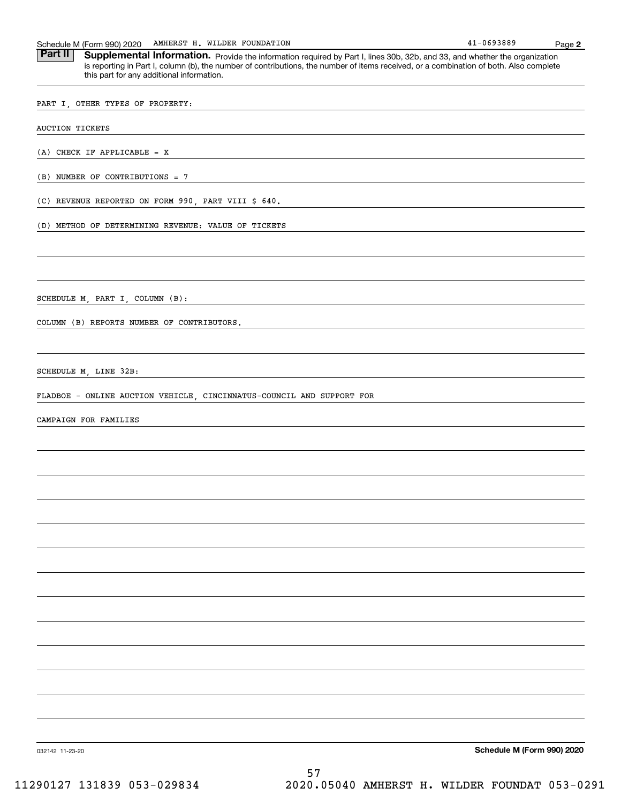| Schedule N<br><sup>1</sup> (Form<br>$\mathbf{u}$ | AMHERST V<br>990) 2020<br>. | WILDER | FOUNDATION | .-0693889<br>. . | Paɑe |  |
|--------------------------------------------------|-----------------------------|--------|------------|------------------|------|--|
|--------------------------------------------------|-----------------------------|--------|------------|------------------|------|--|

Part II | Supplemental Information. Provide the information required by Part I, lines 30b, 32b, and 33, and whether the organization is reporting in Part I, column (b), the number of contributions, the number of items received, or a combination of both. Also complete this part for any additional information.

PART I, OTHER TYPES OF PROPERTY:

AUCTION TICKETS

(A) CHECK IF APPLICABLE = X

(B) NUMBER OF CONTRIBUTIONS = 7

(C) REVENUE REPORTED ON FORM 990, PART VIII \$ 640.

(D) METHOD OF DETERMINING REVENUE: VALUE OF TICKETS

SCHEDULE M, PART I, COLUMN (B):

COLUMN (B) REPORTS NUMBER OF CONTRIBUTORS.

SCHEDULE M, LINE 32B:

FLADBOE - ONLINE AUCTION VEHICLE, CINCINNATUS-COUNCIL AND SUPPORT FOR

CAMPAIGN FOR FAMILIES

**Schedule M (Form 990) 2020**

032142 11-23-20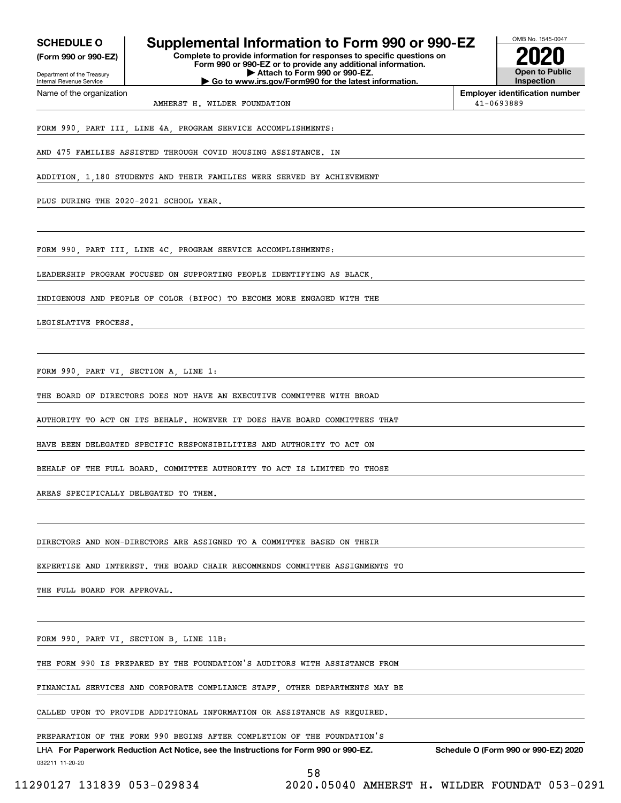**(Form 990 or 990-EZ)**

Department of the Treasury Internal Revenue Service Name of the organization

### **SCHEDULE O Supplemental Information to Form 990 or 990-EZ**

**Complete to provide information for responses to specific questions on Form 990 or 990-EZ or to provide any additional information. | Attach to Form 990 or 990-EZ. | Go to www.irs.gov/Form990 for the latest information.**



**Employer identification number** AMHERST H. WILDER FOUNDATION  $41-0693889$ 

FORM 990, PART III, LINE 4A, PROGRAM SERVICE ACCOMPLISHMENTS:

AND 475 FAMILIES ASSISTED THROUGH COVID HOUSING ASSISTANCE. IN

ADDITION, 1,180 STUDENTS AND THEIR FAMILIES WERE SERVED BY ACHIEVEMENT

PLUS DURING THE 2020-2021 SCHOOL YEAR.

FORM 990, PART III, LINE 4C, PROGRAM SERVICE ACCOMPLISHMENTS:

LEADERSHIP PROGRAM FOCUSED ON SUPPORTING PEOPLE IDENTIFYING AS BLACK,

INDIGENOUS AND PEOPLE OF COLOR (BIPOC) TO BECOME MORE ENGAGED WITH THE

LEGISLATIVE PROCESS.

FORM 990, PART VI, SECTION A, LINE 1:

THE BOARD OF DIRECTORS DOES NOT HAVE AN EXECUTIVE COMMITTEE WITH BROAD

AUTHORITY TO ACT ON ITS BEHALF. HOWEVER IT DOES HAVE BOARD COMMITTEES THAT

HAVE BEEN DELEGATED SPECIFIC RESPONSIBILITIES AND AUTHORITY TO ACT ON

BEHALF OF THE FULL BOARD. COMMITTEE AUTHORITY TO ACT IS LIMITED TO THOSE

AREAS SPECIFICALLY DELEGATED TO THEM.

DIRECTORS AND NON-DIRECTORS ARE ASSIGNED TO A COMMITTEE BASED ON THEIR

EXPERTISE AND INTEREST. THE BOARD CHAIR RECOMMENDS COMMITTEE ASSIGNMENTS TO

THE FULL BOARD FOR APPROVAL.

FORM 990, PART VI, SECTION B, LINE 11B:

THE FORM 990 IS PREPARED BY THE FOUNDATION'S AUDITORS WITH ASSISTANCE FROM

FINANCIAL SERVICES AND CORPORATE COMPLIANCE STAFF, OTHER DEPARTMENTS MAY BE

CALLED UPON TO PROVIDE ADDITIONAL INFORMATION OR ASSISTANCE AS REQUIRED.

PREPARATION OF THE FORM 990 BEGINS AFTER COMPLETION OF THE FOUNDATION'S

032211 11-20-20 LHA For Paperwork Reduction Act Notice, see the Instructions for Form 990 or 990-EZ. Schedule O (Form 990 or 990-EZ) 2020

58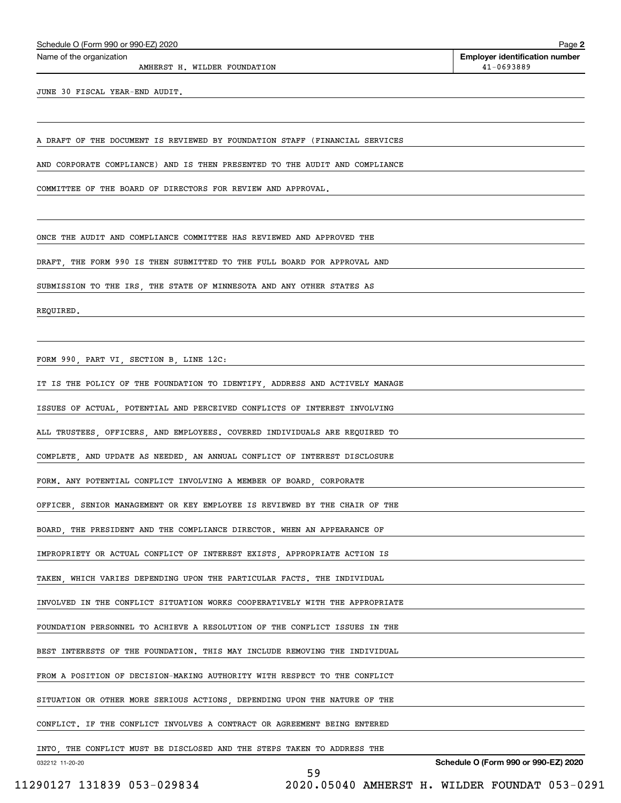AMHERST H. WILDER FOUNDATION  $41-0693889$ 

**2**Echedule O (Form 990 or 990-EZ) 2020<br>Name of the organization **number** Name of the organization **pumber** 

JUNE 30 FISCAL YEAR-END AUDIT.

A DRAFT OF THE DOCUMENT IS REVIEWED BY FOUNDATION STAFF (FINANCIAL SERVICES

AND CORPORATE COMPLIANCE) AND IS THEN PRESENTED TO THE AUDIT AND COMPLIANCE

COMMITTEE OF THE BOARD OF DIRECTORS FOR REVIEW AND APPROVAL.

ONCE THE AUDIT AND COMPLIANCE COMMITTEE HAS REVIEWED AND APPROVED THE

DRAFT, THE FORM 990 IS THEN SUBMITTED TO THE FULL BOARD FOR APPROVAL AND

SUBMISSION TO THE IRS, THE STATE OF MINNESOTA AND ANY OTHER STATES AS

REQUIRED.

FORM 990, PART VI, SECTION B, LINE 12C:

IT IS THE POLICY OF THE FOUNDATION TO IDENTIFY, ADDRESS AND ACTIVELY MANAGE

ISSUES OF ACTUAL, POTENTIAL AND PERCEIVED CONFLICTS OF INTEREST INVOLVING

ALL TRUSTEES, OFFICERS, AND EMPLOYEES. COVERED INDIVIDUALS ARE REQUIRED TO

COMPLETE, AND UPDATE AS NEEDED, AN ANNUAL CONFLICT OF INTEREST DISCLOSURE

FORM. ANY POTENTIAL CONFLICT INVOLVING A MEMBER OF BOARD, CORPORATE

OFFICER, SENIOR MANAGEMENT OR KEY EMPLOYEE IS REVIEWED BY THE CHAIR OF THE

BOARD, THE PRESIDENT AND THE COMPLIANCE DIRECTOR. WHEN AN APPEARANCE OF

IMPROPRIETY OR ACTUAL CONFLICT OF INTEREST EXISTS, APPROPRIATE ACTION IS

TAKEN, WHICH VARIES DEPENDING UPON THE PARTICULAR FACTS. THE INDIVIDUAL

INVOLVED IN THE CONFLICT SITUATION WORKS COOPERATIVELY WITH THE APPROPRIATE

FOUNDATION PERSONNEL TO ACHIEVE A RESOLUTION OF THE CONFLICT ISSUES IN THE

BEST INTERESTS OF THE FOUNDATION. THIS MAY INCLUDE REMOVING THE INDIVIDUAL

FROM A POSITION OF DECISION-MAKING AUTHORITY WITH RESPECT TO THE CONFLICT

SITUATION OR OTHER MORE SERIOUS ACTIONS, DEPENDING UPON THE NATURE OF THE

CONFLICT. IF THE CONFLICT INVOLVES A CONTRACT OR AGREEMENT BEING ENTERED

INTO, THE CONFLICT MUST BE DISCLOSED AND THE STEPS TAKEN TO ADDRESS THE

59

032212 11-20-20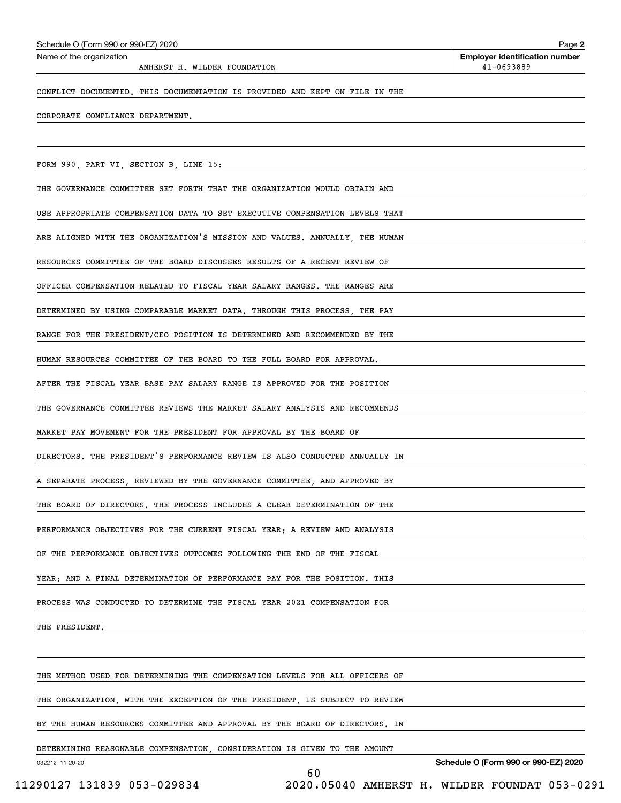| AMHERST H. WILDER FOUNDATION                                                | 41-0693889                           |
|-----------------------------------------------------------------------------|--------------------------------------|
| CONFLICT DOCUMENTED. THIS DOCUMENTATION IS PROVIDED AND KEPT ON FILE IN THE |                                      |
| CORPORATE COMPLIANCE DEPARTMENT.                                            |                                      |
|                                                                             |                                      |
| FORM 990, PART VI, SECTION B, LINE 15:                                      |                                      |
| THE GOVERNANCE COMMITTEE SET FORTH THAT THE ORGANIZATION WOULD OBTAIN AND   |                                      |
| USE APPROPRIATE COMPENSATION DATA TO SET EXECUTIVE COMPENSATION LEVELS THAT |                                      |
| ARE ALIGNED WITH THE ORGANIZATION'S MISSION AND VALUES. ANNUALLY, THE HUMAN |                                      |
| RESOURCES COMMITTEE OF THE BOARD DISCUSSES RESULTS OF A RECENT REVIEW OF    |                                      |
| OFFICER COMPENSATION RELATED TO FISCAL YEAR SALARY RANGES. THE RANGES ARE   |                                      |
| DETERMINED BY USING COMPARABLE MARKET DATA. THROUGH THIS PROCESS, THE PAY   |                                      |
| RANGE FOR THE PRESIDENT/CEO POSITION IS DETERMINED AND RECOMMENDED BY THE   |                                      |
| HUMAN RESOURCES COMMITTEE OF THE BOARD TO THE FULL BOARD FOR APPROVAL.      |                                      |
| AFTER THE FISCAL YEAR BASE PAY SALARY RANGE IS APPROVED FOR THE POSITION    |                                      |
| THE GOVERNANCE COMMITTEE REVIEWS THE MARKET SALARY ANALYSIS AND RECOMMENDS  |                                      |
| MARKET PAY MOVEMENT FOR THE PRESIDENT FOR APPROVAL BY THE BOARD OF          |                                      |
| DIRECTORS. THE PRESIDENT'S PERFORMANCE REVIEW IS ALSO CONDUCTED ANNUALLY IN |                                      |
| A SEPARATE PROCESS, REVIEWED BY THE GOVERNANCE COMMITTEE, AND APPROVED BY   |                                      |
| THE BOARD OF DIRECTORS. THE PROCESS INCLUDES A CLEAR DETERMINATION OF THE   |                                      |
| PERFORMANCE OBJECTIVES FOR THE CURRENT FISCAL YEAR; A REVIEW AND ANALYSIS   |                                      |
| OF THE PERFORMANCE OBJECTIVES OUTCOMES FOLLOWING THE END OF THE FISCAL      |                                      |
| YEAR; AND A FINAL DETERMINATION OF PERFORMANCE PAY FOR THE POSITION. THIS   |                                      |
| PROCESS WAS CONDUCTED TO DETERMINE THE FISCAL YEAR 2021 COMPENSATION FOR    |                                      |
| THE PRESIDENT.                                                              |                                      |
|                                                                             |                                      |
| THE METHOD USED FOR DETERMINING THE COMPENSATION LEVELS FOR ALL OFFICERS OF |                                      |
| THE ORGANIZATION, WITH THE EXCEPTION OF THE PRESIDENT, IS SUBJECT TO REVIEW |                                      |
| BY THE HUMAN RESOURCES COMMITTEE AND APPROVAL BY THE BOARD OF DIRECTORS. IN |                                      |
| DETERMINING REASONABLE COMPENSATION, CONSIDERATION IS GIVEN TO THE AMOUNT   |                                      |
| 032212 11-20-20<br>60                                                       | Schedule O (Form 990 or 990-EZ) 2020 |

Echedule O (Form 990 or 990-EZ) 2020<br>Name of the organization **number** Name of the organization **pumber** 

11290127 131839 053-029834 2020.05040 AMHERST H. WILDER FOUNDAT 053-0291

**2**

۰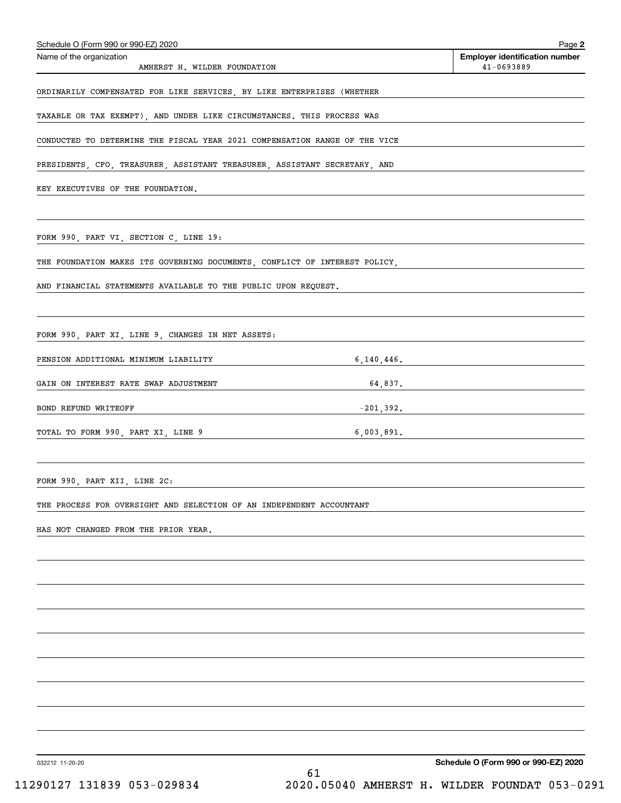| Schedule O (Form 990 or 990-EZ) 2020                                       |            | Page 2                                              |
|----------------------------------------------------------------------------|------------|-----------------------------------------------------|
| Name of the organization<br>AMHERST H. WILDER FOUNDATION                   |            | <b>Employer identification number</b><br>41-0693889 |
|                                                                            |            |                                                     |
| ORDINARILY COMPENSATED FOR LIKE SERVICES, BY LIKE ENTERPRISES (WHETHER     |            |                                                     |
| TAXABLE OR TAX EXEMPT), AND UNDER LIKE CIRCUMSTANCES. THIS PROCESS WAS     |            |                                                     |
| CONDUCTED TO DETERMINE THE FISCAL YEAR 2021 COMPENSATION RANGE OF THE VICE |            |                                                     |
| PRESIDENTS, CFO, TREASURER, ASSISTANT TREASURER, ASSISTANT SECRETARY, AND  |            |                                                     |
| KEY EXECUTIVES OF THE FOUNDATION.                                          |            |                                                     |
|                                                                            |            |                                                     |
| FORM 990, PART VI, SECTION C, LINE 19:                                     |            |                                                     |
|                                                                            |            |                                                     |
| THE FOUNDATION MAKES ITS GOVERNING DOCUMENTS, CONFLICT OF INTEREST POLICY, |            |                                                     |
| AND FINANCIAL STATEMENTS AVAILABLE TO THE PUBLIC UPON REQUEST.             |            |                                                     |
|                                                                            |            |                                                     |
| FORM 990, PART XI, LINE 9, CHANGES IN NET ASSETS:                          |            |                                                     |
| PENSION ADDITIONAL MINIMUM LIABILITY                                       | 6,140,446. |                                                     |
| GAIN ON INTEREST RATE SWAP ADJUSTMENT                                      |            | 64,837.                                             |
| BOND REFUND WRITEOFF                                                       |            | $-201,392.$                                         |
| TOTAL TO FORM 990, PART XI, LINE 9 6,003,891.                              |            |                                                     |
|                                                                            |            |                                                     |
|                                                                            |            |                                                     |
| FORM 990, PART XII, LINE 2C:                                               |            |                                                     |
| THE PROCESS FOR OVERSIGHT AND SELECTION OF AN INDEPENDENT ACCOUNTANT       |            |                                                     |
| HAS NOT CHANGED FROM THE PRIOR YEAR.                                       |            |                                                     |
|                                                                            |            |                                                     |
|                                                                            |            |                                                     |
|                                                                            |            |                                                     |
|                                                                            |            |                                                     |
|                                                                            |            |                                                     |
|                                                                            |            |                                                     |
|                                                                            |            |                                                     |
|                                                                            |            |                                                     |
|                                                                            |            |                                                     |
|                                                                            |            |                                                     |

032212 11-20-20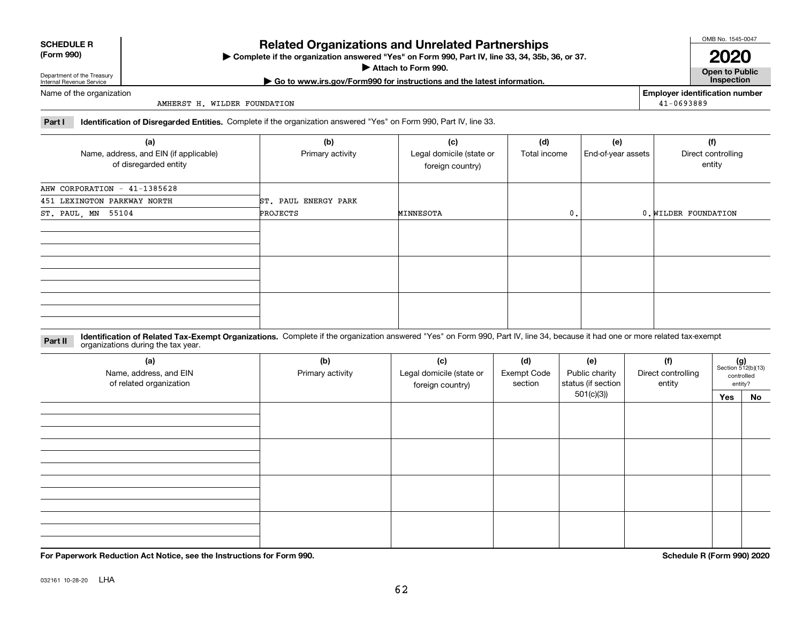032161 10-28-20 LHA

### **Related Organizations and Unrelated Partnerships**

**Complete if the organization answered "Yes" on Form 990, Part IV, line 33, 34, 35b, 36, or 37.** |

**Attach to Form 990.**  |

#### Name of the organization

AMHERST H. WILDER FOUNDATION

**Part I Identification of Disregarded Entities.**  Complete if the organization answered "Yes" on Form 990, Part IV, line 33.

| (a)                                    | (b)                  | (c)                      | (d)          | (e)                | (f)                  |
|----------------------------------------|----------------------|--------------------------|--------------|--------------------|----------------------|
| Name, address, and EIN (if applicable) | Primary activity     | Legal domicile (state or | Total income | End-of-year assets | Direct controlling   |
| of disregarded entity                  |                      | foreign country)         |              |                    | entity               |
| AHW CORPORATION - 41-1385628           |                      |                          |              |                    |                      |
| 451 LEXINGTON PARKWAY NORTH            | ST. PAUL ENERGY PARK |                          |              |                    |                      |
| ST. PAUL, MN 55104                     | PROJECTS             | MINNESOTA                | 0.           |                    | 0. WILDER FOUNDATION |
|                                        |                      |                          |              |                    |                      |
|                                        |                      |                          |              |                    |                      |
|                                        |                      |                          |              |                    |                      |
|                                        |                      |                          |              |                    |                      |
|                                        |                      |                          |              |                    |                      |
|                                        |                      |                          |              |                    |                      |
|                                        |                      |                          |              |                    |                      |
|                                        |                      |                          |              |                    |                      |
|                                        |                      |                          |              |                    |                      |

#### **Identification of Related Tax-Exempt Organizations.** Complete if the organization answered "Yes" on Form 990, Part IV, line 34, because it had one or more related tax-exempt **Part II** organizations during the tax year.

| (a)<br>Name, address, and EIN<br>of related organization | (b)<br>Primary activity | (c)<br>Legal domicile (state or<br>foreign country) | (d)<br><b>Exempt Code</b><br>section | (e)<br>Public charity<br>status (if section | (f)<br>Direct controlling<br>entity |     | $(g)$<br>Section 512(b)(13)<br>controlled<br>entity? |
|----------------------------------------------------------|-------------------------|-----------------------------------------------------|--------------------------------------|---------------------------------------------|-------------------------------------|-----|------------------------------------------------------|
|                                                          |                         |                                                     |                                      | 501(c)(3))                                  |                                     | Yes | No                                                   |
|                                                          |                         |                                                     |                                      |                                             |                                     |     |                                                      |
|                                                          |                         |                                                     |                                      |                                             |                                     |     |                                                      |
|                                                          |                         |                                                     |                                      |                                             |                                     |     |                                                      |
|                                                          |                         |                                                     |                                      |                                             |                                     |     |                                                      |
|                                                          |                         |                                                     |                                      |                                             |                                     |     |                                                      |
|                                                          |                         |                                                     |                                      |                                             |                                     |     |                                                      |
|                                                          |                         |                                                     |                                      |                                             |                                     |     |                                                      |
|                                                          |                         |                                                     |                                      |                                             |                                     |     |                                                      |
|                                                          |                         |                                                     |                                      |                                             |                                     |     |                                                      |
|                                                          |                         |                                                     |                                      |                                             |                                     |     |                                                      |
|                                                          |                         |                                                     |                                      |                                             |                                     |     |                                                      |
|                                                          |                         |                                                     |                                      |                                             |                                     |     |                                                      |

62

**For Paperwork Reduction Act Notice, see the Instructions for Form 990. Schedule R (Form 990) 2020**

OMB No. 1545-0047

**Open to Public 2020**

**Employer identification number**

41-0693889

### **(Form 990)**

Department of the Treasury Internal Revenue Service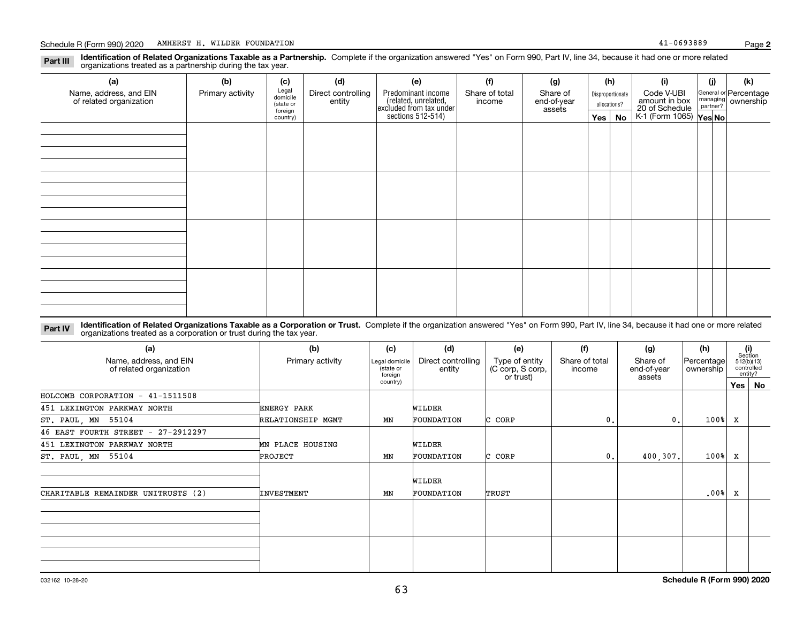**Identification of Related Organizations Taxable as a Partnership.** Complete if the organization answered "Yes" on Form 990, Part IV, line 34, because it had one or more related **Part III** organizations treated as a partnership during the tax year.

| (a)                                               | (b)              | (c)                                       | (d)                                                                                                                                                                                                                            | (e) | (f) | (g) |     | (h) | (i)                                      | (j) | (k)                                         |
|---------------------------------------------------|------------------|-------------------------------------------|--------------------------------------------------------------------------------------------------------------------------------------------------------------------------------------------------------------------------------|-----|-----|-----|-----|-----|------------------------------------------|-----|---------------------------------------------|
| Name, address, and EIN<br>of related organization | Primary activity | Legal<br>domicile<br>(state or<br>foreign | Direct controlling<br>Predominant income<br>Share of total<br>Share of<br>Disproportionate<br>related, unrelated,<br>excluded from tax under<br>sections 512-514)<br>entity<br>end-of-year<br>income<br>allocations?<br>assets |     |     |     |     |     | Code V-UBI<br>amount in box              |     | General or Percentage<br>managing ownership |
|                                                   |                  | country)                                  |                                                                                                                                                                                                                                |     |     |     | Yes | No  | 20 of Schedule<br>K-1 (Form 1065) Yes No |     |                                             |
|                                                   |                  |                                           |                                                                                                                                                                                                                                |     |     |     |     |     |                                          |     |                                             |
|                                                   |                  |                                           |                                                                                                                                                                                                                                |     |     |     |     |     |                                          |     |                                             |
|                                                   |                  |                                           |                                                                                                                                                                                                                                |     |     |     |     |     |                                          |     |                                             |
|                                                   |                  |                                           |                                                                                                                                                                                                                                |     |     |     |     |     |                                          |     |                                             |
|                                                   |                  |                                           |                                                                                                                                                                                                                                |     |     |     |     |     |                                          |     |                                             |
|                                                   |                  |                                           |                                                                                                                                                                                                                                |     |     |     |     |     |                                          |     |                                             |
|                                                   |                  |                                           |                                                                                                                                                                                                                                |     |     |     |     |     |                                          |     |                                             |
|                                                   |                  |                                           |                                                                                                                                                                                                                                |     |     |     |     |     |                                          |     |                                             |
|                                                   |                  |                                           |                                                                                                                                                                                                                                |     |     |     |     |     |                                          |     |                                             |
|                                                   |                  |                                           |                                                                                                                                                                                                                                |     |     |     |     |     |                                          |     |                                             |
|                                                   |                  |                                           |                                                                                                                                                                                                                                |     |     |     |     |     |                                          |     |                                             |
|                                                   |                  |                                           |                                                                                                                                                                                                                                |     |     |     |     |     |                                          |     |                                             |
|                                                   |                  |                                           |                                                                                                                                                                                                                                |     |     |     |     |     |                                          |     |                                             |
|                                                   |                  |                                           |                                                                                                                                                                                                                                |     |     |     |     |     |                                          |     |                                             |
|                                                   |                  |                                           |                                                                                                                                                                                                                                |     |     |     |     |     |                                          |     |                                             |
|                                                   |                  |                                           |                                                                                                                                                                                                                                |     |     |     |     |     |                                          |     |                                             |

**Identification of Related Organizations Taxable as a Corporation or Trust.** Complete if the organization answered "Yes" on Form 990, Part IV, line 34, because it had one or more related **Part IV** organizations treated as a corporation or trust during the tax year.

| (a)                                               | (b)               | (c)                                    | (d)                          | (e)                                             | (f)                      | (g)                               | (h)                     |         | (i)<br>Section                      |
|---------------------------------------------------|-------------------|----------------------------------------|------------------------------|-------------------------------------------------|--------------------------|-----------------------------------|-------------------------|---------|-------------------------------------|
| Name, address, and EIN<br>of related organization | Primary activity  | Legal domicile<br>(state or<br>foreign | Direct controlling<br>entity | Type of entity<br>(C corp, S corp,<br>or trust) | Share of total<br>income | Share of<br>end-of-year<br>assets | Percentage<br>ownership |         | 512(b)(13)<br>controlled<br>entity? |
|                                                   |                   | country)                               |                              |                                                 |                          |                                   |                         | Yes $ $ | No                                  |
| HOLCOMB CORPORATION $-41-1511508$                 |                   |                                        |                              |                                                 |                          |                                   |                         |         |                                     |
| 451 LEXINGTON PARKWAY NORTH                       | ENERGY PARK       |                                        | WILDER                       |                                                 |                          |                                   |                         |         |                                     |
| ST. PAUL, MN 55104                                | RELATIONSHIP MGMT | MN                                     | FOUNDATION                   | C CORP                                          | 0.                       | 0.                                | 100%                    | х       |                                     |
| 46 EAST FOURTH STREET - 27-2912297                |                   |                                        |                              |                                                 |                          |                                   |                         |         |                                     |
| 451 LEXINGTON PARKWAY NORTH                       | MN PLACE HOUSING  |                                        | WILDER                       |                                                 |                          |                                   |                         |         |                                     |
| ST. PAUL, MN 55104                                | PROJECT           | ΜN                                     | FOUNDATION                   | C CORP                                          | 0.                       | 400,307.                          | 100%                    | x       |                                     |
|                                                   |                   |                                        | WILDER                       |                                                 |                          |                                   |                         |         |                                     |
| CHARITABLE REMAINDER UNITRUSTS (2)                | <b>INVESTMENT</b> | ΜN                                     | FOUNDATION                   | TRUST                                           |                          |                                   | .00%                    | x       |                                     |
|                                                   |                   |                                        |                              |                                                 |                          |                                   |                         |         |                                     |
|                                                   |                   |                                        |                              |                                                 |                          |                                   |                         |         |                                     |
|                                                   |                   |                                        |                              |                                                 |                          |                                   |                         |         |                                     |
|                                                   |                   |                                        |                              |                                                 |                          |                                   |                         |         |                                     |
|                                                   |                   |                                        |                              |                                                 |                          |                                   |                         |         |                                     |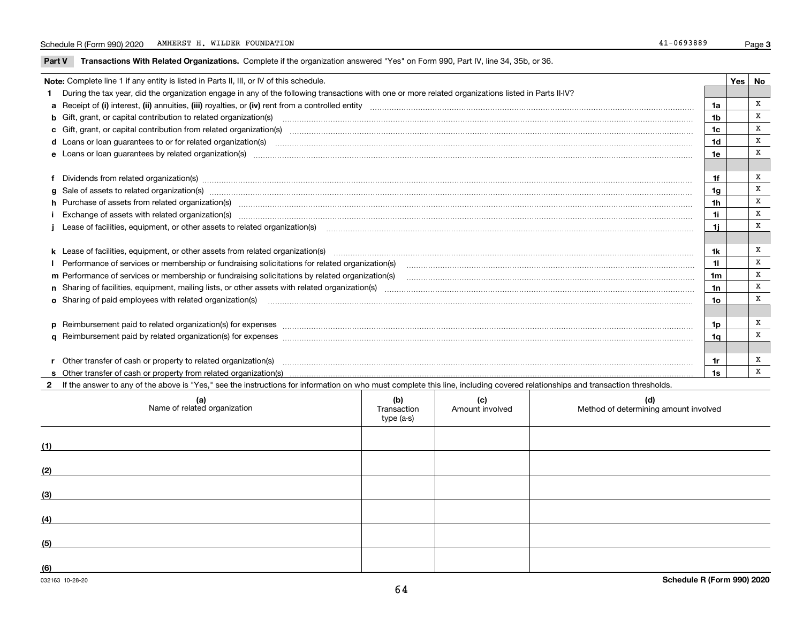**Part V** T**ransactions With Related Organizations.** Complete if the organization answered "Yes" on Form 990, Part IV, line 34, 35b, or 36.

| Note: Complete line 1 if any entity is listed in Parts II, III, or IV of this schedule.                                                                                                                                        |                | Yes   No |   |
|--------------------------------------------------------------------------------------------------------------------------------------------------------------------------------------------------------------------------------|----------------|----------|---|
| During the tax year, did the organization engage in any of the following transactions with one or more related organizations listed in Parts II-IV?                                                                            |                |          |   |
|                                                                                                                                                                                                                                | 1a             |          | x |
| b Gift, grant, or capital contribution to related organization(s) manufaction contracts and contribution to related organization(s)                                                                                            | 1 <sub>b</sub> |          | x |
|                                                                                                                                                                                                                                | 1c             |          | x |
| d Loans or loan guarantees to or for related organization(s) material content to consume the content of the state of the content of the content of the content of the content of the content of the content of the content of  | 1d             |          | x |
| e Loans or loan guarantees by related organization(s) enconversement contracts and controlled to the control of the control of the control of the control of the control of the control of the control of the control of the c | 1e             |          | x |
|                                                                                                                                                                                                                                |                |          |   |
| Dividends from related organization(s) CONSECTED MAGNETIC CONSECTED MAGNETIC CONSECTED MAGNETIC CONSECTED MAGNETIC CONSECTED MAGNETIC CONSECTED MAGNETIC CONSECTED MAGNETIC CONSECTED MAGNETIC CONSECTED MAGNETIC CONSECTED MA | 1f             |          | x |
| g Sale of assets to related organization(s) www.assettion.com/www.assettion.com/www.assettion.com/www.assettion.com/www.assettion.com/www.assettion.com/www.assettion.com/www.assettion.com/www.assettion.com/www.assettion.co | 1 <sub>q</sub> |          | x |
| h Purchase of assets from related organization(s) www.assettion.com/www.assettion.com/www.assettion.com/www.assettion.com/www.assettion.com/www.assettion.com/www.assettion.com/www.assettion.com/www.assettion.com/www.assett | 1 <sub>h</sub> |          | х |
|                                                                                                                                                                                                                                | 1i             |          | x |
| Lease of facilities, equipment, or other assets to related organization(s) contained and contained and contained and contained and contained and capacitation of the set of facilities, equipment, or other assets to related  | 1j             |          | x |
|                                                                                                                                                                                                                                |                |          |   |
| k Lease of facilities, equipment, or other assets from related organization(s) manufaction content and content to content and an analyzing content and an analyzing content and an analyzing content and content and content a | 1k             |          | х |
| Performance of services or membership or fundraising solicitations for related organization(s) [11] processors content to the service or membership or fundraising solicitations for related organization(s) [11] processors c | 11             |          | X |
|                                                                                                                                                                                                                                | 1 <sub>m</sub> |          | X |
|                                                                                                                                                                                                                                | 1n             |          | X |
| <b>o</b> Sharing of paid employees with related organization(s)                                                                                                                                                                | 1o             |          | X |
|                                                                                                                                                                                                                                |                |          |   |
| p Reimbursement paid to related organization(s) for expenses [11111] [12] reasonal content of the separation (s) for expenses [11111] [12] reasonal content in the separation (s) for expenses [1111] [12] reasonal content in | 1p             |          | x |
|                                                                                                                                                                                                                                | 1q             |          | x |
|                                                                                                                                                                                                                                |                |          |   |
| r Other transfer of cash or property to related organization(s)                                                                                                                                                                | 1r             |          | X |
| r Other transfer of cash or property to related organization(s) www.communities.communities content transfer of cash or property from related organization(s) www.communities.communities content transfer of cash or property | 1s             |          | X |
| 2 If the answer to any of the above is "Yes," see the instructions for information on who must complete this line, including covered relationships and transaction thresholds.                                                 |                |          |   |

| (a)<br>Name of related organization | (b)<br>Transaction<br>type (a-s) | (c)<br>Amount involved | (d)<br>Method of determining amount involved |
|-------------------------------------|----------------------------------|------------------------|----------------------------------------------|
| (1)                                 |                                  |                        |                                              |
| (2)                                 |                                  |                        |                                              |
| (3)                                 |                                  |                        |                                              |
| (4)                                 |                                  |                        |                                              |
| (5)                                 |                                  |                        |                                              |
| (6)                                 |                                  |                        |                                              |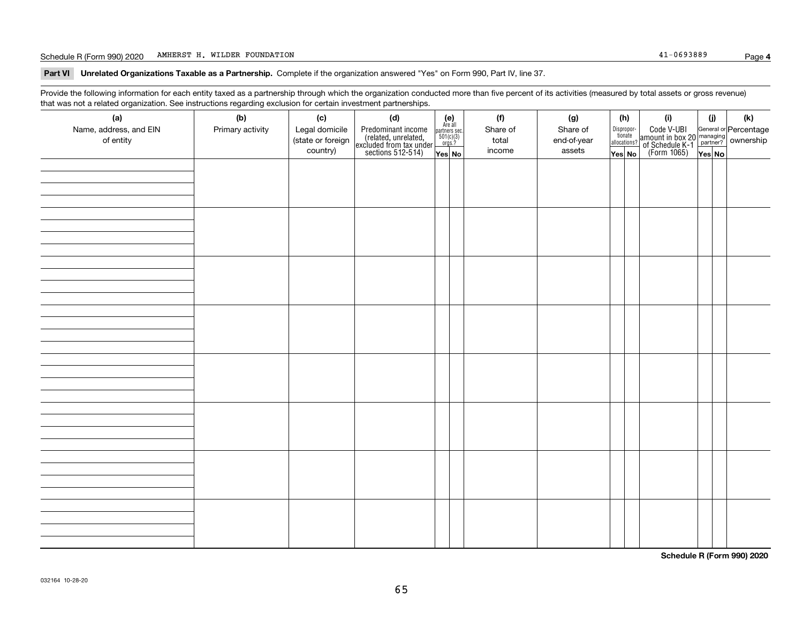#### Schedule R (Form 990) 2020 Page AMHERST H. WILDER FOUNDATION 41-0693889

**Part VI Unrelated Organizations Taxable as a Partnership. Complete if the organization answered "Yes" on Form 990, Part IV, line 37.** 

Provide the following information for each entity taxed as a partnership through which the organization conducted more than five percent of its activities (measured by total assets or gross revenue) that was not a related organization. See instructions regarding exclusion for certain investment partnerships.

| (a)<br>Name, address, and EIN | anom ooo monachono roge<br>(b)<br>Primary activity | (c)<br>Legal domicile         | (d)                                                                                        | $\begin{array}{c} \textbf{(e)}\\ \text{Are all} \\ \text{partners sec.}\\ 501(c)(3)\\ \text{orgs.?} \end{array}$ |  | (f)<br>Share of | (g)<br>Share of       | (h)<br>Dispropor-<br>tionate | (i)                                                                                          | (i) | (k) |
|-------------------------------|----------------------------------------------------|-------------------------------|--------------------------------------------------------------------------------------------|------------------------------------------------------------------------------------------------------------------|--|-----------------|-----------------------|------------------------------|----------------------------------------------------------------------------------------------|-----|-----|
| of entity                     |                                                    | (state or foreign<br>country) | Predominant income<br>(related, unrelated,<br>excluded from tax under<br>sections 512-514) | Yes No                                                                                                           |  | total<br>income | end-of-year<br>assets | allocations?<br>Yes No       | Code V-UBI<br>amount in box 20 managing<br>of Schedule K-1 partner?<br>(Form 1065)<br>ves No |     |     |
|                               |                                                    |                               |                                                                                            |                                                                                                                  |  |                 |                       |                              |                                                                                              |     |     |
|                               |                                                    |                               |                                                                                            |                                                                                                                  |  |                 |                       |                              |                                                                                              |     |     |
|                               |                                                    |                               |                                                                                            |                                                                                                                  |  |                 |                       |                              |                                                                                              |     |     |
|                               |                                                    |                               |                                                                                            |                                                                                                                  |  |                 |                       |                              |                                                                                              |     |     |
|                               |                                                    |                               |                                                                                            |                                                                                                                  |  |                 |                       |                              |                                                                                              |     |     |
|                               |                                                    |                               |                                                                                            |                                                                                                                  |  |                 |                       |                              |                                                                                              |     |     |
|                               |                                                    |                               |                                                                                            |                                                                                                                  |  |                 |                       |                              |                                                                                              |     |     |
|                               |                                                    |                               |                                                                                            |                                                                                                                  |  |                 |                       |                              |                                                                                              |     |     |
|                               |                                                    |                               |                                                                                            |                                                                                                                  |  |                 |                       |                              |                                                                                              |     |     |
|                               |                                                    |                               |                                                                                            |                                                                                                                  |  |                 |                       |                              |                                                                                              |     |     |
|                               |                                                    |                               |                                                                                            |                                                                                                                  |  |                 |                       |                              |                                                                                              |     |     |
|                               |                                                    |                               |                                                                                            |                                                                                                                  |  |                 |                       |                              |                                                                                              |     |     |
|                               |                                                    |                               |                                                                                            |                                                                                                                  |  |                 |                       |                              |                                                                                              |     |     |
|                               |                                                    |                               |                                                                                            |                                                                                                                  |  |                 |                       |                              |                                                                                              |     |     |
|                               |                                                    |                               |                                                                                            |                                                                                                                  |  |                 |                       |                              |                                                                                              |     |     |
|                               |                                                    |                               |                                                                                            |                                                                                                                  |  |                 |                       |                              |                                                                                              |     |     |
|                               |                                                    |                               |                                                                                            |                                                                                                                  |  |                 |                       |                              |                                                                                              |     |     |
|                               |                                                    |                               |                                                                                            |                                                                                                                  |  |                 |                       |                              |                                                                                              |     |     |
|                               |                                                    |                               |                                                                                            |                                                                                                                  |  |                 |                       |                              |                                                                                              |     |     |
|                               |                                                    |                               |                                                                                            |                                                                                                                  |  |                 |                       |                              |                                                                                              |     |     |
|                               |                                                    |                               |                                                                                            |                                                                                                                  |  |                 |                       |                              |                                                                                              |     |     |
|                               |                                                    |                               |                                                                                            |                                                                                                                  |  |                 |                       |                              |                                                                                              |     |     |
|                               |                                                    |                               |                                                                                            |                                                                                                                  |  |                 |                       |                              |                                                                                              |     |     |
|                               |                                                    |                               |                                                                                            |                                                                                                                  |  |                 |                       |                              |                                                                                              |     |     |
|                               |                                                    |                               |                                                                                            |                                                                                                                  |  |                 |                       |                              |                                                                                              |     |     |
|                               |                                                    |                               |                                                                                            |                                                                                                                  |  |                 |                       |                              |                                                                                              |     |     |

**Schedule R (Form 990) 2020**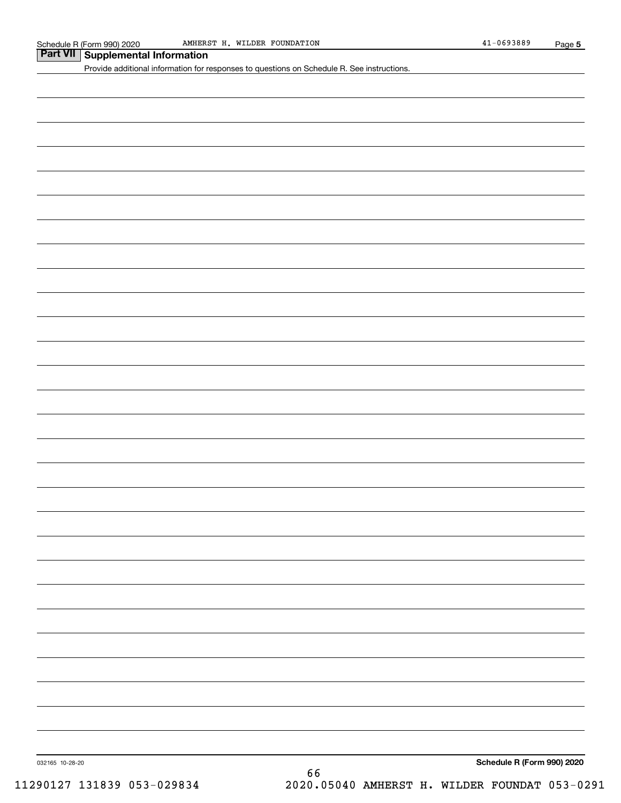### **Part VII Supplemental Information**

Provide additional information for responses to questions on Schedule R. See instructions.

032165 10-28-20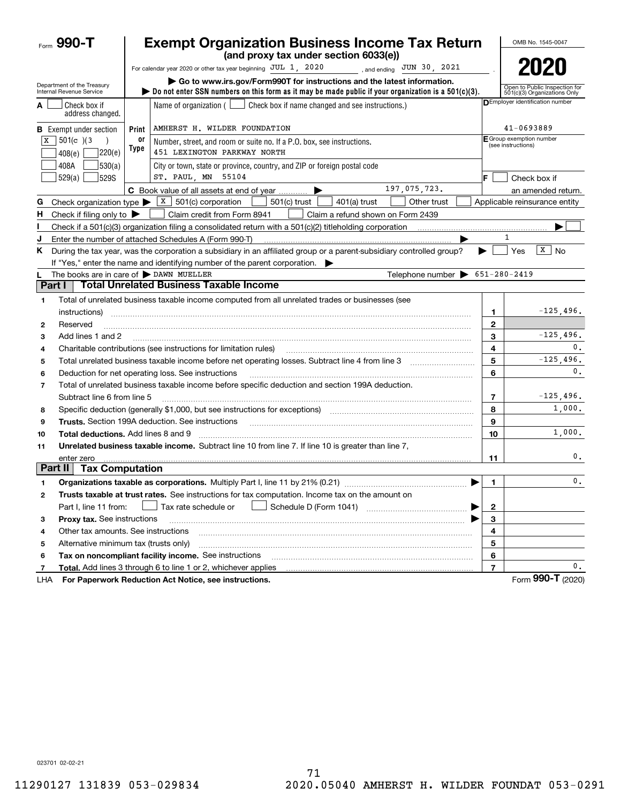|                          | Form 990-T                                             |            | <b>Exempt Organization Business Income Tax Return</b><br>(and proxy tax under section 6033(e))                                                                                                                                                                                                                                                                                                                                                                                        |                                                | OMB No. 1545-0047                                             |  |  |  |
|--------------------------|--------------------------------------------------------|------------|---------------------------------------------------------------------------------------------------------------------------------------------------------------------------------------------------------------------------------------------------------------------------------------------------------------------------------------------------------------------------------------------------------------------------------------------------------------------------------------|------------------------------------------------|---------------------------------------------------------------|--|--|--|
|                          |                                                        |            | For calendar year 2020 or other tax year beginning JUL 1, 2020<br>, and ending $JUN$ 30, 2021                                                                                                                                                                                                                                                                                                                                                                                         |                                                | 2020                                                          |  |  |  |
|                          | Department of the Treasury<br>Internal Revenue Service |            | Go to www.irs.gov/Form990T for instructions and the latest information.<br>bo not enter SSN numbers on this form as it may be made public if your organization is a $501(c)(3)$ .                                                                                                                                                                                                                                                                                                     |                                                | Open to Public Inspection for<br>501(c)(3) Organizations Only |  |  |  |
|                          | Check box if<br>address changed.                       |            | Name of organization $($<br>Check box if name changed and see instructions.)                                                                                                                                                                                                                                                                                                                                                                                                          |                                                | DEmployer identification number                               |  |  |  |
|                          | <b>B</b> Exempt under section                          | Print      | AMHERST H. WILDER FOUNDATION                                                                                                                                                                                                                                                                                                                                                                                                                                                          |                                                | 41-0693889                                                    |  |  |  |
| x                        | 501(c) 3<br>220(e)<br>408(e)                           | 0ľ<br>Type | Number, street, and room or suite no. If a P.O. box, see instructions.<br>451 LEXINGTON PARKWAY NORTH                                                                                                                                                                                                                                                                                                                                                                                 | E Group exemption number<br>(see instructions) |                                                               |  |  |  |
|                          | 408A<br> 530(a) <br>529(a)<br><b>529S</b>              |            | City or town, state or province, country, and ZIP or foreign postal code<br>ST. PAUL, MN 55104                                                                                                                                                                                                                                                                                                                                                                                        | F                                              | Check box if                                                  |  |  |  |
|                          |                                                        |            | 197,075,723.<br>C Book value of all assets at end of year                                                                                                                                                                                                                                                                                                                                                                                                                             |                                                | an amended return.                                            |  |  |  |
| G                        |                                                        |            | Check organization type $\triangleright$ $\lfloor x \rfloor$ 501(c) corporation<br>$501(c)$ trust<br>Other trust<br>$401(a)$ trust                                                                                                                                                                                                                                                                                                                                                    |                                                | Applicable reinsurance entity                                 |  |  |  |
| н.                       | Check if filing only to $\blacktriangleright$          |            | Claim credit from Form 8941<br>Claim a refund shown on Form 2439                                                                                                                                                                                                                                                                                                                                                                                                                      |                                                |                                                               |  |  |  |
| ı                        |                                                        |            |                                                                                                                                                                                                                                                                                                                                                                                                                                                                                       |                                                |                                                               |  |  |  |
| J                        |                                                        |            | Enter the number of attached Schedules A (Form 990-T)                                                                                                                                                                                                                                                                                                                                                                                                                                 |                                                | 1                                                             |  |  |  |
| K.                       |                                                        |            | During the tax year, was the corporation a subsidiary in an affiliated group or a parent-subsidiary controlled group?<br>If "Yes," enter the name and identifying number of the parent corporation.                                                                                                                                                                                                                                                                                   | ▶                                              | $\sqrt{X}$ No<br>Yes                                          |  |  |  |
|                          | The books are in care of $\triangleright$ DAWN MUELLER |            | Telephone number $\triangleright$ 651-280-2419                                                                                                                                                                                                                                                                                                                                                                                                                                        |                                                |                                                               |  |  |  |
| Part I                   |                                                        |            | <b>Total Unrelated Business Taxable Income</b>                                                                                                                                                                                                                                                                                                                                                                                                                                        |                                                |                                                               |  |  |  |
| 1                        |                                                        |            | Total of unrelated business taxable income computed from all unrelated trades or businesses (see                                                                                                                                                                                                                                                                                                                                                                                      |                                                |                                                               |  |  |  |
|                          | instructions)                                          |            |                                                                                                                                                                                                                                                                                                                                                                                                                                                                                       | 1                                              | $-125,496.$                                                   |  |  |  |
| 2                        | Reserved                                               |            |                                                                                                                                                                                                                                                                                                                                                                                                                                                                                       | $\mathbf{2}$                                   |                                                               |  |  |  |
| 3                        | Add lines 1 and 2                                      |            |                                                                                                                                                                                                                                                                                                                                                                                                                                                                                       | 3                                              | $-125,496.$                                                   |  |  |  |
| 4                        |                                                        |            | Charitable contributions (see instructions for limitation rules)                                                                                                                                                                                                                                                                                                                                                                                                                      | 4                                              | 0.                                                            |  |  |  |
| 5                        |                                                        |            |                                                                                                                                                                                                                                                                                                                                                                                                                                                                                       | 5                                              | $-125,496.$                                                   |  |  |  |
| 6                        |                                                        |            | Deduction for net operating loss. See instructions                                                                                                                                                                                                                                                                                                                                                                                                                                    | 6                                              | 0.                                                            |  |  |  |
| $\overline{\phantom{a}}$ |                                                        |            | Total of unrelated business taxable income before specific deduction and section 199A deduction.                                                                                                                                                                                                                                                                                                                                                                                      |                                                |                                                               |  |  |  |
|                          | Subtract line 6 from line 5                            |            |                                                                                                                                                                                                                                                                                                                                                                                                                                                                                       | 7                                              | $-125,496.$                                                   |  |  |  |
| 8                        |                                                        |            | Specific deduction (generally \$1,000, but see instructions for exceptions) manufactured in the substitution of                                                                                                                                                                                                                                                                                                                                                                       | 8                                              | 1,000.                                                        |  |  |  |
| 9                        |                                                        |            | <b>Trusts.</b> Section 199A deduction. See instructions<br>$\overline{a_1, \ldots, a_n, \ldots, a_n, \ldots, a_n, \ldots, a_n, \ldots, a_n, \ldots, a_n, \ldots, a_n, \ldots, a_n, \ldots, a_n, \ldots, a_n, \ldots, a_n, \ldots, a_n, \ldots, a_n, \ldots, a_n, \ldots, a_n, \ldots, a_n, \ldots, a_n, \ldots, a_n, \ldots, a_n, \ldots, a_n, \ldots, a_n, \ldots, a_n, \ldots, a_n, \ldots, a_n, \ldots, a_n, \ldots, a_n, \ldots, a_n, \ldots, a_n, \ldots, a_n, \ldots, a_n, \ld$ | 9                                              |                                                               |  |  |  |
| 10                       | <b>Total deductions.</b> Add lines 8 and 9             |            |                                                                                                                                                                                                                                                                                                                                                                                                                                                                                       | 10                                             | 1,000.                                                        |  |  |  |
| 11                       |                                                        |            | Unrelated business taxable income. Subtract line 10 from line 7. If line 10 is greater than line 7.                                                                                                                                                                                                                                                                                                                                                                                   |                                                |                                                               |  |  |  |
|                          | enter zero<br>Part II                                  |            |                                                                                                                                                                                                                                                                                                                                                                                                                                                                                       | 11                                             | 0.                                                            |  |  |  |
|                          | <b>Tax Computation</b>                                 |            |                                                                                                                                                                                                                                                                                                                                                                                                                                                                                       |                                                |                                                               |  |  |  |
|                          |                                                        |            | Organizations taxable as corporations. Multiply Part I, line 11 by 21% (0.21)                                                                                                                                                                                                                                                                                                                                                                                                         | 1.                                             | $\mathfrak o$ .                                               |  |  |  |
| 2                        |                                                        |            | Trusts taxable at trust rates. See instructions for tax computation. Income tax on the amount on                                                                                                                                                                                                                                                                                                                                                                                      |                                                |                                                               |  |  |  |
|                          | Part I, line 11 from:                                  |            | Tax rate schedule or                                                                                                                                                                                                                                                                                                                                                                                                                                                                  | $\mathbf{2}$                                   |                                                               |  |  |  |
| з                        | Proxy tax. See instructions                            |            |                                                                                                                                                                                                                                                                                                                                                                                                                                                                                       | 3                                              |                                                               |  |  |  |
| 4                        | Other tax amounts. See instructions                    |            |                                                                                                                                                                                                                                                                                                                                                                                                                                                                                       | 4                                              |                                                               |  |  |  |
| 5                        | Alternative minimum tax (trusts only)                  |            |                                                                                                                                                                                                                                                                                                                                                                                                                                                                                       | 5                                              |                                                               |  |  |  |
| 6                        |                                                        |            | Tax on noncompliant facility income. See instructions                                                                                                                                                                                                                                                                                                                                                                                                                                 | 6                                              |                                                               |  |  |  |
| 7                        |                                                        |            | Total. Add lines 3 through 6 to line 1 or 2, whichever applies                                                                                                                                                                                                                                                                                                                                                                                                                        | $\overline{\phantom{a}}$                       | 0.                                                            |  |  |  |
| LHA                      |                                                        |            | For Paperwork Reduction Act Notice, see instructions.                                                                                                                                                                                                                                                                                                                                                                                                                                 |                                                | Form 990-T (2020)                                             |  |  |  |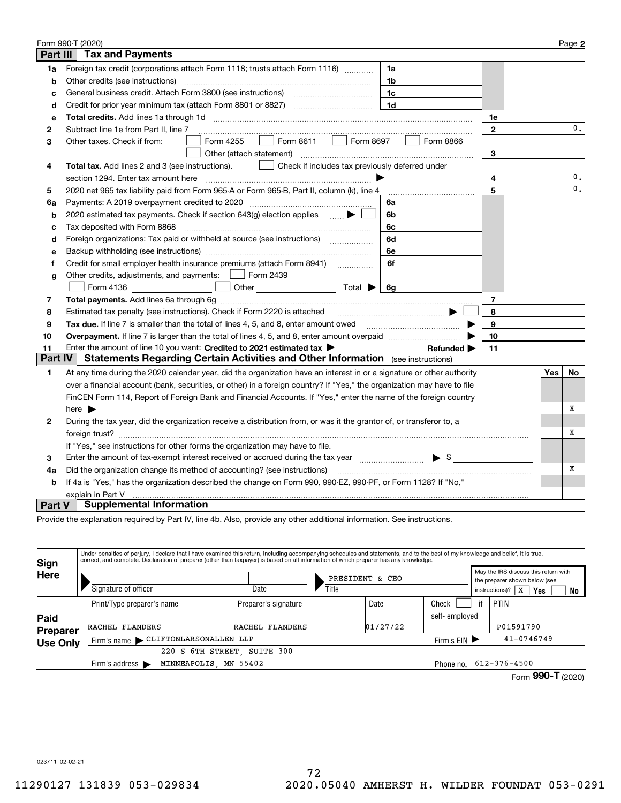|          | Form 990-T (2020)                                                                                                                                                        |                |     | Page 2         |
|----------|--------------------------------------------------------------------------------------------------------------------------------------------------------------------------|----------------|-----|----------------|
| Part III | <b>Tax and Payments</b>                                                                                                                                                  |                |     |                |
| 1a       | Foreign tax credit (corporations attach Form 1118; trusts attach Form 1116)<br>1a                                                                                        |                |     |                |
| b        | Other credits (see instructions)<br>1b                                                                                                                                   |                |     |                |
| c        | 1c                                                                                                                                                                       |                |     |                |
| d        | 1 <sub>d</sub>                                                                                                                                                           |                |     |                |
| e        |                                                                                                                                                                          | 1e             |     |                |
| 2        | Subtract line 1e from Part II, line 7                                                                                                                                    | $\mathbf 2$    |     | 0.             |
| з        | Form 8611   Form 8697<br>Form 4255<br>Form 8866<br>Other taxes. Check if from:<br>$\Box$                                                                                 |                |     |                |
|          | Other (attach statement)                                                                                                                                                 | 3              |     |                |
| 4        | Total tax. Add lines 2 and 3 (see instructions).<br>Check if includes tax previously deferred under                                                                      |                |     |                |
|          | section 1294. Enter tax amount here                                                                                                                                      | 4              |     | 0.             |
| 5        | 2020 net 965 tax liability paid from Form 965-A or Form 965-B, Part II, column (k), line 4                                                                               | 5              |     | $\mathbf{0}$ . |
| 6a       | Payments: A 2019 overpayment credited to 2020 [11] [11] maximum materials and Payments: A 2019 overpayment credited to 2020 [11] maximum materials and Payments: A<br>6а |                |     |                |
| b        | 2020 estimated tax payments. Check if section 643(g) election applies<br>6b                                                                                              |                |     |                |
| c        | Tax deposited with Form 8868<br>6с                                                                                                                                       |                |     |                |
| d        | Foreign organizations: Tax paid or withheld at source (see instructions) [<br>6d                                                                                         |                |     |                |
| е        | 6e                                                                                                                                                                       |                |     |                |
| f        | Credit for small employer health insurance premiums (attach Form 8941)<br>6f                                                                                             |                |     |                |
| g        | Other credits, adjustments, and payments:   Form 2439                                                                                                                    |                |     |                |
|          | Other $\overline{\hspace{1cm}}$ Total $\overline{\hspace{1cm}}$ $\overline{\hspace{1cm}}$ Gg<br>Form 4136                                                                |                |     |                |
| 7        |                                                                                                                                                                          | $\overline{7}$ |     |                |
| 8        | Estimated tax penalty (see instructions). Check if Form 2220 is attached                                                                                                 | 8              |     |                |
| 9        | Tax due. If line 7 is smaller than the total of lines 4, 5, and 8, enter amount owed <i>manumenon conduction</i>                                                         | 9              |     |                |
| 10       |                                                                                                                                                                          | 10             |     |                |
| 11       | Enter the amount of line 10 you want: Credited to 2021 estimated tax $\blacktriangleright$<br>Refunded $\blacktriangleright$                                             | 11             |     |                |
| Part IV  | <b>Statements Regarding Certain Activities and Other Information</b> (see instructions)                                                                                  |                |     |                |
| 1        | At any time during the 2020 calendar year, did the organization have an interest in or a signature or other authority                                                    |                | Yes | No             |
|          | over a financial account (bank, securities, or other) in a foreign country? If "Yes," the organization may have to file                                                  |                |     |                |
|          | FinCEN Form 114, Report of Foreign Bank and Financial Accounts. If "Yes," enter the name of the foreign country                                                          |                |     |                |
|          | here $\blacktriangleright$                                                                                                                                               |                |     | х              |
| 2        | During the tax year, did the organization receive a distribution from, or was it the grantor of, or transferor to, a                                                     |                |     |                |
|          |                                                                                                                                                                          |                |     | х              |
|          | If "Yes," see instructions for other forms the organization may have to file.                                                                                            |                |     |                |
| 3        | $\blacktriangleright$ \$<br>Enter the amount of tax-exempt interest received or accrued during the tax year manufactured in the amount.                                  |                |     |                |
| 4a       | Did the organization change its method of accounting? (see instructions)                                                                                                 |                |     | Х              |
| b        | If 4a is "Yes," has the organization described the change on Form 990, 990-EZ, 990-PF, or Form 1128? If "No,"                                                            |                |     |                |
|          | explain in Part V                                                                                                                                                        |                |     |                |
| Part V   | <b>Supplemental Information</b>                                                                                                                                          |                |     |                |

Provide the explanation required by Part IV, line 4b. Also, provide any other additional information. See instructions.

| Sign            |                                                                            | Under penalties of perjury, I declare that I have examined this return, including accompanying schedules and statements, and to the best of my knowledge and belief, it is true,<br>correct, and complete. Declaration of preparer (other than taxpayer) is based on all information of which preparer has any knowledge. |                 |               |                                                                       |  |  |
|-----------------|----------------------------------------------------------------------------|---------------------------------------------------------------------------------------------------------------------------------------------------------------------------------------------------------------------------------------------------------------------------------------------------------------------------|-----------------|---------------|-----------------------------------------------------------------------|--|--|
| Here            |                                                                            |                                                                                                                                                                                                                                                                                                                           | PRESIDENT & CEO |               | May the IRS discuss this return with<br>the preparer shown below (see |  |  |
|                 | Signature of officer                                                       | Date                                                                                                                                                                                                                                                                                                                      | Title           |               | instructions)?<br>l x<br>Yes<br>No                                    |  |  |
|                 | Print/Type preparer's name                                                 | Preparer's signature                                                                                                                                                                                                                                                                                                      | Date            | Check         | PTIN<br>if                                                            |  |  |
| Paid            |                                                                            |                                                                                                                                                                                                                                                                                                                           |                 | self-employed |                                                                       |  |  |
| Preparer        | RACHEL FLANDERS                                                            | RACHEL FLANDERS                                                                                                                                                                                                                                                                                                           | 01/27/22        |               | P01591790                                                             |  |  |
| <b>Use Only</b> | Firm's name CLIFTONLARSONALLEN LLP                                         |                                                                                                                                                                                                                                                                                                                           |                 |               | $41 - 0746749$<br>Firm's $EIN$                                        |  |  |
|                 | 220<br>S                                                                   | 6TH STREET, SUITE 300                                                                                                                                                                                                                                                                                                     |                 |               |                                                                       |  |  |
|                 | MINNEAPOLIS, MN 55402<br>Firm's address $\blacktriangleright$<br>Phone no. |                                                                                                                                                                                                                                                                                                                           |                 |               | $612 - 376 - 4500$                                                    |  |  |
|                 |                                                                            |                                                                                                                                                                                                                                                                                                                           |                 |               | Form $990 - T$ (2020)                                                 |  |  |

023711 02-02-21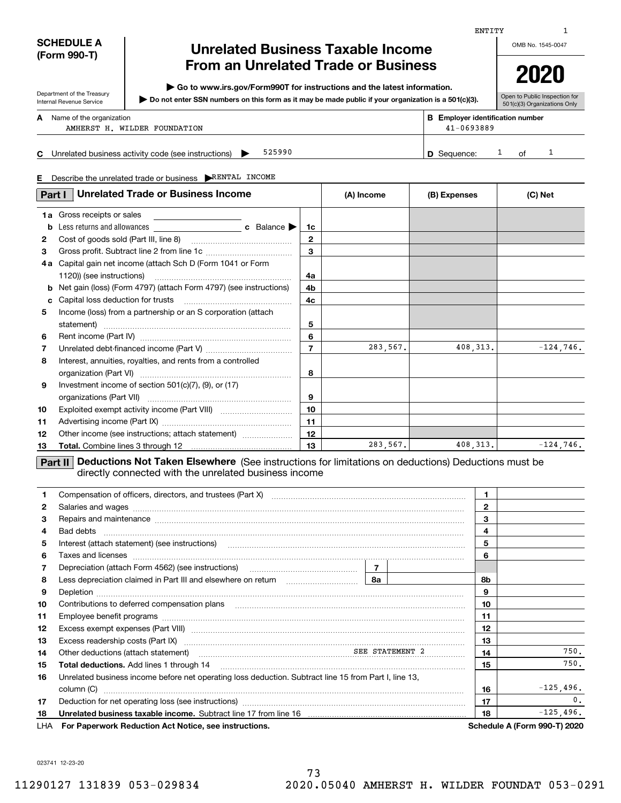| <b>SCHEDULE A</b> |
|-------------------|
| (Form 990-T)      |

Department of the Treasury Internal Revenue Service

### **Unrelated Business Taxable Income From an Unrelated Trade or Business**

**| Go to www.irs.gov/Form990T for instructions and the latest information.**

**Do not enter SSN numbers on this form as it may be made public if your organization is a 501(c)(3). |** 

OMB No. 1545-0047

ENTITY

# **2020**

Open to Public Inspection for 501(c)(3) Organizations Only

|    | <b>A</b> Name of the organization                             | <b>B</b> Employer identification number |  |    |  |  |  |
|----|---------------------------------------------------------------|-----------------------------------------|--|----|--|--|--|
|    | AMHERST H. WILDER FOUNDATION                                  | $41 - 0693889$                          |  |    |  |  |  |
|    |                                                               |                                         |  |    |  |  |  |
| C. | 525990<br>Unrelated business activity code (see instructions) | <b>D</b> Sequence:                      |  | റf |  |  |  |

**E**Describe the unrelated trade or business | RENTAL INCOME

|    | <b>Unrelated Trade or Business Income</b><br>Part I                               |                  | (A) Income | (B) Expenses | (C) Net     |  |
|----|-----------------------------------------------------------------------------------|------------------|------------|--------------|-------------|--|
| 1a | Gross receipts or sales                                                           |                  |            |              |             |  |
| b  | Less returns and allowances $\qquad \qquad c \quad$ Balance $\blacktriangleright$ | 1c               |            |              |             |  |
| 2  |                                                                                   | $\mathbf{2}$     |            |              |             |  |
| 3  |                                                                                   | 3                |            |              |             |  |
| 4а | Capital gain net income (attach Sch D (Form 1041 or Form                          |                  |            |              |             |  |
|    |                                                                                   | 4a               |            |              |             |  |
| b  | Net gain (loss) (Form 4797) (attach Form 4797) (see instructions)                 | 4b.              |            |              |             |  |
| c  |                                                                                   | 4c               |            |              |             |  |
| 5  | Income (loss) from a partnership or an S corporation (attach                      |                  |            |              |             |  |
|    | statement)                                                                        | 5                |            |              |             |  |
| 6  |                                                                                   | 6                |            |              |             |  |
| 7  |                                                                                   | $\overline{7}$   | 283,567.   | 408, 313.    | $-124,746.$ |  |
| 8  | Interest, annuities, royalties, and rents from a controlled                       |                  |            |              |             |  |
|    |                                                                                   | 8                |            |              |             |  |
| 9  | Investment income of section 501(c)(7), (9), or (17)                              |                  |            |              |             |  |
|    |                                                                                   | 9                |            |              |             |  |
| 10 |                                                                                   | 10 <sup>10</sup> |            |              |             |  |
| 11 |                                                                                   | 11               |            |              |             |  |
| 12 | Other income (see instructions; attach statement)                                 | 12               |            |              |             |  |
| 13 |                                                                                   | 13               | 283,567.   | 408, 313.    | $-124,746.$ |  |

directly connected with the unrelated business income

|     |                                                                                                                                                                                                                                  | $\mathbf{1}$ |              |                              |
|-----|----------------------------------------------------------------------------------------------------------------------------------------------------------------------------------------------------------------------------------|--------------|--------------|------------------------------|
| 2   | Salaries and wages with the continuum contract of the contract of the contract of the contract of the contract of the contract of the contract of the contract of the contract of the contract of the contract of the contract   |              | $\mathbf{2}$ |                              |
| 3   | Repairs and maintenance material continuum contracts and maintenance material contracts and maintenance material contracts and maintenance material contracts and maintenance material contracts and an except and an except a   |              | 3            |                              |
| 4   |                                                                                                                                                                                                                                  |              | 4            |                              |
| 5   |                                                                                                                                                                                                                                  |              | 5            |                              |
| 6   | Taxes and licenses <b>construction and construction of the construction</b> and construction of the construction of the                                                                                                          |              | 6            |                              |
| 7   | Depreciation (attach Form 4562) (see instructions) maturities contains 1                                                                                                                                                         |              |              |                              |
| 8   | Less depreciation claimed in Part III and elsewhere on return $\frac{1}{1}$ 80 $\frac{1}{2}$ 8a                                                                                                                                  |              | 8b           |                              |
| 9   |                                                                                                                                                                                                                                  |              | 9            |                              |
| 10  | Contributions to deferred compensation plans                                                                                                                                                                                     |              | 10           |                              |
| 11  |                                                                                                                                                                                                                                  |              | 11           |                              |
| 12  |                                                                                                                                                                                                                                  |              | 12           |                              |
| 13  | Excess readership costs (Part IX) [11] [2000] [2000] [2010] [3000] [3000] [3000] [3000] [3000] [3000] [3000] [                                                                                                                   |              | 13           |                              |
| 14  | Other deductions (attach statement)<br>manufacture and the statement of the statement of the statement of the statement of the statement of the statement of the statement of the statement of the statement of the statement of |              | 14           | 750.                         |
| 15  |                                                                                                                                                                                                                                  |              | 15           | 750.                         |
| 16  | Unrelated business income before net operating loss deduction. Subtract line 15 from Part I, line 13,                                                                                                                            |              |              |                              |
|     | column (C)                                                                                                                                                                                                                       |              | 16           | $-125,496.$                  |
| 17  |                                                                                                                                                                                                                                  |              | 17           | 0 <sub>1</sub>               |
| 18  |                                                                                                                                                                                                                                  |              | 18           | $-125,496.$                  |
| LHA | For Paperwork Reduction Act Notice, see instructions.                                                                                                                                                                            |              |              | Schedule A (Form 990-T) 2020 |

023741 12-23-20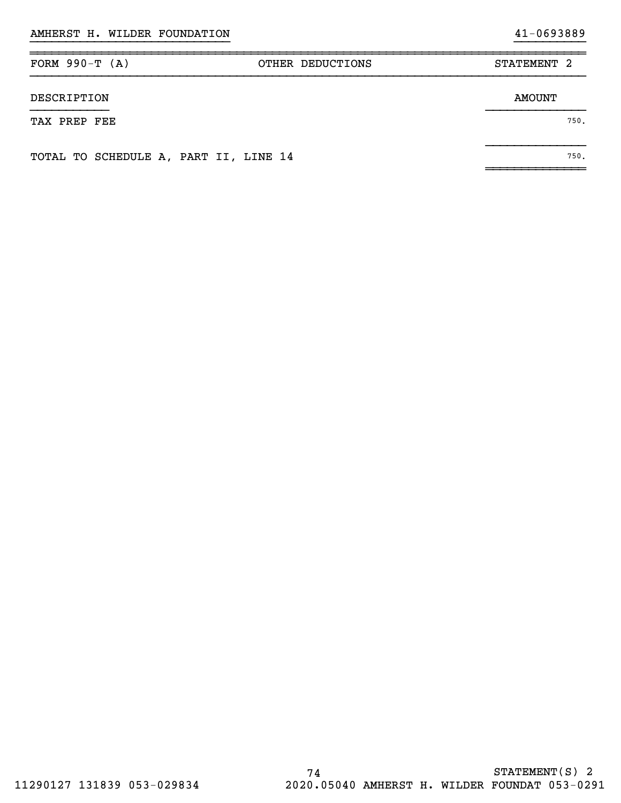| FORM $990-T (A)$                      | OTHER DEDUCTIONS | STATEMENT 2   |
|---------------------------------------|------------------|---------------|
| DESCRIPTION                           |                  | <b>AMOUNT</b> |
| TAX PREP FEE                          |                  | 750.          |
| TOTAL TO SCHEDULE A, PART II, LINE 14 |                  | 750.          |

~~~~~~~~~~~~~~

}}}}}}}}}}}}}}}}}}}}}}}}}}}} }}}}}}}}}}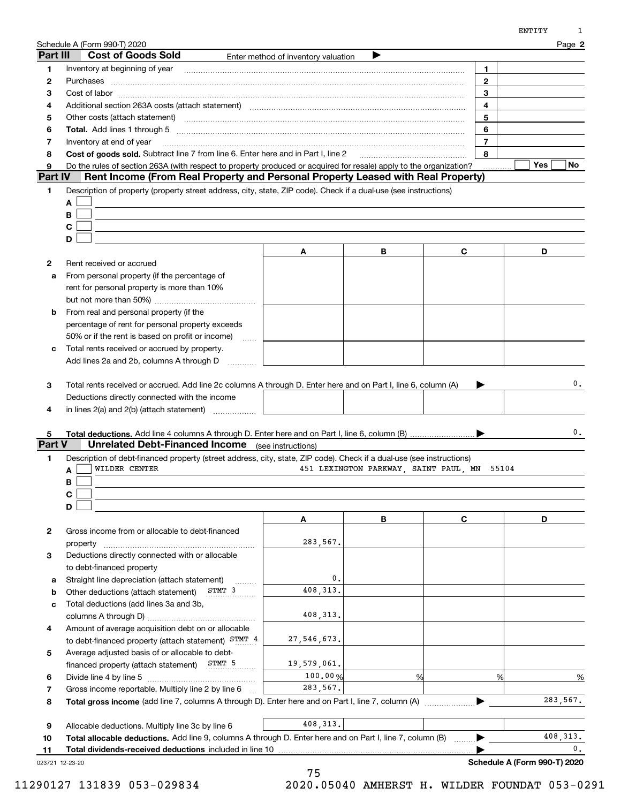|          | Schedule A (Form 990-T) 2020                                                                                                                                                                                                   |                                     |   |                                             | Page 2        |
|----------|--------------------------------------------------------------------------------------------------------------------------------------------------------------------------------------------------------------------------------|-------------------------------------|---|---------------------------------------------|---------------|
| Part III | <b>Cost of Goods Sold</b>                                                                                                                                                                                                      | Enter method of inventory valuation |   |                                             |               |
| 1        | Inventory at beginning of year                                                                                                                                                                                                 |                                     |   | 1.                                          |               |
| 2        |                                                                                                                                                                                                                                |                                     |   | $\mathbf{2}$                                |               |
| З        |                                                                                                                                                                                                                                |                                     |   | 3                                           |               |
| 4        | Additional section 263A costs (attach statement) material content and according to the Additional section 263A                                                                                                                 | 4                                   |   |                                             |               |
| 5        | Other costs (attach statement) manufactured and contract and contract and contract and contract and contract and contract and contract and contract and contract and contract and contract and contract and contract and contr |                                     |   | 5                                           |               |
| 6        | Total. Add lines 1 through 5 [11] manual contract contract and the manual contract of the manual contract of the manual contract of the manual contract of the manual contract of the manual contract of the manual contract o |                                     |   | 6                                           |               |
| 7        | Inventory at end of year                                                                                                                                                                                                       |                                     |   | $\overline{7}$                              |               |
| 8        | Cost of goods sold. Subtract line 7 from line 6. Enter here and in Part I, line 2                                                                                                                                              |                                     |   | 8                                           |               |
| 9        | Do the rules of section 263A (with respect to property produced or acquired for resale) apply to the organization?                                                                                                             |                                     |   |                                             | Yes<br>No     |
| Part IV  | Rent Income (From Real Property and Personal Property Leased with Real Property)                                                                                                                                               |                                     |   |                                             |               |
| 1        | Description of property (property street address, city, state, ZIP code). Check if a dual-use (see instructions)                                                                                                               |                                     |   |                                             |               |
|          | A                                                                                                                                                                                                                              |                                     |   |                                             |               |
|          | B                                                                                                                                                                                                                              |                                     |   |                                             |               |
|          | C                                                                                                                                                                                                                              |                                     |   |                                             |               |
|          | D                                                                                                                                                                                                                              |                                     |   |                                             |               |
|          |                                                                                                                                                                                                                                | Α                                   | В | C                                           | D             |
| 2        | Rent received or accrued                                                                                                                                                                                                       |                                     |   |                                             |               |
| a        | From personal property (if the percentage of                                                                                                                                                                                   |                                     |   |                                             |               |
|          | rent for personal property is more than 10%                                                                                                                                                                                    |                                     |   |                                             |               |
|          |                                                                                                                                                                                                                                |                                     |   |                                             |               |
| b        | From real and personal property (if the                                                                                                                                                                                        |                                     |   |                                             |               |
|          |                                                                                                                                                                                                                                |                                     |   |                                             |               |
|          | percentage of rent for personal property exceeds                                                                                                                                                                               |                                     |   |                                             |               |
|          | 50% or if the rent is based on profit or income)<br>$\ldots$<br>Total rents received or accrued by property.                                                                                                                   |                                     |   |                                             |               |
| с        | Add lines 2a and 2b, columns A through D                                                                                                                                                                                       |                                     |   |                                             |               |
| 4<br>5   | in lines 2(a) and 2(b) (attach statement)                                                                                                                                                                                      |                                     |   |                                             | 0.            |
| Part V   | <b>Unrelated Debt-Financed Income</b> (see instructions)                                                                                                                                                                       |                                     |   |                                             |               |
| 1        | Description of debt-financed property (street address, city, state, ZIP code). Check if a dual-use (see instructions)                                                                                                          |                                     |   |                                             |               |
|          | WILDER CENTER<br>A                                                                                                                                                                                                             |                                     |   | 451 LEXINGTON PARKWAY, SAINT PAUL, MN 55104 |               |
|          | В                                                                                                                                                                                                                              |                                     |   |                                             |               |
|          | C                                                                                                                                                                                                                              |                                     |   |                                             |               |
|          | D                                                                                                                                                                                                                              |                                     |   |                                             |               |
|          |                                                                                                                                                                                                                                | Α                                   | В | $\mathbf c$                                 | D             |
| 2        | Gross income from or allocable to debt-financed                                                                                                                                                                                |                                     |   |                                             |               |
|          | property                                                                                                                                                                                                                       | 283,567.                            |   |                                             |               |
| з        | Deductions directly connected with or allocable                                                                                                                                                                                |                                     |   |                                             |               |
|          | to debt-financed property                                                                                                                                                                                                      |                                     |   |                                             |               |
| a        | Straight line depreciation (attach statement)                                                                                                                                                                                  | 0.                                  |   |                                             |               |
| b        | STMT 3<br>Other deductions (attach statement)                                                                                                                                                                                  | 408, 313.                           |   |                                             |               |
| c        | Total deductions (add lines 3a and 3b,                                                                                                                                                                                         |                                     |   |                                             |               |
|          |                                                                                                                                                                                                                                | 408, 313.                           |   |                                             |               |
| 4        | Amount of average acquisition debt on or allocable                                                                                                                                                                             |                                     |   |                                             |               |
|          | to debt-financed property (attach statement) STMT 4                                                                                                                                                                            | 27, 546, 673.                       |   |                                             |               |
| 5        | Average adjusted basis of or allocable to debt-                                                                                                                                                                                |                                     |   |                                             |               |
|          | financed property (attach statement) STMT 5                                                                                                                                                                                    | 19,579,061.                         |   |                                             |               |
| 6        |                                                                                                                                                                                                                                | 100.00%                             | % | %                                           | $\%$          |
| 7        | Gross income reportable. Multiply line 2 by line 6                                                                                                                                                                             | 283,567.                            |   |                                             |               |
| 8        | Total gross income (add line 7, columns A through D). Enter here and on Part I, line 7, column (A)                                                                                                                             |                                     |   |                                             | 283,567.      |
|          |                                                                                                                                                                                                                                |                                     |   |                                             |               |
| 9        | Allocable deductions. Multiply line 3c by line 6                                                                                                                                                                               | 408, 313.                           |   |                                             |               |
| 10       | Total allocable deductions. Add line 9, columns A through D. Enter here and on Part I, line 7, column (B)                                                                                                                      |                                     |   |                                             | 408, 313.     |
| 11       | Total dividends-received deductions included in line 10                                                                                                                                                                        |                                     |   |                                             | $\mathbf 0$ . |

023721 12-23-20

ENTITY 1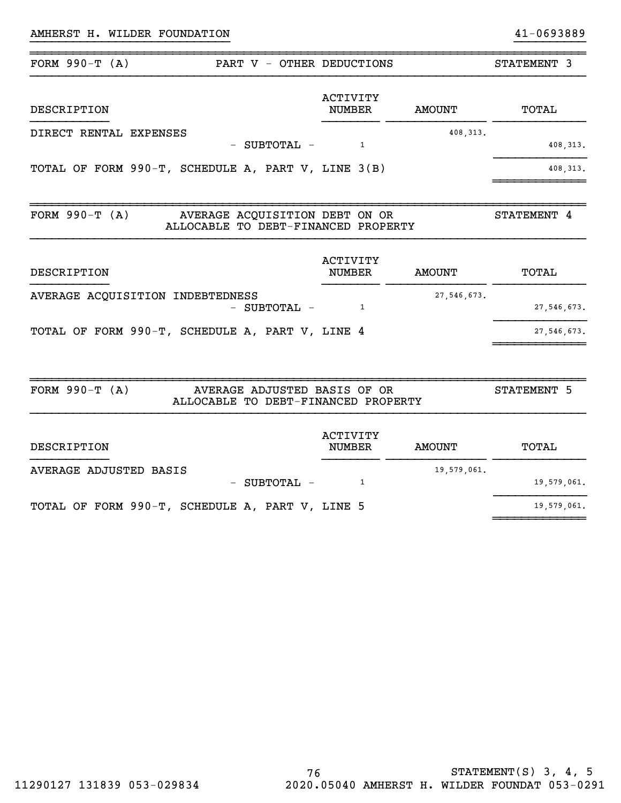### AMHERST H. WILDER FOUNDATION 41-0693889

| FORM $990-T (A)$                                   | PART V - OTHER DEDUCTIONS                                             |                                  |               | STATEMENT 3   |
|----------------------------------------------------|-----------------------------------------------------------------------|----------------------------------|---------------|---------------|
| DESCRIPTION                                        |                                                                       | <b>ACTIVITY</b><br><b>NUMBER</b> | <b>AMOUNT</b> | TOTAL         |
| DIRECT RENTAL EXPENSES                             | - SUBTOTAL -                                                          | $\mathbf{1}$                     | 408, 313.     | 408, 313.     |
| TOTAL OF FORM 990-T, SCHEDULE A, PART V, LINE 3(B) |                                                                       |                                  |               | 408, 313.     |
| FORM $990-T (A)$                                   | AVERAGE ACQUISITION DEBT ON OR<br>ALLOCABLE TO DEBT-FINANCED PROPERTY |                                  |               | STATEMENT 4   |
| DESCRIPTION                                        |                                                                       | <b>ACTIVITY</b><br><b>NUMBER</b> | <b>AMOUNT</b> | TOTAL         |
| AVERAGE ACQUISITION INDEBTEDNESS                   | - SUBTOTAL -                                                          | $\mathbf{1}$                     | 27, 546, 673. | 27, 546, 673. |
| TOTAL OF FORM 990-T, SCHEDULE A, PART V, LINE 4    |                                                                       |                                  |               | 27, 546, 673. |
| FORM $990-T (A)$                                   | AVERAGE ADJUSTED BASIS OF OR<br>ALLOCABLE TO DEBT-FINANCED PROPERTY   |                                  |               | STATEMENT 5   |
| DESCRIPTION                                        |                                                                       | <b>ACTIVITY</b><br><b>NUMBER</b> | <b>AMOUNT</b> | TOTAL         |
| AVERAGE ADJUSTED BASIS                             | - SUBTOTAL -                                                          | $\mathbf{1}$                     | 19,579,061.   | 19,579,061.   |
| TOTAL OF FORM 990-T, SCHEDULE A, PART V, LINE 5    |                                                                       |                                  |               | 19,579,061.   |

~~~~~~~~~~~~~

}}}}}}}}}}}}}}}}}}}}}}}}}}}} }}}}}}}}}}

~~~~~~~~~~~~~~~~~~~~~~~~~~~~~~~~~~~~~~~~~~~~~~~~~~~~~~~~~~~~~~~~~~~~~~~~~~~~~~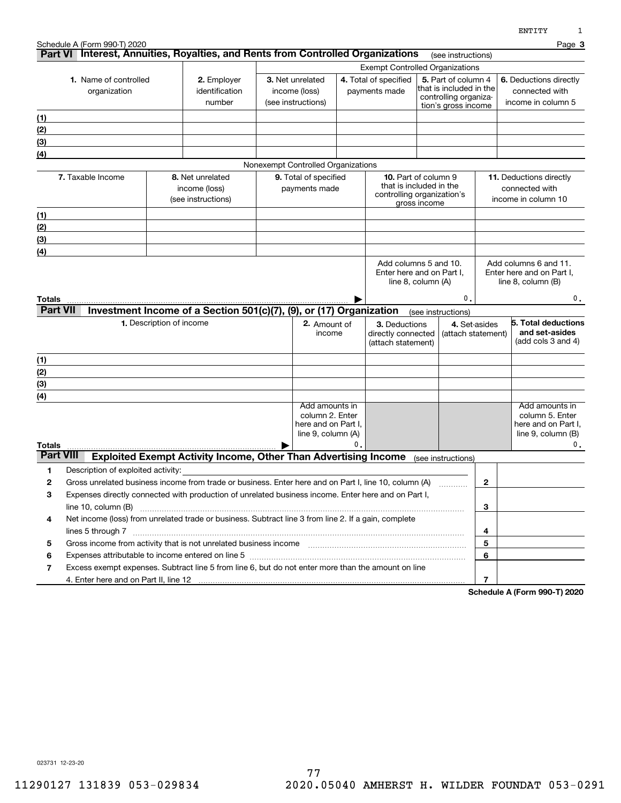|                                                                                  | Schedule A (Form 990-T) 2020       |                                                                                                                                                 |                                        |                                                                                  |                                                                                                      |                                                           |                                                                                                |                                                                  |              | 1214 T T T<br>Page 3                                                                                 |
|----------------------------------------------------------------------------------|------------------------------------|-------------------------------------------------------------------------------------------------------------------------------------------------|----------------------------------------|----------------------------------------------------------------------------------|------------------------------------------------------------------------------------------------------|-----------------------------------------------------------|------------------------------------------------------------------------------------------------|------------------------------------------------------------------|--------------|------------------------------------------------------------------------------------------------------|
| 1. Name of controlled<br>2. Employer<br>organization<br>identification<br>number |                                    | Part VI Interest, Annuities, Royalties, and Rents from Controlled Organizations<br>(see instructions)<br><b>Exempt Controlled Organizations</b> |                                        |                                                                                  |                                                                                                      |                                                           |                                                                                                |                                                                  |              |                                                                                                      |
|                                                                                  |                                    |                                                                                                                                                 |                                        | 3. Net unrelated<br>income (loss)<br>(see instructions)                          |                                                                                                      | 4. Total of specified<br>payments made                    | 5. Part of column 4<br>that is included in the<br>controlling organiza-<br>tion's gross income |                                                                  |              | 6. Deductions directly<br>connected with<br>income in column 5                                       |
| (1)                                                                              |                                    |                                                                                                                                                 |                                        |                                                                                  |                                                                                                      |                                                           |                                                                                                |                                                                  |              |                                                                                                      |
| (2)                                                                              |                                    |                                                                                                                                                 |                                        |                                                                                  |                                                                                                      |                                                           |                                                                                                |                                                                  |              |                                                                                                      |
| (3)                                                                              |                                    |                                                                                                                                                 |                                        |                                                                                  |                                                                                                      |                                                           |                                                                                                |                                                                  |              |                                                                                                      |
| $\left(4\right)$                                                                 |                                    |                                                                                                                                                 |                                        |                                                                                  |                                                                                                      |                                                           |                                                                                                |                                                                  |              |                                                                                                      |
|                                                                                  |                                    |                                                                                                                                                 |                                        | Nonexempt Controlled Organizations                                               |                                                                                                      |                                                           |                                                                                                |                                                                  |              |                                                                                                      |
|                                                                                  | 7. Taxable Income                  | 8. Net unrelated<br>income (loss)<br>(see instructions)                                                                                         | 9. Total of specified<br>payments made |                                                                                  | <b>10.</b> Part of column 9<br>that is included in the<br>controlling organization's<br>gross income |                                                           |                                                                                                | 11. Deductions directly<br>connected with<br>income in column 10 |              |                                                                                                      |
| (1)                                                                              |                                    |                                                                                                                                                 |                                        |                                                                                  |                                                                                                      |                                                           |                                                                                                |                                                                  |              |                                                                                                      |
| (2)                                                                              |                                    |                                                                                                                                                 |                                        |                                                                                  |                                                                                                      |                                                           |                                                                                                |                                                                  |              |                                                                                                      |
| (3)                                                                              |                                    |                                                                                                                                                 |                                        |                                                                                  |                                                                                                      |                                                           |                                                                                                |                                                                  |              |                                                                                                      |
| $\left( 4\right)$                                                                |                                    |                                                                                                                                                 |                                        |                                                                                  |                                                                                                      |                                                           |                                                                                                |                                                                  |              |                                                                                                      |
| Totals<br><b>Part VII</b>                                                        |                                    | Investment Income of a Section 501(c)(7), (9), or (17) Organization                                                                             |                                        |                                                                                  |                                                                                                      | line $8$ , column $(A)$                                   |                                                                                                | 0.<br>(see instructions)                                         |              | line $8$ , column $(B)$<br>$\mathbf 0$ .                                                             |
|                                                                                  |                                    | 1. Description of income                                                                                                                        |                                        | 2. Amount of<br>income                                                           |                                                                                                      | 3. Deductions<br>directly connected<br>(attach statement) |                                                                                                | 4. Set-asides<br>(attach statement)                              |              | 5. Total deductions<br>and set-asides<br>(add cols 3 and 4)                                          |
| (1)                                                                              |                                    |                                                                                                                                                 |                                        |                                                                                  |                                                                                                      |                                                           |                                                                                                |                                                                  |              |                                                                                                      |
| (2)                                                                              |                                    |                                                                                                                                                 |                                        |                                                                                  |                                                                                                      |                                                           |                                                                                                |                                                                  |              |                                                                                                      |
| (3)                                                                              |                                    |                                                                                                                                                 |                                        |                                                                                  |                                                                                                      |                                                           |                                                                                                |                                                                  |              |                                                                                                      |
| (4)                                                                              |                                    |                                                                                                                                                 |                                        |                                                                                  |                                                                                                      |                                                           |                                                                                                |                                                                  |              |                                                                                                      |
| Totals                                                                           |                                    |                                                                                                                                                 |                                        | Add amounts in<br>column 2. Enter<br>here and on Part I,<br>line 9, column $(A)$ | 0.                                                                                                   |                                                           |                                                                                                |                                                                  |              | Add amounts in<br>column 5. Enter<br>here and on Part I.<br>line $9$ , column $(B)$<br>$\mathbf 0$ . |
| <b>Part VIII</b>                                                                 |                                    | <b>Exploited Exempt Activity Income, Other Than Advertising Income</b>                                                                          |                                        |                                                                                  |                                                                                                      |                                                           |                                                                                                | (see instructions)                                               |              |                                                                                                      |
| 1                                                                                | Description of exploited activity: |                                                                                                                                                 |                                        |                                                                                  |                                                                                                      |                                                           |                                                                                                |                                                                  |              |                                                                                                      |
| 2                                                                                |                                    | Gross unrelated business income from trade or business. Enter here and on Part I, line 10, column (A)                                           |                                        |                                                                                  |                                                                                                      |                                                           |                                                                                                |                                                                  | $\mathbf{2}$ |                                                                                                      |
| 3                                                                                |                                    | Expenses directly connected with production of unrelated business income. Enter here and on Part I,                                             |                                        |                                                                                  |                                                                                                      |                                                           |                                                                                                |                                                                  |              |                                                                                                      |
|                                                                                  |                                    |                                                                                                                                                 |                                        |                                                                                  |                                                                                                      |                                                           |                                                                                                |                                                                  | 3            |                                                                                                      |
| 4                                                                                |                                    | Net income (loss) from unrelated trade or business. Subtract line 3 from line 2. If a gain, complete                                            |                                        |                                                                                  |                                                                                                      |                                                           |                                                                                                |                                                                  |              |                                                                                                      |
|                                                                                  |                                    |                                                                                                                                                 |                                        |                                                                                  |                                                                                                      |                                                           |                                                                                                |                                                                  | 4            |                                                                                                      |
| 5                                                                                |                                    |                                                                                                                                                 |                                        |                                                                                  |                                                                                                      |                                                           |                                                                                                |                                                                  | 5            |                                                                                                      |
| 6                                                                                |                                    | Expenses attributable to income entered on line 5 [111] [12] manufacture attributable to income entered on line 5                               |                                        |                                                                                  |                                                                                                      |                                                           |                                                                                                |                                                                  | 6            |                                                                                                      |
| 7                                                                                |                                    | Excess exempt expenses. Subtract line 5 from line 6, but do not enter more than the amount on line                                              |                                        |                                                                                  |                                                                                                      |                                                           |                                                                                                |                                                                  |              |                                                                                                      |
|                                                                                  |                                    |                                                                                                                                                 |                                        |                                                                                  |                                                                                                      |                                                           |                                                                                                |                                                                  | 7            |                                                                                                      |

**Schedule A (Form 990-T) 2020**

023731 12-23-20